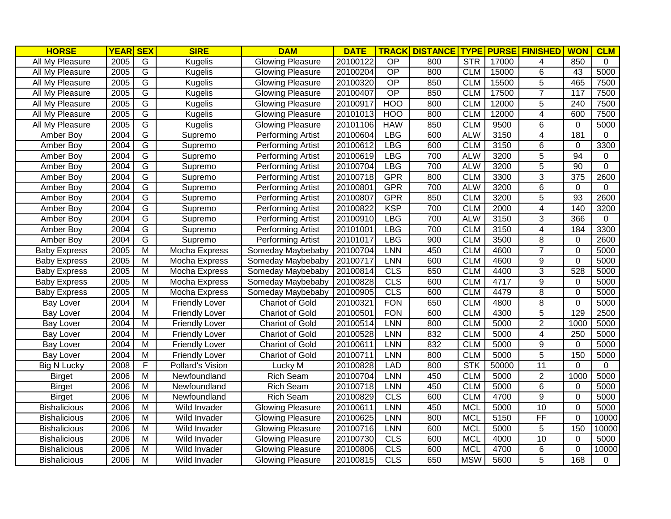| <b>HORSE</b>           | <b>YEAR</b> | $\overline{\text{SEX}}$ | <b>SIRE</b>           | <b>DAM</b>               | <b>DATE</b> | <b>TRACK</b>     | <b>DISTANCE</b> | <b>TYPE</b> | <b>PURSE</b> | <b>FINISHED</b>         | <b>WON</b>       | <b>CLM</b>   |
|------------------------|-------------|-------------------------|-----------------------|--------------------------|-------------|------------------|-----------------|-------------|--------------|-------------------------|------------------|--------------|
| All My Pleasure        | 2005        | G                       | <b>Kugelis</b>        | <b>Glowing Pleasure</b>  | 20100122    | $\overline{OP}$  | 800             | <b>STR</b>  | 17000        | 4                       | 850              | $\Omega$     |
| All My Pleasure        | 2005        | G                       | <b>Kugelis</b>        | <b>Glowing Pleasure</b>  | 20100204    | OP               | 800             | <b>CLM</b>  | 15000        | 6                       | 43               | 5000         |
| All My Pleasure        | 2005        | G                       | <b>Kugelis</b>        | <b>Glowing Pleasure</b>  | 20100320    | OP               | 850             | <b>CLM</b>  | 15500        | $\overline{5}$          | 465              | 7500         |
| All My Pleasure        | 2005        | G                       | Kugelis               | <b>Glowing Pleasure</b>  | 20100407    | $\overline{OP}$  | 850             | <b>CLM</b>  | 17500        | $\overline{7}$          | 117              | 7500         |
| All My Pleasure        | 2005        | G                       | <b>Kugelis</b>        | <b>Glowing Pleasure</b>  | 20100917    | <b>HOO</b>       | 800             | <b>CLM</b>  | 12000        | 5                       | $\overline{240}$ | 7500         |
| <b>All My Pleasure</b> | 2005        | $\overline{G}$          | <b>Kugelis</b>        | Glowing Pleasure         | 20101013    | <b>HOO</b>       | 800             | <b>CLM</b>  | 12000        | 4                       | 600              | 7500         |
| All My Pleasure        | 2005        | $\overline{G}$          | <b>Kugelis</b>        | <b>Glowing Pleasure</b>  | 20101106    | <b>HAW</b>       | 850             | <b>CLM</b>  | 9500         | 6                       | $\mathbf{0}$     | 5000         |
| Amber Boy              | 2004        | $\overline{G}$          | Supremo               | Performing Artist        | 20100604    | <b>LBG</b>       | 600             | <b>ALW</b>  | 3150         | 4                       | 181              | $\mathbf{0}$ |
| Amber Boy              | 2004        | $\overline{G}$          | Supremo               | Performing Artist        | 20100612    | <b>LBG</b>       | 600             | <b>CLM</b>  | 3150         | 6                       | $\mathbf 0$      | 3300         |
| Amber Boy              | 2004        | $\overline{G}$          | Supremo               | Performing Artist        | 20100619    | <b>LBG</b>       | 700             | <b>ALW</b>  | 3200         | $\overline{5}$          | 94               | 0            |
| Amber Boy              | 2004        | $\overline{G}$          | Supremo               | <b>Performing Artist</b> | 20100704    | <b>LBG</b>       | 700             | <b>ALW</b>  | 3200         | $\overline{5}$          | $\overline{90}$  | $\Omega$     |
| Amber Boy              | 2004        | G                       | Supremo               | Performing Artist        | 20100718    | <b>GPR</b>       | 800             | <b>CLM</b>  | 3300         | 3                       | 375              | 2600         |
| Amber Boy              | 2004        | ${\mathsf G}$           | Supremo               | <b>Performing Artist</b> | 20100801    | <b>GPR</b>       | 700             | <b>ALW</b>  | 3200         | 6                       | 0                | 0            |
| Amber Boy              | 2004        | G                       | Supremo               | Performing Artist        | 20100807    | <b>GPR</b>       | 850             | <b>CLM</b>  | 3200         | $\overline{5}$          | 93               | 2600         |
| Amber Boy              | 2004        | $\overline{G}$          | Supremo               | Performing Artist        | 20100822    | <b>KSP</b>       | 700             | <b>CLM</b>  | 2000         | $\overline{\mathbf{4}}$ | 140              | 3200         |
| Amber Boy              | 2004        | G                       | Supremo               | <b>Performing Artist</b> | 20100910    | <b>LBG</b>       | 700             | <b>ALW</b>  | 3150         | $\overline{3}$          | 366              | $\Omega$     |
| Amber Boy              | 2004        | G                       | Supremo               | <b>Performing Artist</b> | 20101001    | <b>LBG</b>       | 700             | <b>CLM</b>  | 3150         | 4                       | 184              | 3300         |
| Amber Boy              | 2004        | G                       | Supremo               | <b>Performing Artist</b> | 20101017    | <b>LBG</b>       | 900             | <b>CLM</b>  | 3500         | $\overline{8}$          | $\mathbf 0$      | 2600         |
| <b>Baby Express</b>    | 2005        | M                       | Mocha Express         | Someday Maybebaby        | 20100704    | <b>LNN</b>       | 450             | <b>CLM</b>  | 4600         | $\overline{7}$          | $\overline{0}$   | 5000         |
| <b>Baby Express</b>    | 2005        | $\overline{M}$          | Mocha Express         | Someday Maybebaby        | 20100717    | <b>LNN</b>       | 600             | <b>CLM</b>  | 4600         | 9                       | $\Omega$         | 5000         |
| <b>Baby Express</b>    | 2005        | M                       | Mocha Express         | Someday Maybebaby        | 20100814    | CLS              | 650             | <b>CLM</b>  | 4400         | 3                       | 528              | 5000         |
| <b>Baby Express</b>    | 2005        | M                       | Mocha Express         | Someday Maybebaby        | 20100828    | CLS              | 600             | <b>CLM</b>  | 4717         | $\overline{9}$          | $\mathbf 0$      | 5000         |
| <b>Baby Express</b>    | 2005        | M                       | Mocha Express         | Someday Maybebaby        | 20100905    | $\overline{CLS}$ | 600             | <b>CLM</b>  | 4479         | $\overline{8}$          | $\mathbf 0$      | 5000         |
| <b>Bay Lover</b>       | 2004        | M                       | <b>Friendly Lover</b> | <b>Chariot of Gold</b>   | 20100321    | <b>FON</b>       | 650             | <b>CLM</b>  | 4800         | 8                       | $\mathbf 0$      | 5000         |
| <b>Bay Lover</b>       | 2004        | M                       | <b>Friendly Lover</b> | <b>Chariot of Gold</b>   | 20100501    | <b>FON</b>       | 600             | <b>CLM</b>  | 4300         | $\overline{5}$          | 129              | 2500         |
| <b>Bay Lover</b>       | 2004        | $\overline{M}$          | <b>Friendly Lover</b> | <b>Chariot of Gold</b>   | 20100514    | <b>LNN</b>       | 800             | <b>CLM</b>  | 5000         | $\overline{2}$          | 1000             | 5000         |
| <b>Bay Lover</b>       | 2004        | $\overline{M}$          | <b>Friendly Lover</b> | <b>Chariot of Gold</b>   | 20100528    | LNN              | 832             | <b>CLM</b>  | 5000         | 4                       | $\overline{250}$ | 5000         |
| <b>Bay Lover</b>       | 2004        | $\overline{M}$          | <b>Friendly Lover</b> | <b>Chariot of Gold</b>   | 20100611    | <b>LNN</b>       | 832             | <b>CLM</b>  | 5000         | $\overline{9}$          | $\Omega$         | 5000         |
| <b>Bay Lover</b>       | 2004        | $\overline{M}$          | <b>Friendly Lover</b> | <b>Chariot of Gold</b>   | 20100711    | <b>LNN</b>       | 800             | <b>CLM</b>  | 5000         | $\overline{5}$          | 150              | 5000         |
| <b>Big N Lucky</b>     | 2008        | F                       | Pollard's Vision      | Lucky M                  | 20100828    | <b>LAD</b>       | 800             | <b>STK</b>  | 50000        | 11                      | $\mathbf 0$      | $\mathbf 0$  |
| <b>Birget</b>          | 2006        | $\overline{M}$          | Newfoundland          | <b>Rich Seam</b>         | 20100704    | <b>LNN</b>       | 450             | <b>CLM</b>  | 5000         | $\overline{2}$          | 1000             | 5000         |
| <b>Birget</b>          | 2006        | M                       | Newfoundland          | <b>Rich Seam</b>         | 20100718    | LNN              | 450             | <b>CLM</b>  | 5000         | 6                       | 0                | 5000         |
| <b>Birget</b>          | 2006        | $\overline{M}$          | Newfoundland          | <b>Rich Seam</b>         | 20100829    | CLS              | 600             | <b>CLM</b>  | 4700         | $\overline{9}$          | $\overline{0}$   | 5000         |
| <b>Bishalicious</b>    | 2006        | $\overline{\mathsf{M}}$ | Wild Invader          | <b>Glowing Pleasure</b>  | 20100611    | <b>LNN</b>       | 450             | <b>MCL</b>  | 5000         | 10                      | $\mathbf 0$      | 5000         |
| <b>Bishalicious</b>    | 2006        | $\overline{\mathsf{M}}$ | <b>Wild Invader</b>   | <b>Glowing Pleasure</b>  | 20100625    | <b>LNN</b>       | 800             | <b>MCL</b>  | 5150         | $\overline{FF}$         | $\mathbf 0$      | 10000        |
| <b>Bishalicious</b>    | 2006        | $\overline{\mathsf{M}}$ | <b>Wild Invader</b>   | <b>Glowing Pleasure</b>  | 20100716    | <b>LNN</b>       | 600             | <b>MCL</b>  | 5000         | $\overline{5}$          | 150              | 10000        |
| <b>Bishalicious</b>    | 2006        | M                       | Wild Invader          | <b>Glowing Pleasure</b>  | 20100730    | CLS              | 600             | <b>MCL</b>  | 4000         | 10                      | $\Omega$         | 5000         |
| <b>Bishalicious</b>    | 2006        | $\overline{\mathsf{M}}$ | Wild Invader          | <b>Glowing Pleasure</b>  | 20100806    | CLS              | 600             | <b>MCL</b>  | 4700         | $\overline{6}$          | $\Omega$         | 10000        |
| <b>Bishalicious</b>    | 2006        | M                       | Wild Invader          | <b>Glowing Pleasure</b>  | 20100815    | CLS              | 650             | <b>MSW</b>  | 5600         | $\overline{5}$          | 168              | $\Omega$     |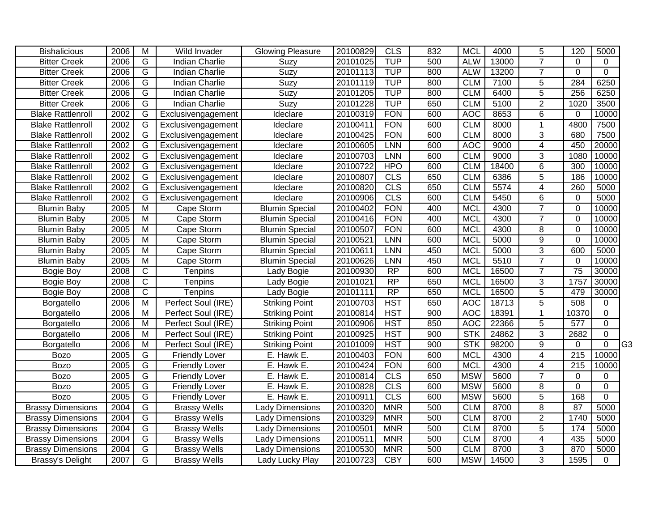| <b>Bishalicious</b>      | 2006 | M              | Wild Invader          | <b>Glowing Pleasure</b> | 20100829 | CLS             | 832 | <b>MCL</b> | 4000  | 5              | 120             | 5000        |    |
|--------------------------|------|----------------|-----------------------|-------------------------|----------|-----------------|-----|------------|-------|----------------|-----------------|-------------|----|
| <b>Bitter Creek</b>      | 2006 | G              | <b>Indian Charlie</b> | Suzy                    | 20101025 | <b>TUP</b>      | 500 | <b>ALW</b> | 13000 | $\overline{7}$ | 0               | 0           |    |
| <b>Bitter Creek</b>      | 2006 | $\overline{G}$ | <b>Indian Charlie</b> | <b>Suzy</b>             | 20101113 | <b>TUP</b>      | 800 | <b>ALW</b> | 13200 | $\overline{7}$ | $\Omega$        | $\Omega$    |    |
| <b>Bitter Creek</b>      | 2006 | G              | Indian Charlie        | Suzy                    | 20101119 | <b>TUP</b>      | 800 | <b>CLM</b> | 7100  | $\overline{5}$ | 284             | 6250        |    |
| <b>Bitter Creek</b>      | 2006 | G              | Indian Charlie        | Suzy                    | 20101205 | <b>TUP</b>      | 800 | <b>CLM</b> | 6400  | $\overline{5}$ | 256             | 6250        |    |
| <b>Bitter Creek</b>      | 2006 | $\overline{G}$ | <b>Indian Charlie</b> | Suzy                    | 20101228 | <b>TUP</b>      | 650 | <b>CLM</b> | 5100  | $\overline{2}$ | 1020            | 3500        |    |
| <b>Blake Rattlenroll</b> | 2002 | G              | Exclusivengagement    | Ideclare                | 20100319 | <b>FON</b>      | 600 | <b>AOC</b> | 8653  | $\overline{6}$ | 0               | 10000       |    |
| <b>Blake Rattlenroll</b> | 2002 | $\overline{G}$ | Exclusivengagement    | Ideclare                | 20100411 | <b>FON</b>      | 600 | CLM        | 8000  | $\overline{1}$ | 4800            | 7500        |    |
| <b>Blake Rattlenroll</b> | 2002 | $\overline{G}$ | Exclusivengagement    | Ideclare                | 20100425 | <b>FON</b>      | 600 | <b>CLM</b> | 8000  | $\overline{3}$ | 680             | 7500        |    |
| <b>Blake Rattlenroll</b> | 2002 | $\overline{G}$ | Exclusivengagement    | Ideclare                | 20100605 | <b>LNN</b>      | 600 | <b>AOC</b> | 9000  | 4              | 450             | 20000       |    |
| <b>Blake Rattlenroll</b> | 2002 | G              | Exclusivengagement    | Ideclare                | 20100703 | LNN             | 600 | <b>CLM</b> | 9000  | 3              | 1080            | 10000       |    |
| <b>Blake Rattlenroll</b> | 2002 | G              | Exclusivengagement    | Ideclare                | 20100722 | <b>HPO</b>      | 600 | <b>CLM</b> | 18400 | 6              | 300             | 10000       |    |
| <b>Blake Rattlenroll</b> | 2002 | G              | Exclusivengagement    | Ideclare                | 20100807 | <b>CLS</b>      | 650 | <b>CLM</b> | 6386  | $\overline{5}$ | 186             | 10000       |    |
| <b>Blake Rattlenroll</b> | 2002 | G              | Exclusivengagement    | Ideclare                | 20100820 | CLS             | 650 | <b>CLM</b> | 5574  | 4              | 260             | 5000        |    |
| <b>Blake Rattlenroll</b> | 2002 | $\overline{G}$ | Exclusivengagement    | Ideclare                | 20100906 | CLS             | 600 | <b>CLM</b> | 5450  | 6              | 0               | 5000        |    |
| <b>Blumin Baby</b>       | 2005 | M              | Cape Storm            | <b>Blumin Special</b>   | 20100402 | <b>FON</b>      | 400 | <b>MCL</b> | 4300  | $\overline{7}$ | 0               | 10000       |    |
| <b>Blumin Baby</b>       | 2005 | M              | Cape Storm            | <b>Blumin Special</b>   | 20100416 | <b>FON</b>      | 400 | <b>MCL</b> | 4300  | $\overline{7}$ | 0               | 10000       |    |
| <b>Blumin Baby</b>       | 2005 | M              | Cape Storm            | <b>Blumin Special</b>   | 20100507 | <b>FON</b>      | 600 | <b>MCL</b> | 4300  | 8              | $\overline{0}$  | 10000       |    |
| <b>Blumin Baby</b>       | 2005 | M              | Cape Storm            | <b>Blumin Special</b>   | 20100521 | LNN             | 600 | <b>MCL</b> | 5000  | 9              | $\overline{0}$  | 10000       |    |
| <b>Blumin Baby</b>       | 2005 | M              | Cape Storm            | <b>Blumin Special</b>   | 20100611 | LNN             | 450 | <b>MCL</b> | 5000  | 3              | 600             | 5000        |    |
| <b>Blumin Baby</b>       | 2005 | M              | Cape Storm            | <b>Blumin Special</b>   | 20100626 | <b>LNN</b>      | 450 | <b>MCL</b> | 5510  | $\overline{7}$ | 0               | 10000       |    |
| Bogie Boy                | 2008 | $\mathsf{C}$   | <b>Tenpins</b>        | Lady Bogie              | 20100930 | RP              | 600 | <b>MCL</b> | 16500 | $\overline{7}$ | $\overline{75}$ | 30000       |    |
| Bogie Boy                | 2008 | $\mathsf C$    | <b>Tenpins</b>        | Lady Bogie              | 20101021 | <b>RP</b>       | 650 | <b>MCL</b> | 16500 | 3              | 1757            | 30000       |    |
| Bogie Boy                | 2008 | $\overline{C}$ | Tenpins               | Lady Bogie              | 20101111 | $\overline{RP}$ | 650 | <b>MCL</b> | 16500 | $\overline{5}$ | 479             | 30000       |    |
| Borgatello               | 2006 | M              | Perfect Soul (IRE)    | <b>Striking Point</b>   | 20100703 | <b>HST</b>      | 650 | <b>AOC</b> | 18713 | 5              | 508             | 0           |    |
| Borgatello               | 2006 | M              | Perfect Soul (IRE)    | <b>Striking Point</b>   | 20100814 | <b>HST</b>      | 900 | <b>AOC</b> | 18391 | $\overline{1}$ | 10370           | $\mathbf 0$ |    |
| Borgatello               | 2006 | M              | Perfect Soul (IRE)    | <b>Striking Point</b>   | 20100906 | <b>HST</b>      | 850 | <b>AOC</b> | 22366 | 5              | 577             | $\mathbf 0$ |    |
| Borgatello               | 2006 | M              | Perfect Soul (IRE)    | <b>Striking Point</b>   | 20100925 | <b>HST</b>      | 900 | STK        | 24862 | 3              | 2682            | 0           |    |
| Borgatello               | 2006 | M              | Perfect Soul (IRE)    | <b>Striking Point</b>   | 20101009 | <b>HST</b>      | 900 | STK        | 98200 | 9              | 0               | $\Omega$    | G3 |
| <b>Bozo</b>              | 2005 | G              | <b>Friendly Lover</b> | E. Hawk E.              | 20100403 | <b>FON</b>      | 600 | <b>MCL</b> | 4300  | 4              | 215             | 10000       |    |
| <b>Bozo</b>              | 2005 | G              | <b>Friendly Lover</b> | $E.$ Hawk E.            | 20100424 | <b>FON</b>      | 600 | <b>MCL</b> | 4300  | 4              | 215             | 10000       |    |
| <b>Bozo</b>              | 2005 | G              | <b>Friendly Lover</b> | E. Hawk E.              | 20100814 | CLS             | 650 | <b>MSW</b> | 5600  | $\overline{7}$ | $\Omega$        | $\Omega$    |    |
| <b>Bozo</b>              | 2005 | G              | <b>Friendly Lover</b> | E. Hawk E.              | 20100828 | CLS             | 600 | <b>MSW</b> | 5600  | 8              | $\overline{0}$  | $\mathbf 0$ |    |
| <b>Bozo</b>              | 2005 | G              | <b>Friendly Lover</b> | E. Hawk E.              | 20100911 | CLS             | 600 | <b>MSW</b> | 5600  | $\overline{5}$ | 168             | $\Omega$    |    |
| <b>Brassy Dimensions</b> | 2004 | $\overline{G}$ | <b>Brassy Wells</b>   | <b>Lady Dimensions</b>  | 20100320 | <b>MNR</b>      | 500 | <b>CLM</b> | 8700  | $\overline{8}$ | 87              | 5000        |    |
| <b>Brassy Dimensions</b> | 2004 | G              | <b>Brassy Wells</b>   | <b>Lady Dimensions</b>  | 20100329 | <b>MNR</b>      | 500 | <b>CLM</b> | 8700  | $\overline{2}$ | 1740            | 5000        |    |
| <b>Brassy Dimensions</b> | 2004 | $\overline{G}$ | <b>Brassy Wells</b>   | Lady Dimensions         | 20100501 | <b>MNR</b>      | 500 | <b>CLM</b> | 8700  | $\overline{5}$ | 174             | 5000        |    |
| <b>Brassy Dimensions</b> | 2004 | G              | <b>Brassy Wells</b>   | Lady Dimensions         | 20100511 | <b>MNR</b>      | 500 | <b>CLM</b> | 8700  | 4              | 435             | 5000        |    |
| <b>Brassy Dimensions</b> | 2004 | $\overline{G}$ | <b>Brassy Wells</b>   | Lady Dimensions         | 20100530 | <b>MNR</b>      | 500 | <b>CLM</b> | 8700  | 3              | 870             | 5000        |    |
| Brassy's Delight         | 2007 | G              | <b>Brassy Wells</b>   | Lady Lucky Play         | 20100723 | <b>CBY</b>      | 600 | <b>MSW</b> | 14500 | $\overline{3}$ | 1595            | $\Omega$    |    |
|                          |      |                |                       |                         |          |                 |     |            |       |                |                 |             |    |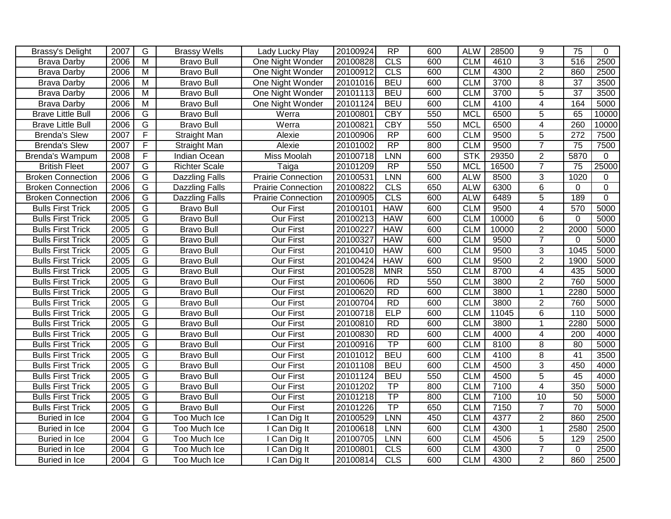| Brassy's Delight         | 2007 | G              | <b>Brassy Wells</b>   | Lady Lucky Play           | 20100924 | RP                     | 600 | <b>ALW</b> | 28500 | 9               | 75              | $\Omega$       |
|--------------------------|------|----------------|-----------------------|---------------------------|----------|------------------------|-----|------------|-------|-----------------|-----------------|----------------|
| <b>Brava Darby</b>       | 2006 | $\overline{M}$ | <b>Bravo Bull</b>     | One Night Wonder          | 20100828 | CLS                    | 600 | <b>CLM</b> | 4610  | $\overline{3}$  | 516             | 2500           |
| <b>Brava Darby</b>       | 2006 | M              | <b>Bravo Bull</b>     | One Night Wonder          | 20100912 | CLS                    | 600 | <b>CLM</b> | 4300  | $\overline{2}$  | 860             | 2500           |
| <b>Brava Darby</b>       | 2006 | M              | <b>Bravo Bull</b>     | One Night Wonder          | 20101016 | <b>BEU</b>             | 600 | <b>CLM</b> | 3700  | 8               | $\overline{37}$ | 3500           |
| <b>Brava Darby</b>       | 2006 | $\overline{M}$ | <b>Bravo Bull</b>     | One Night Wonder          | 20101113 | <b>BEU</b>             | 600 | <b>CLM</b> | 3700  | $\overline{5}$  | $\overline{37}$ | 3500           |
| <b>Brava Darby</b>       | 2006 | M              | <b>Bravo Bull</b>     | One Night Wonder          | 20101124 | <b>BEU</b>             | 600 | <b>CLM</b> | 4100  | 4               | 164             | 5000           |
| <b>Brave Little Bull</b> | 2006 | G              | <b>Bravo Bull</b>     | Werra                     | 20100801 | <b>CBY</b>             | 550 | <b>MCL</b> | 6500  | $\overline{5}$  | 65              | 10000          |
| <b>Brave Little Bull</b> | 2006 | G              | <b>Bravo Bull</b>     | Werra                     | 20100821 | <b>CBY</b>             | 550 | <b>MCL</b> | 6500  | $\overline{4}$  | 260             | 10000          |
| <b>Brenda's Slew</b>     | 2007 | F              | <b>Straight Man</b>   | Alexie                    | 20100906 | RP                     | 600 | <b>CLM</b> | 9500  | 5               | 272             | 7500           |
| <b>Brenda's Slew</b>     | 2007 | F              | Straight Man          | Alexie                    | 20101002 | $\overline{RP}$        | 800 | <b>CLM</b> | 9500  | $\overline{7}$  | 75              | 7500           |
| Brenda's Wampum          | 2008 | F              | Indian Ocean          | Miss Moolah               | 20100718 | LNN                    | 600 | <b>STK</b> | 29350 | $\overline{2}$  | 5870            | $\mathbf{0}$   |
| <b>British Fleet</b>     | 2007 | G              | <b>Richter Scale</b>  | Taiga                     | 20101209 | RP                     | 550 | <b>MCL</b> | 16500 | $\overline{7}$  | 75              | 25000          |
| <b>Broken Connection</b> | 2006 | G              | Dazzling Falls        | <b>Prairie Connection</b> | 20100531 | LNN                    | 600 | <b>ALW</b> | 8500  | 3               | 1020            | 0              |
| <b>Broken Connection</b> | 2006 | G              | Dazzling Falls        | <b>Prairie Connection</b> | 20100822 | CLS                    | 650 | <b>ALW</b> | 6300  | 6               | $\mathbf{0}$    | $\mathbf 0$    |
| <b>Broken Connection</b> | 2006 | $\overline{G}$ | <b>Dazzling Falls</b> | Prairie Connection        | 20100905 | CLS                    | 600 | <b>ALW</b> | 6489  | $\overline{5}$  | 189             | $\overline{0}$ |
| <b>Bulls First Trick</b> | 2005 | $\overline{G}$ | <b>Bravo Bull</b>     | Our First                 | 20100101 | <b>HAW</b>             | 600 | <b>CLM</b> | 9500  | $\overline{4}$  | 570             | 5000           |
| <b>Bulls First Trick</b> | 2005 | $\overline{G}$ | <b>Bravo Bull</b>     | <b>Our First</b>          | 20100213 | <b>HAW</b>             | 600 | <b>CLM</b> | 10000 | $\overline{6}$  | 0               | 5000           |
| <b>Bulls First Trick</b> | 2005 | $\overline{G}$ | <b>Bravo Bull</b>     | Our First                 | 20100227 | <b>HAW</b>             | 600 | <b>CLM</b> | 10000 | $\overline{2}$  | 2000            | 5000           |
| <b>Bulls First Trick</b> | 2005 | $\overline{G}$ | <b>Bravo Bull</b>     | Our First                 | 20100327 | <b>HAW</b>             | 600 | <b>CLM</b> | 9500  | $\overline{7}$  | $\mathbf 0$     | 5000           |
| <b>Bulls First Trick</b> | 2005 | G              | <b>Bravo Bull</b>     | Our First                 | 20100410 | <b>HAW</b>             | 600 | <b>CLM</b> | 9500  | 3               | 1045            | 5000           |
| <b>Bulls First Trick</b> | 2005 | G              | <b>Bravo Bull</b>     | Our First                 | 20100424 | <b>HAW</b>             | 600 | <b>CLM</b> | 9500  | $\overline{2}$  | 1900            | 5000           |
| <b>Bulls First Trick</b> | 2005 | G              | <b>Bravo Bull</b>     | Our First                 | 20100528 | <b>MNR</b>             | 550 | <b>CLM</b> | 8700  | 4               | 435             | 5000           |
| <b>Bulls First Trick</b> | 2005 | $\overline{G}$ | <b>Bravo Bull</b>     | Our First                 | 20100606 | <b>RD</b>              | 550 | <b>CLM</b> | 3800  | $\overline{2}$  | 760             | 5000           |
| <b>Bulls First Trick</b> | 2005 | $\overline{G}$ | <b>Bravo Bull</b>     | Our First                 | 20100620 | RD                     | 600 | <b>CLM</b> | 3800  | $\mathbf 1$     | 2280            | 5000           |
| <b>Bulls First Trick</b> | 2005 | $\overline{G}$ | <b>Bravo Bull</b>     | Our First                 | 20100704 | <b>RD</b>              | 600 | <b>CLM</b> | 3800  | $\overline{2}$  | 760             | 5000           |
| <b>Bulls First Trick</b> | 2005 | G              | <b>Bravo Bull</b>     | Our First                 | 20100718 | <b>ELP</b>             | 600 | <b>CLM</b> | 11045 | 6               | 110             | 5000           |
| <b>Bulls First Trick</b> | 2005 | G              | <b>Bravo Bull</b>     | Our First                 | 20100810 | <b>RD</b>              | 600 | <b>CLM</b> | 3800  | 1               | 2280            | 5000           |
| <b>Bulls First Trick</b> | 2005 | G              | <b>Bravo Bull</b>     | Our First                 | 20100830 | RD                     | 600 | <b>CLM</b> | 4000  | 4               | 200             | 4000           |
| <b>Bulls First Trick</b> | 2005 | G              | <b>Bravo Bull</b>     | Our First                 | 20100916 | $\overline{TP}$        | 600 | <b>CLM</b> | 8100  | 8               | 80              | 5000           |
| <b>Bulls First Trick</b> | 2005 | $\overline{G}$ | <b>Bravo Bull</b>     | Our First                 | 20101012 | <b>BEU</b>             | 600 | <b>CLM</b> | 4100  | 8               | $\overline{41}$ | 3500           |
| <b>Bulls First Trick</b> | 2005 | $\overline{G}$ | <b>Bravo Bull</b>     | Our First                 | 20101108 | <b>BEU</b>             | 600 | <b>CLM</b> | 4500  | $\overline{3}$  | 450             | 4000           |
| <b>Bulls First Trick</b> | 2005 | $\overline{G}$ | <b>Bravo Bull</b>     | Our First                 | 20101124 | <b>BEU</b>             | 550 | <b>CLM</b> | 4500  | $\overline{5}$  | 45              | 4000           |
| <b>Bulls First Trick</b> | 2005 | G              | <b>Bravo Bull</b>     | Our First                 | 20101202 | TP                     | 800 | <b>CLM</b> | 7100  | 4               | 350             | 5000           |
| <b>Bulls First Trick</b> | 2005 | $\overline{G}$ | <b>Bravo Bull</b>     | Our First                 | 20101218 | $\overline{TP}$        | 800 | <b>CLM</b> | 7100  | $\overline{10}$ | 50              | 5000           |
| <b>Bulls First Trick</b> | 2005 | G              | <b>Bravo Bull</b>     | Our First                 | 20101226 | $\overline{\text{TP}}$ | 650 | <b>CLM</b> | 7150  | $\overline{7}$  | $\overline{70}$ | 5000           |
| Buried in Ice            | 2004 | G              | Too Much Ice          | Can Dig It                | 20100529 | <b>LNN</b>             | 450 | <b>CLM</b> | 4377  | $\overline{2}$  | 860             | 2500           |
| Buried in Ice            | 2004 | G              | Too Much Ice          | I Can Dig It              | 20100618 | <b>LNN</b>             | 600 | <b>CLM</b> | 4300  | 1               | 2580            | 2500           |
| Buried in Ice            | 2004 | $\overline{G}$ | Too Much Ice          | I Can Dig It              | 20100705 | <b>LNN</b>             | 600 | <b>CLM</b> | 4506  | 5               | 129             | 2500           |
| Buried in Ice            | 2004 | $\overline{G}$ | Too Much Ice          | I Can Dig It              | 20100801 | CLS                    | 600 | <b>CLM</b> | 4300  | $\overline{7}$  | $\Omega$        | 2500           |
| Buried in Ice            | 2004 | $\overline{G}$ | Too Much Ice          | I Can Dig It              | 20100814 | CLS                    | 600 | <b>CLM</b> | 4300  | $\overline{2}$  | 860             | 2500           |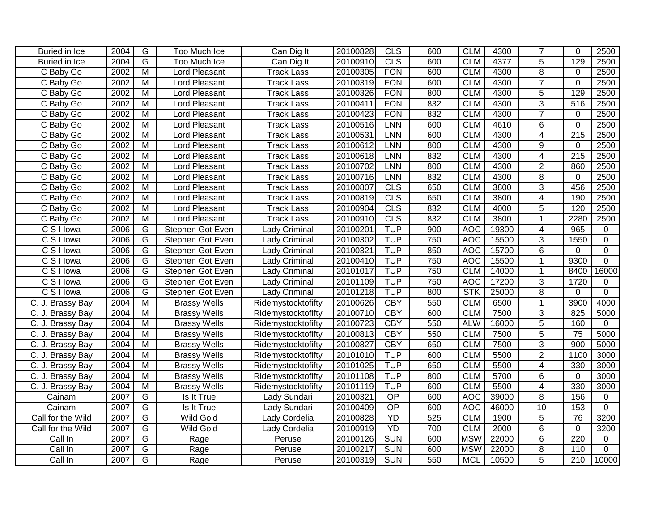| Buried in Ice           | 2004 | $\overline{G}$          | Too Much Ice         | I Can Dig It         | 20100828 | CLS             | 600 | <b>CLM</b> | 4300  | $\overline{7}$ | $\Omega$         | 2500           |
|-------------------------|------|-------------------------|----------------------|----------------------|----------|-----------------|-----|------------|-------|----------------|------------------|----------------|
| Buried in Ice           | 2004 | $\overline{G}$          | Too Much Ice         | I Can Dig It         | 20100910 | CLS             | 600 | <b>CLM</b> | 4377  | $\overline{5}$ | 129              | 2500           |
| C Baby Go               | 2002 | M                       | Lord Pleasant        | <b>Track Lass</b>    | 20100305 | <b>FON</b>      | 600 | <b>CLM</b> | 4300  | $\overline{8}$ | 0                | 2500           |
| C Baby Go               | 2002 | M                       | <b>Lord Pleasant</b> | Track Lass           | 20100319 | <b>FON</b>      | 600 | <b>CLM</b> | 4300  | $\overline{7}$ | $\mathbf 0$      | 2500           |
| C Baby Go               | 2002 | $\overline{\mathsf{M}}$ | Lord Pleasant        | <b>Track Lass</b>    | 20100326 | <b>FON</b>      | 800 | <b>CLM</b> | 4300  | $\overline{5}$ | 129              | 2500           |
| C Baby Go               | 2002 | $\overline{\mathsf{M}}$ | <b>Lord Pleasant</b> | Track Lass           | 20100411 | <b>FON</b>      | 832 | <b>CLM</b> | 4300  | $\overline{3}$ | $\overline{516}$ | 2500           |
| C Baby Go               | 2002 | $\overline{M}$          | Lord Pleasant        | <b>Track Lass</b>    | 20100423 | <b>FON</b>      | 832 | <b>CLM</b> | 4300  | $\overline{7}$ | $\Omega$         | 2500           |
| C Baby Go               | 2002 | $\overline{M}$          | Lord Pleasant        | <b>Track Lass</b>    | 20100516 | <b>LNN</b>      | 600 | <b>CLM</b> | 4610  | $\overline{6}$ | $\Omega$         | 2500           |
| C Baby Go               | 2002 | $\overline{\mathsf{M}}$ | Lord Pleasant        | Track Lass           | 20100531 | <b>LNN</b>      | 600 | <b>CLM</b> | 4300  | $\overline{4}$ | 215              | 2500           |
| C Baby Go               | 2002 | M                       | Lord Pleasant        | <b>Track Lass</b>    | 20100612 | <b>LNN</b>      | 800 | <b>CLM</b> | 4300  | 9              | 0                | 2500           |
| C Baby Go               | 2002 | M                       | Lord Pleasant        | Track Lass           | 20100618 | LNN             | 832 | <b>CLM</b> | 4300  | 4              | $\overline{215}$ | 2500           |
| C Baby Go               | 2002 | M                       | Lord Pleasant        | <b>Track Lass</b>    | 20100702 | LNN             | 800 | <b>CLM</b> | 4300  | $\overline{2}$ | 860              | 2500           |
| C Baby Go               | 2002 | M                       | Lord Pleasant        | <b>Track Lass</b>    | 20100716 | <b>LNN</b>      | 832 | <b>CLM</b> | 4300  | 8              | $\Omega$         | 2500           |
| C Baby Go               | 2002 | M                       | Lord Pleasant        | <b>Track Lass</b>    | 20100807 | <b>CLS</b>      | 650 | <b>CLM</b> | 3800  | 3              | 456              | 2500           |
| C Baby Go               | 2002 | M                       | Lord Pleasant        | <b>Track Lass</b>    | 20100819 | CLS             | 650 | <b>CLM</b> | 3800  | $\overline{4}$ | 190              | 2500           |
| C Baby Go               | 2002 | $\overline{M}$          | Lord Pleasant        | <b>Track Lass</b>    | 20100904 | CLS             | 832 | <b>CLM</b> | 4000  | $\overline{5}$ | 120              | 2500           |
| C Baby Go               | 2002 | $\overline{M}$          | Lord Pleasant        | <b>Track Lass</b>    | 20100910 | CLS             | 832 | <b>CLM</b> | 3800  | $\mathbf{1}$   | 2280             | 2500           |
| $\overline{C}$ S I lowa | 2006 | $\overline{G}$          | Stephen Got Even     | Lady Criminal        | 20100201 | <b>TUP</b>      | 900 | <b>AOC</b> | 19300 | 4              | 965              | 0              |
| C S I Iowa              | 2006 | G                       | Stephen Got Even     | <b>Lady Criminal</b> | 20100302 | <b>TUP</b>      | 750 | <b>AOC</b> | 15500 | 3              | 1550             | $\mathbf 0$    |
| $\overline{C}$ S I lowa | 2006 | G                       | Stephen Got Even     | <b>Lady Criminal</b> | 20100321 | <b>TUP</b>      | 850 | <b>AOC</b> | 15700 | 6              | $\mathbf 0$      | $\mathbf 0$    |
| $\overline{C}$ S I lowa | 2006 | G                       | Stephen Got Even     | Lady Criminal        | 20100410 | <b>TUP</b>      | 750 | <b>AOC</b> | 15500 | 1              | 9300             | $\overline{0}$ |
| C S I Iowa              | 2006 | G                       | Stephen Got Even     | Lady Criminal        | 20101017 | <b>TUP</b>      | 750 | <b>CLM</b> | 14000 | $\mathbf 1$    | 8400             | 16000          |
| $\overline{C}$ S I lowa | 2006 | G                       | Stephen Got Even     | <b>Lady Criminal</b> | 20101109 | <b>TUP</b>      | 750 | <b>AOC</b> | 17200 | 3              | 1720             | $\Omega$       |
| $\overline{C}$ S I lowa | 2006 | G                       | Stephen Got Even     | Lady Criminal        | 20101218 | <b>TUP</b>      | 800 | <b>STK</b> | 25000 | 8              | $\Omega$         | $\Omega$       |
| C. J. Brassy Bay        | 2004 | M                       | <b>Brassy Wells</b>  | Ridemystocktofifty   | 20100626 | <b>CBY</b>      | 550 | <b>CLM</b> | 6500  | $\mathbf{1}$   | 3900             | 4000           |
| C. J. Brassy Bay        | 2004 | M                       | <b>Brassy Wells</b>  | Ridemystocktofifty   | 20100710 | CBY             | 600 | <b>CLM</b> | 7500  | 3              | 825              | 5000           |
| C. J. Brassy Bay        | 2004 | M                       | <b>Brassy Wells</b>  | Ridemystocktofifty   | 20100723 | <b>CBY</b>      | 550 | <b>ALW</b> | 16000 | 5              | 160              | 0              |
| C. J. Brassy Bay        | 2004 | M                       | <b>Brassy Wells</b>  | Ridemystocktofifty   | 20100813 | <b>CBY</b>      | 550 | <b>CLM</b> | 7500  | 5              | 75               | 5000           |
| C. J. Brassy Bay        | 2004 | M                       | <b>Brassy Wells</b>  | Ridemystocktofifty   | 20100827 | <b>CBY</b>      | 650 | <b>CLM</b> | 7500  | 3              | 900              | 5000           |
| C. J. Brassy Bay        | 2004 | $\overline{M}$          | <b>Brassy Wells</b>  | Ridemystocktofifty   | 20101010 | <b>TUP</b>      | 600 | <b>CLM</b> | 5500  | $\overline{2}$ | 1100             | 3000           |
| C. J. Brassy Bay        | 2004 | $\overline{M}$          | <b>Brassy Wells</b>  | Ridemystocktofifty   | 20101025 | <b>TUP</b>      | 650 | <b>CLM</b> | 5500  | $\overline{4}$ | 330              | 3000           |
| C. J. Brassy Bay        | 2004 | $\overline{M}$          | <b>Brassy Wells</b>  | Ridemystocktofifty   | 20101108 | <b>TUP</b>      | 800 | <b>CLM</b> | 5700  | 6              | 0                | 3000           |
| C. J. Brassy Bay        | 2004 | M                       | <b>Brassy Wells</b>  | Ridemystocktofifty   | 20101119 | <b>TUP</b>      | 600 | <b>CLM</b> | 5500  | 4              | 330              | 3000           |
| Cainam                  | 2007 | G                       | Is It True           | Lady Sundari         | 20100321 | $\overline{OP}$ | 600 | <b>AOC</b> | 39000 | 8              | 156              | $\mathbf 0$    |
| Cainam                  | 2007 | G                       | Is It True           | Lady Sundari         | 20100409 | $\overline{OP}$ | 600 | <b>AOC</b> | 46000 | 10             | 153              | $\mathbf 0$    |
| Call for the Wild       | 2007 | G                       | <b>Wild Gold</b>     | Lady Cordelia        | 20100828 | YD              | 525 | <b>CLM</b> | 1900  | $\overline{5}$ | 76               | 3200           |
| Call for the Wild       | 2007 | $\overline{G}$          | <b>Wild Gold</b>     | Lady Cordelia        | 20100919 | YD              | 700 | <b>CLM</b> | 2000  | $\overline{6}$ | $\mathbf 0$      | 3200           |
| Call In                 | 2007 | $\overline{G}$          | Rage                 | Peruse               | 20100126 | <b>SUN</b>      | 600 | <b>MSW</b> | 22000 | $\overline{6}$ | 220              | 0              |
| Call In                 | 2007 | $\overline{G}$          | Rage                 | Peruse               | 20100217 | <b>SUN</b>      | 600 | <b>MSW</b> | 22000 | $\overline{8}$ | 110              | $\Omega$       |
| Call In                 | 2007 | $\overline{G}$          | Rage                 | Peruse               | 20100319 | <b>SUN</b>      | 550 | <b>MCL</b> | 10500 | $\overline{5}$ | 210              | 10000          |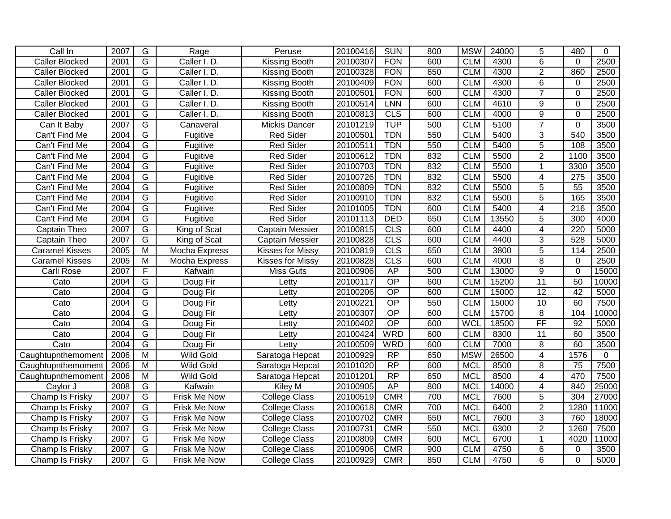| Call In               | 2007 | $\overline{G}$          | Rage                | Peruse                  | 20100416 | <b>SUN</b>      | 800 | <b>MSW</b> | 24000 | 5                       | 480              | 0     |
|-----------------------|------|-------------------------|---------------------|-------------------------|----------|-----------------|-----|------------|-------|-------------------------|------------------|-------|
| <b>Caller Blocked</b> | 2001 | $\overline{G}$          | Caller I. D.        | Kissing Booth           | 20100307 | <b>FON</b>      | 600 | <b>CLM</b> | 4300  | 6                       | $\Omega$         | 2500  |
| <b>Caller Blocked</b> | 2001 | G                       | Caller I. D.        | <b>Kissing Booth</b>    | 20100328 | <b>FON</b>      | 650 | <b>CLM</b> | 4300  | $\overline{2}$          | 860              | 2500  |
| <b>Caller Blocked</b> | 2001 | G                       | Caller I. D.        | Kissing Booth           | 20100409 | <b>FON</b>      | 600 | <b>CLM</b> | 4300  | $\overline{6}$          | $\mathbf 0$      | 2500  |
| <b>Caller Blocked</b> | 2001 | $\overline{G}$          | Caller I. D.        | <b>Kissing Booth</b>    | 20100501 | <b>FON</b>      | 600 | <b>CLM</b> | 4300  | $\overline{7}$          | $\mathbf 0$      | 2500  |
| <b>Caller Blocked</b> | 2001 | G                       | Caller I. D.        | <b>Kissing Booth</b>    | 20100514 | <b>LNN</b>      | 600 | <b>CLM</b> | 4610  | 9                       | $\mathbf 0$      | 2500  |
| <b>Caller Blocked</b> | 2001 | $\overline{G}$          | Caller I. D.        | Kissing Booth           | 20100813 | CLS             | 600 | <b>CLM</b> | 4000  | $\overline{9}$          | $\Omega$         | 2500  |
| Can It Baby           | 2007 | $\overline{G}$          | Canaveral           | Mickis Dancer           | 20101219 | <b>TUP</b>      | 500 | <b>CLM</b> | 5100  | $\overline{7}$          | $\Omega$         | 3500  |
| Can't Find Me         | 2004 | $\overline{\mathsf{G}}$ | Fugitive            | <b>Red Sider</b>        | 20100501 | <b>TDN</b>      | 550 | <b>CLM</b> | 5400  | $\overline{3}$          | 540              | 3500  |
| Can't Find Me         | 2004 | $\overline{G}$          | Fugitive            | <b>Red Sider</b>        | 20100511 | <b>TDN</b>      | 550 | <b>CLM</b> | 5400  | $\overline{5}$          | 108              | 3500  |
| Can't Find Me         | 2004 | $\overline{G}$          | Fugitive            | <b>Red Sider</b>        | 20100612 | <b>TDN</b>      | 832 | <b>CLM</b> | 5500  | $\overline{2}$          | 1100             | 3500  |
| Can't Find Me         | 2004 | $\overline{G}$          | Fugitive            | <b>Red Sider</b>        | 20100703 | <b>TDN</b>      | 832 | <b>CLM</b> | 5500  | $\mathbf 1$             | 3300             | 3500  |
| Can't Find Me         | 2004 | $\overline{G}$          | Fugitive            | <b>Red Sider</b>        | 20100726 | <b>TDN</b>      | 832 | <b>CLM</b> | 5500  | $\overline{4}$          | $\overline{275}$ | 3500  |
| Can't Find Me         | 2004 | $\overline{G}$          | Fugitive            | <b>Red Sider</b>        | 20100809 | <b>TDN</b>      | 832 | <b>CLM</b> | 5500  | $\overline{5}$          | $\overline{55}$  | 3500  |
| Can't Find Me         | 2004 | $\overline{G}$          | Fugitive            | <b>Red Sider</b>        | 20100910 | <b>TDN</b>      | 832 | <b>CLM</b> | 5500  | 5                       | 165              | 3500  |
| Can't Find Me         | 2004 | $\overline{G}$          | Fugitive            | <b>Red Sider</b>        | 20101005 | <b>TDN</b>      | 600 | <b>CLM</b> | 5400  | $\overline{\mathbf{4}}$ | $\overline{216}$ | 3500  |
| Can't Find Me         | 2004 | $\overline{G}$          | Fugitive            | <b>Red Sider</b>        | 20101113 | <b>DED</b>      | 650 | <b>CLM</b> | 13550 | 5                       | 300              | 4000  |
| Captain Theo          | 2007 | $\overline{G}$          | King of Scat        | <b>Captain Messier</b>  | 20100815 | CLS             | 600 | <b>CLM</b> | 4400  | 4                       | 220              | 5000  |
| Captain Theo          | 2007 | $\overline{G}$          | King of Scat        | <b>Captain Messier</b>  | 20100828 | CLS             | 600 | <b>CLM</b> | 4400  | 3                       | 528              | 5000  |
| <b>Caramel Kisses</b> | 2005 | $\overline{M}$          | Mocha Express       | <b>Kisses for Missy</b> | 20100819 | CLS             | 650 | <b>CLM</b> | 3800  | $\overline{5}$          | 114              | 2500  |
| <b>Caramel Kisses</b> | 2005 | M                       | Mocha Express       | Kisses for Missy        | 20100828 | <b>CLS</b>      | 600 | <b>CLM</b> | 4000  | 8                       | 0                | 2500  |
| Carli Rose            | 2007 | F                       | Kafwain             | <b>Miss Guts</b>        | 20100906 | <b>AP</b>       | 500 | <b>CLM</b> | 13000 | 9                       | $\Omega$         | 15000 |
| Cato                  | 2004 | $\overline{G}$          | Doug Fir            | Letty                   | 20100117 | $\overline{OP}$ | 600 | <b>CLM</b> | 15200 | 11                      | $\overline{50}$  | 10000 |
| Cato                  | 2004 | $\overline{G}$          | Doug Fir            | Letty                   | 20100206 | $\overline{OP}$ | 600 | <b>CLM</b> | 15000 | $\overline{12}$         | $\overline{42}$  | 5000  |
| Cato                  | 2004 | $\overline{G}$          | Doug Fir            | Letty                   | 20100221 | $\overline{OP}$ | 550 | <b>CLM</b> | 15000 | 10                      | 60               | 7500  |
| Cato                  | 2004 | $\overline{G}$          | Doug Fir            | Letty                   | 20100307 | $\overline{OP}$ | 600 | <b>CLM</b> | 15700 | $\overline{8}$          | 104              | 10000 |
| Cato                  | 2004 | $\overline{G}$          | Doug Fir            | Letty                   | 20100402 | $\overline{OP}$ | 600 | <b>WCL</b> | 18500 | $\overline{FF}$         | 92               | 5000  |
| Cato                  | 2004 | G                       | Doug Fir            | Letty                   | 20100424 | <b>WRD</b>      | 600 | <b>CLM</b> | 8300  | 11                      | 60               | 3500  |
| Cato                  | 2004 | G                       | Doug Fir            | Letty                   | 20100509 | <b>WRD</b>      | 600 | <b>CLM</b> | 7000  | 8                       | 60               | 3500  |
| Caughtupnthemoment    | 2006 | $\overline{M}$          | <b>Wild Gold</b>    | Saratoga Hepcat         | 20100929 | RP              | 650 | <b>MSW</b> | 26500 | $\overline{4}$          | 1576             | 0     |
| Caughtupnthemoment    | 2006 | $\overline{M}$          | <b>Wild Gold</b>    | Saratoga Hepcat         | 20101020 | $\overline{RP}$ | 600 | <b>MCL</b> | 8500  | 8                       | $\overline{75}$  | 7500  |
| Caughtupnthemoment    | 2006 | M                       | <b>Wild Gold</b>    | Saratoga Hepcat         | 20101201 | $\overline{RP}$ | 650 | <b>MCL</b> | 8500  | 4                       | 470              | 7500  |
| Caylor J              | 2008 | $\overline{G}$          | Kafwain             | Kiley M                 | 20100905 | AP              | 800 | <b>MCL</b> | 14000 | 4                       | 840              | 25000 |
| Champ Is Frisky       | 2007 | $\overline{G}$          | <b>Frisk Me Now</b> | College Class           | 20100519 | <b>CMR</b>      | 700 | <b>MCL</b> | 7600  | 5                       | 304              | 27000 |
| Champ Is Frisky       | 2007 | G                       | Frisk Me Now        | <b>College Class</b>    | 20100618 | <b>CMR</b>      | 700 | <b>MCL</b> | 6400  | $\overline{2}$          | 1280             | 11000 |
| Champ Is Frisky       | 2007 | G                       | Frisk Me Now        | College Class           | 20100702 | <b>CMR</b>      | 650 | <b>MCL</b> | 7600  | 3                       | 760              | 18000 |
| Champ Is Frisky       | 2007 | G                       | Frisk Me Now        | <b>College Class</b>    | 20100731 | <b>CMR</b>      | 550 | <b>MCL</b> | 6300  | $\overline{2}$          | 1260             | 7500  |
| Champ Is Frisky       | 2007 | $\overline{G}$          | Frisk Me Now        | <b>College Class</b>    | 20100809 | CMR             | 600 | <b>MCL</b> | 6700  | $\mathbf 1$             | 4020             | 11000 |
| Champ Is Frisky       | 2007 | G                       | <b>Frisk Me Now</b> | <b>College Class</b>    | 20100906 | <b>CMR</b>      | 900 | <b>CLM</b> | 4750  | 6                       | $\Omega$         | 3500  |
| Champ Is Frisky       | 2007 | $\overline{G}$          | Frisk Me Now        | <b>College Class</b>    | 20100929 | CMR             | 850 | <b>CLM</b> | 4750  | 6                       | $\Omega$         | 5000  |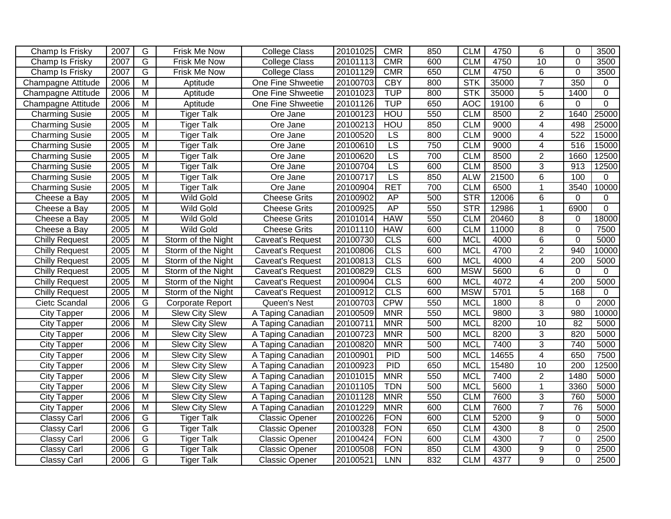| Champ Is Frisky           | 2007 | G                       | Frisk Me Now            | <b>College Class</b>    | 20101025 | <b>CMR</b>       | 850 | <b>CLM</b>              | 4750  | 6              | $\Omega$         | 3500        |
|---------------------------|------|-------------------------|-------------------------|-------------------------|----------|------------------|-----|-------------------------|-------|----------------|------------------|-------------|
| Champ Is Frisky           | 2007 | G                       | Frisk Me Now            | <b>College Class</b>    | 20101113 | <b>CMR</b>       | 600 | <b>CLM</b>              | 4750  | 10             | $\Omega$         | 3500        |
| Champ Is Frisky           | 2007 | $\overline{G}$          | Frisk Me Now            | <b>College Class</b>    | 20101129 | <b>CMR</b>       | 650 | <b>CLM</b>              | 4750  | 6              | $\overline{0}$   | 3500        |
| <b>Champagne Attitude</b> | 2006 | $\overline{\mathsf{M}}$ | Aptitude                | One Fine Shweetie       | 20100703 | <b>CBY</b>       | 800 | <b>STK</b>              | 35000 | $\overline{7}$ | 350              | 0           |
| Champagne Attitude        | 2006 | $\overline{\mathsf{M}}$ | Aptitude                | One Fine Shweetie       | 20101023 | <b>TUP</b>       | 800 | <b>STK</b>              | 35000 | $\overline{5}$ | 1400             | 0           |
| Champagne Attitude        | 2006 | $\overline{M}$          | Aptitude                | One Fine Shweetie       | 20101126 | <b>TUP</b>       | 650 | <b>AOC</b>              | 19100 | $\overline{6}$ | $\Omega$         | $\mathbf 0$ |
| <b>Charming Susie</b>     | 2005 | $\overline{M}$          | <b>Tiger Talk</b>       | Ore Jane                | 20100123 | <b>HOU</b>       | 550 | <b>CLM</b>              | 8500  | $\overline{2}$ | 1640             | 25000       |
| <b>Charming Susie</b>     | 2005 | $\overline{M}$          | <b>Tiger Talk</b>       | Ore Jane                | 20100213 | <b>HOU</b>       | 850 | <b>CLM</b>              | 9000  | $\overline{4}$ | 498              | 25000       |
| <b>Charming Susie</b>     | 2005 | $\overline{\mathsf{M}}$ | <b>Tiger Talk</b>       | Ore Jane                | 20100520 | <b>LS</b>        | 800 | <b>CLM</b>              | 9000  | $\overline{4}$ | 522              | 15000       |
| <b>Charming Susie</b>     | 2005 | $\overline{M}$          | <b>Tiger Talk</b>       | Ore Jane                | 20100610 | $\overline{LS}$  | 750 | <b>CLM</b>              | 9000  | 4              | 516              | 15000       |
| <b>Charming Susie</b>     | 2005 | M                       | <b>Tiger Talk</b>       | Ore Jane                | 20100620 | LS               | 700 | <b>CLM</b>              | 8500  | $\overline{2}$ | 1660             | 12500       |
| <b>Charming Susie</b>     | 2005 | M                       | <b>Tiger Talk</b>       | Ore Jane                | 20100704 | LS               | 600 | <b>CLM</b>              | 8500  | 3              | 913              | 12500       |
| <b>Charming Susie</b>     | 2005 | M                       | <b>Tiger Talk</b>       | Ore Jane                | 20100717 | $\overline{LS}$  | 850 | <b>ALW</b>              | 21500 | 6              | 100              | $\Omega$    |
| <b>Charming Susie</b>     | 2005 | M                       | <b>Tiger Talk</b>       | Ore Jane                | 20100904 | <b>RET</b>       | 700 | <b>CLM</b>              | 6500  | 1              | 3540             | 10000       |
| Cheese a Bay              | 2005 | M                       | Wild Gold               | <b>Cheese Grits</b>     | 20100902 | AP               | 500 | STR                     | 12006 | 6              | $\mathbf 0$      | $\Omega$    |
| Cheese a Bay              | 2005 | $\overline{M}$          | <b>Wild Gold</b>        | <b>Cheese Grits</b>     | 20100925 | AP               | 550 | $\overline{\text{STR}}$ | 12986 | $\mathbf{1}$   | 6900             | $\Omega$    |
| Cheese a Bay              | 2005 | $\overline{M}$          | <b>Wild Gold</b>        | <b>Cheese Grits</b>     | 20101014 | <b>HAW</b>       | 550 | <b>CLM</b>              | 20460 | $\overline{8}$ | 0                | 18000       |
| Cheese a Bay              | 2005 | M                       | <b>Wild Gold</b>        | <b>Cheese Grits</b>     | 20101110 | <b>HAW</b>       | 600 | <b>CLM</b>              | 11000 | 8              | $\mathbf 0$      | 7500        |
| <b>Chilly Request</b>     | 2005 | $\overline{M}$          | Storm of the Night      | Caveat's Request        | 20100730 | CLS              | 600 | <b>MCL</b>              | 4000  | $\,6$          | $\mathbf 0$      | 5000        |
| <b>Chilly Request</b>     | 2005 | M                       | Storm of the Night      | Caveat's Request        | 20100806 | CLS              | 600 | <b>MCL</b>              | 4700  | $\overline{2}$ | 940              | 10000       |
| <b>Chilly Request</b>     | 2005 | $\overline{M}$          | Storm of the Night      | Caveat's Request        | 20100813 | $\overline{CLS}$ | 600 | <b>MCL</b>              | 4000  | 4              | $\overline{200}$ | 5000        |
| <b>Chilly Request</b>     | 2005 | M                       | Storm of the Night      | <b>Caveat's Request</b> | 20100829 | CLS              | 600 | <b>MSW</b>              | 5600  | 6              | $\mathbf 0$      | 0           |
| <b>Chilly Request</b>     | 2005 | $\overline{M}$          | Storm of the Night      | <b>Caveat's Request</b> | 20100904 | CLS              | 600 | <b>MCL</b>              | 4072  | $\overline{4}$ | 200              | 5000        |
| Chilly Request            | 2005 | $\overline{M}$          | Storm of the Night      | Caveat's Request        | 20100912 | CLS              | 600 | <b>MSW</b>              | 5701  | $\overline{5}$ | 168              | $\Omega$    |
| Cietc Scandal             | 2006 | G                       | <b>Corporate Report</b> | Queen's Nest            | 20100703 | <b>CPW</b>       | 550 | <b>MCL</b>              | 1800  | $\overline{8}$ | 0                | 2000        |
| <b>City Tapper</b>        | 2006 | M                       | Slew City Slew          | A Taping Canadian       | 20100509 | <b>MNR</b>       | 550 | <b>MCL</b>              | 9800  | $\overline{3}$ | 980              | 10000       |
| <b>City Tapper</b>        | 2006 | M                       | <b>Slew City Slew</b>   | A Taping Canadian       | 20100711 | <b>MNR</b>       | 500 | <b>MCL</b>              | 8200  | 10             | 82               | 5000        |
| <b>City Tapper</b>        | 2006 | M                       | <b>Slew City Slew</b>   | A Taping Canadian       | 20100723 | <b>MNR</b>       | 500 | <b>MCL</b>              | 8200  | 3              | 820              | 5000        |
| <b>City Tapper</b>        | 2006 | M                       | Slew City Slew          | A Taping Canadian       | 20100820 | <b>MNR</b>       | 500 | <b>MCL</b>              | 7400  | 3              | 740              | 5000        |
| <b>City Tapper</b>        | 2006 | M                       | <b>Slew City Slew</b>   | A Taping Canadian       | 20100901 | PID              | 500 | <b>MCL</b>              | 14655 | $\overline{4}$ | 650              | 7500        |
| <b>City Tapper</b>        | 2006 | $\overline{M}$          | Slew City Slew          | A Taping Canadian       | 20100923 | PID              | 650 | <b>MCL</b>              | 15480 | 10             | 200              | 12500       |
| <b>City Tapper</b>        | 2006 | $\overline{M}$          | <b>Slew City Slew</b>   | A Taping Canadian       | 20101015 | <b>MNR</b>       | 550 | <b>MCL</b>              | 7400  | $\overline{2}$ | 1480             | 5000        |
| <b>City Tapper</b>        | 2006 | M                       | <b>Slew City Slew</b>   | A Taping Canadian       | 20101105 | <b>TDN</b>       | 500 | <b>MCL</b>              | 5600  | $\mathbf{1}$   | 3360             | 5000        |
| <b>City Tapper</b>        | 2006 | $\overline{M}$          | <b>Slew City Slew</b>   | A Taping Canadian       | 20101128 | <b>MNR</b>       | 550 | <b>CLM</b>              | 7600  | $\overline{3}$ | 760              | 5000        |
| <b>City Tapper</b>        | 2006 | $\overline{\mathsf{M}}$ | <b>Slew City Slew</b>   | A Taping Canadian       | 20101229 | <b>MNR</b>       | 600 | <b>CLM</b>              | 7600  | $\overline{7}$ | 76               | 5000        |
| Classy Carl               | 2006 | G                       | <b>Tiger Talk</b>       | <b>Classic Opener</b>   | 20100226 | <b>FON</b>       | 600 | <b>CLM</b>              | 5200  | $\overline{9}$ | $\Omega$         | 5000        |
| <b>Classy Carl</b>        | 2006 | G                       | <b>Tiger Talk</b>       | <b>Classic Opener</b>   | 20100328 | <b>FON</b>       | 650 | <b>CLM</b>              | 4300  | $\overline{8}$ | $\overline{0}$   | 2500        |
| Classy Carl               | 2006 | $\overline{G}$          | <b>Tiger Talk</b>       | <b>Classic Opener</b>   | 20100424 | <b>FON</b>       | 600 | <b>CLM</b>              | 4300  | $\overline{7}$ | $\overline{0}$   | 2500        |
| <b>Classy Carl</b>        | 2006 | G                       | Tiger Talk              | <b>Classic Opener</b>   | 20100508 | <b>FON</b>       | 850 | <b>CLM</b>              | 4300  | $\overline{9}$ | $\Omega$         | 2500        |
| Classy Carl               | 2006 | G                       | <b>Tiger Talk</b>       | Classic Opener          | 20100521 | <b>LNN</b>       | 832 | <b>CLM</b>              | 4377  | $\overline{9}$ | $\Omega$         | 2500        |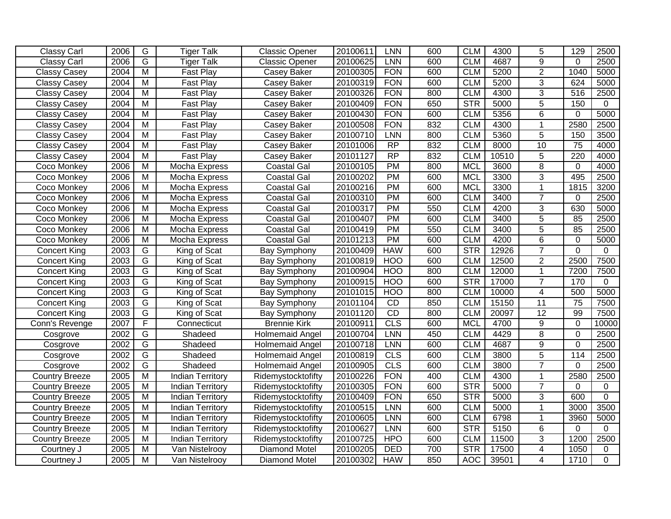| <b>Classy Carl</b>    | 2006 | $\overline{G}$          | <b>Tiger Talk</b>       | Classic Opener         | 20100611 | <b>LNN</b>      | 600 | <b>CLM</b>              | 4300  | 5               | 129             | 2500        |
|-----------------------|------|-------------------------|-------------------------|------------------------|----------|-----------------|-----|-------------------------|-------|-----------------|-----------------|-------------|
| Classy Carl           | 2006 | $\overline{G}$          | <b>Tiger Talk</b>       | <b>Classic Opener</b>  | 20100625 | <b>LNN</b>      | 600 | <b>CLM</b>              | 4687  | 9               | $\Omega$        | 2500        |
| <b>Classy Casey</b>   | 2004 | $\overline{M}$          | Fast Play               | Casey Baker            | 20100305 | <b>FON</b>      | 600 | <b>CLM</b>              | 5200  | $\overline{2}$  | 1040            | 5000        |
| <b>Classy Casey</b>   | 2004 | $\overline{M}$          | Fast Play               | <b>Casey Baker</b>     | 20100319 | <b>FON</b>      | 600 | <b>CLM</b>              | 5200  | 3               | 624             | 5000        |
| <b>Classy Casey</b>   | 2004 | $\overline{M}$          | Fast Play               | Casey Baker            | 20100326 | <b>FON</b>      | 800 | <b>CLM</b>              | 4300  | $\overline{3}$  | 516             | 2500        |
| Classy Casey          | 2004 | $\overline{M}$          | Fast Play               | <b>Casey Baker</b>     | 20100409 | <b>FON</b>      | 650 | STR                     | 5000  | $\overline{5}$  | 150             | $\Omega$    |
| <b>Classy Casey</b>   | 2004 | $\overline{M}$          | <b>Fast Play</b>        | Casey Baker            | 20100430 | <b>FON</b>      | 600 | <b>CLM</b>              | 5356  | $\overline{6}$  | $\Omega$        | 5000        |
| <b>Classy Casey</b>   | 2004 | $\overline{M}$          | Fast Play               | Casey Baker            | 20100508 | <b>FON</b>      | 832 | <b>CLM</b>              | 4300  | 1               | 2580            | 2500        |
| <b>Classy Casey</b>   | 2004 | $\overline{M}$          | Fast Play               | Casey Baker            | 20100710 | <b>LNN</b>      | 800 | <b>CLM</b>              | 5360  | $\overline{5}$  | 150             | 3500        |
| <b>Classy Casey</b>   | 2004 | $\overline{M}$          | Fast Play               | Casey Baker            | 20101006 | $\overline{RP}$ | 832 | <b>CLM</b>              | 8000  | 10              | 75              | 4000        |
| <b>Classy Casey</b>   | 2004 | $\overline{M}$          | Fast Play               | <b>Casey Baker</b>     | 20101127 | RP              | 832 | <b>CLM</b>              | 10510 | $\overline{5}$  | 220             | 4000        |
| Coco Monkey           | 2006 | M                       | Mocha Express           | <b>Coastal Gal</b>     | 20100105 | PM              | 800 | <b>MCL</b>              | 3600  | $\overline{8}$  | $\overline{0}$  | 4000        |
| Coco Monkey           | 2006 | $\overline{M}$          | Mocha Express           | <b>Coastal Gal</b>     | 20100202 | <b>PM</b>       | 600 | <b>MCL</b>              | 3300  | 3               | 495             | 2500        |
| Coco Monkey           | 2006 | $\overline{M}$          | Mocha Express           | <b>Coastal Gal</b>     | 20100216 | PM              | 600 | <b>MCL</b>              | 3300  | 1               | 1815            | 3200        |
| Coco Monkey           | 2006 | M                       | Mocha Express           | <b>Coastal Gal</b>     | 20100310 | <b>PM</b>       | 600 | <b>CLM</b>              | 3400  | $\overline{7}$  | 0               | 2500        |
| Coco Monkey           | 2006 | M                       | Mocha Express           | <b>Coastal Gal</b>     | 20100317 | PM              | 550 | <b>CLM</b>              | 4200  | 3               | 630             | 5000        |
| Coco Monkey           | 2006 | M                       | Mocha Express           | <b>Coastal Gal</b>     | 20100407 | <b>PM</b>       | 600 | <b>CLM</b>              | 3400  | $\overline{5}$  | 85              | 2500        |
| Coco Monkey           | 2006 | $\overline{M}$          | Mocha Express           | <b>Coastal Gal</b>     | 20100419 | PM              | 550 | <b>CLM</b>              | 3400  | $\overline{5}$  | 85              | 2500        |
| Coco Monkey           | 2006 | $\overline{M}$          | Mocha Express           | <b>Coastal Gal</b>     | 20101213 | PM              | 600 | <b>CLM</b>              | 4200  | 6               | $\overline{0}$  | 5000        |
| <b>Concert King</b>   | 2003 | $\overline{G}$          | King of Scat            | <b>Bay Symphony</b>    | 20100409 | <b>HAW</b>      | 600 | STR                     | 12926 | $\overline{7}$  | $\Omega$        | $\Omega$    |
| <b>Concert King</b>   | 2003 | G                       | King of Scat            | Bay Symphony           | 20100819 | <b>HOO</b>      | 600 | <b>CLM</b>              | 12500 | $\overline{2}$  | 2500            | 7500        |
| <b>Concert King</b>   | 2003 | G                       | King of Scat            | Bay Symphony           | 20100904 | <b>HOO</b>      | 800 | <b>CLM</b>              | 12000 | 1               | 7200            | 7500        |
| <b>Concert King</b>   | 2003 | $\overline{G}$          | King of Scat            | Bay Symphony           | 20100915 | <b>HOO</b>      | 600 | $\overline{\text{STR}}$ | 17000 | $\overline{7}$  | 170             | 0           |
| <b>Concert King</b>   | 2003 | G                       | King of Scat            | Bay Symphony           | 20101015 | <b>HOO</b>      | 800 | <b>CLM</b>              | 10000 | 4               | 500             | 5000        |
| <b>Concert King</b>   | 2003 | $\overline{G}$          | King of Scat            | Bay Symphony           | 20101104 | $\overline{CD}$ | 850 | <b>CLM</b>              | 15150 | 11              | $\overline{75}$ | 7500        |
| <b>Concert King</b>   | 2003 | G                       | King of Scat            | <b>Bay Symphony</b>    | 20101120 | CD              | 800 | <b>CLM</b>              | 20097 | $\overline{12}$ | 99              | 7500        |
| Conn's Revenge        | 2007 | F                       | Connecticut             | <b>Brennie Kirk</b>    | 20100911 | CLS             | 600 | <b>MCL</b>              | 4700  | 9               | 0               | 10000       |
| Cosgrove              | 2002 | G                       | Shadeed                 | Holmemaid Angel        | 20100704 | LNN             | 450 | <b>CLM</b>              | 4429  | 8               | $\overline{0}$  | 2500        |
| Cosgrove              | 2002 | G                       | Shadeed                 | <b>Holmemaid Angel</b> | 20100718 | <b>LNN</b>      | 600 | <b>CLM</b>              | 4687  | 9               | $\overline{0}$  | 2500        |
| Cosgrove              | 2002 | $\overline{G}$          | Shadeed                 | <b>Holmemaid Angel</b> | 20100819 | CLS             | 600 | <b>CLM</b>              | 3800  | 5               | 114             | 2500        |
| Cosgrove              | 2002 | $\overline{G}$          | Shadeed                 | Holmemaid Angel        | 20100905 | CLS             | 600 | <b>CLM</b>              | 3800  | $\overline{7}$  | $\overline{0}$  | 2500        |
| <b>Country Breeze</b> | 2005 | $\overline{M}$          | <b>Indian Territory</b> | Ridemystocktofifty     | 20100226 | <b>FON</b>      | 400 | <b>CLM</b>              | 4300  | $\mathbf{1}$    | 2580            | 2500        |
| <b>Country Breeze</b> | 2005 | $\overline{M}$          | <b>Indian Territory</b> | Ridemystocktofifty     | 20100305 | <b>FON</b>      | 600 | <b>STR</b>              | 5000  | $\overline{7}$  | 0               | 0           |
| <b>Country Breeze</b> | 2005 | $\overline{M}$          | <b>Indian Territory</b> | Ridemystocktofifty     | 20100409 | <b>FON</b>      | 650 | STR                     | 5000  | 3               | 600             | $\mathbf 0$ |
| <b>Country Breeze</b> | 2005 | $\overline{M}$          | <b>Indian Territory</b> | Ridemystocktofifty     | 20100515 | <b>LNN</b>      | 600 | <b>CLM</b>              | 5000  | 1               | 3000            | 3500        |
| <b>Country Breeze</b> | 2005 | $\overline{\mathsf{M}}$ | <b>Indian Territory</b> | Ridemystocktofifty     | 20100605 | <b>LNN</b>      | 600 | <b>CLM</b>              | 6798  | 1               | 3960            | 5000        |
| <b>Country Breeze</b> | 2005 | $\overline{M}$          | <b>Indian Territory</b> | Ridemystocktofifty     | 20100627 | <b>LNN</b>      | 600 | STR                     | 5150  | 6               | $\overline{0}$  | $\Omega$    |
| <b>Country Breeze</b> | 2005 | $\overline{M}$          | <b>Indian Territory</b> | Ridemystocktofifty     | 20100725 | <b>HPO</b>      | 600 | <b>CLM</b>              | 11500 | $\overline{3}$  | 1200            | 2500        |
| Courtney J            | 2005 | $\overline{M}$          | Van Nistelrooy          | <b>Diamond Motel</b>   | 20100205 | <b>DED</b>      | 700 | STR                     | 17500 | $\overline{4}$  | 1050            | 0           |
| Courtney J            | 2005 | M                       | Van Nistelrooy          | <b>Diamond Motel</b>   | 20100302 | <b>HAW</b>      | 850 | <b>AOC</b>              | 39501 | 4               | 1710            | $\Omega$    |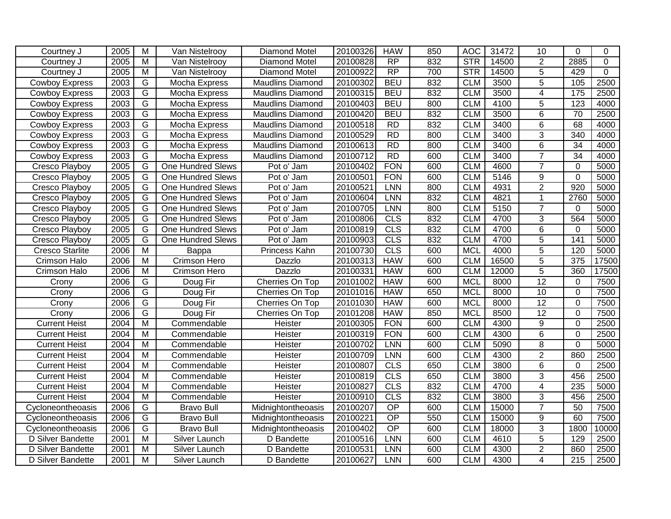| Courtney J             | 2005 | $\overline{M}$          | Van Nistelrooy           | <b>Diamond Motel</b>    | 20100326 | <b>HAW</b>      | 850 | <b>AOC</b> | 31472 | 10              | $\Omega$         | $\Omega$    |
|------------------------|------|-------------------------|--------------------------|-------------------------|----------|-----------------|-----|------------|-------|-----------------|------------------|-------------|
| Courtney J             | 2005 | M                       | Van Nistelrooy           | Diamond Motel           | 20100828 | <b>RP</b>       | 832 | STR        | 14500 | $\overline{2}$  | 2885             | 0           |
| Courtney J             | 2005 | $\overline{M}$          | Van Nistelrooy           | <b>Diamond Motel</b>    | 20100922 | RP              | 700 | <b>STR</b> | 14500 | $\overline{5}$  | 429              | $\mathbf 0$ |
| <b>Cowboy Express</b>  | 2003 | G                       | Mocha Express            | <b>Maudlins Diamond</b> | 20100302 | <b>BEU</b>      | 832 | <b>CLM</b> | 3500  | $\overline{5}$  | 105              | 2500        |
| Cowboy Express         | 2003 | G                       | Mocha Express            | <b>Maudlins Diamond</b> | 20100315 | <b>BEU</b>      | 832 | <b>CLM</b> | 3500  | $\overline{4}$  | 175              | 2500        |
| <b>Cowboy Express</b>  | 2003 | G                       | Mocha Express            | <b>Maudlins Diamond</b> | 20100403 | <b>BEU</b>      | 800 | <b>CLM</b> | 4100  | 5               | $\overline{123}$ | 4000        |
| <b>Cowboy Express</b>  | 2003 | $\overline{G}$          | Mocha Express            | <b>Maudlins Diamond</b> | 20100420 | <b>BEU</b>      | 832 | <b>CLM</b> | 3500  | $\overline{6}$  | 70               | 2500        |
| <b>Cowboy Express</b>  | 2003 | $\overline{G}$          | Mocha Express            | <b>Maudlins Diamond</b> | 20100518 | RD              | 832 | <b>CLM</b> | 3400  | $\overline{6}$  | 68               | 4000        |
| <b>Cowboy Express</b>  | 2003 | G                       | Mocha Express            | <b>Maudlins Diamond</b> | 20100529 | RD              | 800 | <b>CLM</b> | 3400  | $\overline{3}$  | 340              | 4000        |
| <b>Cowboy Express</b>  | 2003 | G                       | Mocha Express            | <b>Maudlins Diamond</b> | 20100613 | RD              | 800 | <b>CLM</b> | 3400  | 6               | 34               | 4000        |
| <b>Cowboy Express</b>  | 2003 | G                       | Mocha Express            | <b>Maudlins Diamond</b> | 20100712 | $\overline{RD}$ | 600 | <b>CLM</b> | 3400  | $\overline{7}$  | $\overline{34}$  | 4000        |
| Cresco Playboy         | 2005 | G                       | One Hundred Slews        | Pot o' Jam              | 20100402 | <b>FON</b>      | 600 | <b>CLM</b> | 4600  | $\overline{7}$  | $\Omega$         | 5000        |
| Cresco Playboy         | 2005 | G                       | <b>One Hundred Slews</b> | Pot o' Jam              | 20100501 | <b>FON</b>      | 600 | <b>CLM</b> | 5146  | 9               | $\mathbf 0$      | 5000        |
| Cresco Playboy         | 2005 | G                       | <b>One Hundred Slews</b> | Pot o' Jam              | 20100521 | <b>LNN</b>      | 800 | <b>CLM</b> | 4931  | $\overline{c}$  | 920              | 5000        |
| Cresco Playboy         | 2005 | G                       | <b>One Hundred Slews</b> | Pot o' Jam              | 20100604 | LNN             | 832 | <b>CLM</b> | 4821  | $\mathbf{1}$    | 2760             | 5000        |
| Cresco Playboy         | 2005 | $\overline{G}$          | <b>One Hundred Slews</b> | Pot o' Jam              | 20100705 | <b>LNN</b>      | 800 | <b>CLM</b> | 5150  | $\overline{7}$  | $\Omega$         | 5000        |
| Cresco Playboy         | 2005 | G                       | <b>One Hundred Slews</b> | Pot o' Jam              | 20100806 | CLS             | 832 | <b>CLM</b> | 4700  | $\overline{3}$  | 564              | 5000        |
| Cresco Playboy         | 2005 | G                       | <b>One Hundred Slews</b> | Pot o' Jam              | 20100819 | CLS             | 832 | <b>CLM</b> | 4700  | $\overline{6}$  | $\overline{0}$   | 5000        |
| Cresco Playboy         | 2005 | G                       | <b>One Hundred Slews</b> | Pot o' Jam              | 20100903 | <b>CLS</b>      | 832 | <b>CLM</b> | 4700  | 5               | 141              | 5000        |
| <b>Cresco Starlite</b> | 2006 | $\overline{M}$          | Bappa                    | Princess Kahn           | 20100730 | CLS             | 600 | <b>MCL</b> | 4000  | 5               | 120              | 5000        |
| Crimson Halo           | 2006 | M                       | Crimson Hero             | Dazzlo                  | 20100313 | <b>HAW</b>      | 600 | <b>CLM</b> | 16500 | 5               | 375              | 17500       |
| <b>Crimson Halo</b>    | 2006 | M                       | Crimson Hero             | Dazzlo                  | 20100331 | <b>HAW</b>      | 600 | <b>CLM</b> | 12000 | $\overline{5}$  | 360              | 17500       |
| Crony                  | 2006 | $\overline{G}$          | Doug Fir                 | Cherries On Top         | 20101002 | <b>HAW</b>      | 600 | <b>MCL</b> | 8000  | 12              | $\Omega$         | 7500        |
| Crony                  | 2006 | $\overline{G}$          | Doug Fir                 | Cherries On Top         | 20101016 | <b>HAW</b>      | 650 | <b>MCL</b> | 8000  | 10              | $\Omega$         | 7500        |
| Crony                  | 2006 | G                       | Doug Fir                 | Cherries On Top         | 20101030 | <b>HAW</b>      | 600 | <b>MCL</b> | 8000  | $\overline{12}$ | $\overline{0}$   | 7500        |
| Crony                  | 2006 | G                       | Doug Fir                 | Cherries On Top         | 20101208 | <b>HAW</b>      | 850 | <b>MCL</b> | 8500  | 12              | $\overline{0}$   | 7500        |
| <b>Current Heist</b>   | 2004 | $\overline{M}$          | Commendable              | Heister                 | 20100305 | <b>FON</b>      | 600 | <b>CLM</b> | 4300  | 9               | $\Omega$         | 2500        |
| <b>Current Heist</b>   | 2004 | $\overline{M}$          | Commendable              | Heister                 | 20100319 | <b>FON</b>      | 600 | <b>CLM</b> | 4300  | 6               | $\overline{0}$   | 2500        |
| <b>Current Heist</b>   | 2004 | M                       | Commendable              | Heister                 | 20100702 | LNN             | 600 | <b>CLM</b> | 5090  | 8               | $\Omega$         | 5000        |
| <b>Current Heist</b>   | 2004 | M                       | Commendable              | Heister                 | 20100709 | <b>LNN</b>      | 600 | <b>CLM</b> | 4300  | $\overline{2}$  | 860              | 2500        |
| <b>Current Heist</b>   | 2004 | M                       | Commendable              | Heister                 | 20100807 | <b>CLS</b>      | 650 | <b>CLM</b> | 3800  | 6               | $\Omega$         | 2500        |
| <b>Current Heist</b>   | 2004 | M                       | Commendable              | Heister                 | 20100819 | CLS             | 650 | <b>CLM</b> | 3800  | 3               | 456              | 2500        |
| <b>Current Heist</b>   | 2004 | M                       | Commendable              | Heister                 | 20100827 | CLS             | 832 | <b>CLM</b> | 4700  | $\overline{4}$  | 235              | 5000        |
| <b>Current Heist</b>   | 2004 | $\overline{\mathsf{M}}$ | Commendable              | Heister                 | 20100910 | CLS             | 832 | <b>CLM</b> | 3800  | $\overline{3}$  | 456              | 2500        |
| Cycloneontheoasis      | 2006 | G                       | <b>Bravo Bull</b>        | Midnightontheoasis      | 20100207 | OP              | 600 | <b>CLM</b> | 15000 | $\overline{7}$  | 50               | 7500        |
| Cycloneontheoasis      | 2006 | G                       | <b>Bravo Bull</b>        | Midnightontheoasis      | 20100221 | OP              | 550 | <b>CLM</b> | 15000 | 9               | 60               | 7500        |
| Cycloneontheoasis      | 2006 | G                       | <b>Bravo Bull</b>        | Midnightontheoasis      | 20100402 | $\overline{OP}$ | 600 | <b>CLM</b> | 18000 | $\overline{3}$  | 1800             | 10000       |
| D Silver Bandette      | 2001 | $\overline{M}$          | Silver Launch            | D Bandette              | 20100516 | <b>LNN</b>      | 600 | <b>CLM</b> | 4610  | $\overline{5}$  | 129              | 2500        |
| D Silver Bandette      | 2001 | M                       | <b>Silver Launch</b>     | D Bandette              | 20100531 | <b>LNN</b>      | 600 | <b>CLM</b> | 4300  | $\overline{2}$  | 860              | 2500        |
| D Silver Bandette      | 2001 | $\overline{M}$          | Silver Launch            | D Bandette              | 20100627 | <b>LNN</b>      | 600 | <b>CLM</b> | 4300  | 4               | 215              | 2500        |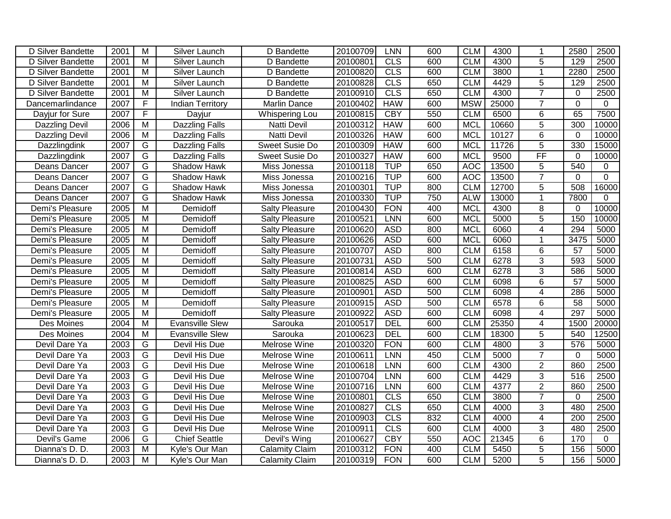| D Silver Bandette     | 2001 | M                       | Silver Launch           | D Bandette            | 20100709 | LNN        | 600 | <b>CLM</b> | 4300  | -1             | 2580            | 2500         |
|-----------------------|------|-------------------------|-------------------------|-----------------------|----------|------------|-----|------------|-------|----------------|-----------------|--------------|
| D Silver Bandette     | 2001 | M                       | <b>Silver Launch</b>    | D Bandette            | 20100801 | <b>CLS</b> | 600 | <b>CLM</b> | 4300  | 5              | 129             | 2500         |
| D Silver Bandette     | 2001 | M                       | <b>Silver Launch</b>    | D Bandette            | 20100820 | CLS        | 600 | <b>CLM</b> | 3800  | $\mathbf{1}$   | 2280            | 2500         |
| D Silver Bandette     | 2001 | $\overline{\mathsf{M}}$ | Silver Launch           | D Bandette            | 20100828 | CLS        | 650 | <b>CLM</b> | 4429  | $\overline{5}$ | 129             | 2500         |
| D Silver Bandette     | 2001 | M                       | Silver Launch           | D Bandette            | 20100910 | CLS        | 650 | <b>CLM</b> | 4300  | $\overline{7}$ | $\mathbf 0$     | 2500         |
| Dancemarlindance      | 2007 | $\overline{F}$          | <b>Indian Territory</b> | Marlin Dance          | 20100402 | <b>HAW</b> | 600 | <b>MSW</b> | 25000 | $\overline{7}$ | $\mathbf 0$     | $\mathbf 0$  |
| Dayjur for Sure       | 2007 | F                       | Dayjur                  | Whispering Lou        | 20100815 | <b>CBY</b> | 550 | <b>CLM</b> | 6500  | $\overline{6}$ | 65              | 7500         |
| Dazzling Devil        | 2006 | M                       | <b>Dazzling Falls</b>   | Natti Devil           | 20100312 | <b>HAW</b> | 600 | <b>MCL</b> | 10660 | $\overline{5}$ | 300             | 10000        |
| <b>Dazzling Devil</b> | 2006 | M                       | <b>Dazzling Falls</b>   | Natti Devil           | 20100326 | <b>HAW</b> | 600 | <b>MCL</b> | 10127 | 6              | $\Omega$        | 10000        |
| Dazzlingdink          | 2007 | G                       | <b>Dazzling Falls</b>   | Sweet Susie Do        | 20100309 | <b>HAW</b> | 600 | <b>MCL</b> | 11726 | 5              | 330             | 15000        |
| Dazzlingdink          | 2007 | G                       | <b>Dazzling Falls</b>   | Sweet Susie Do        | 20100327 | <b>HAW</b> | 600 | <b>MCL</b> | 9500  | FF             | $\Omega$        | 10000        |
| Deans Dancer          | 2007 | $\overline{G}$          | Shadow Hawk             | Miss Jonessa          | 20100118 | <b>TUP</b> | 650 | <b>AOC</b> | 13500 | 5              | 540             | $\mathbf 0$  |
| Deans Dancer          | 2007 | G                       | Shadow Hawk             | Miss Jonessa          | 20100216 | <b>TUP</b> | 600 | <b>AOC</b> | 13500 | $\overline{7}$ | 0               | $\mathbf 0$  |
| Deans Dancer          | 2007 | G                       | Shadow Hawk             | Miss Jonessa          | 20100301 | <b>TUP</b> | 800 | <b>CLM</b> | 12700 | 5              | 508             | 16000        |
| Deans Dancer          | 2007 | G                       | Shadow Hawk             | Miss Jonessa          | 20100330 | <b>TUP</b> | 750 | <b>ALW</b> | 13000 | $\mathbf{1}$   | 7800            | 0            |
| Demi's Pleasure       | 2005 | $\overline{M}$          | Demidoff                | Salty Pleasure        | 20100430 | <b>FON</b> | 400 | <b>MCL</b> | 4300  | 8              | 0               | 10000        |
| Demi's Pleasure       | 2005 | M                       | Demidoff                | <b>Salty Pleasure</b> | 20100521 | <b>LNN</b> | 600 | <b>MCL</b> | 5000  | $\overline{5}$ | 150             | 10000        |
| Demi's Pleasure       | 2005 | M                       | Demidoff                | Salty Pleasure        | 20100620 | <b>ASD</b> | 800 | <b>MCL</b> | 6060  | $\overline{4}$ | 294             | 5000         |
| Demi's Pleasure       | 2005 | $\overline{M}$          | Demidoff                | Salty Pleasure        | 20100626 | <b>ASD</b> | 600 | <b>MCL</b> | 6060  | $\mathbf{1}$   | 3475            | 5000         |
| Demi's Pleasure       | 2005 | M                       | Demidoff                | Salty Pleasure        | 20100707 | <b>ASD</b> | 800 | <b>CLM</b> | 6158  | 6              | 57              | 5000         |
| Demi's Pleasure       | 2005 | M                       | Demidoff                | <b>Salty Pleasure</b> | 20100731 | <b>ASD</b> | 500 | <b>CLM</b> | 6278  | 3              | 593             | 5000         |
| Demi's Pleasure       | 2005 | M                       | Demidoff                | Salty Pleasure        | 20100814 | <b>ASD</b> | 600 | <b>CLM</b> | 6278  | 3              | 586             | 5000         |
| Demi's Pleasure       | 2005 | $\overline{M}$          | Demidoff                | Salty Pleasure        | 20100825 | <b>ASD</b> | 600 | <b>CLM</b> | 6098  | $\overline{6}$ | $\overline{57}$ | 5000         |
| Demi's Pleasure       | 2005 | $\overline{M}$          | Demidoff                | <b>Salty Pleasure</b> | 20100901 | <b>ASD</b> | 500 | <b>CLM</b> | 6098  | 4              | 286             | 5000         |
| Demi's Pleasure       | 2005 | M                       | Demidoff                | Salty Pleasure        | 20100915 | <b>ASD</b> | 500 | <b>CLM</b> | 6578  | 6              | 58              | 5000         |
| Demi's Pleasure       | 2005 | M                       | Demidoff                | <b>Salty Pleasure</b> | 20100922 | <b>ASD</b> | 600 | <b>CLM</b> | 6098  | 4              | 297             | 5000         |
| Des Moines            | 2004 | M                       | <b>Evansville Slew</b>  | Sarouka               | 20100517 | DEL        | 600 | <b>CLM</b> | 25350 | $\overline{4}$ | 1500            | 20000        |
| Des Moines            | 2004 | $\overline{M}$          | <b>Evansville Slew</b>  | Sarouka               | 20100623 | DEL        | 600 | <b>CLM</b> | 18300 | 5              | 540             | 12500        |
| Devil Dare Ya         | 2003 | G                       | Devil His Due           | Melrose Wine          | 20100320 | <b>FON</b> | 600 | <b>CLM</b> | 4800  | 3              | 576             | 5000         |
| Devil Dare Ya         | 2003 | $\overline{G}$          | Devil His Due           | Melrose Wine          | 20100611 | LNN        | 450 | <b>CLM</b> | 5000  | $\overline{7}$ | 0               | 5000         |
| Devil Dare Ya         | 2003 | G                       | Devil His Due           | Melrose Wine          | 20100618 | LNN        | 600 | <b>CLM</b> | 4300  | $\overline{2}$ | 860             | 2500         |
| Devil Dare Ya         | 2003 | G                       | Devil His Due           | Melrose Wine          | 20100704 | LNN        | 600 | <b>CLM</b> | 4429  | 3              | 516             | 2500         |
| Devil Dare Ya         | 2003 | G                       | Devil His Due           | Melrose Wine          | 20100716 | <b>LNN</b> | 600 | <b>CLM</b> | 4377  | $\overline{2}$ | 860             | 2500         |
| Devil Dare Ya         | 2003 | $\overline{G}$          | Devil His Due           | Melrose Wine          | 20100801 | CLS        | 650 | <b>CLM</b> | 3800  | $\overline{7}$ | $\mathbf 0$     | 2500         |
| Devil Dare Ya         | 2003 | G                       | <b>Devil His Due</b>    | <b>Melrose Wine</b>   | 20100827 | CLS        | 650 | <b>CLM</b> | 4000  | 3              | 480             | 2500         |
| Devil Dare Ya         | 2003 | G                       | Devil His Due           | Melrose Wine          | 20100903 | <b>CLS</b> | 832 | <b>CLM</b> | 4000  | 4              | 200             | 2500         |
| Devil Dare Ya         | 2003 | G                       | Devil His Due           | Melrose Wine          | 20100911 | CLS        | 600 | <b>CLM</b> | 4000  | $\overline{3}$ | 480             | 2500         |
| Devil's Game          | 2006 | G                       | <b>Chief Seattle</b>    | Devil's Wing          | 20100627 | <b>CBY</b> | 550 | <b>AOC</b> | 21345 | $\overline{6}$ | 170             | $\mathbf{0}$ |
| Dianna's D. D.        | 2003 | $\overline{M}$          | Kyle's Our Man          | <b>Calamity Claim</b> | 20100312 | <b>FON</b> | 400 | <b>CLM</b> | 5450  | $\overline{5}$ | 156             | 5000         |
| Dianna's D. D.        | 2003 | $\overline{M}$          | Kyle's Our Man          | <b>Calamity Claim</b> | 20100319 | <b>FON</b> | 600 | <b>CLM</b> | 5200  | $\overline{5}$ | 156             | 5000         |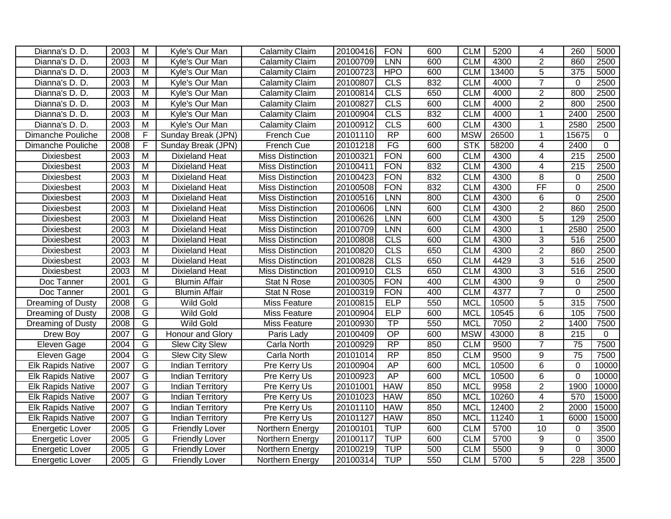| Dianna's D. D.           | 2003 | M              | Kyle's Our Man          | <b>Calamity Claim</b>   | 20100416 | <b>FON</b>      | 600 | <b>CLM</b> | 5200  | $\overline{4}$  | 260              | 5000         |
|--------------------------|------|----------------|-------------------------|-------------------------|----------|-----------------|-----|------------|-------|-----------------|------------------|--------------|
| Dianna's D. D.           | 2003 | M              | Kyle's Our Man          | <b>Calamity Claim</b>   | 20100709 | <b>LNN</b>      | 600 | <b>CLM</b> | 4300  | $\overline{2}$  | 860              | 2500         |
| Dianna's D. D.           | 2003 | $\overline{M}$ | Kyle's Our Man          | <b>Calamity Claim</b>   | 20100723 | <b>HPO</b>      | 600 | <b>CLM</b> | 13400 | $\overline{5}$  | $\overline{375}$ | 5000         |
| Dianna's D. D.           | 2003 | $\overline{M}$ | Kyle's Our Man          | <b>Calamity Claim</b>   | 20100807 | CLS             | 832 | <b>CLM</b> | 4000  | $\overline{7}$  | $\mathbf 0$      | 2500         |
| Dianna's D. D.           | 2003 | $\overline{M}$ | Kyle's Our Man          | <b>Calamity Claim</b>   | 20100814 | CLS             | 650 | <b>CLM</b> | 4000  | $\overline{2}$  | 800              | 2500         |
| Dianna's D. D.           | 2003 | $\overline{M}$ | Kyle's Our Man          | Calamity Claim          | 20100827 | CLS             | 600 | <b>CLM</b> | 4000  | $\overline{2}$  | 800              | 2500         |
| Dianna's D. D.           | 2003 | $\overline{M}$ | Kyle's Our Man          | <b>Calamity Claim</b>   | 20100904 | CLS             | 832 | <b>CLM</b> | 4000  | -1              | 2400             | 2500         |
| Dianna's D. D.           | 2003 | M              | Kyle's Our Man          | <b>Calamity Claim</b>   | 20100912 | <b>CLS</b>      | 600 | <b>CLM</b> | 4300  | 1               | 2580             | 2500         |
| Dimanche Pouliche        | 2008 | F              | Sunday Break (JPN)      | French Cue              | 20101110 | RP              | 600 | <b>MSW</b> | 26500 | $\mathbf 1$     | 15675            | $\mathbf{0}$ |
| Dimanche Pouliche        | 2008 | $\mathsf F$    | Sunday Break (JPN)      | French Cue              | 20101218 | FG              | 600 | <b>STK</b> | 58200 | 4               | 2400             | $\mathbf 0$  |
| <b>Dixiesbest</b>        | 2003 | M              | <b>Dixieland Heat</b>   | <b>Miss Distinction</b> | 20100321 | <b>FON</b>      | 600 | <b>CLM</b> | 4300  | 4               | 215              | 2500         |
| <b>Dixiesbest</b>        | 2003 | M              | <b>Dixieland Heat</b>   | <b>Miss Distinction</b> | 20100411 | <b>FON</b>      | 832 | <b>CLM</b> | 4300  | $\overline{4}$  | 215              | 2500         |
| Dixiesbest               | 2003 | M              | <b>Dixieland Heat</b>   | <b>Miss Distinction</b> | 20100423 | <b>FON</b>      | 832 | <b>CLM</b> | 4300  | 8               | $\mathbf 0$      | 2500         |
| <b>Dixiesbest</b>        | 2003 | M              | <b>Dixieland Heat</b>   | <b>Miss Distinction</b> | 20100508 | <b>FON</b>      | 832 | <b>CLM</b> | 4300  | $\overline{FF}$ | $\Omega$         | 2500         |
| <b>Dixiesbest</b>        | 2003 | M              | <b>Dixieland Heat</b>   | <b>Miss Distinction</b> | 20100516 | <b>LNN</b>      | 800 | <b>CLM</b> | 4300  | 6               | $\mathbf 0$      | 2500         |
| Dixiesbest               | 2003 | M              | <b>Dixieland Heat</b>   | <b>Miss Distinction</b> | 20100606 | <b>LNN</b>      | 600 | <b>CLM</b> | 4300  | $\overline{2}$  | 860              | 2500         |
| <b>Dixiesbest</b>        | 2003 | M              | <b>Dixieland Heat</b>   | <b>Miss Distinction</b> | 20100626 | LNN             | 600 | <b>CLM</b> | 4300  | $\overline{5}$  | 129              | 2500         |
| <b>Dixiesbest</b>        | 2003 | M              | <b>Dixieland Heat</b>   | <b>Miss Distinction</b> | 20100709 | <b>LNN</b>      | 600 | <b>CLM</b> | 4300  | $\mathbf{1}$    | 2580             | 2500         |
| <b>Dixiesbest</b>        | 2003 | M              | <b>Dixieland Heat</b>   | <b>Miss Distinction</b> | 20100808 | CLS             | 600 | <b>CLM</b> | 4300  | $\overline{3}$  | 516              | 2500         |
| <b>Dixiesbest</b>        | 2003 | $\overline{M}$ | <b>Dixieland Heat</b>   | <b>Miss Distinction</b> | 20100820 | CLS             | 650 | <b>CLM</b> | 4300  | $\overline{2}$  | 860              | 2500         |
| <b>Dixiesbest</b>        | 2003 | M              | <b>Dixieland Heat</b>   | <b>Miss Distinction</b> | 20100828 | <b>CLS</b>      | 650 | <b>CLM</b> | 4429  | 3               | 516              | 2500         |
| <b>Dixiesbest</b>        | 2003 | M              | <b>Dixieland Heat</b>   | <b>Miss Distinction</b> | 20100910 | <b>CLS</b>      | 650 | <b>CLM</b> | 4300  | 3               | 516              | 2500         |
| Doc Tanner               | 2001 | G              | <b>Blumin Affair</b>    | Stat N Rose             | 20100305 | <b>FON</b>      | 400 | <b>CLM</b> | 4300  | 9               | $\mathbf{0}$     | 2500         |
| Doc Tanner               | 2001 | G              | <b>Blumin Affair</b>    | Stat N Rose             | 20100319 | <b>FON</b>      | 400 | <b>CLM</b> | 4377  | $\overline{7}$  | $\mathbf 0$      | 2500         |
| <b>Dreaming of Dusty</b> | 2008 | $\overline{G}$ | <b>Wild Gold</b>        | <b>Miss Feature</b>     | 20100815 | <b>ELP</b>      | 550 | <b>MCL</b> | 10500 | $\overline{5}$  | 315              | 7500         |
| <b>Dreaming of Dusty</b> | 2008 | $\overline{G}$ | <b>Wild Gold</b>        | <b>Miss Feature</b>     | 20100904 | <b>ELP</b>      | 600 | <b>MCL</b> | 10545 | $\overline{6}$  | 105              | 7500         |
| <b>Dreaming of Dusty</b> | 2008 | $\overline{G}$ | <b>Wild Gold</b>        | <b>Miss Feature</b>     | 20100930 | $\overline{TP}$ | 550 | <b>MCL</b> | 7050  | $\overline{2}$  | 1400             | 7500         |
| Drew Boy                 | 2007 | G              | Honour and Glory        | Paris Lady              | 20100409 | OP              | 600 | <b>MSW</b> | 43000 | 8               | 215              | 0            |
| Eleven Gage              | 2004 | G              | <b>Slew City Slew</b>   | Carla North             | 20100929 | $\overline{RP}$ | 850 | <b>CLM</b> | 9500  | $\overline{7}$  | 75               | 7500         |
| Eleven Gage              | 2004 | G              | <b>Slew City Slew</b>   | Carla North             | 20101014 | RP              | 850 | <b>CLM</b> | 9500  | 9               | $\overline{75}$  | 7500         |
| <b>Elk Rapids Native</b> | 2007 | $\overline{G}$ | <b>Indian Territory</b> | Pre Kerry Us            | 20100904 | AP              | 600 | <b>MCL</b> | 10500 | $6\phantom{1}$  | $\mathbf 0$      | 10000        |
| <b>Elk Rapids Native</b> | 2007 | G              | <b>Indian Territory</b> | Pre Kerry Us            | 20100923 | AP              | 600 | <b>MCL</b> | 10500 | $\overline{6}$  | $\mathbf 0$      | 10000        |
| <b>Elk Rapids Native</b> | 2007 | $\overline{G}$ | <b>Indian Territory</b> | Pre Kerry Us            | 20101001 | <b>HAW</b>      | 850 | <b>MCL</b> | 9958  | $\overline{2}$  | 1900             | 10000        |
| <b>Elk Rapids Native</b> | 2007 | $\overline{G}$ | <b>Indian Territory</b> | Pre Kerry Us            | 20101023 | <b>HAW</b>      | 850 | <b>MCL</b> | 10260 | $\overline{4}$  | 570              | 15000        |
| <b>Elk Rapids Native</b> | 2007 | G              | <b>Indian Territory</b> | Pre Kerry Us            | 20101110 | <b>HAW</b>      | 850 | <b>MCL</b> | 12400 | $\overline{2}$  | 2000             | 15000        |
| <b>Elk Rapids Native</b> | 2007 | G              | <b>Indian Territory</b> | Pre Kerry Us            | 20101127 | <b>HAW</b>      | 850 | <b>MCL</b> | 11240 | $\mathbf{1}$    | 6000             | 15000        |
| <b>Energetic Lover</b>   | 2005 | G              | <b>Friendly Lover</b>   | Northern Energy         | 20100101 | <b>TUP</b>      | 600 | <b>CLM</b> | 5700  | 10              | $\mathbf{0}$     | 3500         |
| Energetic Lover          | 2005 | G              | <b>Friendly Lover</b>   | Northern Energy         | 20100117 | <b>TUP</b>      | 600 | <b>CLM</b> | 5700  | 9               | $\Omega$         | 3500         |
| <b>Energetic Lover</b>   | 2005 | G              | <b>Friendly Lover</b>   | Northern Energy         | 20100219 | <b>TUP</b>      | 500 | <b>CLM</b> | 5500  | $\overline{9}$  | $\mathbf 0$      | 3000         |
| Energetic Lover          | 2005 | $\overline{G}$ | <b>Friendly Lover</b>   | Northern Energy         | 20100314 | <b>TUP</b>      | 550 | <b>CLM</b> | 5700  | $\overline{5}$  | 228              | 3500         |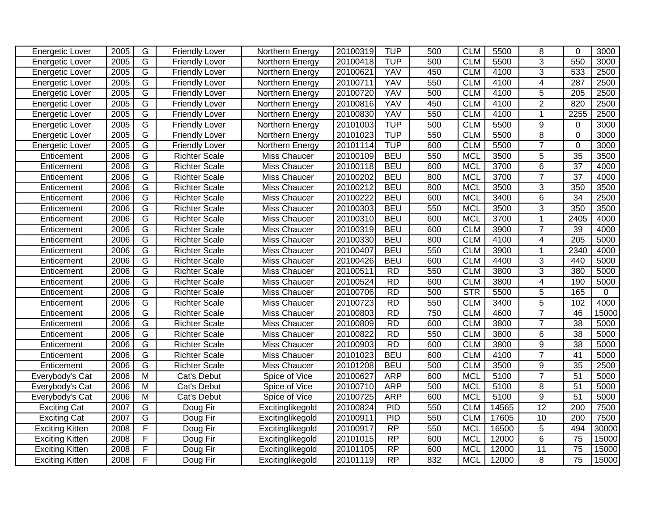| Energetic Lover        | 2005 | $\overline{G}$          | <b>Friendly Lover</b> | Northern Energy  | 20100319 | <b>TUP</b>      | 500 | <b>CLM</b> | 5500  | 8              | $\Omega$         | 3000  |
|------------------------|------|-------------------------|-----------------------|------------------|----------|-----------------|-----|------------|-------|----------------|------------------|-------|
| Energetic Lover        | 2005 | G                       | <b>Friendly Lover</b> | Northern Energy  | 20100418 | <b>TUP</b>      | 500 | <b>CLM</b> | 5500  | $\overline{3}$ | 550              | 3000  |
| Energetic Lover        | 2005 | G                       | <b>Friendly Lover</b> | Northern Energy  | 20100621 | <b>YAV</b>      | 450 | <b>CLM</b> | 4100  | $\overline{3}$ | 533              | 2500  |
| Energetic Lover        | 2005 | G                       | <b>Friendly Lover</b> | Northern Energy  | 20100711 | <b>YAV</b>      | 550 | <b>CLM</b> | 4100  | $\overline{4}$ | 287              | 2500  |
| Energetic Lover        | 2005 | G                       | <b>Friendly Lover</b> | Northern Energy  | 20100720 | <b>YAV</b>      | 500 | <b>CLM</b> | 4100  | $\overline{5}$ | $\overline{205}$ | 2500  |
| <b>Energetic Lover</b> | 2005 | G                       | <b>Friendly Lover</b> | Northern Energy  | 20100816 | <b>YAV</b>      | 450 | <b>CLM</b> | 4100  | $\overline{2}$ | 820              | 2500  |
| Energetic Lover        | 2005 | $\overline{G}$          | <b>Friendly Lover</b> | Northern Energy  | 20100830 | <b>YAV</b>      | 550 | <b>CLM</b> | 4100  | $\mathbf 1$    | 2255             | 2500  |
| <b>Energetic Lover</b> | 2005 | $\overline{G}$          | <b>Friendly Lover</b> | Northern Energy  | 20101003 | <b>TUP</b>      | 500 | <b>CLM</b> | 5500  | 9              | 0                | 3000  |
| Energetic Lover        | 2005 | G                       | <b>Friendly Lover</b> | Northern Energy  | 20101023 | <b>TUP</b>      | 550 | <b>CLM</b> | 5500  | $\overline{8}$ | $\mathbf{0}$     | 3000  |
| <b>Energetic Lover</b> | 2005 | G                       | <b>Friendly Lover</b> | Northern Energy  | 20101114 | <b>TUP</b>      | 600 | <b>CLM</b> | 5500  | $\overline{7}$ | $\mathbf 0$      | 3000  |
| Enticement             | 2006 | G                       | <b>Richter Scale</b>  | Miss Chaucer     | 20100109 | <b>BEU</b>      | 550 | <b>MCL</b> | 3500  | 5              | $\overline{35}$  | 3500  |
| Enticement             | 2006 | $\overline{G}$          | <b>Richter Scale</b>  | Miss Chaucer     | 20100118 | <b>BEU</b>      | 600 | <b>MCL</b> | 3700  | 6              | $\overline{37}$  | 4000  |
| Enticement             | 2006 | G                       | <b>Richter Scale</b>  | Miss Chaucer     | 20100202 | <b>BEU</b>      | 800 | <b>MCL</b> | 3700  | $\overline{7}$ | $\overline{37}$  | 4000  |
| Enticement             | 2006 | G                       | <b>Richter Scale</b>  | Miss Chaucer     | 20100212 | <b>BEU</b>      | 800 | <b>MCL</b> | 3500  | 3              | 350              | 3500  |
| Enticement             | 2006 | $\overline{G}$          | <b>Richter Scale</b>  | Miss Chaucer     | 20100222 | <b>BEU</b>      | 600 | <b>MCL</b> | 3400  | 6              | 34               | 2500  |
| Enticement             | 2006 | $\overline{G}$          | <b>Richter Scale</b>  | Miss Chaucer     | 20100303 | <b>BEU</b>      | 550 | <b>MCL</b> | 3500  | 3              | 350              | 3500  |
| Enticement             | 2006 | $\overline{G}$          | <b>Richter Scale</b>  | Miss Chaucer     | 20100310 | <b>BEU</b>      | 600 | <b>MCL</b> | 3700  | $\mathbf 1$    | 2405             | 4000  |
| Enticement             | 2006 | $\overline{G}$          | <b>Richter Scale</b>  | Miss Chaucer     | 20100319 | <b>BEU</b>      | 600 | <b>CLM</b> | 3900  | $\overline{7}$ | 39               | 4000  |
| Enticement             | 2006 | $\overline{G}$          | <b>Richter Scale</b>  | Miss Chaucer     | 20100330 | <b>BEU</b>      | 800 | <b>CLM</b> | 4100  | 4              | $\overline{205}$ | 5000  |
| Enticement             | 2006 | $\overline{G}$          | <b>Richter Scale</b>  | Miss Chaucer     | 20100407 | <b>BEU</b>      | 550 | <b>CLM</b> | 3900  | $\mathbf{1}$   | 2340             | 4000  |
| Enticement             | 2006 | G                       | <b>Richter Scale</b>  | Miss Chaucer     | 20100426 | <b>BEU</b>      | 600 | <b>CLM</b> | 4400  | 3              | 440              | 5000  |
| Enticement             | 2006 | G                       | <b>Richter Scale</b>  | Miss Chaucer     | 20100511 | <b>RD</b>       | 550 | <b>CLM</b> | 3800  | 3              | 380              | 5000  |
| Enticement             | 2006 | G                       | <b>Richter Scale</b>  | Miss Chaucer     | 20100524 | RD              | 600 | <b>CLM</b> | 3800  | $\overline{4}$ | 190              | 5000  |
| Enticement             | 2006 | G                       | <b>Richter Scale</b>  | Miss Chaucer     | 20100706 | <b>RD</b>       | 500 | STR        | 5500  | 5              | 165              | 0     |
| Enticement             | 2006 | G                       | <b>Richter Scale</b>  | Miss Chaucer     | 20100723 | RD              | 550 | <b>CLM</b> | 3400  | $\overline{5}$ | 102              | 4000  |
| Enticement             | 2006 | $\overline{G}$          | <b>Richter Scale</b>  | Miss Chaucer     | 20100803 | R <sub>D</sub>  | 750 | <b>CLM</b> | 4600  | $\overline{7}$ | 46               | 15000 |
| Enticement             | 2006 | $\overline{G}$          | <b>Richter Scale</b>  | Miss Chaucer     | 20100809 | R <sub>D</sub>  | 600 | <b>CLM</b> | 3800  | $\overline{7}$ | $\overline{38}$  | 5000  |
| Enticement             | 2006 | G                       | <b>Richter Scale</b>  | Miss Chaucer     | 20100822 | <b>RD</b>       | 550 | <b>CLM</b> | 3800  | 6              | 38               | 5000  |
| Enticement             | 2006 | G                       | <b>Richter Scale</b>  | Miss Chaucer     | 20100903 | <b>RD</b>       | 600 | <b>CLM</b> | 3800  | 9              | 38               | 5000  |
| Enticement             | 2006 | G                       | <b>Richter Scale</b>  | Miss Chaucer     | 20101023 | <b>BEU</b>      | 600 | <b>CLM</b> | 4100  | $\overline{7}$ | $\overline{41}$  | 5000  |
| Enticement             | 2006 | $\overline{G}$          | <b>Richter Scale</b>  | Miss Chaucer     | 20101208 | <b>BEU</b>      | 500 | <b>CLM</b> | 3500  | 9              | $\overline{35}$  | 2500  |
| Everybody's Cat        | 2006 | $\overline{M}$          | Cat's Debut           | Spice of Vice    | 20100627 | <b>ARP</b>      | 600 | <b>MCL</b> | 5100  | $\overline{7}$ | $\overline{51}$  | 5000  |
| Everybody's Cat        | 2006 | $\overline{M}$          | Cat's Debut           | Spice of Vice    | 20100710 | <b>ARP</b>      | 500 | <b>MCL</b> | 5100  | $\overline{8}$ | $\overline{51}$  | 5000  |
| Everybody's Cat        | 2006 | M                       | Cat's Debut           | Spice of Vice    | 20100725 | <b>ARP</b>      | 600 | <b>MCL</b> | 5100  | $\overline{9}$ | 51               | 5000  |
| <b>Exciting Cat</b>    | 2007 | G                       | Doug Fir              | Excitinglikegold | 20100824 | PID             | 550 | <b>CLM</b> | 14565 | 12             | 200              | 7500  |
| <b>Exciting Cat</b>    | 2007 | G                       | Doug Fir              | Excitinglikegold | 20100911 | PID             | 550 | <b>CLM</b> | 17605 | 10             | 200              | 7500  |
| <b>Exciting Kitten</b> | 2008 | F                       | Doug Fir              | Excitinglikegold | 20100917 | $\overline{RP}$ | 550 | <b>MCL</b> | 16500 | 5              | 494              | 30000 |
| <b>Exciting Kitten</b> | 2008 | F                       | Doug Fir              | Excitinglikegold | 20101015 | $\overline{RP}$ | 600 | <b>MCL</b> | 12000 | $\overline{6}$ | 75               | 15000 |
| <b>Exciting Kitten</b> | 2008 | $\overline{\mathsf{F}}$ | Doug Fir              | Excitinglikegold | 20101105 | $\overline{RP}$ | 600 | <b>MCL</b> | 12000 | 11             | $\overline{75}$  | 15000 |
| <b>Exciting Kitten</b> | 2008 | $\overline{F}$          | Doug Fir              | Excitinglikegold | 20101119 | RP              | 832 | <b>MCL</b> | 12000 | 8              | 75               | 15000 |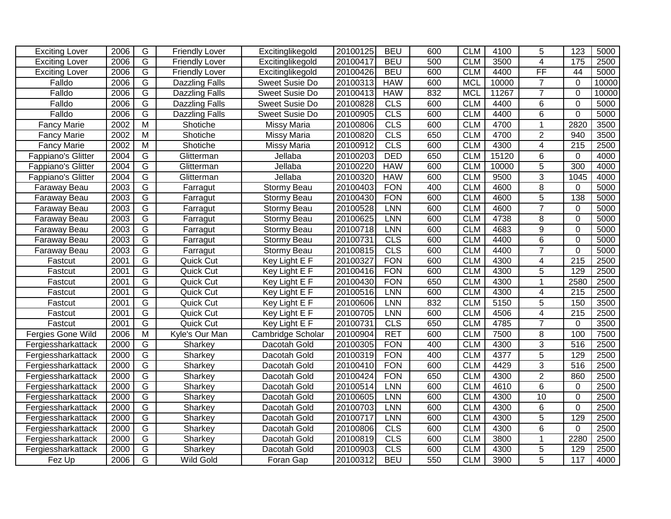| <b>Exciting Lover</b> | 2006 | G              | <b>Friendly Lover</b> | Excitinglikegold    | 20100125 | <b>BEU</b> | 600 | <b>CLM</b> | 4100  | 5               | 123               | 5000  |
|-----------------------|------|----------------|-----------------------|---------------------|----------|------------|-----|------------|-------|-----------------|-------------------|-------|
| <b>Exciting Lover</b> | 2006 | $\overline{G}$ | <b>Friendly Lover</b> | Excitinglikegold    | 20100417 | <b>BEU</b> | 500 | <b>CLM</b> | 3500  | $\overline{4}$  | $\frac{175}{175}$ | 2500  |
| <b>Exciting Lover</b> | 2006 | $\overline{G}$ | <b>Friendly Lover</b> | Excitinglikegold    | 20100426 | <b>BEU</b> | 600 | <b>CLM</b> | 4400  | $\overline{FF}$ | 44                | 5000  |
| Falldo                | 2006 | G              | <b>Dazzling Falls</b> | Sweet Susie Do      | 20100313 | <b>HAW</b> | 600 | <b>MCL</b> | 10000 | $\overline{7}$  | $\Omega$          | 10000 |
| Falldo                | 2006 | $\overline{G}$ | <b>Dazzling Falls</b> | Sweet Susie Do      | 20100413 | <b>HAW</b> | 832 | <b>MCL</b> | 11267 | $\overline{7}$  | $\mathbf 0$       | 10000 |
| Falldo                | 2006 | G              | <b>Dazzling Falls</b> | Sweet Susie Do      | 20100828 | CLS        | 600 | <b>CLM</b> | 4400  | 6               | $\mathbf 0$       | 5000  |
| Falldo                | 2006 | $\overline{G}$ | <b>Dazzling Falls</b> | Sweet Susie Do      | 20100905 | CLS        | 600 | <b>CLM</b> | 4400  | $\overline{6}$  | $\mathbf 0$       | 5000  |
| <b>Fancy Marie</b>    | 2002 | $\overline{M}$ | Shotiche              | <b>Missy Maria</b>  | 20100806 | <b>CLS</b> | 600 | <b>CLM</b> | 4700  | $\mathbf{1}$    | 2820              | 3500  |
| <b>Fancy Marie</b>    | 2002 | $\overline{M}$ | Shotiche              | <b>Missy Maria</b>  | 20100820 | CLS        | 650 | <b>CLM</b> | 4700  | $\overline{2}$  | 940               | 3500  |
| <b>Fancy Marie</b>    | 2002 | $\overline{M}$ | Shotiche              | <b>Missy Maria</b>  | 20100912 | CLS        | 600 | <b>CLM</b> | 4300  | 4               | $\overline{215}$  | 2500  |
| Fappiano's Glitter    | 2004 | G              | Glitterman            | Jellaba             | 20100203 | <b>DED</b> | 650 | <b>CLM</b> | 15120 | 6               | $\mathbf 0$       | 4000  |
| Fappiano's Glitter    | 2004 | G              | Glitterman            | Jellaba             | 20100220 | <b>HAW</b> | 600 | <b>CLM</b> | 10000 | 5               | 300               | 4000  |
| Fappiano's Glitter    | 2004 | G              | Glitterman            | Jellaba             | 20100320 | <b>HAW</b> | 600 | <b>CLM</b> | 9500  | 3               | 1045              | 4000  |
| Faraway Beau          | 2003 | $\overline{G}$ | Farragut              | Stormy Beau         | 20100403 | <b>FON</b> | 400 | <b>CLM</b> | 4600  | 8               | $\Omega$          | 5000  |
| Faraway Beau          | 2003 | $\overline{G}$ | Farragut              | Stormy Beau         | 20100430 | <b>FON</b> | 600 | <b>CLM</b> | 4600  | $\overline{5}$  | 138               | 5000  |
| Faraway Beau          | 2003 | $\overline{G}$ | Farragut              | Stormy Beau         | 20100528 | LNN        | 600 | <b>CLM</b> | 4600  | $\overline{7}$  | $\Omega$          | 5000  |
| Faraway Beau          | 2003 | $\overline{G}$ | Farragut              | Stormy Beau         | 20100625 | <b>LNN</b> | 600 | <b>CLM</b> | 4738  | $\overline{8}$  | 0                 | 5000  |
| Faraway Beau          | 2003 | $\overline{G}$ | Farragut              | Stormy Beau         | 20100718 | LNN        | 600 | <b>CLM</b> | 4683  | 9               | $\Omega$          | 5000  |
| Faraway Beau          | 2003 | G              | Farragut              | Stormy Beau         | 20100731 | CLS        | 600 | <b>CLM</b> | 4400  | 6               | $\mathbf 0$       | 5000  |
| Faraway Beau          | 2003 | G              | Farragut              | Stormy Beau         | 20100815 | CLS        | 600 | <b>CLM</b> | 4400  | $\overline{7}$  | $\mathbf 0$       | 5000  |
| Fastcut               | 2001 | G              | Quick Cut             | Key Light E F       | 20100327 | <b>FON</b> | 600 | <b>CLM</b> | 4300  | 4               | $\overline{215}$  | 2500  |
| Fastcut               | 2001 | G              | Quick Cut             | Key Light E F       | 20100416 | <b>FON</b> | 600 | <b>CLM</b> | 4300  | 5               | 129               | 2500  |
| Fastcut               | 2001 | G              | Quick Cut             | Key Light E F       | 20100430 | <b>FON</b> | 650 | <b>CLM</b> | 4300  | $\mathbf{1}$    | 2580              | 2500  |
| Fastcut               | 2001 | $\overline{G}$ | Quick Cut             | Key Light E F       | 20100516 | LNN        | 600 | <b>CLM</b> | 4300  | 4               | $\overline{215}$  | 2500  |
| Fastcut               | 2001 | G              | Quick Cut             | Key Light E F       | 20100606 | <b>LNN</b> | 832 | <b>CLM</b> | 5150  | 5               | 150               | 3500  |
| Fastcut               | 2001 | G              | Quick Cut             | Key Light E F       | 20100705 | LNN        | 600 | <b>CLM</b> | 4506  | $\overline{4}$  | $\overline{215}$  | 2500  |
| Fastcut               | 2001 | G              | Quick Cut             | Key Light E F       | 20100731 | <b>CLS</b> | 650 | <b>CLM</b> | 4785  | $\overline{7}$  | $\mathbf 0$       | 3500  |
| Fergies Gone Wild     | 2006 | M              | Kyle's Our Man        | Cambridge Scholar   | 20100904 | <b>RET</b> | 600 | <b>CLM</b> | 7500  | 8               | 100               | 7500  |
| Fergiessharkattack    | 2000 | G              | Sharkey               | Dacotah Gold        | 20100305 | <b>FON</b> | 400 | <b>CLM</b> | 4300  | 3               | 516               | 2500  |
| Fergiessharkattack    | 2000 | $\overline{G}$ | Sharkey               | Dacotah Gold        | 20100319 | <b>FON</b> | 400 | <b>CLM</b> | 4377  | $\overline{5}$  | 129               | 2500  |
| Fergiessharkattack    | 2000 | $\overline{G}$ | Sharkey               | Dacotah Gold        | 20100410 | <b>FON</b> | 600 | <b>CLM</b> | 4429  | $\overline{3}$  | 516               | 2500  |
| Fergiessharkattack    | 2000 | $\overline{G}$ | Sharkey               | Dacotah Gold        | 20100424 | <b>FON</b> | 650 | <b>CLM</b> | 4300  | $\overline{2}$  | 860               | 2500  |
| Fergiessharkattack    | 2000 | G              | Sharkey               | Dacotah Gold        | 20100514 | <b>LNN</b> | 600 | <b>CLM</b> | 4610  | 6               | 0                 | 2500  |
| Fergiessharkattack    | 2000 | $\overline{G}$ | Sharkey               | Dacotah Gold        | 20100605 | LNN        | 600 | <b>CLM</b> | 4300  | 10              | $\mathbf 0$       | 2500  |
| Fergiessharkattack    | 2000 | G              | Sharkey               | Dacotah Gold        | 20100703 | <b>LNN</b> | 600 | <b>CLM</b> | 4300  | 6               | $\mathbf 0$       | 2500  |
| Fergiessharkattack    | 2000 | G              | Sharkey               | Dacotah Gold        | 20100717 | <b>LNN</b> | 600 | <b>CLM</b> | 4300  | $\overline{5}$  | 129               | 2500  |
| Fergiessharkattack    | 2000 | $\overline{G}$ | Sharkey               | Dacotah Gold        | 20100806 | CLS        | 600 | <b>CLM</b> | 4300  | $\overline{6}$  | $\mathbf 0$       | 2500  |
| Fergiessharkattack    | 2000 | $\overline{G}$ | Sharkey               | Dacotah Gold        | 20100819 | CLS        | 600 | <b>CLM</b> | 3800  | $\mathbf 1$     | 2280              | 2500  |
| Fergiessharkattack    | 2000 | $\overline{G}$ | Sharkey               | <b>Dacotah Gold</b> | 20100903 | CLS        | 600 | <b>CLM</b> | 4300  | $\overline{5}$  | 129               | 2500  |
| Fez Up                | 2006 | $\overline{G}$ | Wild Gold             | Foran Gap           | 20100312 | <b>BEU</b> | 550 | <b>CLM</b> | 3900  | $\overline{5}$  | 117               | 4000  |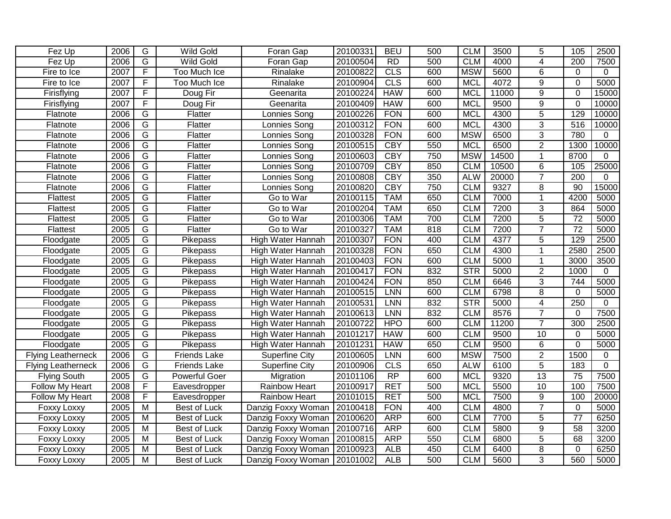| Fez Up                    | 2006 | G                       | <b>Wild Gold</b>     | Foran Gap                   | 20100331 | <b>BEU</b> | 500 | <b>CLM</b> | 3500  | 5              | 105              | 2500        |
|---------------------------|------|-------------------------|----------------------|-----------------------------|----------|------------|-----|------------|-------|----------------|------------------|-------------|
| Fez Up                    | 2006 | $\overline{G}$          | <b>Wild Gold</b>     | Foran Gap                   | 20100504 | <b>RD</b>  | 500 | <b>CLM</b> | 4000  | 4              | 200              | 7500        |
| Fire to Ice               | 2007 | $\overline{F}$          | Too Much Ice         | Rinalake                    | 20100822 | <b>CLS</b> | 600 | <b>MSW</b> | 5600  | 6              | $\Omega$         | $\Omega$    |
| Fire to Ice               | 2007 | $\overline{F}$          | <b>Too Much Ice</b>  | Rinalake                    | 20100904 | CLS        | 600 | <b>MCL</b> | 4072  | $\overline{9}$ | $\mathbf 0$      | 5000        |
| Firisflying               | 2007 | F                       | Doug Fir             | Geenarita                   | 20100224 | <b>HAW</b> | 600 | <b>MCL</b> | 11000 | $\overline{9}$ | $\mathbf 0$      | 15000       |
| Firisflying               | 2007 | F                       | Doug Fir             | Geenarita                   | 20100409 | <b>HAW</b> | 600 | <b>MCL</b> | 9500  | $\overline{9}$ | $\mathbf 0$      | 10000       |
| Flatnote                  | 2006 | G                       | Flatter              | Lonnies Song                | 20100226 | <b>FON</b> | 600 | <b>MCL</b> | 4300  | $\overline{5}$ | 129              | 10000       |
| Flatnote                  | 2006 | $\overline{\mathsf{G}}$ | Flatter              | Lonnies Song                | 20100312 | <b>FON</b> | 600 | <b>MCL</b> | 4300  | $\overline{3}$ | 516              | 10000       |
| Flatnote                  | 2006 | $\overline{\mathsf{G}}$ | Flatter              | Lonnies Song                | 20100328 | <b>FON</b> | 600 | <b>MSW</b> | 6500  | $\overline{3}$ | 780              | 0           |
| Flatnote                  | 2006 | G                       | Flatter              | Lonnies Song                | 20100515 | <b>CBY</b> | 550 | <b>MCL</b> | 6500  | $\overline{2}$ | 1300             | 10000       |
| Flatnote                  | 2006 | G                       | Flatter              | Lonnies Song                | 20100603 | <b>CBY</b> | 750 | <b>MSW</b> | 14500 | $\mathbf 1$    | 8700             | $\Omega$    |
| Flatnote                  | 2006 | $\overline{G}$          | Flatter              | Lonnies Song                | 20100709 | <b>CBY</b> | 850 | <b>CLM</b> | 10500 | 6              | 105              | 25000       |
| Flatnote                  | 2006 | G                       | Flatter              | Lonnies Song                | 20100808 | <b>CBY</b> | 350 | <b>ALW</b> | 20000 | $\overline{7}$ | $\overline{200}$ | $\mathbf 0$ |
| Flatnote                  | 2006 | $\overline{G}$          | Flatter              | Lonnies Song                | 20100820 | <b>CBY</b> | 750 | <b>CLM</b> | 9327  | 8              | 90               | 15000       |
| Flattest                  | 2005 | $\overline{G}$          | Flatter              | Go to War                   | 20100115 | <b>TAM</b> | 650 | <b>CLM</b> | 7000  | $\mathbf{1}$   | 4200             | 5000        |
| Flattest                  | 2005 | $\overline{G}$          | Flatter              | Go to War                   | 20100204 | <b>TAM</b> | 650 | <b>CLM</b> | 7200  | $\mathfrak{S}$ | 864              | 5000        |
| Flattest                  | 2005 | $\overline{G}$          | Flatter              | Go to War                   | 20100306 | <b>TAM</b> | 700 | <b>CLM</b> | 7200  | $\overline{5}$ | 72               | 5000        |
| Flattest                  | 2005 | $\overline{G}$          | Flatter              | Go to War                   | 20100327 | <b>TAM</b> | 818 | <b>CLM</b> | 7200  | $\overline{7}$ | $\overline{72}$  | 5000        |
| Floodgate                 | 2005 | $\overline{G}$          | Pikepass             | High Water Hannah           | 20100307 | <b>FON</b> | 400 | <b>CLM</b> | 4377  | $\overline{5}$ | 129              | 2500        |
| Floodgate                 | 2005 | G                       | Pikepass             | High Water Hannah           | 20100328 | <b>FON</b> | 650 | <b>CLM</b> | 4300  | 1              | 2580             | 2500        |
| Floodgate                 | 2005 | G                       | Pikepass             | High Water Hannah           | 20100403 | <b>FON</b> | 600 | <b>CLM</b> | 5000  | 1              | 3000             | 3500        |
| Floodgate                 | 2005 | G                       | <b>Pikepass</b>      | High Water Hannah           | 20100417 | <b>FON</b> | 832 | STR        | 5000  | $\overline{2}$ | 1000             | 0           |
| Floodgate                 | 2005 | $\overline{G}$          | Pikepass             | High Water Hannah           | 20100424 | <b>FON</b> | 850 | <b>CLM</b> | 6646  | 3              | 744              | 5000        |
| Floodgate                 | 2005 | $\overline{G}$          | Pikepass             | High Water Hannah           | 20100515 | <b>LNN</b> | 600 | <b>CLM</b> | 6798  | 8              | $\mathbf 0$      | 5000        |
| Floodgate                 | 2005 | $\overline{G}$          | Pikepass             | High Water Hannah           | 20100531 | <b>LNN</b> | 832 | <b>STR</b> | 5000  | 4              | $\overline{250}$ | $\Omega$    |
| Floodgate                 | 2005 | $\overline{G}$          | Pikepass             | High Water Hannah           | 20100613 | <b>LNN</b> | 832 | <b>CLM</b> | 8576  | $\overline{7}$ | $\Omega$         | 7500        |
| Floodgate                 | 2005 | $\overline{G}$          | Pikepass             | High Water Hannah           | 20100722 | <b>HPO</b> | 600 | <b>CLM</b> | 11200 | $\overline{7}$ | 300              | 2500        |
| Floodgate                 | 2005 | G                       | Pikepass             | High Water Hannah           | 20101217 | <b>HAW</b> | 600 | <b>CLM</b> | 9500  | 10             | $\mathbf 0$      | 5000        |
| Floodgate                 | 2005 | $\overline{G}$          | Pikepass             | High Water Hannah           | 20101231 | <b>HAW</b> | 650 | <b>CLM</b> | 9500  | 6              | $\mathbf 0$      | 5000        |
| <b>Flying Leatherneck</b> | 2006 | $\overline{G}$          | <b>Friends Lake</b>  | <b>Superfine City</b>       | 20100605 | <b>LNN</b> | 600 | <b>MSW</b> | 7500  | $\overline{2}$ | 1500             | 0           |
| <b>Flying Leatherneck</b> | 2006 | $\overline{G}$          | Friends Lake         | <b>Superfine City</b>       | 20100906 | CLS        | 650 | <b>ALW</b> | 6100  | $\overline{5}$ | 183              | $\mathbf 0$ |
| <b>Flying South</b>       | 2005 | $\overline{G}$          | <b>Powerful Goer</b> | Migration                   | 20101106 | RP         | 600 | <b>MCL</b> | 9320  | 13             | $\overline{75}$  | 7500        |
| Follow My Heart           | 2008 | $\overline{\mathsf{F}}$ | Eavesdropper         | Rainbow Heart               | 20100917 | <b>RET</b> | 500 | <b>MCL</b> | 5500  | 10             | 100              | 7500        |
| Follow My Heart           | 2008 | F                       | Eavesdropper         | Rainbow Heart               | 20101015 | <b>RET</b> | 500 | <b>MCL</b> | 7500  | 9              | 100              | 20000       |
| Foxxy Loxxy               | 2005 | $\overline{M}$          | Best of Luck         | Danzig Foxxy Woman          | 20100418 | <b>FON</b> | 400 | <b>CLM</b> | 4800  | $\overline{7}$ | $\Omega$         | 5000        |
| Foxxy Loxxy               | 2005 | $\overline{M}$          | Best of Luck         | Danzig Foxxy Woman          | 20100620 | <b>ARP</b> | 600 | <b>CLM</b> | 7700  | 5              | $\overline{77}$  | 6250        |
| <b>Foxxy Loxxy</b>        | 2005 | $\overline{M}$          | Best of Luck         | Danzig Foxxy Woman          | 20100716 | <b>ARP</b> | 600 | <b>CLM</b> | 5800  | $\overline{9}$ | 58               | 3200        |
| Foxxy Loxxy               | 2005 | $\overline{M}$          | Best of Luck         | Danzig Foxxy Woman          | 20100815 | <b>ARP</b> | 550 | <b>CLM</b> | 6800  | $\overline{5}$ | 68               | 3200        |
| Foxxy Loxxy               | 2005 | $\overline{M}$          | Best of Luck         | Danzig Foxxy Woman          | 20100923 | <b>ALB</b> | 450 | <b>CLM</b> | 6400  | $\overline{8}$ | $\mathbf 0$      | 6250        |
| Foxxy Loxxy               | 2005 | $\overline{\mathsf{M}}$ | Best of Luck         | Danzig Foxxy Woman 20101002 |          | <b>ALB</b> | 500 | <b>CLM</b> | 5600  | $\overline{3}$ | 560              | 5000        |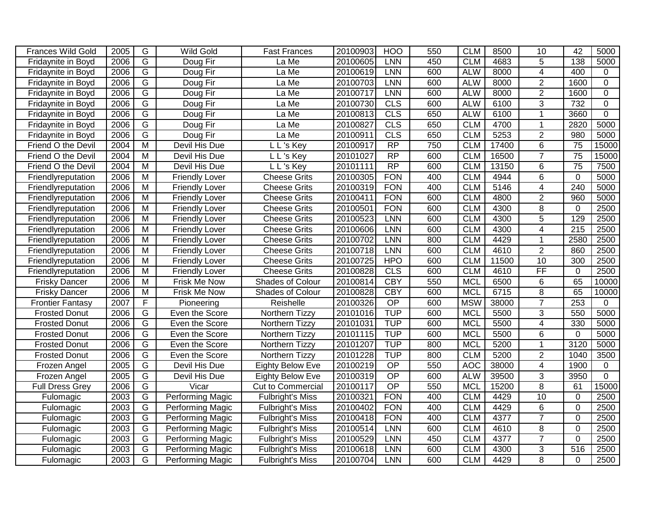| Frances Wild Gold       | 2005 | G              | <b>Wild Gold</b>        | <b>Fast Frances</b>     | 20100903 | HOO              | 550 | <b>CLM</b> | 8500  | 10              | 42              | 5000           |
|-------------------------|------|----------------|-------------------------|-------------------------|----------|------------------|-----|------------|-------|-----------------|-----------------|----------------|
| Fridaynite in Boyd      | 2006 | $\overline{G}$ | Doug Fir                | La Me                   | 20100605 | <b>LNN</b>       | 450 | <b>CLM</b> | 4683  | $\overline{5}$  | 138             | 5000           |
| Fridaynite in Boyd      | 2006 | $\overline{G}$ | Doug Fir                | La Me                   | 20100619 | <b>LNN</b>       | 600 | <b>ALW</b> | 8000  | 4               | 400             | 0              |
| Fridaynite in Boyd      | 2006 | G              | Doug Fir                | La Me                   | 20100703 | <b>LNN</b>       | 600 | <b>ALW</b> | 8000  | $\overline{2}$  | 1600            | 0              |
| Fridaynite in Boyd      | 2006 | G              | Doug Fir                | La Me                   | 20100717 | <b>LNN</b>       | 600 | <b>ALW</b> | 8000  | $\overline{2}$  | 1600            | 0              |
| Fridaynite in Boyd      | 2006 | G              | Doug Fir                | La Me                   | 20100730 | CLS              | 600 | <b>ALW</b> | 6100  | 3               | 732             | 0              |
| Fridaynite in Boyd      | 2006 | G              | Doug Fir                | La Me                   | 20100813 | CLS              | 650 | <b>ALW</b> | 6100  | 1               | 3660            | $\mathbf{0}$   |
| Fridaynite in Boyd      | 2006 | $\overline{G}$ | Doug Fir                | La Me                   | 20100827 | <b>CLS</b>       | 650 | <b>CLM</b> | 4700  | $\mathbf{1}$    | 2820            | 5000           |
| Fridaynite in Boyd      | 2006 | $\overline{G}$ | Doug Fir                | La Me                   | 20100911 | CLS              | 650 | <b>CLM</b> | 5253  | $\overline{2}$  | 980             | 5000           |
| Friend O the Devil      | 2004 | $\overline{M}$ | Devil His Due           | L L's Key               | 20100917 | RP               | 750 | <b>CLM</b> | 17400 | $\overline{6}$  | $\overline{75}$ | 15000          |
| Friend O the Devil      | 2004 | M              | Devil His Due           | L L's Key               | 20101027 | RP               | 600 | <b>CLM</b> | 16500 | $\overline{7}$  | $\overline{75}$ | 15000          |
| Friend O the Devil      | 2004 | M              | Devil His Due           | L L's Key               | 20101111 | $\overline{RP}$  | 600 | <b>CLM</b> | 13150 | 6               | $\overline{75}$ | 7500           |
| Friendlyreputation      | 2006 | M              | Friendly Lover          | <b>Cheese Grits</b>     | 20100305 | <b>FON</b>       | 400 | <b>CLM</b> | 4944  | 6               | $\mathbf 0$     | 5000           |
| Friendlyreputation      | 2006 | M              | Friendly Lover          | <b>Cheese Grits</b>     | 20100319 | <b>FON</b>       | 400 | <b>CLM</b> | 5146  | 4               | 240             | 5000           |
| Friendlyreputation      | 2006 | M              | <b>Friendly Lover</b>   | <b>Cheese Grits</b>     | 20100411 | <b>FON</b>       | 600 | <b>CLM</b> | 4800  | $\overline{2}$  | 960             | 5000           |
| Friendlyreputation      | 2006 | $\overline{M}$ | <b>Friendly Lover</b>   | <b>Cheese Grits</b>     | 20100501 | <b>FON</b>       | 600 | <b>CLM</b> | 4300  | 8               | $\mathbf 0$     | 2500           |
| Friendlyreputation      | 2006 | M              | <b>Friendly Lover</b>   | <b>Cheese Grits</b>     | 20100523 | <b>LNN</b>       | 600 | <b>CLM</b> | 4300  | $\overline{5}$  | 129             | 2500           |
| Friendlyreputation      | 2006 | M              | <b>Friendly Lover</b>   | <b>Cheese Grits</b>     | 20100606 | <b>LNN</b>       | 600 | <b>CLM</b> | 4300  | 4               | 215             | 2500           |
| Friendlyreputation      | 2006 | M              | <b>Friendly Lover</b>   | <b>Cheese Grits</b>     | 20100702 | LNN              | 800 | <b>CLM</b> | 4429  | $\mathbf{1}$    | 2580            | 2500           |
| Friendlyreputation      | 2006 | M              | <b>Friendly Lover</b>   | <b>Cheese Grits</b>     | 20100718 | <b>LNN</b>       | 600 | <b>CLM</b> | 4610  | $\overline{2}$  | 860             | 2500           |
| Friendlyreputation      | 2006 | $\overline{M}$ | <b>Friendly Lover</b>   | <b>Cheese Grits</b>     | 20100725 | <b>HPO</b>       | 600 | <b>CLM</b> | 11500 | 10              | 300             | 2500           |
| Friendlyreputation      | 2006 | M              | <b>Friendly Lover</b>   | <b>Cheese Grits</b>     | 20100828 | CLS              | 600 | <b>CLM</b> | 4610  | $\overline{FF}$ | $\mathbf 0$     | 2500           |
| <b>Frisky Dancer</b>    | 2006 | $\overline{M}$ | Frisk Me Now            | Shades of Colour        | 20100814 | $\overline{CBY}$ | 550 | <b>MCL</b> | 6500  | 6               | 65              | 10000          |
| <b>Frisky Dancer</b>    | 2006 | M              | Frisk Me Now            | Shades of Colour        | 20100828 | <b>CBY</b>       | 600 | <b>MCL</b> | 6715  | $\overline{8}$  | 65              | 10000          |
| <b>Frontier Fantasy</b> | 2007 | F              | Pioneering              | Reishelle               | 20100326 | OP               | 600 | <b>MSW</b> | 38000 | $\overline{7}$  | 253             | $\Omega$       |
| <b>Frosted Donut</b>    | 2006 | G              | Even the Score          | Northern Tizzy          | 20101016 | <b>TUP</b>       | 600 | <b>MCL</b> | 5500  | 3               | 550             | 5000           |
| <b>Frosted Donut</b>    | 2006 | G              | Even the Score          | Northern Tizzy          | 20101031 | <b>TUP</b>       | 600 | <b>MCL</b> | 5500  | 4               | 330             | 5000           |
| <b>Frosted Donut</b>    | 2006 | G              | Even the Score          | Northern Tizzy          | 20101115 | <b>TUP</b>       | 600 | <b>MCL</b> | 5500  | 6               | $\mathbf 0$     | 5000           |
| <b>Frosted Donut</b>    | 2006 | G              | Even the Score          | Northern Tizzy          | 20101207 | <b>TUP</b>       | 800 | <b>MCL</b> | 5200  | 1               | 3120            | 5000           |
| <b>Frosted Donut</b>    | 2006 | G              | Even the Score          | Northern Tizzy          | 20101228 | <b>TUP</b>       | 800 | <b>CLM</b> | 5200  | $\overline{2}$  | 1040            | 3500           |
| Frozen Angel            | 2005 | G              | Devil His Due           | <b>Eighty Below Eve</b> | 20100219 | $\overline{OP}$  | 550 | <b>AOC</b> | 38000 | $\overline{4}$  | 1900            | $\mathbf 0$    |
| Frozen Angel            | 2005 | $\overline{G}$ | Devil His Due           | <b>Eighty Below Eve</b> | 20100319 | $\overline{OP}$  | 600 | <b>ALW</b> | 39500 | $\overline{3}$  | 3950            | $\overline{0}$ |
| <b>Full Dress Grey</b>  | 2006 | G              | Vicar                   | Cut to Commercial       | 20100117 | OP               | 550 | <b>MCL</b> | 15200 | 8               | 61              | 15000          |
| Fulomagic               | 2003 | G              | Performing Magic        | <b>Fulbright's Miss</b> | 20100321 | <b>FON</b>       | 400 | <b>CLM</b> | 4429  | 10              | $\overline{0}$  | 2500           |
| Fulomagic               | 2003 | G              | Performing Magic        | <b>Fulbright's Miss</b> | 20100402 | <b>FON</b>       | 400 | <b>CLM</b> | 4429  | 6               | $\overline{0}$  | 2500           |
| Fulomagic               | 2003 | G              | Performing Magic        | Fulbright's Miss        | 20100418 | <b>FON</b>       | 400 | <b>CLM</b> | 4377  | $\overline{7}$  | $\overline{0}$  | 2500           |
| Fulomagic               | 2003 | G              | Performing Magic        | <b>Fulbright's Miss</b> | 20100514 | <b>LNN</b>       | 600 | <b>CLM</b> | 4610  | 8               | $\overline{0}$  | 2500           |
| Fulomagic               | 2003 | $\overline{G}$ | <b>Performing Magic</b> | <b>Fulbright's Miss</b> | 20100529 | <b>LNN</b>       | 450 | <b>CLM</b> | 4377  | $\overline{7}$  | $\Omega$        | 2500           |
| Fulomagic               | 2003 | G              | Performing Magic        | <b>Fulbright's Miss</b> | 20100618 | <b>LNN</b>       | 600 | <b>CLM</b> | 4300  | 3               | 516             | 2500           |
| Fulomagic               | 2003 | $\overline{G}$ | Performing Magic        | <b>Fulbright's Miss</b> | 20100704 | <b>LNN</b>       | 600 | <b>CLM</b> | 4429  | $\overline{8}$  | $\Omega$        | 2500           |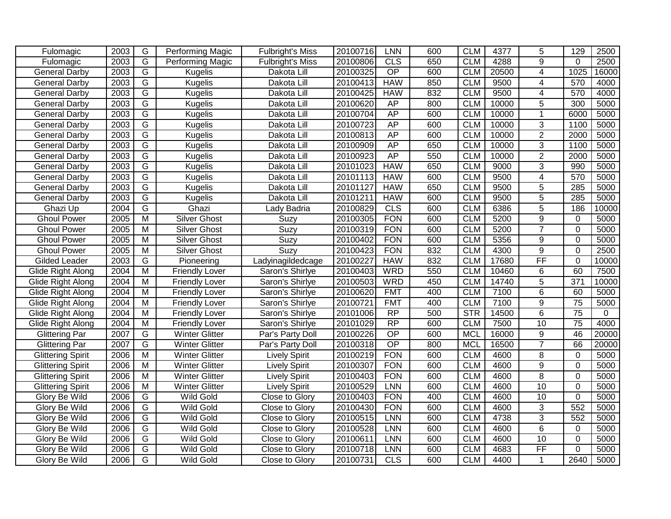| Fulomagic                | 2003 | G              | <b>Performing Magic</b> | <b>Fulbright's Miss</b> | 20100716 | <b>LNN</b>      | 600 | <b>CLM</b> | 4377  | 5               | 129             | 2500              |
|--------------------------|------|----------------|-------------------------|-------------------------|----------|-----------------|-----|------------|-------|-----------------|-----------------|-------------------|
| Fulomagic                | 2003 | $\overline{G}$ | Performing Magic        | <b>Fulbright's Miss</b> | 20100806 | CLS             | 650 | <b>CLM</b> | 4288  | $\overline{9}$  | $\Omega$        | 2500              |
| <b>General Darby</b>     | 2003 | G              | <b>Kugelis</b>          | Dakota Lill             | 20100325 | OP              | 600 | <b>CLM</b> | 20500 | $\overline{4}$  | 1025            | 16000             |
| <b>General Darby</b>     | 2003 | G              | <b>Kugelis</b>          | Dakota Lill             | 20100413 | <b>HAW</b>      | 850 | <b>CLM</b> | 9500  | 4               | 570             | 4000              |
| <b>General Darby</b>     | 2003 | G              | <b>Kugelis</b>          | Dakota Lill             | 20100425 | <b>HAW</b>      | 832 | <b>CLM</b> | 9500  | 4               | 570             | 4000              |
| <b>General Darby</b>     | 2003 | G              | <b>Kugelis</b>          | Dakota Lill             | 20100620 | AP              | 800 | <b>CLM</b> | 10000 | $\overline{5}$  | 300             | 5000              |
| <b>General Darby</b>     | 2003 | G              | <b>Kugelis</b>          | Dakota Lill             | 20100704 | AP              | 600 | <b>CLM</b> | 10000 |                 | 6000            | 5000              |
| <b>General Darby</b>     | 2003 | $\overline{G}$ | <b>Kugelis</b>          | Dakota Lill             | 20100723 | <b>AP</b>       | 600 | <b>CLM</b> | 10000 | $\overline{3}$  | 1100            | 5000              |
| <b>General Darby</b>     | 2003 | $\overline{G}$ | <b>Kugelis</b>          | Dakota Lill             | 20100813 | <b>AP</b>       | 600 | <b>CLM</b> | 10000 | $\overline{2}$  | 2000            | 5000              |
| <b>General Darby</b>     | 2003 | $\overline{G}$ | <b>Kugelis</b>          | Dakota Lill             | 20100909 | AP              | 650 | <b>CLM</b> | 10000 | 3               | 1100            | 5000              |
| <b>General Darby</b>     | 2003 | $\overline{G}$ | <b>Kugelis</b>          | Dakota Lill             | 20100923 | AP              | 550 | <b>CLM</b> | 10000 | $\overline{2}$  | 2000            | 5000              |
| <b>General Darby</b>     | 2003 | $\overline{G}$ | <b>Kugelis</b>          | Dakota Lill             | 20101023 | <b>HAW</b>      | 650 | <b>CLM</b> | 9000  | $\overline{3}$  | 990             | 5000              |
| <b>General Darby</b>     | 2003 | $\overline{G}$ | <b>Kugelis</b>          | Dakota Lill             | 20101113 | <b>HAW</b>      | 600 | <b>CLM</b> | 9500  | 4               | 570             | $\overline{50}00$ |
| <b>General Darby</b>     | 2003 | $\overline{G}$ | <b>Kugelis</b>          | Dakota Lill             | 20101127 | <b>HAW</b>      | 650 | <b>CLM</b> | 9500  | 5               | 285             | 5000              |
| <b>General Darby</b>     | 2003 | $\overline{G}$ | <b>Kugelis</b>          | Dakota Lill             | 20101211 | <b>HAW</b>      | 600 | <b>CLM</b> | 9500  | $\overline{5}$  | 285             | 5000              |
| Ghazi Up                 | 2004 | $\overline{G}$ | Ghazi                   | Lady Badria             | 20100829 | CLS             | 600 | <b>CLM</b> | 6386  | $\overline{5}$  | 186             | 10000             |
| <b>Ghoul Power</b>       | 2005 | $\overline{M}$ | <b>Silver Ghost</b>     | Suzy                    | 20100305 | <b>FON</b>      | 600 | <b>CLM</b> | 5200  | $\overline{9}$  | $\mathbf 0$     | 5000              |
| <b>Ghoul Power</b>       | 2005 | M              | <b>Silver Ghost</b>     | Suzy                    | 20100319 | <b>FON</b>      | 600 | <b>CLM</b> | 5200  | $\overline{7}$  | $\mathbf 0$     | 5000              |
| <b>Ghoul Power</b>       | 2005 | $\overline{M}$ | <b>Silver Ghost</b>     | Suzy                    | 20100402 | <b>FON</b>      | 600 | <b>CLM</b> | 5356  | $\overline{9}$  | $\overline{0}$  | 5000              |
| <b>Ghoul Power</b>       | 2005 | M              | <b>Silver Ghost</b>     | Suzy                    | 20100423 | <b>FON</b>      | 832 | <b>CLM</b> | 4300  | 9               | $\overline{0}$  | 2500              |
| Gilded Leader            | 2003 | G              | Pioneering              | Ladyinagildedcage       | 20100227 | <b>HAW</b>      | 832 | <b>CLM</b> | 17680 | $\overline{FF}$ | $\Omega$        | 10000             |
| Glide Right Along        | 2004 | M              | <b>Friendly Lover</b>   | Saron's Shirlye         | 20100403 | <b>WRD</b>      | 550 | <b>CLM</b> | 10460 | 6               | 60              | 7500              |
| Glide Right Along        | 2004 | M              | <b>Friendly Lover</b>   | Saron's Shirlye         | 20100503 | <b>WRD</b>      | 450 | <b>CLM</b> | 14740 | 5               | 371             | 10000             |
| Glide Right Along        | 2004 | M              | <b>Friendly Lover</b>   | Saron's Shirlye         | 20100620 | <b>FMT</b>      | 400 | <b>CLM</b> | 7100  | 6               | 60              | 5000              |
| Glide Right Along        | 2004 | M              | <b>Friendly Lover</b>   | Saron's Shirlye         | 20100721 | <b>FMT</b>      | 400 | <b>CLM</b> | 7100  | 9               | 75              | 5000              |
| Glide Right Along        | 2004 | M              | <b>Friendly Lover</b>   | Saron's Shirlye         | 20101006 | $\overline{RP}$ | 500 | <b>STR</b> | 14500 | 6               | $\overline{75}$ | $\Omega$          |
| Glide Right Along        | 2004 | M              | <b>Friendly Lover</b>   | Saron's Shirlye         | 20101029 | $\overline{RP}$ | 600 | <b>CLM</b> | 7500  | 10              | $\overline{75}$ | 4000              |
| <b>Glittering Par</b>    | 2007 | G              | <b>Winter Glitter</b>   | Par's Party Doll        | 20100226 | $\overline{OP}$ | 600 | <b>MCL</b> | 16000 | 9               | 46              | 20000             |
| <b>Glittering Par</b>    | 2007 | $\overline{G}$ | <b>Winter Glitter</b>   | Par's Party Doll        | 20100318 | $\overline{OP}$ | 800 | <b>MCL</b> | 16500 | $\overline{7}$  | 66              | 20000             |
| <b>Glittering Spirit</b> | 2006 | $\overline{M}$ | <b>Winter Glitter</b>   | <b>Lively Spirit</b>    | 20100219 | <b>FON</b>      | 600 | <b>CLM</b> | 4600  | 8               | 0               | 5000              |
| <b>Glittering Spirit</b> | 2006 | M              | <b>Winter Glitter</b>   | <b>Lively Spirit</b>    | 20100307 | <b>FON</b>      | 600 | <b>CLM</b> | 4600  | 9               | $\Omega$        | 5000              |
| <b>Glittering Spirit</b> | 2006 | M              | <b>Winter Glitter</b>   | <b>Lively Spirit</b>    | 20100403 | <b>FON</b>      | 600 | <b>CLM</b> | 4600  | $\overline{8}$  | $\mathbf 0$     | 5000              |
| <b>Glittering Spirit</b> | 2006 | M              | <b>Winter Glitter</b>   | <b>Lively Spirit</b>    | 20100529 | <b>LNN</b>      | 600 | <b>CLM</b> | 4600  | 10              | $\mathbf 0$     | 5000              |
| Glory Be Wild            | 2006 | $\overline{G}$ | <b>Wild Gold</b>        | Close to Glory          | 20100403 | <b>FON</b>      | 400 | <b>CLM</b> | 4600  | $\overline{10}$ | $\overline{0}$  | 5000              |
| Glory Be Wild            | 2006 | G              | Wild Gold               | Close to Glory          | 20100430 | <b>FON</b>      | 600 | <b>CLM</b> | 4600  | 3               | 552             | 5000              |
| Glory Be Wild            | 2006 | $\overline{G}$ | <b>Wild Gold</b>        | Close to Glory          | 20100515 | <b>LNN</b>      | 600 | <b>CLM</b> | 4738  | 3               | 552             | 5000              |
| Glory Be Wild            | 2006 | $\overline{G}$ | <b>Wild Gold</b>        | Close to Glory          | 20100528 | <b>LNN</b>      | 600 | <b>CLM</b> | 4600  | $\overline{6}$  | $\Omega$        | 5000              |
| Glory Be Wild            | 2006 | G              | <b>Wild Gold</b>        | Close to Glory          | 20100611 | <b>LNN</b>      | 600 | <b>CLM</b> | 4600  | 10              | $\Omega$        | 5000              |
| <b>Glory Be Wild</b>     | 2006 | G              | <b>Wild Gold</b>        | Close to Glory          | 20100718 | <b>LNN</b>      | 600 | <b>CLM</b> | 4683  | FF              | $\Omega$        | 5000              |
| Glory Be Wild            | 2006 | $\overline{G}$ | <b>Wild Gold</b>        | Close to Glory          | 20100731 | CLS             | 600 | <b>CLM</b> | 4400  | $\mathbf{1}$    | 2640            | 5000              |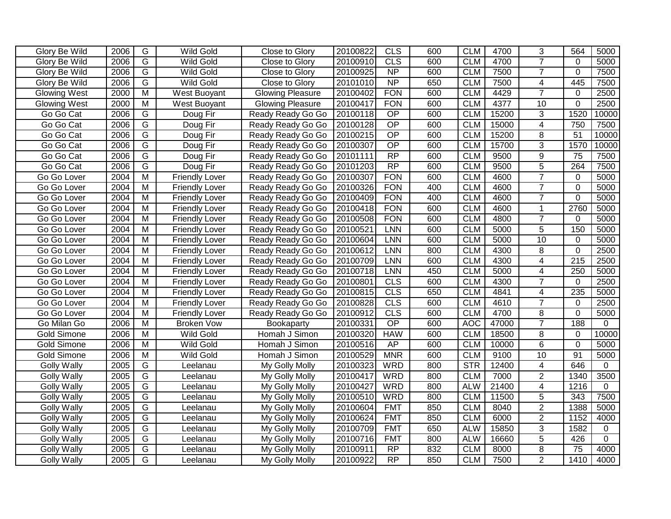| <b>Glory Be Wild</b> |              |                                                    | <b>Wild Gold</b>      |                                  |                      | <b>CLS</b>               | 600 | <b>CLM</b> | 4700  |                     | 564              |              |
|----------------------|--------------|----------------------------------------------------|-----------------------|----------------------------------|----------------------|--------------------------|-----|------------|-------|---------------------|------------------|--------------|
| Glory Be Wild        | 2006<br>2006 | G<br>G                                             | <b>Wild Gold</b>      | Close to Glory<br>Close to Glory | 20100822<br>20100910 | <b>CLS</b>               | 600 | <b>CLM</b> | 4700  | 3<br>$\overline{7}$ | $\Omega$         | 5000<br>5000 |
| <b>Glory Be Wild</b> | 2006         | G                                                  | <b>Wild Gold</b>      | Close to Glory                   | 20100925             | $\overline{NP}$          | 600 | <b>CLM</b> | 7500  | $\overline{7}$      | $\mathbf 0$      | 7500         |
|                      | 2006         | G                                                  |                       |                                  |                      | $\overline{NP}$          | 650 | <b>CLM</b> |       | 4                   | 445              | 7500         |
| <b>Glory Be Wild</b> |              |                                                    | <b>Wild Gold</b>      | Close to Glory                   | 20101010             |                          |     |            | 7500  |                     |                  |              |
| <b>Glowing West</b>  | 2000         | $\overline{\mathsf{M}}$<br>$\overline{\mathsf{M}}$ | West Buoyant          | <b>Glowing Pleasure</b>          | 20100402             | <b>FON</b><br><b>FON</b> | 600 | <b>CLM</b> | 4429  | $\overline{7}$      | $\mathbf 0$      | 2500<br>2500 |
| <b>Glowing West</b>  | 2000         |                                                    | West Buoyant          | <b>Glowing Pleasure</b>          | 20100417             |                          | 600 | <b>CLM</b> | 4377  | 10                  | $\mathbf 0$      |              |
| Go Go Cat            | 2006         | G                                                  | Doug Fir              | Ready Ready Go Go                | 20100118             | $\overline{OP}$          | 600 | <b>CLM</b> | 15200 | $\overline{3}$      | 1520             | 10000        |
| Go Go Cat            | 2006         | G                                                  | Doug Fir              | Ready Ready Go Go                | 20100128             | OP                       | 600 | <b>CLM</b> | 15000 | $\overline{4}$      | 750              | 7500         |
| Go Go Cat            | 2006         | G                                                  | Doug Fir              | Ready Ready Go Go                | 20100215             | $\overline{OP}$          | 600 | <b>CLM</b> | 15200 | 8                   | $\overline{51}$  | 10000        |
| Go Go Cat            | 2006         | G                                                  | Doug Fir              | Ready Ready Go Go                | 20100307             | $\overline{OP}$          | 600 | <b>CLM</b> | 15700 | $\overline{3}$      | 1570             | 10000        |
| Go Go Cat            | 2006         | G                                                  | Doug Fir              | Ready Ready Go Go                | 20101111             | $\overline{RP}$          | 600 | <b>CLM</b> | 9500  | $\overline{9}$      | 75               | 7500         |
| Go Go Cat            | 2006         | G                                                  | Doug Fir              | Ready Ready Go Go                | 20101203             | $\overline{RP}$          | 600 | <b>CLM</b> | 9500  | $\overline{5}$      | 264              | 7500         |
| Go Go Lover          | 2004         | M                                                  | <b>Friendly Lover</b> | Ready Ready Go Go                | 20100307             | <b>FON</b>               | 600 | <b>CLM</b> | 4600  | $\overline{7}$      | $\mathbf 0$      | 5000         |
| Go Go Lover          | 2004         | $\overline{\mathsf{M}}$                            | <b>Friendly Lover</b> | Ready Ready Go Go                | 20100326             | <b>FON</b>               | 400 | <b>CLM</b> | 4600  | $\overline{7}$      | $\mathbf 0$      | 5000         |
| Go Go Lover          | 2004         | M                                                  | <b>Friendly Lover</b> | Ready Ready Go Go                | 20100409             | <b>FON</b>               | 400 | <b>CLM</b> | 4600  | $\overline{7}$      | $\mathbf 0$      | 5000         |
| Go Go Lover          | 2004         | M                                                  | <b>Friendly Lover</b> | Ready Ready Go Go                | 20100418             | <b>FON</b>               | 600 | <b>CLM</b> | 4600  | 1                   | 2760             | 5000         |
| Go Go Lover          | 2004         | M                                                  | <b>Friendly Lover</b> | Ready Ready Go Go                | 20100508             | <b>FON</b>               | 600 | <b>CLM</b> | 4800  | $\overline{7}$      | $\Omega$         | 5000         |
| Go Go Lover          | 2004         | M                                                  | <b>Friendly Lover</b> | Ready Ready Go Go                | 20100521             | LNN                      | 600 | <b>CLM</b> | 5000  | $\overline{5}$      | 150              | 5000         |
| Go Go Lover          | 2004         | M                                                  | <b>Friendly Lover</b> | Ready Ready Go Go                | 20100604             | <b>LNN</b>               | 600 | <b>CLM</b> | 5000  | 10                  | $\mathbf 0$      | 5000         |
| Go Go Lover          | 2004         | $\overline{\mathsf{M}}$                            | <b>Friendly Lover</b> | Ready Ready Go Go                | 20100612             | LNN                      | 800 | <b>CLM</b> | 4300  | 8                   | $\overline{0}$   | 2500         |
| Go Go Lover          | 2004         | M                                                  | <b>Friendly Lover</b> | Ready Ready Go Go                | 20100709             | LNN                      | 600 | <b>CLM</b> | 4300  | 4                   | $\overline{215}$ | 2500         |
| Go Go Lover          | 2004         | M                                                  | <b>Friendly Lover</b> | Ready Ready Go Go                | 20100718             | LNN                      | 450 | <b>CLM</b> | 5000  | 4                   | 250              | 5000         |
| Go Go Lover          | 2004         | M                                                  | <b>Friendly Lover</b> | Ready Ready Go Go                | 20100801             | <b>CLS</b>               | 600 | <b>CLM</b> | 4300  | $\overline{7}$      | 0                | 2500         |
| Go Go Lover          | 2004         | M                                                  | <b>Friendly Lover</b> | Ready Ready Go Go                | 20100815             | CLS                      | 650 | <b>CLM</b> | 4841  | 4                   | 235              | 5000         |
| Go Go Lover          | 2004         | $\overline{\mathsf{M}}$                            | <b>Friendly Lover</b> | Ready Ready Go Go                | 20100828             | CLS                      | 600 | <b>CLM</b> | 4610  | $\overline{7}$      | $\mathbf 0$      | 2500         |
| Go Go Lover          | 2004         | M                                                  | <b>Friendly Lover</b> | Ready Ready Go Go                | 20100912             | CLS                      | 600 | <b>CLM</b> | 4700  | 8                   | $\overline{0}$   | 5000         |
| Go Milan Go          | 2006         | $\overline{\mathsf{M}}$                            | <b>Broken Vow</b>     | Bookaparty                       | 20100331             | $\overline{OP}$          | 600 | <b>AOC</b> | 47000 | $\overline{7}$      | 188              | $\Omega$     |
| <b>Gold Simone</b>   | 2006         | M                                                  | <b>Wild Gold</b>      | Homah J Simon                    | 20100320             | <b>HAW</b>               | 600 | <b>CLM</b> | 18500 | 8                   | 0                | 10000        |
| <b>Gold Simone</b>   | 2006         | M                                                  | <b>Wild Gold</b>      | Homah J Simon                    | 20100516             | AP                       | 600 | <b>CLM</b> | 10000 | 6                   | $\mathbf 0$      | 5000         |
| <b>Gold Simone</b>   | 2006         | M                                                  | <b>Wild Gold</b>      | Homah J Simon                    | 20100529             | <b>MNR</b>               | 600 | <b>CLM</b> | 9100  | 10                  | $\overline{91}$  | 5000         |
| <b>Golly Wally</b>   | 2005         | G                                                  | Leelanau              | My Golly Molly                   | 20100323             | <b>WRD</b>               | 800 | STR        | 12400 | $\overline{4}$      | 646              | $\mathbf{0}$ |
| <b>Golly Wally</b>   | 2005         | $\overline{G}$                                     | Leelanau              | My Golly Molly                   | 20100417             | <b>WRD</b>               | 800 | <b>CLM</b> | 7000  | $\overline{2}$      | 1340             | 3500         |
| <b>Golly Wally</b>   | 2005         | $\overline{G}$                                     | Leelanau              | My Golly Molly                   | 20100427             | <b>WRD</b>               | 800 | <b>ALW</b> | 21400 | 4                   | 1216             | $\Omega$     |
| <b>Golly Wally</b>   | 2005         | $\overline{G}$                                     | Leelanau              | My Golly Molly                   | 20100510             | <b>WRD</b>               | 800 | <b>CLM</b> | 11500 | 5                   | 343              | 7500         |
| <b>Golly Wally</b>   | 2005         | G                                                  | Leelanau              | My Golly Molly                   | 20100604             | <b>FMT</b>               | 850 | <b>CLM</b> | 8040  | $\overline{2}$      | 1388             | 5000         |
| <b>Golly Wally</b>   | 2005         | G                                                  | Leelanau              | My Golly Molly                   | 20100624             | <b>FMT</b>               | 850 | <b>CLM</b> | 6000  | $\overline{2}$      | 1152             | 4000         |
| <b>Golly Wally</b>   | 2005         | G                                                  | Leelanau              | My Golly Molly                   | 20100709             | <b>FMT</b>               | 650 | <b>ALW</b> | 15850 | 3                   | 1582             | 0            |
| <b>Golly Wally</b>   | 2005         | $\overline{G}$                                     | Leelanau              | My Golly Molly                   | 20100716             | <b>FMT</b>               | 800 | <b>ALW</b> | 16660 | $\overline{5}$      | 426              | $\mathbf 0$  |
| <b>Golly Wally</b>   | 2005         | G                                                  | Leelanau              | My Golly Molly                   | 20100911             | RP                       | 832 | <b>CLM</b> | 8000  | $\overline{8}$      | $\overline{75}$  | 4000         |
| <b>Golly Wally</b>   | 2005         | $\overline{G}$                                     | Leelanau              | My Golly Molly                   | 20100922             | RP                       | 850 | <b>CLM</b> | 7500  | $\overline{2}$      | 1410             | 4000         |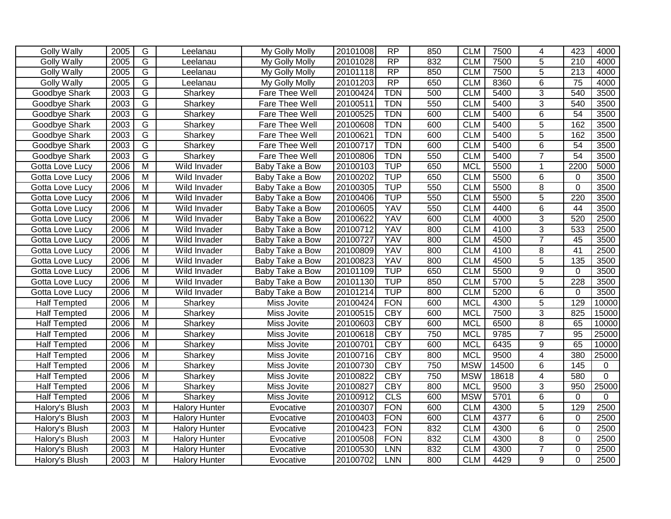| <b>Golly Wally</b>  | 2005 | G                       | Leelanau             | My Golly Molly  | 20101008 | RP              | 850 | <b>CLM</b> | 7500  | 4              | 423              | 4000           |
|---------------------|------|-------------------------|----------------------|-----------------|----------|-----------------|-----|------------|-------|----------------|------------------|----------------|
| <b>Golly Wally</b>  | 2005 | $\overline{G}$          | Leelanau             | My Golly Molly  | 20101028 | RP              | 832 | <b>CLM</b> | 7500  | 5              | 210              | 4000           |
| <b>Golly Wally</b>  | 2005 | $\overline{\mathsf{G}}$ | Leelanau             | My Golly Molly  | 20101118 | RP              | 850 | <b>CLM</b> | 7500  | $\overline{5}$ | $\overline{213}$ | 4000           |
| <b>Golly Wally</b>  | 2005 | $\overline{G}$          | Leelanau             | My Golly Molly  | 20101203 | $\overline{RP}$ | 650 | <b>CLM</b> | 8360  | $\overline{6}$ | 75               | 4000           |
| Goodbye Shark       | 2003 | $\overline{G}$          | Sharkey              | Fare Thee Well  | 20100424 | <b>TDN</b>      | 500 | <b>CLM</b> | 5400  | 3              | 540              | 3500           |
| Goodbye Shark       | 2003 | $\overline{G}$          | Sharkey              | Fare Thee Well  | 20100511 | <b>TDN</b>      | 550 | <b>CLM</b> | 5400  | 3              | 540              | 3500           |
| Goodbye Shark       | 2003 | G                       | Sharkey              | Fare Thee Well  | 20100525 | <b>TDN</b>      | 600 | <b>CLM</b> | 5400  | $\overline{6}$ | 54               | 3500           |
| Goodbye Shark       | 2003 | $\overline{\mathsf{G}}$ | Sharkey              | Fare Thee Well  | 20100608 | <b>TDN</b>      | 600 | <b>CLM</b> | 5400  | 5              | 162              | 3500           |
| Goodbye Shark       | 2003 | $\overline{G}$          | Sharkey              | Fare Thee Well  | 20100621 | <b>TDN</b>      | 600 | <b>CLM</b> | 5400  | 5              | 162              | 3500           |
| Goodbye Shark       | 2003 | $\overline{G}$          | Sharkey              | Fare Thee Well  | 20100717 | <b>TDN</b>      | 600 | <b>CLM</b> | 5400  | $\overline{6}$ | 54               | 3500           |
| Goodbye Shark       | 2003 | $\overline{G}$          | Sharkey              | Fare Thee Well  | 20100806 | <b>TDN</b>      | 550 | <b>CLM</b> | 5400  | $\overline{7}$ | $\overline{54}$  | 3500           |
| Gotta Love Lucy     | 2006 | $\overline{M}$          | Wild Invader         | Baby Take a Bow | 20100103 | <b>TUP</b>      | 650 | <b>MCL</b> | 5500  | $\mathbf{1}$   | 2200             | 5000           |
| Gotta Love Lucy     | 2006 | $\overline{M}$          | Wild Invader         | Baby Take a Bow | 20100202 | <b>TUP</b>      | 650 | <b>CLM</b> | 5500  | 6              | $\mathbf 0$      | 3500           |
| Gotta Love Lucy     | 2006 | $\overline{M}$          | Wild Invader         | Baby Take a Bow | 20100305 | <b>TUP</b>      | 550 | <b>CLM</b> | 5500  | 8              | 0                | 3500           |
| Gotta Love Lucy     | 2006 | M                       | Wild Invader         | Baby Take a Bow | 20100406 | <b>TUP</b>      | 550 | <b>CLM</b> | 5500  | 5              | 220              | 3500           |
| Gotta Love Lucy     | 2006 | M                       | Wild Invader         | Baby Take a Bow | 20100605 | <b>YAV</b>      | 550 | <b>CLM</b> | 4400  | 6              | 44               | 3500           |
| Gotta Love Lucy     | 2006 | M                       | Wild Invader         | Baby Take a Bow | 20100622 | <b>YAV</b>      | 600 | <b>CLM</b> | 4000  | $\overline{3}$ | 520              | 2500           |
| Gotta Love Lucy     | 2006 | $\overline{M}$          | Wild Invader         | Baby Take a Bow | 20100712 | <b>YAV</b>      | 800 | <b>CLM</b> | 4100  | 3              | 533              | 2500           |
| Gotta Love Lucy     | 2006 | $\overline{M}$          | Wild Invader         | Baby Take a Bow | 20100727 | <b>YAV</b>      | 800 | <b>CLM</b> | 4500  | $\overline{7}$ | $\overline{45}$  | 3500           |
| Gotta Love Lucy     | 2006 | $\overline{M}$          | Wild Invader         | Baby Take a Bow | 20100809 | <b>YAV</b>      | 800 | <b>CLM</b> | 4100  | 8              | $\overline{41}$  | 2500           |
| Gotta Love Lucy     | 2006 | $\overline{M}$          | Wild Invader         | Baby Take a Bow | 20100823 | YAV             | 800 | <b>CLM</b> | 4500  | $\overline{5}$ | 135              | 3500           |
| Gotta Love Lucy     | 2006 | M                       | Wild Invader         | Baby Take a Bow | 20101109 | <b>TUP</b>      | 650 | <b>CLM</b> | 5500  | 9              | $\Omega$         | 3500           |
| Gotta Love Lucy     | 2006 | $\overline{M}$          | Wild Invader         | Baby Take a Bow | 20101130 | <b>TUP</b>      | 850 | <b>CLM</b> | 5700  | $\overline{5}$ | 228              | 3500           |
| Gotta Love Lucy     | 2006 | $\overline{M}$          | Wild Invader         | Baby Take a Bow | 20101214 | <b>TUP</b>      | 800 | <b>CLM</b> | 5200  | 6              | $\mathbf 0$      | 3500           |
| <b>Half Tempted</b> | 2006 | $\overline{M}$          | Sharkey              | Miss Jovite     | 20100424 | <b>FON</b>      | 600 | <b>MCL</b> | 4300  | $\overline{5}$ | 129              | 10000          |
| <b>Half Tempted</b> | 2006 | $\overline{M}$          | Sharkey              | Miss Jovite     | 20100515 | <b>CBY</b>      | 600 | <b>MCL</b> | 7500  | $\overline{3}$ | 825              | 15000          |
| <b>Half Tempted</b> | 2006 | $\overline{M}$          | Sharkey              | Miss Jovite     | 20100603 | <b>CBY</b>      | 600 | <b>MCL</b> | 6500  | 8              | 65               | 10000          |
| <b>Half Tempted</b> | 2006 | M                       | Sharkey              | Miss Jovite     | 20100618 | <b>CBY</b>      | 750 | <b>MCL</b> | 9785  | $\overline{7}$ | 95               | 25000          |
| <b>Half Tempted</b> | 2006 | M                       | Sharkey              | Miss Jovite     | 20100701 | <b>CBY</b>      | 600 | <b>MCL</b> | 6435  | 9              | 65               | 10000          |
| <b>Half Tempted</b> | 2006 | $\overline{M}$          | Sharkey              | Miss Jovite     | 20100716 | <b>CBY</b>      | 800 | <b>MCL</b> | 9500  | 4              | 380              | 25000          |
| <b>Half Tempted</b> | 2006 | $\overline{M}$          | Sharkey              | Miss Jovite     | 20100730 | <b>CBY</b>      | 750 | <b>MSW</b> | 14500 | 6              | 145              | 0              |
| <b>Half Tempted</b> | 2006 | $\overline{M}$          | Sharkey              | Miss Jovite     | 20100822 | <b>CBY</b>      | 750 | <b>MSW</b> | 18618 | 4              | 580              | $\overline{0}$ |
| <b>Half Tempted</b> | 2006 | $\overline{M}$          | Sharkey              | Miss Jovite     | 20100827 | <b>CBY</b>      | 800 | <b>MCL</b> | 9500  | $\overline{3}$ | 950              | 25000          |
| <b>Half Tempted</b> | 2006 | $\overline{M}$          | Sharkey              | Miss Jovite     | 20100912 | CLS             | 600 | <b>MSW</b> | 5701  | 6              | $\mathbf 0$      | $\mathbf{0}$   |
| Halory's Blush      | 2003 | $\overline{M}$          | <b>Halory Hunter</b> | Evocative       | 20100307 | <b>FON</b>      | 600 | <b>CLM</b> | 4300  | 5              | 129              | 2500           |
| Halory's Blush      | 2003 | $\overline{M}$          | <b>Halory Hunter</b> | Evocative       | 20100403 | <b>FON</b>      | 600 | <b>CLM</b> | 4377  | $\overline{6}$ | $\mathbf 0$      | 2500           |
| Halory's Blush      | 2003 | $\overline{M}$          | <b>Halory Hunter</b> | Evocative       | 20100423 | <b>FON</b>      | 832 | <b>CLM</b> | 4300  | $\overline{6}$ | $\mathbf 0$      | 2500           |
| Halory's Blush      | 2003 | $\overline{M}$          | <b>Halory Hunter</b> | Evocative       | 20100508 | <b>FON</b>      | 832 | <b>CLM</b> | 4300  | $\overline{8}$ | $\mathbf 0$      | 2500           |
| Halory's Blush      | 2003 | $\overline{M}$          | <b>Halory Hunter</b> | Evocative       | 20100530 | LNN             | 832 | <b>CLM</b> | 4300  | $\overline{7}$ | 0                | 2500           |
| Halory's Blush      | 2003 | M                       | <b>Halory Hunter</b> | Evocative       | 20100702 | <b>LNN</b>      | 800 | <b>CLM</b> | 4429  | $\overline{9}$ | $\Omega$         | 2500           |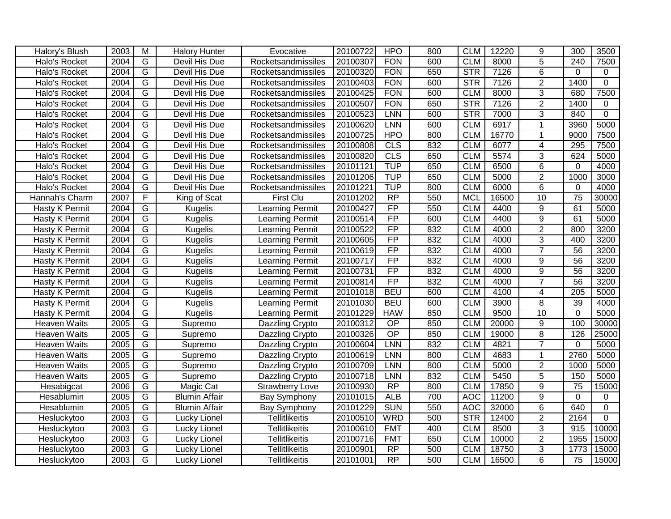| Halory's Blush      | 2003 | M              | <b>Halory Hunter</b> | Evocative              | 20100722 | <b>HPO</b>      | 800 | <b>CLM</b> | 12220 | 9               | 300             | 3500        |
|---------------------|------|----------------|----------------------|------------------------|----------|-----------------|-----|------------|-------|-----------------|-----------------|-------------|
| Halo's Rocket       | 2004 | G              | Devil His Due        | Rocketsandmissiles     | 20100307 | <b>FON</b>      | 600 | <b>CLM</b> | 8000  | $\overline{5}$  | 240             | 7500        |
| Halo's Rocket       | 2004 | $\overline{G}$ | <b>Devil His Due</b> | Rocketsandmissiles     | 20100320 | <b>FON</b>      | 650 | <b>STR</b> | 7126  | $\overline{6}$  | 0               | $\Omega$    |
| Halo's Rocket       | 2004 | $\overline{G}$ | Devil His Due        | Rocketsandmissiles     | 20100403 | <b>FON</b>      | 600 | <b>STR</b> | 7126  | $\overline{2}$  | 1400            | $\mathbf 0$ |
| Halo's Rocket       | 2004 | $\overline{G}$ | Devil His Due        | Rocketsandmissiles     | 20100425 | <b>FON</b>      | 600 | <b>CLM</b> | 8000  | $\overline{3}$  | 680             | 7500        |
| Halo's Rocket       | 2004 | G              | <b>Devil His Due</b> | Rocketsandmissiles     | 20100507 | <b>FON</b>      | 650 | <b>STR</b> | 7126  | $\overline{2}$  | 1400            | $\Omega$    |
| Halo's Rocket       | 2004 | G              | <b>Devil His Due</b> | Rocketsandmissiles     | 20100523 | <b>LNN</b>      | 600 | STR        | 7000  | 3               | 840             | $\Omega$    |
| Halo's Rocket       | 2004 | G              | Devil His Due        | Rocketsandmissiles     | 20100620 | <b>LNN</b>      | 600 | <b>CLM</b> | 6917  | $\mathbf 1$     | 3960            | 5000        |
| Halo's Rocket       | 2004 | $\overline{G}$ | Devil His Due        | Rocketsandmissiles     | 20100725 | <b>HPO</b>      | 800 | <b>CLM</b> | 16770 | -1              | 9000            | 7500        |
| Halo's Rocket       | 2004 | G              | Devil His Due        | Rocketsandmissiles     | 20100808 | <b>CLS</b>      | 832 | <b>CLM</b> | 6077  | 4               | 295             | 7500        |
| Halo's Rocket       | 2004 | G              | Devil His Due        | Rocketsandmissiles     | 20100820 | CLS             | 650 | <b>CLM</b> | 5574  | 3               | 624             | 5000        |
| Halo's Rocket       | 2004 | G              | Devil His Due        | Rocketsandmissiles     | 20101121 | <b>TUP</b>      | 650 | <b>CLM</b> | 6500  | 6               | $\mathbf 0$     | 4000        |
| Halo's Rocket       | 2004 | G              | Devil His Due        | Rocketsandmissiles     | 20101206 | <b>TUP</b>      | 650 | <b>CLM</b> | 5000  | $\overline{2}$  | 1000            | 3000        |
| Halo's Rocket       | 2004 | G              | Devil His Due        | Rocketsandmissiles     | 20101221 | <b>TUP</b>      | 800 | <b>CLM</b> | 6000  | 6               | 0               | 4000        |
| Hannah's Charm      | 2007 | F              | King of Scat         | <b>First Clu</b>       | 20101202 | RP              | 550 | <b>MCL</b> | 16500 | 10              | 75              | 30000       |
| Hasty K Permit      | 2004 | G              | <b>Kugelis</b>       | Learning Permit        | 20100427 | FP              | 550 | <b>CLM</b> | 4400  | 9               | 61              | 5000        |
| Hasty K Permit      | 2004 | $\overline{G}$ | <b>Kugelis</b>       | Learning Permit        | 20100514 | FP              | 600 | <b>CLM</b> | 4400  | $\overline{9}$  | 61              | 5000        |
| Hasty K Permit      | 2004 | $\overline{G}$ | <b>Kugelis</b>       | Learning Permit        | 20100522 | FP              | 832 | <b>CLM</b> | 4000  | $\overline{2}$  | 800             | 3200        |
| Hasty K Permit      | 2004 | $\overline{G}$ | <b>Kugelis</b>       | Learning Permit        | 20100605 | FP              | 832 | <b>CLM</b> | 4000  | $\overline{3}$  | 400             | 3200        |
| Hasty K Permit      | 2004 | $\overline{G}$ | <b>Kugelis</b>       | Learning Permit        | 20100619 | FP              | 832 | <b>CLM</b> | 4000  | $\overline{7}$  | $\overline{56}$ | 3200        |
| Hasty K Permit      | 2004 | G              | <b>Kugelis</b>       | Learning Permit        | 20100717 | <b>FP</b>       | 832 | <b>CLM</b> | 4000  | 9               | 56              | 3200        |
| Hasty K Permit      | 2004 | G              | <b>Kugelis</b>       | Learning Permit        | 20100731 | FP              | 832 | <b>CLM</b> | 4000  | 9               | 56              | 3200        |
| Hasty K Permit      | 2004 | $\overline{G}$ | <b>Kugelis</b>       | <b>Learning Permit</b> | 20100814 | FP              | 832 | <b>CLM</b> | 4000  | $\overline{7}$  | $\overline{56}$ | 3200        |
| Hasty K Permit      | 2004 | $\overline{G}$ | <b>Kugelis</b>       | Learning Permit        | 20101018 | <b>BEU</b>      | 600 | <b>CLM</b> | 4100  | 4               | 205             | 5000        |
| Hasty K Permit      | 2004 | $\overline{G}$ | <b>Kugelis</b>       | <b>Learning Permit</b> | 20101030 | <b>BEU</b>      | 600 | <b>CLM</b> | 3900  | $\overline{8}$  | 39              | 4000        |
| Hasty K Permit      | 2004 | $\overline{G}$ | <b>Kugelis</b>       | Learning Permit        | 20101229 | <b>HAW</b>      | 850 | <b>CLM</b> | 9500  | $\overline{10}$ | $\Omega$        | 5000        |
| Heaven Waits        | 2005 | $\overline{G}$ | Supremo              | Dazzling Crypto        | 20100312 | $\overline{OP}$ | 850 | <b>CLM</b> | 20000 | 9               | 100             | 30000       |
| <b>Heaven Waits</b> | 2005 | G              | Supremo              | Dazzling Crypto        | 20100326 | $\overline{OP}$ | 850 | <b>CLM</b> | 19000 | 8               | 126             | 25000       |
| <b>Heaven Waits</b> | 2005 | G              | Supremo              | Dazzling Crypto        | 20100604 | <b>LNN</b>      | 832 | <b>CLM</b> | 4821  | $\overline{7}$  | 0               | 5000        |
| <b>Heaven Waits</b> | 2005 | $\overline{G}$ | Supremo              | Dazzling Crypto        | 20100619 | LNN             | 800 | <b>CLM</b> | 4683  | $\mathbf{1}$    | 2760            | 5000        |
| <b>Heaven Waits</b> | 2005 | $\overline{G}$ | Supremo              | Dazzling Crypto        | 20100709 | <b>LNN</b>      | 800 | <b>CLM</b> | 5000  | $\overline{2}$  | 1000            | 5000        |
| <b>Heaven Waits</b> | 2005 | $\overline{G}$ | Supremo              | Dazzling Crypto        | 20100718 | <b>LNN</b>      | 832 | <b>CLM</b> | 5450  | $\overline{5}$  | 150             | 5000        |
| Hesabigcat          | 2006 | $\overline{G}$ | Magic Cat            | <b>Strawberry Love</b> | 20100930 | RP              | 800 | <b>CLM</b> | 17850 | $\overline{9}$  | 75              | 15000       |
| Hesablumin          | 2005 | $\overline{G}$ | <b>Blumin Affair</b> | Bay Symphony           | 20101015 | <b>ALB</b>      | 700 | <b>AOC</b> | 11200 | 9               | $\mathbf 0$     | 0           |
| Hesablumin          | 2005 | G              | <b>Blumin Affair</b> | Bay Symphony           | 20101229 | <b>SUN</b>      | 550 | <b>AOC</b> | 32000 | 6               | 640             | $\mathbf 0$ |
| Hesluckytoo         | 2003 | G              | Lucky Lionel         | <b>Tellitlikeitis</b>  | 20100510 | <b>WRD</b>      | 500 | <b>STR</b> | 12400 | $\overline{2}$  | 2164            | $\mathbf 0$ |
| Hesluckytoo         | 2003 | G              | <b>Lucky Lionel</b>  | <b>Tellitlikeitis</b>  | 20100610 | <b>FMT</b>      | 400 | <b>CLM</b> | 8500  | 3               | 915             | 10000       |
| Hesluckytoo         | 2003 | $\overline{G}$ | Lucky Lionel         | <b>Tellitlikeitis</b>  | 20100716 | <b>FMT</b>      | 650 | <b>CLM</b> | 10000 | $\overline{2}$  | 1955            | 15000       |
| Hesluckytoo         | 2003 | G              | Lucky Lionel         | <b>Tellitlikeitis</b>  | 20100901 | $\overline{RP}$ | 500 | <b>CLM</b> | 18750 | 3               | 1773            | 15000       |
| Hesluckytoo         | 2003 | $\overline{G}$ | Lucky Lionel         | <b>Tellitlikeitis</b>  | 20101001 | $\overline{RP}$ | 500 | <b>CLM</b> | 16500 | 6               | 75              | 15000       |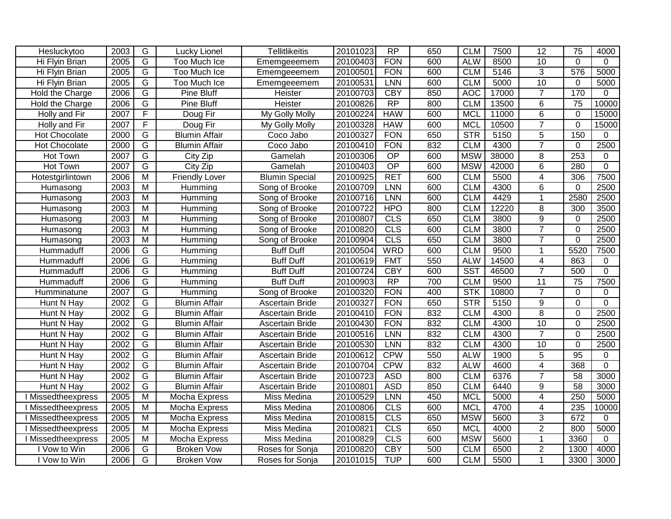| Hesluckytoo               | 2003 | G                       | Lucky Lionel           | <b>Tellitlikeitis</b> | 20101023 | $\overline{RP}$ | 650 | <b>CLM</b> | 7500  | 12              | 75              | 4000         |
|---------------------------|------|-------------------------|------------------------|-----------------------|----------|-----------------|-----|------------|-------|-----------------|-----------------|--------------|
| Hi Flyin Brian            | 2005 | $\overline{G}$          | Too Much Ice           | Ememgeeemem           | 20100403 | <b>FON</b>      | 600 | <b>ALW</b> | 8500  | 10              | $\Omega$        | $\Omega$     |
| Hi Flyin Brian            | 2005 | $\overline{G}$          | <b>Too Much Ice</b>    | Ememgeeemem           | 20100501 | <b>FON</b>      | 600 | <b>CLM</b> | 5146  | $\overline{3}$  | 576             | 5000         |
| Hi Flyin Brian            | 2005 | $\overline{G}$          | Too Much Ice           | Ememgeeemem           | 20100531 | <b>LNN</b>      | 600 | <b>CLM</b> | 5000  | 10              | $\mathbf 0$     | 5000         |
| Hold the Charge           | 2006 | G                       | <b>Pine Bluff</b>      | <b>Heister</b>        | 20100703 | <b>CBY</b>      | 850 | <b>AOC</b> | 17000 | $\overline{7}$  | 170             | $\Omega$     |
| Hold the Charge           | 2006 | G                       | <b>Pine Bluff</b>      | Heister               | 20100826 | $\overline{RP}$ | 800 | <b>CLM</b> | 13500 | 6               | $\overline{75}$ | 10000        |
| Holly and Fir             | 2007 | F                       | Doug Fir               | My Golly Molly        | 20100224 | <b>HAW</b>      | 600 | <b>MCL</b> | 11000 | $\overline{6}$  | $\Omega$        | 15000        |
| Holly and Fir             | 2007 | F                       | Doug Fir               | My Golly Molly        | 20100328 | <b>HAW</b>      | 600 | <b>MCL</b> | 10500 | $\overline{7}$  | $\mathbf 0$     | 15000        |
| Hot Chocolate             | 2000 | G                       | <b>Blumin Affair</b>   | Coco Jabo             | 20100327 | <b>FON</b>      | 650 | STR        | 5150  | $\overline{5}$  | 150             | $\mathbf{0}$ |
| Hot Chocolate             | 2000 | $\overline{G}$          | <b>Blumin Affair</b>   | Coco Jabo             | 20100410 | <b>FON</b>      | 832 | <b>CLM</b> | 4300  | $\overline{7}$  | $\mathbf 0$     | 2500         |
| Hot Town                  | 2007 | $\overline{G}$          | City Zip               | Gamelah               | 20100306 | $\overline{OP}$ | 600 | <b>MSW</b> | 38000 | 8               | 253             | $\mathbf 0$  |
| Hot Town                  | 2007 | $\overline{G}$          | $\overline{C}$ ity Zip | Gamelah               | 20100403 | $\overline{OP}$ | 600 | <b>MSW</b> | 42000 | 6               | 280             | $\Omega$     |
| Hotestgirlintown          | 2006 | M                       | <b>Friendly Lover</b>  | <b>Blumin Special</b> | 20100925 | <b>RET</b>      | 600 | <b>CLM</b> | 5500  | 4               | 306             | 7500         |
| Humasong                  | 2003 | M                       | Humming                | Song of Brooke        | 20100709 | LNN             | 600 | <b>CLM</b> | 4300  | 6               | 0               | 2500         |
| Humasong                  | 2003 | $\overline{M}$          | Humming                | Song of Brooke        | 20100716 | LNN             | 600 | <b>CLM</b> | 4429  | $\mathbf{1}$    | 2580            | 2500         |
| Humasong                  | 2003 | M                       | Humming                | Song of Brooke        | 20100722 | <b>HPO</b>      | 800 | <b>CLM</b> | 12220 | 8               | 300             | 3500         |
| Humasong                  | 2003 | $\overline{M}$          | Humming                | Song of Brooke        | 20100807 | CLS             | 650 | <b>CLM</b> | 3800  | $\overline{9}$  | $\mathbf 0$     | 2500         |
| Humasong                  | 2003 | $\overline{M}$          | Humming                | Song of Brooke        | 20100820 | CLS             | 600 | <b>CLM</b> | 3800  | $\overline{7}$  | $\mathbf 0$     | 2500         |
| Humasong                  | 2003 | $\overline{M}$          | Humming                | Song of Brooke        | 20100904 | CLS             | 650 | <b>CLM</b> | 3800  | $\overline{7}$  | $\Omega$        | 2500         |
| Hummaduff                 | 2006 | G                       | Humming                | <b>Buff Duff</b>      | 20100504 | <b>WRD</b>      | 600 | <b>CLM</b> | 9500  | 1               | 5520            | 7500         |
| Hummaduff                 | 2006 | G                       | Humming                | <b>Buff Duff</b>      | 20100619 | <b>FMT</b>      | 550 | <b>ALW</b> | 14500 | 4               | 863             | 0            |
| Hummaduff                 | 2006 | $\overline{G}$          | Humming                | <b>Buff Duff</b>      | 20100724 | <b>CBY</b>      | 600 | <b>SST</b> | 46500 | $\overline{7}$  | 500             | $\mathbf 0$  |
| Hummaduff                 | 2006 | $\overline{G}$          | Humming                | <b>Buff Duff</b>      | 20100903 | RP              | 700 | <b>CLM</b> | 9500  | $\overline{11}$ | $\overline{75}$ | 7500         |
| Humminatune               | 2007 | $\overline{G}$          | Humming                | Song of Brooke        | 20100320 | <b>FON</b>      | 400 | STK        | 10800 | $\overline{7}$  | $\mathbf 0$     | $\Omega$     |
| Hunt N Hay                | 2002 | G                       | <b>Blumin Affair</b>   | Ascertain Bride       | 20100327 | <b>FON</b>      | 650 | <b>STR</b> | 5150  | 9               | $\mathbf 0$     | $\mathbf 0$  |
| Hunt N Hay                | 2002 | G                       | <b>Blumin Affair</b>   | Ascertain Bride       | 20100410 | <b>FON</b>      | 832 | <b>CLM</b> | 4300  | 8               | $\Omega$        | 2500         |
| Hunt N Hay                | 2002 | $\overline{G}$          | <b>Blumin Affair</b>   | Ascertain Bride       | 20100430 | <b>FON</b>      | 832 | <b>CLM</b> | 4300  | 10              | $\Omega$        | 2500         |
| Hunt N Hay                | 2002 | G                       | <b>Blumin Affair</b>   | Ascertain Bride       | 20100516 | <b>LNN</b>      | 832 | <b>CLM</b> | 4300  | $\overline{7}$  | $\Omega$        | 2500         |
| Hunt N Hay                | 2002 | $\overline{G}$          | <b>Blumin Affair</b>   | Ascertain Bride       | 20100530 | <b>LNN</b>      | 832 | <b>CLM</b> | 4300  | $\overline{10}$ | $\Omega$        | 2500         |
| Hunt N Hay                | 2002 | $\overline{G}$          | <b>Blumin Affair</b>   | Ascertain Bride       | 20100612 | <b>CPW</b>      | 550 | <b>ALW</b> | 1900  | $\overline{5}$  | 95              | $\mathbf 0$  |
| Hunt N Hay                | 2002 | $\overline{G}$          | <b>Blumin Affair</b>   | Ascertain Bride       | 20100704 | <b>CPW</b>      | 832 | <b>ALW</b> | 4600  | $\overline{4}$  | 368             | $\mathbf 0$  |
| Hunt N Hay                | 2002 | $\overline{G}$          | <b>Blumin Affair</b>   | Ascertain Bride       | 20100723 | <b>ASD</b>      | 800 | <b>CLM</b> | 6376  | $\overline{7}$  | 58              | 3000         |
| Hunt N Hay                | 2002 | $\overline{G}$          | <b>Blumin Affair</b>   | Ascertain Bride       | 20100801 | <b>ASD</b>      | 850 | <b>CLM</b> | 6440  | 9               | $\overline{58}$ | 3000         |
| <b>Missedtheexpress</b>   | 2005 | $\overline{M}$          | Mocha Express          | Miss Medina           | 20100529 | <b>LNN</b>      | 450 | <b>MCL</b> | 5000  | $\overline{4}$  | 250             | 5000         |
| I Missedtheexpress        | 2005 | $\overline{M}$          | Mocha Express          | Miss Medina           | 20100806 | CLS             | 600 | <b>MCL</b> | 4700  | 4               | 235             | 10000        |
| <b>Missedtheexpress</b>   | 2005 | $\overline{M}$          | Mocha Express          | Miss Medina           | 20100815 | CLS             | 650 | <b>MSW</b> | 5600  | 3               | 672             | $\Omega$     |
| <b>I Missedtheexpress</b> | 2005 | $\overline{M}$          | Mocha Express          | Miss Medina           | 20100821 | CLS             | 650 | <b>MCL</b> | 4000  | $\overline{2}$  | 800             | 5000         |
| <b>TMissedtheexpress</b>  | 2005 | $\overline{\mathsf{M}}$ | Mocha Express          | Miss Medina           | 20100829 | CLS             | 600 | <b>MSW</b> | 5600  | 1               | 3360            | $\mathbf 0$  |
| I Vow to Win              | 2006 | G                       | <b>Broken Vow</b>      | Roses for Sonja       | 20100820 | <b>CBY</b>      | 500 | <b>CLM</b> | 6500  | $\overline{2}$  | 1300            | 4000         |
| I Vow to Win              | 2006 | $\overline{G}$          | <b>Broken Vow</b>      | Roses for Sonja       | 20101015 | <b>TUP</b>      | 600 | <b>CLM</b> | 5500  | 1               | 3300            | 3000         |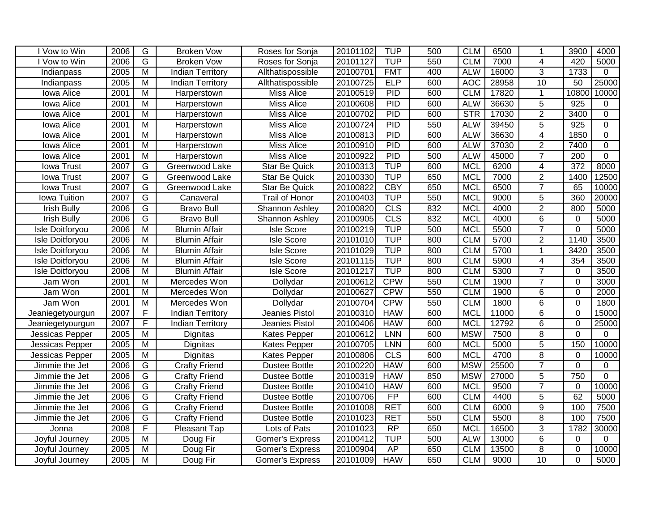| 2006<br><b>Broken Vow</b><br>20101102<br>6500<br>Roses for Sonja<br>1<br>G<br><b>TUP</b><br>2006<br><b>Broken Vow</b><br>20101127<br>550<br><b>CLM</b><br>7000<br>4<br>420<br>5000<br>Vow to Win<br>Roses for Sonja<br>$\overline{3}$<br>$\overline{M}$<br><b>FMT</b><br>400<br>16000<br>1733<br>2005<br>20100701<br><b>ALW</b><br><b>Indian Territory</b><br>Allthatispossible<br>Indianpass<br>$\Omega$<br>20100725<br><b>ELP</b><br>600<br>AOC<br>28958<br>10<br>50<br>25000<br>2005<br>$\overline{M}$<br><b>Indian Territory</b><br>Allthatispossible<br>Indianpass<br>$\overline{M}$<br>PID<br><b>CLM</b><br>17820<br>10800<br>10000<br>2001<br>20100519<br>600<br>Iowa Alice<br><b>Miss Alice</b><br>$\mathbf{1}$<br>Harperstown<br>PID<br><b>ALW</b><br>$\overline{5}$<br>925<br>2001<br>$\overline{\mathsf{M}}$<br><b>Miss Alice</b><br>20100608<br>600<br>36630<br>0<br>Iowa Alice<br>Harperstown<br>PID<br><b>STR</b><br>$\overline{2}$<br>20100702<br>600<br>Iowa Alice<br>2001<br>M<br><b>Miss Alice</b><br>17030<br>3400<br>0<br>Harperstown<br>PID<br>550<br>$\overline{5}$<br>925<br>2001<br>$\overline{\mathsf{M}}$<br>20100724<br><b>ALW</b><br>39450<br>$\overline{0}$<br>Iowa Alice<br><b>Miss Alice</b><br>Harperstown<br>PID<br>600<br><b>ALW</b><br>$\overline{4}$<br>2001<br>M<br>20100813<br>36630<br>1850<br>$\mathbf 0$<br>Iowa Alice<br>Harperstown<br><b>Miss Alice</b><br>$\overline{2}$<br>M<br>PID<br>600<br><b>ALW</b><br>37030<br>7400<br>$\overline{0}$<br>Iowa Alice<br>2001<br>Miss Alice<br>20100910<br>Harperstown<br>$\overline{7}$<br>PID<br>$\overline{M}$<br>20100922<br>500<br><b>ALW</b><br>45000<br>$\overline{200}$<br>$\mathbf 0$<br>Iowa Alice<br>2001<br><b>Miss Alice</b><br>Harperstown<br>G<br><b>TUP</b><br>$\overline{372}$<br>2007<br>600<br><b>MCL</b><br>6200<br>$\overline{4}$<br>8000<br><b>lowa Trust</b><br>Greenwood Lake<br><b>Star Be Quick</b><br>20100313<br>G<br><b>TUP</b><br>$\overline{2}$<br>2007<br>20100330<br>650<br><b>MCL</b><br>7000<br>1400<br>12500<br><b>lowa Trust</b><br>Greenwood Lake<br><b>Star Be Quick</b><br>G<br><b>CBY</b><br>2007<br>20100822<br>650<br><b>MCL</b><br>6500<br>$\overline{7}$<br>65<br>10000<br><b>lowa Trust</b><br>Greenwood Lake<br><b>Star Be Quick</b><br>$\overline{G}$<br><b>TUP</b><br>550<br>2007<br>20100403<br>5<br>360<br>20000<br>Iowa Tuition<br><b>Trail of Honor</b><br><b>MCL</b><br>9000<br>Canaveral<br>$\overline{2}$<br>$\overline{G}$<br>CLS<br>2006<br>20100820<br>832<br><b>MCL</b><br>4000<br>800<br>5000<br><b>Irish Bully</b><br><b>Bravo Bull</b><br>Shannon Ashley<br>G<br>$\overline{6}$<br>CLS<br>832<br><b>Irish Bully</b><br>2006<br><b>Bravo Bull</b><br>20100905<br><b>MCL</b><br>4000<br>5000<br>Shannon Ashley<br>0<br>$\overline{7}$<br><b>TUP</b><br>2006<br>M<br><b>Blumin Affair</b><br><b>Isle Score</b><br>20100219<br>500<br><b>MCL</b><br>5500<br>$\mathbf 0$<br>5000<br>Isle Doitforyou<br>$\overline{M}$<br><b>TUP</b><br><b>CLM</b><br>$\overline{2}$<br>1140<br>2006<br>20101010<br>800<br>5700<br>3500<br><b>Blumin Affair</b><br><b>Isle Score</b><br>Isle Doitforyou<br><b>TUP</b><br>20101029<br><b>CLM</b><br>5700<br>3420<br>3500<br>2006<br>M<br><b>Blumin Affair</b><br><b>Isle Score</b><br>800<br>1<br>Isle Doitforyou<br><b>TUP</b><br>2006<br>$\overline{M}$<br><b>Blumin Affair</b><br>20101115<br>800<br><b>CLM</b><br>354<br>3500<br>Isle Doitforyou<br><b>Isle Score</b><br>5900<br>4<br><b>TUP</b><br>800<br><b>CLM</b><br>$\overline{7}$<br>2006<br>M<br><b>Blumin Affair</b><br><b>Isle Score</b><br>20101217<br>5300<br>3500<br>$\Omega$<br>Isle Doitforyou<br>$\overline{7}$<br><b>CPW</b><br>550<br><b>CLM</b><br>2001<br>M<br>20100612<br>1900<br>3000<br>Jam Won<br>Mercedes Won<br>$\Omega$<br>Dollydar<br><b>CPW</b><br>550<br><b>CLM</b><br>6<br>Jam Won<br>2001<br>M<br>Mercedes Won<br>Dollydar<br>20100627<br>1900<br>$\mathbf 0$<br>2000<br>$\overline{M}$<br><b>CPW</b><br>550<br><b>CLM</b><br>6<br>Jam Won<br>2001<br>Mercedes Won<br>Dollydar<br>20100704<br>1800<br>$\Omega$<br>1800<br>F<br>$\overline{6}$<br>2007<br>20100310<br><b>HAW</b><br>600<br><b>MCL</b><br>11000<br>$\Omega$<br>15000<br>Jeanies Pistol<br><b>Indian Territory</b><br>Jeaniegetyourgun<br>F<br>2007<br><b>HAW</b><br>600<br><b>MCL</b><br>12792<br>6<br>$\mathbf 0$<br>25000<br>Jeanies Pistol<br>20100406<br><b>Indian Territory</b><br>Jeaniegetyourgun<br>$\overline{8}$<br>$\overline{M}$<br><b>MSW</b><br>$\overline{0}$<br>2005<br>20100612<br>LNN<br>600<br>7500<br>$\mathbf 0$<br>Jessicas Pepper<br>Dignitas<br>Kates Pepper<br>600<br>5<br>2005<br>M<br>20100705<br><b>LNN</b><br>5000<br>150<br>10000<br>Dignitas<br><b>Kates Pepper</b><br><b>MCL</b><br>Jessicas Pepper<br>$\overline{8}$<br>$\overline{M}$<br>CLS<br><b>MCL</b><br>4700<br>2005<br>20100806<br>600<br>$\mathbf 0$<br>10000<br>Jessicas Pepper<br>Dignitas<br><b>Kates Pepper</b><br>$\overline{7}$<br>G<br><b>HAW</b><br><b>MSW</b><br>25500<br>2006<br><b>Crafty Friend</b><br><b>Dustee Bottle</b><br>20100220<br>600<br>$\Omega$<br>0<br>Jimmie the Jet<br>$\overline{5}$<br>G<br>750<br>20100319<br><b>HAW</b><br>850<br><b>MSW</b><br>27000<br>$\mathbf 0$<br>Jimmie the Jet<br>2006<br><b>Crafty Friend</b><br><b>Dustee Bottle</b><br>$\overline{7}$<br>G<br>20100410<br><b>HAW</b><br>600<br>10000<br>2006<br><b>MCL</b><br>9500<br>$\mathbf 0$<br><b>Crafty Friend</b><br><b>Dustee Bottle</b><br>Jimmie the Jet<br>62<br>G<br>FP<br><b>CLM</b><br>5<br>2006<br>20100706<br>600<br>4400<br>5000<br><b>Crafty Friend</b><br><b>Dustee Bottle</b><br>Jimmie the Jet<br>$\overline{9}$<br>G<br><b>RET</b><br>600<br><b>CLM</b><br>100<br>2006<br>20101008<br>6000<br>7500<br>Jimmie the Jet<br><b>Crafty Friend</b><br><b>Dustee Bottle</b><br>$\overline{G}$<br>$\overline{8}$<br>2006<br>20101023<br><b>RET</b><br>550<br><b>CLM</b><br>5500<br>7500<br>Crafty Friend<br>100<br>Jimmie the Jet<br><b>Dustee Bottle</b><br>F<br>$\overline{3}$<br>RP<br>650<br>2008<br>Pleasant Tap<br>20101023<br><b>MCL</b><br>16500<br>1782<br>30000<br>Lots of Pats<br>Jonna<br><b>TUP</b><br>$\overline{6}$<br>2005<br>$\overline{M}$<br>20100412<br>500<br><b>ALW</b><br>13000<br>Doug Fir<br>$\Omega$<br>$\Omega$<br>Joyful Journey<br>Gomer's Express<br>$\overline{8}$<br><b>AP</b><br>650<br><b>CLM</b><br>10000<br>2005<br>$\overline{M}$<br>Doug Fir<br>20100904<br>13500<br>$\mathbf 0$<br>Joyful Journey<br><b>Gomer's Express</b><br><b>HAW</b><br>650<br><b>CLM</b><br>10<br>$\Omega$<br>5000<br>2005<br>$\overline{M}$<br>20101009<br>9000<br>Doug Fir<br><b>Gomer's Express</b><br>Joyful Journey |              |   |  |            |     |            |  |      |      |
|--------------------------------------------------------------------------------------------------------------------------------------------------------------------------------------------------------------------------------------------------------------------------------------------------------------------------------------------------------------------------------------------------------------------------------------------------------------------------------------------------------------------------------------------------------------------------------------------------------------------------------------------------------------------------------------------------------------------------------------------------------------------------------------------------------------------------------------------------------------------------------------------------------------------------------------------------------------------------------------------------------------------------------------------------------------------------------------------------------------------------------------------------------------------------------------------------------------------------------------------------------------------------------------------------------------------------------------------------------------------------------------------------------------------------------------------------------------------------------------------------------------------------------------------------------------------------------------------------------------------------------------------------------------------------------------------------------------------------------------------------------------------------------------------------------------------------------------------------------------------------------------------------------------------------------------------------------------------------------------------------------------------------------------------------------------------------------------------------------------------------------------------------------------------------------------------------------------------------------------------------------------------------------------------------------------------------------------------------------------------------------------------------------------------------------------------------------------------------------------------------------------------------------------------------------------------------------------------------------------------------------------------------------------------------------------------------------------------------------------------------------------------------------------------------------------------------------------------------------------------------------------------------------------------------------------------------------------------------------------------------------------------------------------------------------------------------------------------------------------------------------------------------------------------------------------------------------------------------------------------------------------------------------------------------------------------------------------------------------------------------------------------------------------------------------------------------------------------------------------------------------------------------------------------------------------------------------------------------------------------------------------------------------------------------------------------------------------------------------------------------------------------------------------------------------------------------------------------------------------------------------------------------------------------------------------------------------------------------------------------------------------------------------------------------------------------------------------------------------------------------------------------------------------------------------------------------------------------------------------------------------------------------------------------------------------------------------------------------------------------------------------------------------------------------------------------------------------------------------------------------------------------------------------------------------------------------------------------------------------------------------------------------------------------------------------------------------------------------------------------------------------------------------------------------------------------------------------------------------------------------------------------------------------------------------------------------------------------------------------------------------------------------------------------------------------------------------------------------------------------------------------------------------------------------------------------------------------------------------------------------------------------------------------------------------------------------------------------------------------------------------------------------------------------------------------------------------------------------------------------------------------------------------------------------------------------------------------------------------------------------------------------------------------------------------------------------------------------------------------------------------------------------------------------------------------------------------------------------------------------------------------------------------------------------------------------------------------------------------------------------------------------------------------------------------------------------------------------------------------------------------------------------------------------------------------------------------------------------------------------------------------------------------------------------------------------------------------------------------------------------------------------------------------------------------------------------------------------------------------------------------------------------------------------------------------------------------------------------------------------------------------------------------------------|--------------|---|--|------------|-----|------------|--|------|------|
|                                                                                                                                                                                                                                                                                                                                                                                                                                                                                                                                                                                                                                                                                                                                                                                                                                                                                                                                                                                                                                                                                                                                                                                                                                                                                                                                                                                                                                                                                                                                                                                                                                                                                                                                                                                                                                                                                                                                                                                                                                                                                                                                                                                                                                                                                                                                                                                                                                                                                                                                                                                                                                                                                                                                                                                                                                                                                                                                                                                                                                                                                                                                                                                                                                                                                                                                                                                                                                                                                                                                                                                                                                                                                                                                                                                                                                                                                                                                                                                                                                                                                                                                                                                                                                                                                                                                                                                                                                                                                                                                                                                                                                                                                                                                                                                                                                                                                                                                                                                                                                                                                                                                                                                                                                                                                                                                                                                                                                                                                                                                                                                                                                                                                                                                                                                                                                                                                                                                                                                                                                                                                                                                                                                                                                                                                                                                                                                                                                                                                                                                                                                                                                                                    | I Vow to Win | G |  | <b>TUP</b> | 500 | <b>CLM</b> |  | 3900 | 4000 |
|                                                                                                                                                                                                                                                                                                                                                                                                                                                                                                                                                                                                                                                                                                                                                                                                                                                                                                                                                                                                                                                                                                                                                                                                                                                                                                                                                                                                                                                                                                                                                                                                                                                                                                                                                                                                                                                                                                                                                                                                                                                                                                                                                                                                                                                                                                                                                                                                                                                                                                                                                                                                                                                                                                                                                                                                                                                                                                                                                                                                                                                                                                                                                                                                                                                                                                                                                                                                                                                                                                                                                                                                                                                                                                                                                                                                                                                                                                                                                                                                                                                                                                                                                                                                                                                                                                                                                                                                                                                                                                                                                                                                                                                                                                                                                                                                                                                                                                                                                                                                                                                                                                                                                                                                                                                                                                                                                                                                                                                                                                                                                                                                                                                                                                                                                                                                                                                                                                                                                                                                                                                                                                                                                                                                                                                                                                                                                                                                                                                                                                                                                                                                                                                                    |              |   |  |            |     |            |  |      |      |
|                                                                                                                                                                                                                                                                                                                                                                                                                                                                                                                                                                                                                                                                                                                                                                                                                                                                                                                                                                                                                                                                                                                                                                                                                                                                                                                                                                                                                                                                                                                                                                                                                                                                                                                                                                                                                                                                                                                                                                                                                                                                                                                                                                                                                                                                                                                                                                                                                                                                                                                                                                                                                                                                                                                                                                                                                                                                                                                                                                                                                                                                                                                                                                                                                                                                                                                                                                                                                                                                                                                                                                                                                                                                                                                                                                                                                                                                                                                                                                                                                                                                                                                                                                                                                                                                                                                                                                                                                                                                                                                                                                                                                                                                                                                                                                                                                                                                                                                                                                                                                                                                                                                                                                                                                                                                                                                                                                                                                                                                                                                                                                                                                                                                                                                                                                                                                                                                                                                                                                                                                                                                                                                                                                                                                                                                                                                                                                                                                                                                                                                                                                                                                                                                    |              |   |  |            |     |            |  |      |      |
|                                                                                                                                                                                                                                                                                                                                                                                                                                                                                                                                                                                                                                                                                                                                                                                                                                                                                                                                                                                                                                                                                                                                                                                                                                                                                                                                                                                                                                                                                                                                                                                                                                                                                                                                                                                                                                                                                                                                                                                                                                                                                                                                                                                                                                                                                                                                                                                                                                                                                                                                                                                                                                                                                                                                                                                                                                                                                                                                                                                                                                                                                                                                                                                                                                                                                                                                                                                                                                                                                                                                                                                                                                                                                                                                                                                                                                                                                                                                                                                                                                                                                                                                                                                                                                                                                                                                                                                                                                                                                                                                                                                                                                                                                                                                                                                                                                                                                                                                                                                                                                                                                                                                                                                                                                                                                                                                                                                                                                                                                                                                                                                                                                                                                                                                                                                                                                                                                                                                                                                                                                                                                                                                                                                                                                                                                                                                                                                                                                                                                                                                                                                                                                                                    |              |   |  |            |     |            |  |      |      |
|                                                                                                                                                                                                                                                                                                                                                                                                                                                                                                                                                                                                                                                                                                                                                                                                                                                                                                                                                                                                                                                                                                                                                                                                                                                                                                                                                                                                                                                                                                                                                                                                                                                                                                                                                                                                                                                                                                                                                                                                                                                                                                                                                                                                                                                                                                                                                                                                                                                                                                                                                                                                                                                                                                                                                                                                                                                                                                                                                                                                                                                                                                                                                                                                                                                                                                                                                                                                                                                                                                                                                                                                                                                                                                                                                                                                                                                                                                                                                                                                                                                                                                                                                                                                                                                                                                                                                                                                                                                                                                                                                                                                                                                                                                                                                                                                                                                                                                                                                                                                                                                                                                                                                                                                                                                                                                                                                                                                                                                                                                                                                                                                                                                                                                                                                                                                                                                                                                                                                                                                                                                                                                                                                                                                                                                                                                                                                                                                                                                                                                                                                                                                                                                                    |              |   |  |            |     |            |  |      |      |
|                                                                                                                                                                                                                                                                                                                                                                                                                                                                                                                                                                                                                                                                                                                                                                                                                                                                                                                                                                                                                                                                                                                                                                                                                                                                                                                                                                                                                                                                                                                                                                                                                                                                                                                                                                                                                                                                                                                                                                                                                                                                                                                                                                                                                                                                                                                                                                                                                                                                                                                                                                                                                                                                                                                                                                                                                                                                                                                                                                                                                                                                                                                                                                                                                                                                                                                                                                                                                                                                                                                                                                                                                                                                                                                                                                                                                                                                                                                                                                                                                                                                                                                                                                                                                                                                                                                                                                                                                                                                                                                                                                                                                                                                                                                                                                                                                                                                                                                                                                                                                                                                                                                                                                                                                                                                                                                                                                                                                                                                                                                                                                                                                                                                                                                                                                                                                                                                                                                                                                                                                                                                                                                                                                                                                                                                                                                                                                                                                                                                                                                                                                                                                                                                    |              |   |  |            |     |            |  |      |      |
|                                                                                                                                                                                                                                                                                                                                                                                                                                                                                                                                                                                                                                                                                                                                                                                                                                                                                                                                                                                                                                                                                                                                                                                                                                                                                                                                                                                                                                                                                                                                                                                                                                                                                                                                                                                                                                                                                                                                                                                                                                                                                                                                                                                                                                                                                                                                                                                                                                                                                                                                                                                                                                                                                                                                                                                                                                                                                                                                                                                                                                                                                                                                                                                                                                                                                                                                                                                                                                                                                                                                                                                                                                                                                                                                                                                                                                                                                                                                                                                                                                                                                                                                                                                                                                                                                                                                                                                                                                                                                                                                                                                                                                                                                                                                                                                                                                                                                                                                                                                                                                                                                                                                                                                                                                                                                                                                                                                                                                                                                                                                                                                                                                                                                                                                                                                                                                                                                                                                                                                                                                                                                                                                                                                                                                                                                                                                                                                                                                                                                                                                                                                                                                                                    |              |   |  |            |     |            |  |      |      |
|                                                                                                                                                                                                                                                                                                                                                                                                                                                                                                                                                                                                                                                                                                                                                                                                                                                                                                                                                                                                                                                                                                                                                                                                                                                                                                                                                                                                                                                                                                                                                                                                                                                                                                                                                                                                                                                                                                                                                                                                                                                                                                                                                                                                                                                                                                                                                                                                                                                                                                                                                                                                                                                                                                                                                                                                                                                                                                                                                                                                                                                                                                                                                                                                                                                                                                                                                                                                                                                                                                                                                                                                                                                                                                                                                                                                                                                                                                                                                                                                                                                                                                                                                                                                                                                                                                                                                                                                                                                                                                                                                                                                                                                                                                                                                                                                                                                                                                                                                                                                                                                                                                                                                                                                                                                                                                                                                                                                                                                                                                                                                                                                                                                                                                                                                                                                                                                                                                                                                                                                                                                                                                                                                                                                                                                                                                                                                                                                                                                                                                                                                                                                                                                                    |              |   |  |            |     |            |  |      |      |
|                                                                                                                                                                                                                                                                                                                                                                                                                                                                                                                                                                                                                                                                                                                                                                                                                                                                                                                                                                                                                                                                                                                                                                                                                                                                                                                                                                                                                                                                                                                                                                                                                                                                                                                                                                                                                                                                                                                                                                                                                                                                                                                                                                                                                                                                                                                                                                                                                                                                                                                                                                                                                                                                                                                                                                                                                                                                                                                                                                                                                                                                                                                                                                                                                                                                                                                                                                                                                                                                                                                                                                                                                                                                                                                                                                                                                                                                                                                                                                                                                                                                                                                                                                                                                                                                                                                                                                                                                                                                                                                                                                                                                                                                                                                                                                                                                                                                                                                                                                                                                                                                                                                                                                                                                                                                                                                                                                                                                                                                                                                                                                                                                                                                                                                                                                                                                                                                                                                                                                                                                                                                                                                                                                                                                                                                                                                                                                                                                                                                                                                                                                                                                                                                    |              |   |  |            |     |            |  |      |      |
|                                                                                                                                                                                                                                                                                                                                                                                                                                                                                                                                                                                                                                                                                                                                                                                                                                                                                                                                                                                                                                                                                                                                                                                                                                                                                                                                                                                                                                                                                                                                                                                                                                                                                                                                                                                                                                                                                                                                                                                                                                                                                                                                                                                                                                                                                                                                                                                                                                                                                                                                                                                                                                                                                                                                                                                                                                                                                                                                                                                                                                                                                                                                                                                                                                                                                                                                                                                                                                                                                                                                                                                                                                                                                                                                                                                                                                                                                                                                                                                                                                                                                                                                                                                                                                                                                                                                                                                                                                                                                                                                                                                                                                                                                                                                                                                                                                                                                                                                                                                                                                                                                                                                                                                                                                                                                                                                                                                                                                                                                                                                                                                                                                                                                                                                                                                                                                                                                                                                                                                                                                                                                                                                                                                                                                                                                                                                                                                                                                                                                                                                                                                                                                                                    |              |   |  |            |     |            |  |      |      |
|                                                                                                                                                                                                                                                                                                                                                                                                                                                                                                                                                                                                                                                                                                                                                                                                                                                                                                                                                                                                                                                                                                                                                                                                                                                                                                                                                                                                                                                                                                                                                                                                                                                                                                                                                                                                                                                                                                                                                                                                                                                                                                                                                                                                                                                                                                                                                                                                                                                                                                                                                                                                                                                                                                                                                                                                                                                                                                                                                                                                                                                                                                                                                                                                                                                                                                                                                                                                                                                                                                                                                                                                                                                                                                                                                                                                                                                                                                                                                                                                                                                                                                                                                                                                                                                                                                                                                                                                                                                                                                                                                                                                                                                                                                                                                                                                                                                                                                                                                                                                                                                                                                                                                                                                                                                                                                                                                                                                                                                                                                                                                                                                                                                                                                                                                                                                                                                                                                                                                                                                                                                                                                                                                                                                                                                                                                                                                                                                                                                                                                                                                                                                                                                                    |              |   |  |            |     |            |  |      |      |
|                                                                                                                                                                                                                                                                                                                                                                                                                                                                                                                                                                                                                                                                                                                                                                                                                                                                                                                                                                                                                                                                                                                                                                                                                                                                                                                                                                                                                                                                                                                                                                                                                                                                                                                                                                                                                                                                                                                                                                                                                                                                                                                                                                                                                                                                                                                                                                                                                                                                                                                                                                                                                                                                                                                                                                                                                                                                                                                                                                                                                                                                                                                                                                                                                                                                                                                                                                                                                                                                                                                                                                                                                                                                                                                                                                                                                                                                                                                                                                                                                                                                                                                                                                                                                                                                                                                                                                                                                                                                                                                                                                                                                                                                                                                                                                                                                                                                                                                                                                                                                                                                                                                                                                                                                                                                                                                                                                                                                                                                                                                                                                                                                                                                                                                                                                                                                                                                                                                                                                                                                                                                                                                                                                                                                                                                                                                                                                                                                                                                                                                                                                                                                                                                    |              |   |  |            |     |            |  |      |      |
|                                                                                                                                                                                                                                                                                                                                                                                                                                                                                                                                                                                                                                                                                                                                                                                                                                                                                                                                                                                                                                                                                                                                                                                                                                                                                                                                                                                                                                                                                                                                                                                                                                                                                                                                                                                                                                                                                                                                                                                                                                                                                                                                                                                                                                                                                                                                                                                                                                                                                                                                                                                                                                                                                                                                                                                                                                                                                                                                                                                                                                                                                                                                                                                                                                                                                                                                                                                                                                                                                                                                                                                                                                                                                                                                                                                                                                                                                                                                                                                                                                                                                                                                                                                                                                                                                                                                                                                                                                                                                                                                                                                                                                                                                                                                                                                                                                                                                                                                                                                                                                                                                                                                                                                                                                                                                                                                                                                                                                                                                                                                                                                                                                                                                                                                                                                                                                                                                                                                                                                                                                                                                                                                                                                                                                                                                                                                                                                                                                                                                                                                                                                                                                                                    |              |   |  |            |     |            |  |      |      |
|                                                                                                                                                                                                                                                                                                                                                                                                                                                                                                                                                                                                                                                                                                                                                                                                                                                                                                                                                                                                                                                                                                                                                                                                                                                                                                                                                                                                                                                                                                                                                                                                                                                                                                                                                                                                                                                                                                                                                                                                                                                                                                                                                                                                                                                                                                                                                                                                                                                                                                                                                                                                                                                                                                                                                                                                                                                                                                                                                                                                                                                                                                                                                                                                                                                                                                                                                                                                                                                                                                                                                                                                                                                                                                                                                                                                                                                                                                                                                                                                                                                                                                                                                                                                                                                                                                                                                                                                                                                                                                                                                                                                                                                                                                                                                                                                                                                                                                                                                                                                                                                                                                                                                                                                                                                                                                                                                                                                                                                                                                                                                                                                                                                                                                                                                                                                                                                                                                                                                                                                                                                                                                                                                                                                                                                                                                                                                                                                                                                                                                                                                                                                                                                                    |              |   |  |            |     |            |  |      |      |
|                                                                                                                                                                                                                                                                                                                                                                                                                                                                                                                                                                                                                                                                                                                                                                                                                                                                                                                                                                                                                                                                                                                                                                                                                                                                                                                                                                                                                                                                                                                                                                                                                                                                                                                                                                                                                                                                                                                                                                                                                                                                                                                                                                                                                                                                                                                                                                                                                                                                                                                                                                                                                                                                                                                                                                                                                                                                                                                                                                                                                                                                                                                                                                                                                                                                                                                                                                                                                                                                                                                                                                                                                                                                                                                                                                                                                                                                                                                                                                                                                                                                                                                                                                                                                                                                                                                                                                                                                                                                                                                                                                                                                                                                                                                                                                                                                                                                                                                                                                                                                                                                                                                                                                                                                                                                                                                                                                                                                                                                                                                                                                                                                                                                                                                                                                                                                                                                                                                                                                                                                                                                                                                                                                                                                                                                                                                                                                                                                                                                                                                                                                                                                                                                    |              |   |  |            |     |            |  |      |      |
|                                                                                                                                                                                                                                                                                                                                                                                                                                                                                                                                                                                                                                                                                                                                                                                                                                                                                                                                                                                                                                                                                                                                                                                                                                                                                                                                                                                                                                                                                                                                                                                                                                                                                                                                                                                                                                                                                                                                                                                                                                                                                                                                                                                                                                                                                                                                                                                                                                                                                                                                                                                                                                                                                                                                                                                                                                                                                                                                                                                                                                                                                                                                                                                                                                                                                                                                                                                                                                                                                                                                                                                                                                                                                                                                                                                                                                                                                                                                                                                                                                                                                                                                                                                                                                                                                                                                                                                                                                                                                                                                                                                                                                                                                                                                                                                                                                                                                                                                                                                                                                                                                                                                                                                                                                                                                                                                                                                                                                                                                                                                                                                                                                                                                                                                                                                                                                                                                                                                                                                                                                                                                                                                                                                                                                                                                                                                                                                                                                                                                                                                                                                                                                                                    |              |   |  |            |     |            |  |      |      |
|                                                                                                                                                                                                                                                                                                                                                                                                                                                                                                                                                                                                                                                                                                                                                                                                                                                                                                                                                                                                                                                                                                                                                                                                                                                                                                                                                                                                                                                                                                                                                                                                                                                                                                                                                                                                                                                                                                                                                                                                                                                                                                                                                                                                                                                                                                                                                                                                                                                                                                                                                                                                                                                                                                                                                                                                                                                                                                                                                                                                                                                                                                                                                                                                                                                                                                                                                                                                                                                                                                                                                                                                                                                                                                                                                                                                                                                                                                                                                                                                                                                                                                                                                                                                                                                                                                                                                                                                                                                                                                                                                                                                                                                                                                                                                                                                                                                                                                                                                                                                                                                                                                                                                                                                                                                                                                                                                                                                                                                                                                                                                                                                                                                                                                                                                                                                                                                                                                                                                                                                                                                                                                                                                                                                                                                                                                                                                                                                                                                                                                                                                                                                                                                                    |              |   |  |            |     |            |  |      |      |
|                                                                                                                                                                                                                                                                                                                                                                                                                                                                                                                                                                                                                                                                                                                                                                                                                                                                                                                                                                                                                                                                                                                                                                                                                                                                                                                                                                                                                                                                                                                                                                                                                                                                                                                                                                                                                                                                                                                                                                                                                                                                                                                                                                                                                                                                                                                                                                                                                                                                                                                                                                                                                                                                                                                                                                                                                                                                                                                                                                                                                                                                                                                                                                                                                                                                                                                                                                                                                                                                                                                                                                                                                                                                                                                                                                                                                                                                                                                                                                                                                                                                                                                                                                                                                                                                                                                                                                                                                                                                                                                                                                                                                                                                                                                                                                                                                                                                                                                                                                                                                                                                                                                                                                                                                                                                                                                                                                                                                                                                                                                                                                                                                                                                                                                                                                                                                                                                                                                                                                                                                                                                                                                                                                                                                                                                                                                                                                                                                                                                                                                                                                                                                                                                    |              |   |  |            |     |            |  |      |      |
|                                                                                                                                                                                                                                                                                                                                                                                                                                                                                                                                                                                                                                                                                                                                                                                                                                                                                                                                                                                                                                                                                                                                                                                                                                                                                                                                                                                                                                                                                                                                                                                                                                                                                                                                                                                                                                                                                                                                                                                                                                                                                                                                                                                                                                                                                                                                                                                                                                                                                                                                                                                                                                                                                                                                                                                                                                                                                                                                                                                                                                                                                                                                                                                                                                                                                                                                                                                                                                                                                                                                                                                                                                                                                                                                                                                                                                                                                                                                                                                                                                                                                                                                                                                                                                                                                                                                                                                                                                                                                                                                                                                                                                                                                                                                                                                                                                                                                                                                                                                                                                                                                                                                                                                                                                                                                                                                                                                                                                                                                                                                                                                                                                                                                                                                                                                                                                                                                                                                                                                                                                                                                                                                                                                                                                                                                                                                                                                                                                                                                                                                                                                                                                                                    |              |   |  |            |     |            |  |      |      |
|                                                                                                                                                                                                                                                                                                                                                                                                                                                                                                                                                                                                                                                                                                                                                                                                                                                                                                                                                                                                                                                                                                                                                                                                                                                                                                                                                                                                                                                                                                                                                                                                                                                                                                                                                                                                                                                                                                                                                                                                                                                                                                                                                                                                                                                                                                                                                                                                                                                                                                                                                                                                                                                                                                                                                                                                                                                                                                                                                                                                                                                                                                                                                                                                                                                                                                                                                                                                                                                                                                                                                                                                                                                                                                                                                                                                                                                                                                                                                                                                                                                                                                                                                                                                                                                                                                                                                                                                                                                                                                                                                                                                                                                                                                                                                                                                                                                                                                                                                                                                                                                                                                                                                                                                                                                                                                                                                                                                                                                                                                                                                                                                                                                                                                                                                                                                                                                                                                                                                                                                                                                                                                                                                                                                                                                                                                                                                                                                                                                                                                                                                                                                                                                                    |              |   |  |            |     |            |  |      |      |
|                                                                                                                                                                                                                                                                                                                                                                                                                                                                                                                                                                                                                                                                                                                                                                                                                                                                                                                                                                                                                                                                                                                                                                                                                                                                                                                                                                                                                                                                                                                                                                                                                                                                                                                                                                                                                                                                                                                                                                                                                                                                                                                                                                                                                                                                                                                                                                                                                                                                                                                                                                                                                                                                                                                                                                                                                                                                                                                                                                                                                                                                                                                                                                                                                                                                                                                                                                                                                                                                                                                                                                                                                                                                                                                                                                                                                                                                                                                                                                                                                                                                                                                                                                                                                                                                                                                                                                                                                                                                                                                                                                                                                                                                                                                                                                                                                                                                                                                                                                                                                                                                                                                                                                                                                                                                                                                                                                                                                                                                                                                                                                                                                                                                                                                                                                                                                                                                                                                                                                                                                                                                                                                                                                                                                                                                                                                                                                                                                                                                                                                                                                                                                                                                    |              |   |  |            |     |            |  |      |      |
|                                                                                                                                                                                                                                                                                                                                                                                                                                                                                                                                                                                                                                                                                                                                                                                                                                                                                                                                                                                                                                                                                                                                                                                                                                                                                                                                                                                                                                                                                                                                                                                                                                                                                                                                                                                                                                                                                                                                                                                                                                                                                                                                                                                                                                                                                                                                                                                                                                                                                                                                                                                                                                                                                                                                                                                                                                                                                                                                                                                                                                                                                                                                                                                                                                                                                                                                                                                                                                                                                                                                                                                                                                                                                                                                                                                                                                                                                                                                                                                                                                                                                                                                                                                                                                                                                                                                                                                                                                                                                                                                                                                                                                                                                                                                                                                                                                                                                                                                                                                                                                                                                                                                                                                                                                                                                                                                                                                                                                                                                                                                                                                                                                                                                                                                                                                                                                                                                                                                                                                                                                                                                                                                                                                                                                                                                                                                                                                                                                                                                                                                                                                                                                                                    |              |   |  |            |     |            |  |      |      |
|                                                                                                                                                                                                                                                                                                                                                                                                                                                                                                                                                                                                                                                                                                                                                                                                                                                                                                                                                                                                                                                                                                                                                                                                                                                                                                                                                                                                                                                                                                                                                                                                                                                                                                                                                                                                                                                                                                                                                                                                                                                                                                                                                                                                                                                                                                                                                                                                                                                                                                                                                                                                                                                                                                                                                                                                                                                                                                                                                                                                                                                                                                                                                                                                                                                                                                                                                                                                                                                                                                                                                                                                                                                                                                                                                                                                                                                                                                                                                                                                                                                                                                                                                                                                                                                                                                                                                                                                                                                                                                                                                                                                                                                                                                                                                                                                                                                                                                                                                                                                                                                                                                                                                                                                                                                                                                                                                                                                                                                                                                                                                                                                                                                                                                                                                                                                                                                                                                                                                                                                                                                                                                                                                                                                                                                                                                                                                                                                                                                                                                                                                                                                                                                                    |              |   |  |            |     |            |  |      |      |
|                                                                                                                                                                                                                                                                                                                                                                                                                                                                                                                                                                                                                                                                                                                                                                                                                                                                                                                                                                                                                                                                                                                                                                                                                                                                                                                                                                                                                                                                                                                                                                                                                                                                                                                                                                                                                                                                                                                                                                                                                                                                                                                                                                                                                                                                                                                                                                                                                                                                                                                                                                                                                                                                                                                                                                                                                                                                                                                                                                                                                                                                                                                                                                                                                                                                                                                                                                                                                                                                                                                                                                                                                                                                                                                                                                                                                                                                                                                                                                                                                                                                                                                                                                                                                                                                                                                                                                                                                                                                                                                                                                                                                                                                                                                                                                                                                                                                                                                                                                                                                                                                                                                                                                                                                                                                                                                                                                                                                                                                                                                                                                                                                                                                                                                                                                                                                                                                                                                                                                                                                                                                                                                                                                                                                                                                                                                                                                                                                                                                                                                                                                                                                                                                    |              |   |  |            |     |            |  |      |      |
|                                                                                                                                                                                                                                                                                                                                                                                                                                                                                                                                                                                                                                                                                                                                                                                                                                                                                                                                                                                                                                                                                                                                                                                                                                                                                                                                                                                                                                                                                                                                                                                                                                                                                                                                                                                                                                                                                                                                                                                                                                                                                                                                                                                                                                                                                                                                                                                                                                                                                                                                                                                                                                                                                                                                                                                                                                                                                                                                                                                                                                                                                                                                                                                                                                                                                                                                                                                                                                                                                                                                                                                                                                                                                                                                                                                                                                                                                                                                                                                                                                                                                                                                                                                                                                                                                                                                                                                                                                                                                                                                                                                                                                                                                                                                                                                                                                                                                                                                                                                                                                                                                                                                                                                                                                                                                                                                                                                                                                                                                                                                                                                                                                                                                                                                                                                                                                                                                                                                                                                                                                                                                                                                                                                                                                                                                                                                                                                                                                                                                                                                                                                                                                                                    |              |   |  |            |     |            |  |      |      |
|                                                                                                                                                                                                                                                                                                                                                                                                                                                                                                                                                                                                                                                                                                                                                                                                                                                                                                                                                                                                                                                                                                                                                                                                                                                                                                                                                                                                                                                                                                                                                                                                                                                                                                                                                                                                                                                                                                                                                                                                                                                                                                                                                                                                                                                                                                                                                                                                                                                                                                                                                                                                                                                                                                                                                                                                                                                                                                                                                                                                                                                                                                                                                                                                                                                                                                                                                                                                                                                                                                                                                                                                                                                                                                                                                                                                                                                                                                                                                                                                                                                                                                                                                                                                                                                                                                                                                                                                                                                                                                                                                                                                                                                                                                                                                                                                                                                                                                                                                                                                                                                                                                                                                                                                                                                                                                                                                                                                                                                                                                                                                                                                                                                                                                                                                                                                                                                                                                                                                                                                                                                                                                                                                                                                                                                                                                                                                                                                                                                                                                                                                                                                                                                                    |              |   |  |            |     |            |  |      |      |
|                                                                                                                                                                                                                                                                                                                                                                                                                                                                                                                                                                                                                                                                                                                                                                                                                                                                                                                                                                                                                                                                                                                                                                                                                                                                                                                                                                                                                                                                                                                                                                                                                                                                                                                                                                                                                                                                                                                                                                                                                                                                                                                                                                                                                                                                                                                                                                                                                                                                                                                                                                                                                                                                                                                                                                                                                                                                                                                                                                                                                                                                                                                                                                                                                                                                                                                                                                                                                                                                                                                                                                                                                                                                                                                                                                                                                                                                                                                                                                                                                                                                                                                                                                                                                                                                                                                                                                                                                                                                                                                                                                                                                                                                                                                                                                                                                                                                                                                                                                                                                                                                                                                                                                                                                                                                                                                                                                                                                                                                                                                                                                                                                                                                                                                                                                                                                                                                                                                                                                                                                                                                                                                                                                                                                                                                                                                                                                                                                                                                                                                                                                                                                                                                    |              |   |  |            |     |            |  |      |      |
|                                                                                                                                                                                                                                                                                                                                                                                                                                                                                                                                                                                                                                                                                                                                                                                                                                                                                                                                                                                                                                                                                                                                                                                                                                                                                                                                                                                                                                                                                                                                                                                                                                                                                                                                                                                                                                                                                                                                                                                                                                                                                                                                                                                                                                                                                                                                                                                                                                                                                                                                                                                                                                                                                                                                                                                                                                                                                                                                                                                                                                                                                                                                                                                                                                                                                                                                                                                                                                                                                                                                                                                                                                                                                                                                                                                                                                                                                                                                                                                                                                                                                                                                                                                                                                                                                                                                                                                                                                                                                                                                                                                                                                                                                                                                                                                                                                                                                                                                                                                                                                                                                                                                                                                                                                                                                                                                                                                                                                                                                                                                                                                                                                                                                                                                                                                                                                                                                                                                                                                                                                                                                                                                                                                                                                                                                                                                                                                                                                                                                                                                                                                                                                                                    |              |   |  |            |     |            |  |      |      |
|                                                                                                                                                                                                                                                                                                                                                                                                                                                                                                                                                                                                                                                                                                                                                                                                                                                                                                                                                                                                                                                                                                                                                                                                                                                                                                                                                                                                                                                                                                                                                                                                                                                                                                                                                                                                                                                                                                                                                                                                                                                                                                                                                                                                                                                                                                                                                                                                                                                                                                                                                                                                                                                                                                                                                                                                                                                                                                                                                                                                                                                                                                                                                                                                                                                                                                                                                                                                                                                                                                                                                                                                                                                                                                                                                                                                                                                                                                                                                                                                                                                                                                                                                                                                                                                                                                                                                                                                                                                                                                                                                                                                                                                                                                                                                                                                                                                                                                                                                                                                                                                                                                                                                                                                                                                                                                                                                                                                                                                                                                                                                                                                                                                                                                                                                                                                                                                                                                                                                                                                                                                                                                                                                                                                                                                                                                                                                                                                                                                                                                                                                                                                                                                                    |              |   |  |            |     |            |  |      |      |
|                                                                                                                                                                                                                                                                                                                                                                                                                                                                                                                                                                                                                                                                                                                                                                                                                                                                                                                                                                                                                                                                                                                                                                                                                                                                                                                                                                                                                                                                                                                                                                                                                                                                                                                                                                                                                                                                                                                                                                                                                                                                                                                                                                                                                                                                                                                                                                                                                                                                                                                                                                                                                                                                                                                                                                                                                                                                                                                                                                                                                                                                                                                                                                                                                                                                                                                                                                                                                                                                                                                                                                                                                                                                                                                                                                                                                                                                                                                                                                                                                                                                                                                                                                                                                                                                                                                                                                                                                                                                                                                                                                                                                                                                                                                                                                                                                                                                                                                                                                                                                                                                                                                                                                                                                                                                                                                                                                                                                                                                                                                                                                                                                                                                                                                                                                                                                                                                                                                                                                                                                                                                                                                                                                                                                                                                                                                                                                                                                                                                                                                                                                                                                                                                    |              |   |  |            |     |            |  |      |      |
|                                                                                                                                                                                                                                                                                                                                                                                                                                                                                                                                                                                                                                                                                                                                                                                                                                                                                                                                                                                                                                                                                                                                                                                                                                                                                                                                                                                                                                                                                                                                                                                                                                                                                                                                                                                                                                                                                                                                                                                                                                                                                                                                                                                                                                                                                                                                                                                                                                                                                                                                                                                                                                                                                                                                                                                                                                                                                                                                                                                                                                                                                                                                                                                                                                                                                                                                                                                                                                                                                                                                                                                                                                                                                                                                                                                                                                                                                                                                                                                                                                                                                                                                                                                                                                                                                                                                                                                                                                                                                                                                                                                                                                                                                                                                                                                                                                                                                                                                                                                                                                                                                                                                                                                                                                                                                                                                                                                                                                                                                                                                                                                                                                                                                                                                                                                                                                                                                                                                                                                                                                                                                                                                                                                                                                                                                                                                                                                                                                                                                                                                                                                                                                                                    |              |   |  |            |     |            |  |      |      |
|                                                                                                                                                                                                                                                                                                                                                                                                                                                                                                                                                                                                                                                                                                                                                                                                                                                                                                                                                                                                                                                                                                                                                                                                                                                                                                                                                                                                                                                                                                                                                                                                                                                                                                                                                                                                                                                                                                                                                                                                                                                                                                                                                                                                                                                                                                                                                                                                                                                                                                                                                                                                                                                                                                                                                                                                                                                                                                                                                                                                                                                                                                                                                                                                                                                                                                                                                                                                                                                                                                                                                                                                                                                                                                                                                                                                                                                                                                                                                                                                                                                                                                                                                                                                                                                                                                                                                                                                                                                                                                                                                                                                                                                                                                                                                                                                                                                                                                                                                                                                                                                                                                                                                                                                                                                                                                                                                                                                                                                                                                                                                                                                                                                                                                                                                                                                                                                                                                                                                                                                                                                                                                                                                                                                                                                                                                                                                                                                                                                                                                                                                                                                                                                                    |              |   |  |            |     |            |  |      |      |
|                                                                                                                                                                                                                                                                                                                                                                                                                                                                                                                                                                                                                                                                                                                                                                                                                                                                                                                                                                                                                                                                                                                                                                                                                                                                                                                                                                                                                                                                                                                                                                                                                                                                                                                                                                                                                                                                                                                                                                                                                                                                                                                                                                                                                                                                                                                                                                                                                                                                                                                                                                                                                                                                                                                                                                                                                                                                                                                                                                                                                                                                                                                                                                                                                                                                                                                                                                                                                                                                                                                                                                                                                                                                                                                                                                                                                                                                                                                                                                                                                                                                                                                                                                                                                                                                                                                                                                                                                                                                                                                                                                                                                                                                                                                                                                                                                                                                                                                                                                                                                                                                                                                                                                                                                                                                                                                                                                                                                                                                                                                                                                                                                                                                                                                                                                                                                                                                                                                                                                                                                                                                                                                                                                                                                                                                                                                                                                                                                                                                                                                                                                                                                                                                    |              |   |  |            |     |            |  |      |      |
|                                                                                                                                                                                                                                                                                                                                                                                                                                                                                                                                                                                                                                                                                                                                                                                                                                                                                                                                                                                                                                                                                                                                                                                                                                                                                                                                                                                                                                                                                                                                                                                                                                                                                                                                                                                                                                                                                                                                                                                                                                                                                                                                                                                                                                                                                                                                                                                                                                                                                                                                                                                                                                                                                                                                                                                                                                                                                                                                                                                                                                                                                                                                                                                                                                                                                                                                                                                                                                                                                                                                                                                                                                                                                                                                                                                                                                                                                                                                                                                                                                                                                                                                                                                                                                                                                                                                                                                                                                                                                                                                                                                                                                                                                                                                                                                                                                                                                                                                                                                                                                                                                                                                                                                                                                                                                                                                                                                                                                                                                                                                                                                                                                                                                                                                                                                                                                                                                                                                                                                                                                                                                                                                                                                                                                                                                                                                                                                                                                                                                                                                                                                                                                                                    |              |   |  |            |     |            |  |      |      |
|                                                                                                                                                                                                                                                                                                                                                                                                                                                                                                                                                                                                                                                                                                                                                                                                                                                                                                                                                                                                                                                                                                                                                                                                                                                                                                                                                                                                                                                                                                                                                                                                                                                                                                                                                                                                                                                                                                                                                                                                                                                                                                                                                                                                                                                                                                                                                                                                                                                                                                                                                                                                                                                                                                                                                                                                                                                                                                                                                                                                                                                                                                                                                                                                                                                                                                                                                                                                                                                                                                                                                                                                                                                                                                                                                                                                                                                                                                                                                                                                                                                                                                                                                                                                                                                                                                                                                                                                                                                                                                                                                                                                                                                                                                                                                                                                                                                                                                                                                                                                                                                                                                                                                                                                                                                                                                                                                                                                                                                                                                                                                                                                                                                                                                                                                                                                                                                                                                                                                                                                                                                                                                                                                                                                                                                                                                                                                                                                                                                                                                                                                                                                                                                                    |              |   |  |            |     |            |  |      |      |
|                                                                                                                                                                                                                                                                                                                                                                                                                                                                                                                                                                                                                                                                                                                                                                                                                                                                                                                                                                                                                                                                                                                                                                                                                                                                                                                                                                                                                                                                                                                                                                                                                                                                                                                                                                                                                                                                                                                                                                                                                                                                                                                                                                                                                                                                                                                                                                                                                                                                                                                                                                                                                                                                                                                                                                                                                                                                                                                                                                                                                                                                                                                                                                                                                                                                                                                                                                                                                                                                                                                                                                                                                                                                                                                                                                                                                                                                                                                                                                                                                                                                                                                                                                                                                                                                                                                                                                                                                                                                                                                                                                                                                                                                                                                                                                                                                                                                                                                                                                                                                                                                                                                                                                                                                                                                                                                                                                                                                                                                                                                                                                                                                                                                                                                                                                                                                                                                                                                                                                                                                                                                                                                                                                                                                                                                                                                                                                                                                                                                                                                                                                                                                                                                    |              |   |  |            |     |            |  |      |      |
|                                                                                                                                                                                                                                                                                                                                                                                                                                                                                                                                                                                                                                                                                                                                                                                                                                                                                                                                                                                                                                                                                                                                                                                                                                                                                                                                                                                                                                                                                                                                                                                                                                                                                                                                                                                                                                                                                                                                                                                                                                                                                                                                                                                                                                                                                                                                                                                                                                                                                                                                                                                                                                                                                                                                                                                                                                                                                                                                                                                                                                                                                                                                                                                                                                                                                                                                                                                                                                                                                                                                                                                                                                                                                                                                                                                                                                                                                                                                                                                                                                                                                                                                                                                                                                                                                                                                                                                                                                                                                                                                                                                                                                                                                                                                                                                                                                                                                                                                                                                                                                                                                                                                                                                                                                                                                                                                                                                                                                                                                                                                                                                                                                                                                                                                                                                                                                                                                                                                                                                                                                                                                                                                                                                                                                                                                                                                                                                                                                                                                                                                                                                                                                                                    |              |   |  |            |     |            |  |      |      |
|                                                                                                                                                                                                                                                                                                                                                                                                                                                                                                                                                                                                                                                                                                                                                                                                                                                                                                                                                                                                                                                                                                                                                                                                                                                                                                                                                                                                                                                                                                                                                                                                                                                                                                                                                                                                                                                                                                                                                                                                                                                                                                                                                                                                                                                                                                                                                                                                                                                                                                                                                                                                                                                                                                                                                                                                                                                                                                                                                                                                                                                                                                                                                                                                                                                                                                                                                                                                                                                                                                                                                                                                                                                                                                                                                                                                                                                                                                                                                                                                                                                                                                                                                                                                                                                                                                                                                                                                                                                                                                                                                                                                                                                                                                                                                                                                                                                                                                                                                                                                                                                                                                                                                                                                                                                                                                                                                                                                                                                                                                                                                                                                                                                                                                                                                                                                                                                                                                                                                                                                                                                                                                                                                                                                                                                                                                                                                                                                                                                                                                                                                                                                                                                                    |              |   |  |            |     |            |  |      |      |
|                                                                                                                                                                                                                                                                                                                                                                                                                                                                                                                                                                                                                                                                                                                                                                                                                                                                                                                                                                                                                                                                                                                                                                                                                                                                                                                                                                                                                                                                                                                                                                                                                                                                                                                                                                                                                                                                                                                                                                                                                                                                                                                                                                                                                                                                                                                                                                                                                                                                                                                                                                                                                                                                                                                                                                                                                                                                                                                                                                                                                                                                                                                                                                                                                                                                                                                                                                                                                                                                                                                                                                                                                                                                                                                                                                                                                                                                                                                                                                                                                                                                                                                                                                                                                                                                                                                                                                                                                                                                                                                                                                                                                                                                                                                                                                                                                                                                                                                                                                                                                                                                                                                                                                                                                                                                                                                                                                                                                                                                                                                                                                                                                                                                                                                                                                                                                                                                                                                                                                                                                                                                                                                                                                                                                                                                                                                                                                                                                                                                                                                                                                                                                                                                    |              |   |  |            |     |            |  |      |      |
|                                                                                                                                                                                                                                                                                                                                                                                                                                                                                                                                                                                                                                                                                                                                                                                                                                                                                                                                                                                                                                                                                                                                                                                                                                                                                                                                                                                                                                                                                                                                                                                                                                                                                                                                                                                                                                                                                                                                                                                                                                                                                                                                                                                                                                                                                                                                                                                                                                                                                                                                                                                                                                                                                                                                                                                                                                                                                                                                                                                                                                                                                                                                                                                                                                                                                                                                                                                                                                                                                                                                                                                                                                                                                                                                                                                                                                                                                                                                                                                                                                                                                                                                                                                                                                                                                                                                                                                                                                                                                                                                                                                                                                                                                                                                                                                                                                                                                                                                                                                                                                                                                                                                                                                                                                                                                                                                                                                                                                                                                                                                                                                                                                                                                                                                                                                                                                                                                                                                                                                                                                                                                                                                                                                                                                                                                                                                                                                                                                                                                                                                                                                                                                                                    |              |   |  |            |     |            |  |      |      |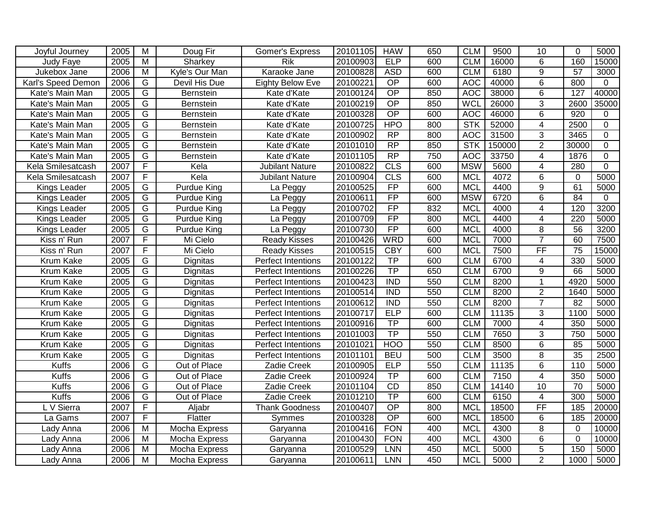| Joyful Journey     | 2005 | M                       | Doug Fir         | <b>Gomer's Express</b>  | 20101105 | <b>HAW</b>      | 650 | <b>CLM</b> | 9500   | 10              | $\Omega$         | 5000           |
|--------------------|------|-------------------------|------------------|-------------------------|----------|-----------------|-----|------------|--------|-----------------|------------------|----------------|
| Judy Faye          | 2005 | $\overline{M}$          | Sharkey          | <b>Rik</b>              | 20100903 | ELP             | 600 | <b>CLM</b> | 16000  | $\overline{6}$  | 160              | 15000          |
| Jukebox Jane       | 2006 | $\overline{\mathsf{M}}$ | Kyle's Our Man   | Karaoke Jane            | 20100828 | <b>ASD</b>      | 600 | <b>CLM</b> | 6180   | $\overline{9}$  | 57               | 3000           |
| Karl's Speed Demon | 2006 | G                       | Devil His Due    | <b>Eighty Below Eve</b> | 20100221 | OP              | 600 | <b>AOC</b> | 40000  | 6               | 800              | $\Omega$       |
| Kate's Main Man    | 2005 | G                       | <b>Bernstein</b> | Kate d'Kate             | 20100124 | $\overline{OP}$ | 850 | <b>AOC</b> | 38000  | 6               | $\overline{127}$ | 40000          |
| Kate's Main Man    | 2005 | $\overline{G}$          | Bernstein        | Kate d'Kate             | 20100219 | $\overline{OP}$ | 850 | <b>WCL</b> | 26000  | 3               | 2600             | 35000          |
| Kate's Main Man    | 2005 | $\overline{G}$          | Bernstein        | Kate d'Kate             | 20100328 | $\overline{OP}$ | 600 | <b>AOC</b> | 46000  | 6               | $\overline{920}$ | 0              |
| Kate's Main Man    | 2005 | $\overline{G}$          | Bernstein        | Kate d'Kate             | 20100725 | <b>HPO</b>      | 800 | <b>STK</b> | 52000  | $\overline{4}$  | 2500             | $\overline{0}$ |
| Kate's Main Man    | 2005 | $\overline{G}$          | Bernstein        | Kate d'Kate             | 20100902 | $\overline{RP}$ | 800 | <b>AOC</b> | 31500  | $\overline{3}$  | 3465             | $\mathbf 0$    |
| Kate's Main Man    | 2005 | G                       | Bernstein        | Kate d'Kate             | 20101010 | $\overline{RP}$ | 850 | <b>STK</b> | 150000 | $\overline{2}$  | 30000            | $\mathbf 0$    |
| Kate's Main Man    | 2005 | G                       | Bernstein        | Kate d'Kate             | 20101105 | $\overline{RP}$ | 750 | <b>AOC</b> | 33750  | 4               | 1876             | $\overline{0}$ |
| Kela Smilesatcash  | 2007 | F                       | Kela             | <b>Jubilant Nature</b>  | 20100822 | CLS             | 600 | <b>MSW</b> | 5600   | 4               | 280              | $\Omega$       |
| Kela Smilesatcash  | 2007 | F                       | Kela             | <b>Jubilant Nature</b>  | 20100904 | <b>CLS</b>      | 600 | <b>MCL</b> | 4072   | 6               | 0                | 5000           |
| Kings Leader       | 2005 | G                       | Purdue King      | La Peggy                | 20100525 | FP              | 600 | <b>MCL</b> | 4400   | 9               | 61               | 5000           |
| Kings Leader       | 2005 | $\overline{G}$          | Purdue King      | La Peggy                | 20100611 | FP              | 600 | <b>MSW</b> | 6720   | 6               | $\overline{84}$  | $\mathbf 0$    |
| Kings Leader       | 2005 | G                       | Purdue King      | La Peggy                | 20100702 | FP              | 832 | <b>MCL</b> | 4000   | 4               | 120              | 3200           |
| Kings Leader       | 2005 | G                       | Purdue King      | La Peggy                | 20100709 | FP              | 800 | <b>MCL</b> | 4400   | $\overline{4}$  | $\overline{220}$ | 5000           |
| Kings Leader       | 2005 | $\overline{G}$          | Purdue King      | La Peggy                | 20100730 | FP              | 600 | <b>MCL</b> | 4000   | 8               | 56               | 3200           |
| Kiss n' Run        | 2007 | F                       | Mi Cielo         | <b>Ready Kisses</b>     | 20100426 | <b>WRD</b>      | 600 | <b>MCL</b> | 7000   | $\overline{7}$  | 60               | 7500           |
| Kiss n' Run        | 2007 | F                       | Mi Cielo         | <b>Ready Kisses</b>     | 20100515 | <b>CBY</b>      | 600 | <b>MCL</b> | 7500   | FF              | $\overline{75}$  | 15000          |
| Krum Kake          | 2005 | G                       | Dignitas         | Perfect Intentions      | 20100122 | TP              | 600 | <b>CLM</b> | 6700   | 4               | 330              | 5000           |
| Krum Kake          | 2005 | $\overline{G}$          | Dignitas         | Perfect Intentions      | 20100226 | TP              | 650 | <b>CLM</b> | 6700   | 9               | 66               | 5000           |
| Krum Kake          | 2005 | $\overline{G}$          | Dignitas         | Perfect Intentions      | 20100423 | <b>IND</b>      | 550 | <b>CLM</b> | 8200   | 1               | 4920             | 5000           |
| Krum Kake          | 2005 | G                       | Dignitas         | Perfect Intentions      | 20100514 | <b>IND</b>      | 550 | <b>CLM</b> | 8200   | $\overline{2}$  | 1640             | 5000           |
| Krum Kake          | 2005 | G                       | Dignitas         | Perfect Intentions      | 20100612 | <b>IND</b>      | 550 | <b>CLM</b> | 8200   | $\overline{7}$  | 82               | 5000           |
| Krum Kake          | 2005 | G                       | Dignitas         | Perfect Intentions      | 20100717 | ELP             | 600 | <b>CLM</b> | 11135  | 3               | 1100             | 5000           |
| Krum Kake          | 2005 | $\overline{G}$          | Dignitas         | Perfect Intentions      | 20100916 | TP              | 600 | <b>CLM</b> | 7000   | 4               | 350              | 5000           |
| Krum Kake          | 2005 | G                       | Dignitas         | Perfect Intentions      | 20101003 | TP              | 550 | <b>CLM</b> | 7650   | 3               | 750              | 5000           |
| Krum Kake          | 2005 | $\overline{G}$          | Dignitas         | Perfect Intentions      | 20101021 | <b>HOO</b>      | 550 | <b>CLM</b> | 8500   | 6               | 85               | 5000           |
| Krum Kake          | 2005 | $\overline{G}$          | Dignitas         | Perfect Intentions      | 20101101 | <b>BEU</b>      | 500 | <b>CLM</b> | 3500   | 8               | 35               | 2500           |
| <b>Kuffs</b>       | 2006 | $\overline{G}$          | Out of Place     | Zadie Creek             | 20100905 | <b>ELP</b>      | 550 | <b>CLM</b> | 11135  | 6               | 110              | 5000           |
| <b>Kuffs</b>       | 2006 | G                       | Out of Place     | Zadie Creek             | 20100924 | TP              | 600 | <b>CLM</b> | 7150   | 4               | 350              | 5000           |
| Kuffs              | 2006 | G                       | Out of Place     | Zadie Creek             | 20101104 | CD              | 850 | <b>CLM</b> | 14140  | $\overline{10}$ | 70               | 5000           |
| <b>Kuffs</b>       | 2006 | $\overline{G}$          | Out of Place     | Zadie Creek             | 20101210 | $\overline{TP}$ | 600 | <b>CLM</b> | 6150   | $\overline{4}$  | 300              | 5000           |
| L V Sierra         | 2007 | F                       | Aljabr           | <b>Thank Goodness</b>   | 20100407 | $\overline{OP}$ | 800 | <b>MCL</b> | 18500  | $\overline{FF}$ | 185              | 20000          |
| La Gams            | 2007 | F                       | Flatter          | Symmes                  | 20100328 | $\overline{OP}$ | 600 | <b>MCL</b> | 18500  | 6               | 185              | 20000          |
| Lady Anna          | 2006 | $\overline{M}$          | Mocha Express    | Garyanna                | 20100416 | <b>FON</b>      | 400 | <b>MCL</b> | 4300   | $\overline{8}$  | $\Omega$         | 10000          |
| Lady Anna          | 2006 | $\overline{M}$          | Mocha Express    | Garyanna                | 20100430 | <b>FON</b>      | 400 | <b>MCL</b> | 4300   | $\overline{6}$  | $\Omega$         | 10000          |
| Lady Anna          | 2006 | $\overline{\mathsf{M}}$ | Mocha Express    | Garyanna                | 20100529 | <b>LNN</b>      | 450 | <b>MCL</b> | 5000   | $\overline{5}$  | 150              | 5000           |
| Lady Anna          | 2006 | M                       | Mocha Express    | Garyanna                | 20100611 | <b>LNN</b>      | 450 | <b>MCL</b> | 5000   | $\overline{2}$  | 1000             | 5000           |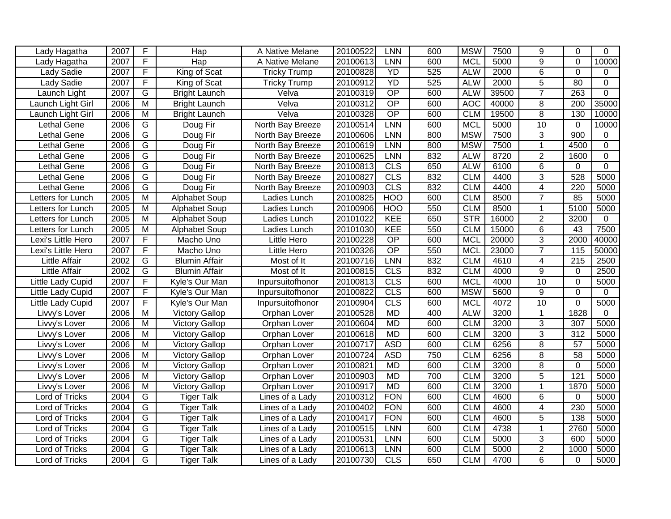| Lady Hagatha         | 2007 | F                       | Hap                   | A Native Melane     | 20100522 | LNN             | 600 | <b>MSW</b> | 7500  | 9              | $\Omega$         | $\Omega$       |
|----------------------|------|-------------------------|-----------------------|---------------------|----------|-----------------|-----|------------|-------|----------------|------------------|----------------|
| Lady Hagatha         | 2007 | F                       | $\overline{H}$ ap     | A Native Melane     | 20100613 | <b>LNN</b>      | 600 | <b>MCL</b> | 5000  | $\overline{9}$ | $\Omega$         | 10000          |
| Lady Sadie           | 2007 | $\overline{F}$          | King of Scat          | <b>Tricky Trump</b> | 20100828 | YD              | 525 | <b>ALW</b> | 2000  | $\overline{6}$ | $\mathbf 0$      | 0              |
| Lady Sadie           | 2007 | $\overline{F}$          | King of Scat          | <b>Tricky Trump</b> | 20100912 | YD              | 525 | <b>ALW</b> | 2000  | $\overline{5}$ | $\overline{80}$  | $\mathbf 0$    |
| Launch Light         | 2007 | $\overline{G}$          | <b>Bright Launch</b>  | Velva               | 20100319 | $\overline{OP}$ | 600 | <b>ALW</b> | 39500 | $\overline{7}$ | 263              | $\Omega$       |
| Launch Light Girl    | 2006 | $\overline{\mathsf{M}}$ | <b>Bright Launch</b>  | Velva               | 20100312 | $\overline{OP}$ | 600 | <b>AOC</b> | 40000 | 8              | 200              | 35000          |
| Launch Light Girl    | 2006 | $\overline{M}$          | <b>Bright Launch</b>  | Velva               | 20100328 | OP              | 600 | <b>CLM</b> | 19500 | $\overline{8}$ | 130              | 10000          |
| Lethal Gene          | 2006 | $\overline{G}$          | Doug Fir              | North Bay Breeze    | 20100514 | LNN             | 600 | <b>MCL</b> | 5000  | 10             | $\mathbf 0$      | 10000          |
| Lethal Gene          | 2006 | G                       | Doug Fir              | North Bay Breeze    | 20100606 | <b>LNN</b>      | 800 | <b>MSW</b> | 7500  | $\overline{3}$ | 900              | $\Omega$       |
| Lethal Gene          | 2006 | G                       | Doug Fir              | North Bay Breeze    | 20100619 | <b>LNN</b>      | 800 | <b>MSW</b> | 7500  | $\mathbf{1}$   | 4500             | 0              |
| Lethal Gene          | 2006 | G                       | Doug Fir              | North Bay Breeze    | 20100625 | LNN             | 832 | <b>ALW</b> | 8720  | $\overline{2}$ | 1600             | $\mathbf 0$    |
| Lethal Gene          | 2006 | G                       | Doug Fir              | North Bay Breeze    | 20100813 | <b>CLS</b>      | 650 | <b>ALW</b> | 6100  | 6              | $\mathbf 0$      | $\overline{0}$ |
| Lethal Gene          | 2006 | G                       | Doug Fir              | North Bay Breeze    | 20100827 | <b>CLS</b>      | 832 | <b>CLM</b> | 4400  | 3              | 528              | 5000           |
| Lethal Gene          | 2006 | G                       | Doug Fir              | North Bay Breeze    | 20100903 | <b>CLS</b>      | 832 | <b>CLM</b> | 4400  | 4              | $\overline{220}$ | 5000           |
| Letters for Lunch    | 2005 | $\overline{M}$          | <b>Alphabet Soup</b>  | Ladies Lunch        | 20100825 | <b>HOO</b>      | 600 | <b>CLM</b> | 8500  | $\overline{7}$ | 85               | 5000           |
| Letters for Lunch    | 2005 | $\overline{M}$          | Alphabet Soup         | Ladies Lunch        | 20100906 | <b>HOO</b>      | 550 | <b>CLM</b> | 8500  | $\mathbf 1$    | 5100             | 5000           |
| Letters for Lunch    | 2005 | $\overline{M}$          | Alphabet Soup         | Ladies Lunch        | 20101022 | KEE             | 650 | <b>STR</b> | 16000 | $\overline{2}$ | 3200             | $\mathbf 0$    |
| Letters for Lunch    | 2005 | M                       | Alphabet Soup         | Ladies Lunch        | 20101030 | <b>KEE</b>      | 550 | <b>CLM</b> | 15000 | $\,6$          | 43               | 7500           |
| Lexi's Little Hero   | 2007 | F                       | Macho Uno             | Little Hero         | 20100228 | $\overline{OP}$ | 600 | <b>MCL</b> | 20000 | $\overline{3}$ | 2000             | 40000          |
| Lexi's Little Hero   | 2007 | F                       | Macho Uno             | Little Hero         | 20100326 | $\overline{OP}$ | 550 | <b>MCL</b> | 23000 | $\overline{7}$ | 115              | 50000          |
| <b>Little Affair</b> | 2002 | G                       | <b>Blumin Affair</b>  | Most of It          | 20100716 | <b>LNN</b>      | 832 | <b>CLM</b> | 4610  | 4              | $\overline{215}$ | 2500           |
| Little Affair        | 2002 | G                       | <b>Blumin Affair</b>  | Most of It          | 20100815 | CLS             | 832 | <b>CLM</b> | 4000  | 9              | $\Omega$         | 2500           |
| Little Lady Cupid    | 2007 | F                       | Kyle's Our Man        | Inpursuitofhonor    | 20100813 | CLS             | 600 | <b>MCL</b> | 4000  | 10             | $\mathbf 0$      | 5000           |
| Little Lady Cupid    | 2007 | F                       | Kyle's Our Man        | Inpursuitofhonor    | 20100822 | CLS             | 600 | <b>MSW</b> | 5600  | 9              | $\Omega$         | $\Omega$       |
| Little Lady Cupid    | 2007 | F                       | Kyle's Our Man        | Inpursuitofhonor    | 20100904 | <b>CLS</b>      | 600 | <b>MCL</b> | 4072  | 10             | $\mathbf 0$      | 5000           |
| Livvy's Lover        | 2006 | M                       | <b>Victory Gallop</b> | Orphan Lover        | 20100528 | <b>MD</b>       | 400 | <b>ALW</b> | 3200  | $\mathbf{1}$   | 1828             | 0              |
| Livvy's Lover        | 2006 | M                       | <b>Victory Gallop</b> | Orphan Lover        | 20100604 | <b>MD</b>       | 600 | <b>CLM</b> | 3200  | 3              | 307              | 5000           |
| Livvy's Lover        | 2006 | M                       | <b>Victory Gallop</b> | Orphan Lover        | 20100618 | <b>MD</b>       | 600 | <b>CLM</b> | 3200  | 3              | 312              | 5000           |
| Livvy's Lover        | 2006 | M                       | <b>Victory Gallop</b> | Orphan Lover        | 20100717 | <b>ASD</b>      | 600 | <b>CLM</b> | 6256  | 8              | 57               | 5000           |
| Livvy's Lover        | 2006 | $\overline{M}$          | <b>Victory Gallop</b> | Orphan Lover        | 20100724 | <b>ASD</b>      | 750 | <b>CLM</b> | 6256  | $\overline{8}$ | $\overline{58}$  | 5000           |
| Livvy's Lover        | 2006 | $\overline{M}$          | <b>Victory Gallop</b> | Orphan Lover        | 20100821 | <b>MD</b>       | 600 | <b>CLM</b> | 3200  | $\overline{8}$ | $\Omega$         | 5000           |
| Livvy's Lover        | 2006 | $\overline{M}$          | <b>Victory Gallop</b> | Orphan Lover        | 20100903 | <b>MD</b>       | 700 | <b>CLM</b> | 3200  | $\overline{5}$ | 121              | 5000           |
| Livvy's Lover        | 2006 | M                       | <b>Victory Gallop</b> | Orphan Lover        | 20100917 | <b>MD</b>       | 600 | <b>CLM</b> | 3200  | $\mathbf{1}$   | 1870             | 5000           |
| Lord of Tricks       | 2004 | $\overline{G}$          | <b>Tiger Talk</b>     | Lines of a Lady     | 20100312 | <b>FON</b>      | 600 | <b>CLM</b> | 4600  | 6              | $\mathbf 0$      | 5000           |
| Lord of Tricks       | 2004 | G                       | <b>Tiger Talk</b>     | Lines of a Lady     | 20100402 | <b>FON</b>      | 600 | <b>CLM</b> | 4600  | 4              | 230              | 5000           |
| Lord of Tricks       | 2004 | $\overline{G}$          | <b>Tiger Talk</b>     | Lines of a Lady     | 20100417 | <b>FON</b>      | 600 | <b>CLM</b> | 4600  | $\overline{5}$ | 138              | 5000           |
| Lord of Tricks       | 2004 | $\overline{G}$          | <b>Tiger Talk</b>     | Lines of a Lady     | 20100515 | <b>LNN</b>      | 600 | <b>CLM</b> | 4738  | 1              | 2760             | 5000           |
| Lord of Tricks       | 2004 | $\overline{G}$          | <b>Tiger Talk</b>     | Lines of a Lady     | 20100531 | <b>LNN</b>      | 600 | <b>CLM</b> | 5000  | $\overline{3}$ | 600              | 5000           |
| Lord of Tricks       | 2004 | G                       | <b>Tiger Talk</b>     | Lines of a Lady     | 20100613 | <b>LNN</b>      | 600 | <b>CLM</b> | 5000  | $\overline{2}$ | 1000             | 5000           |
| Lord of Tricks       | 2004 | $\overline{G}$          | <b>Tiger Talk</b>     | Lines of a Lady     | 20100730 | CLS             | 650 | <b>CLM</b> | 4700  | 6              | 0                | 5000           |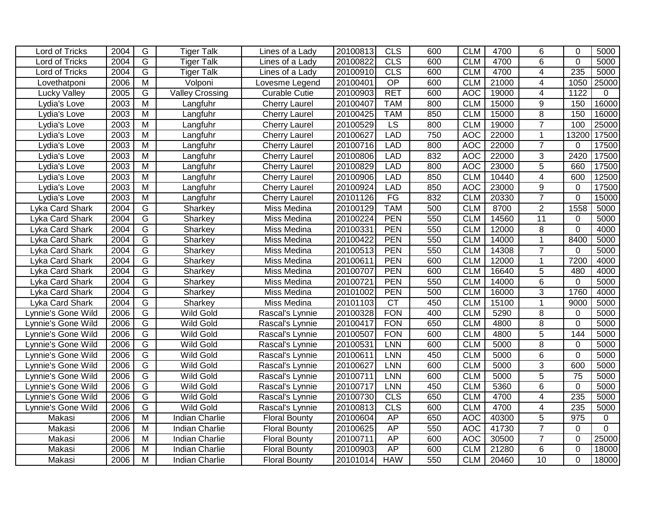|                    |              | G              |                        |                      |                      | CLS               |            |                          |              |                     | $\Omega$            |                |
|--------------------|--------------|----------------|------------------------|----------------------|----------------------|-------------------|------------|--------------------------|--------------|---------------------|---------------------|----------------|
| Lord of Tricks     | 2004         |                | <b>Tiger Talk</b>      | Lines of a Lady      | 20100813             |                   | 600        | <b>CLM</b>               | 4700         | 6                   |                     | 5000           |
| Lord of Tricks     | 2004<br>2004 | G<br>G         | <b>Tiger Talk</b>      | Lines of a Lady      | 20100822<br>20100910 | <b>CLS</b><br>CLS | 600<br>600 | <b>CLM</b><br><b>CLM</b> | 4700<br>4700 | 6<br>$\overline{4}$ | $\mathbf{0}$<br>235 | 5000<br>5000   |
| Lord of Tricks     |              |                | <b>Tiger Talk</b>      | Lines of a Lady      |                      |                   |            |                          |              |                     |                     |                |
| Lovethatponi       | 2006         | $\overline{M}$ | Volponi                | Lovesme Legend       | 20100401             | $\overline{OP}$   | 600        | <b>CLM</b>               | 21000        | 4                   | 1050                | 25000          |
| Lucky Valley       | 2005         | G              | <b>Valley Crossing</b> | <b>Curable Cutie</b> | 20100903             | <b>RET</b>        | 600        | <b>AOC</b>               | 19000        | $\overline{4}$      | 1122                | $\mathbf{0}$   |
| Lydia's Love       | 2003         | $\overline{M}$ | Langfuhr               | <b>Cherry Laurel</b> | 20100407             | <b>TAM</b>        | 800        | <b>CLM</b>               | 15000        | 9                   | 150                 | 16000          |
| Lydia's Love       | 2003         | $\overline{M}$ | Langfuhr               | <b>Cherry Laurel</b> | 20100425             | <b>TAM</b>        | 850        | <b>CLM</b>               | 15000        | $\overline{8}$      | 150                 | 16000          |
| Lydia's Love       | 2003         | M              | Langfuhr               | <b>Cherry Laurel</b> | 20100529             | $\overline{LS}$   | 800        | <b>CLM</b>               | 19000        | $\overline{7}$      | 100                 | 25000          |
| Lydia's Love       | 2003         | M              | Langfuhr               | <b>Cherry Laurel</b> | 20100627             | <b>LAD</b>        | 750        | <b>AOC</b>               | 22000        | $\mathbf 1$         | 13200               | 17500          |
| Lydia's Love       | 2003         | M              | Langfuhr               | <b>Cherry Laurel</b> | 20100716             | <b>LAD</b>        | 800        | <b>AOC</b>               | 22000        | $\overline{7}$      | $\Omega$            | 17500          |
| Lydia's Love       | 2003         | M              | Langfuhr               | <b>Cherry Laurel</b> | 20100806             | <b>LAD</b>        | 832        | <b>AOC</b>               | 22000        | 3                   | 2420                | 17500          |
| Lydia's Love       | 2003         | $\overline{M}$ | Langfuhr               | <b>Cherry Laurel</b> | 20100829             | <b>LAD</b>        | 800        | <b>AOC</b>               | 23000        | $\overline{5}$      | 660                 | 17500          |
| Lydia's Love       | 2003         | M              | Langfuhr               | <b>Cherry Laurel</b> | 20100906             | <b>LAD</b>        | 850        | <b>CLM</b>               | 10440        | $\overline{4}$      | 600                 | 12500          |
| Lydia's Love       | 2003         | $\overline{M}$ | Langfuhr               | <b>Cherry Laurel</b> | 20100924             | <b>LAD</b>        | 850        | <b>AOC</b>               | 23000        | 9                   | $\Omega$            | 17500          |
| Lydia's Love       | 2003         | M              | Langfuhr               | <b>Cherry Laurel</b> | 20101126             | FG                | 832        | <b>CLM</b>               | 20330        | $\overline{7}$      | $\Omega$            | 15000          |
| Lyka Card Shark    | 2004         | G              | Sharkey                | Miss Medina          | 20100129             | <b>TAM</b>        | 500        | <b>CLM</b>               | 8700         | $\overline{2}$      | 1558                | 5000           |
| Lyka Card Shark    | 2004         | G              | Sharkey                | Miss Medina          | 20100224             | PEN               | 550        | <b>CLM</b>               | 14560        | $\overline{11}$     | $\mathbf{0}$        | 5000           |
| Lyka Card Shark    | 2004         | G              | Sharkey                | Miss Medina          | 20100331             | <b>PEN</b>        | 550        | <b>CLM</b>               | 12000        | 8                   | $\mathbf 0$         | 4000           |
| Lyka Card Shark    | 2004         | $\overline{G}$ | Sharkey                | Miss Medina          | 20100422             | <b>PEN</b>        | 550        | <b>CLM</b>               | 14000        | $\mathbf{1}$        | 8400                | 5000           |
| Lyka Card Shark    | 2004         | $\overline{G}$ | Sharkey                | Miss Medina          | 20100513             | <b>PEN</b>        | 550        | <b>CLM</b>               | 14308        | $\overline{7}$      | $\mathbf{0}$        | 5000           |
| Lyka Card Shark    | 2004         | G              | Sharkey                | Miss Medina          | 20100611             | <b>PEN</b>        | 600        | <b>CLM</b>               | 12000        | 1                   | 7200                | 4000           |
| Lyka Card Shark    | 2004         | G              | Sharkey                | Miss Medina          | 20100707             | <b>PEN</b>        | 600        | <b>CLM</b>               | 16640        | 5                   | 480                 | 4000           |
| Lyka Card Shark    | 2004         | $\overline{G}$ | Sharkey                | Miss Medina          | 20100721             | <b>PEN</b>        | 550        | <b>CLM</b>               | 14000        | 6                   | $\mathbf 0$         | 5000           |
| Lyka Card Shark    | 2004         | G              | Sharkey                | Miss Medina          | 20101002             | <b>PEN</b>        | 500        | <b>CLM</b>               | 16000        | 3                   | 1760                | 4000           |
| Lyka Card Shark    | 2004         | $\overline{G}$ | Sharkey                | Miss Medina          | 20101103             | $\overline{CT}$   | 450        | <b>CLM</b>               | 15100        | $\overline{1}$      | 9000                | 5000           |
| Lynnie's Gone Wild | 2006         | $\overline{G}$ | <b>Wild Gold</b>       | Rascal's Lynnie      | 20100328             | <b>FON</b>        | 400        | <b>CLM</b>               | 5290         | 8                   | $\mathbf{0}$        | 5000           |
| Lynnie's Gone Wild | 2006         | $\overline{G}$ | Wild Gold              | Rascal's Lynnie      | 20100417             | <b>FON</b>        | 650        | <b>CLM</b>               | 4800         | $\overline{8}$      | $\Omega$            | 5000           |
| Lynnie's Gone Wild | 2006         | G              | <b>Wild Gold</b>       | Rascal's Lynnie      | 20100507             | <b>FON</b>        | 600        | <b>CLM</b>               | 4800         | 5                   | 144                 | 5000           |
| Lynnie's Gone Wild | 2006         | G              | <b>Wild Gold</b>       | Rascal's Lynnie      | 20100531             | <b>LNN</b>        | 600        | <b>CLM</b>               | 5000         | 8                   | $\mathbf{0}$        | 5000           |
| Lynnie's Gone Wild | 2006         | G              | <b>Wild Gold</b>       | Rascal's Lynnie      | 20100611             | LNN               | 450        | <b>CLM</b>               | 5000         | 6                   | $\mathbf 0$         | 5000           |
| Lynnie's Gone Wild | 2006         | $\overline{G}$ | Wild Gold              | Rascal's Lynnie      | 20100627             | <b>LNN</b>        | 600        | <b>CLM</b>               | 5000         | $\overline{3}$      | 600                 | 5000           |
| Lynnie's Gone Wild | 2006         | $\overline{G}$ | <b>Wild Gold</b>       | Rascal's Lynnie      | 20100711             | LNN               | 600        | <b>CLM</b>               | 5000         | $\overline{5}$      | 75                  | 5000           |
| Lynnie's Gone Wild | 2006         | $\overline{G}$ | <b>Wild Gold</b>       | Rascal's Lynnie      | 20100717             | <b>LNN</b>        | 450        | <b>CLM</b>               | 5360         | 6                   | $\Omega$            | 5000           |
| Lynnie's Gone Wild | 2006         | $\overline{G}$ | <b>Wild Gold</b>       | Rascal's Lynnie      | 20100730             | <b>CLS</b>        | 650        | <b>CLM</b>               | 4700         | 4                   | 235                 | 5000           |
| Lynnie's Gone Wild | 2006         | G              | <b>Wild Gold</b>       | Rascal's Lynnie      | 20100813             | CLS               | 600        | <b>CLM</b>               | 4700         | 4                   | 235                 | 5000           |
| Makasi             | 2006         | $\overline{M}$ | <b>Indian Charlie</b>  | <b>Floral Bounty</b> | 20100604             | AP                | 650        | <b>AOC</b>               | 40300        | $\overline{5}$      | 975                 | 0              |
| Makasi             | 2006         | M              | <b>Indian Charlie</b>  | <b>Floral Bounty</b> | 20100625             | AP                | 550        | <b>AOC</b>               | 41730        | $\overline{7}$      | $\mathbf{0}$        | $\overline{0}$ |
| Makasi             | 2006         | $\overline{M}$ | <b>Indian Charlie</b>  | <b>Floral Bounty</b> | 20100711             | <b>AP</b>         | 600        | <b>AOC</b>               | 30500        | $\overline{7}$      | $\Omega$            | 25000          |
| Makasi             | 2006         | $\overline{M}$ | <b>Indian Charlie</b>  | <b>Floral Bounty</b> | 20100903             | AP                | 600        | <b>CLM</b>               | 21280        | 6                   | $\mathbf 0$         | 18000          |
| Makasi             | 2006         | M              | <b>Indian Charlie</b>  | <b>Floral Bounty</b> | 20101014             | <b>HAW</b>        | 550        | <b>CLM</b>               | 20460        | 10                  | $\Omega$            | 18000          |
|                    |              |                |                        |                      |                      |                   |            |                          |              |                     |                     |                |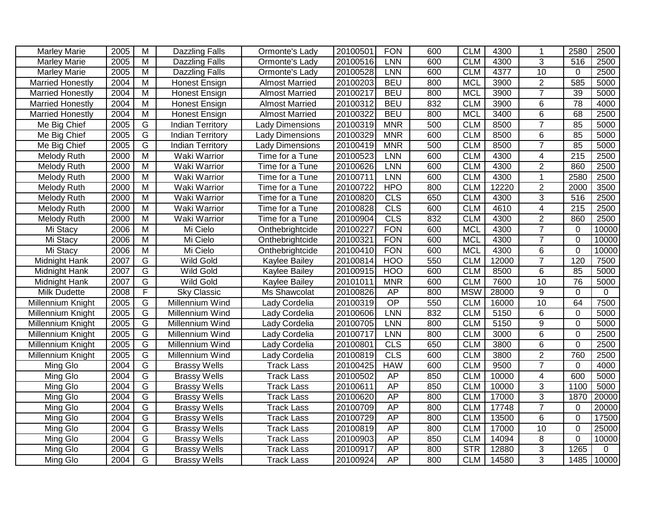| <b>Marley Marie</b><br>2005<br>M<br>20100501<br><b>FON</b><br>600<br><b>CLM</b><br>4300<br><b>Dazzling Falls</b><br>Ormonte's Lady<br>1<br>3<br>M<br>20100516<br>600<br><b>CLM</b><br>4300<br>516<br>2500<br><b>Marley Marie</b><br>2005<br><b>Dazzling Falls</b><br><b>LNN</b><br>Ormonte's Lady<br>$\overline{10}$<br>2500<br>2005<br>$\overline{M}$<br>20100528<br><b>LNN</b><br>600<br><b>CLM</b><br>4377<br><b>Marley Marie</b><br><b>Dazzling Falls</b><br>Ormonte's Lady<br>0<br>$\overline{2}$<br>585<br>2004<br>$\overline{\mathsf{M}}$<br>20100203<br><b>BEU</b><br>800<br><b>MCL</b><br>3900<br>5000<br><b>Married Honestly</b><br><b>Almost Married</b><br><b>Honest Ensign</b><br>$\overline{7}$<br>2004<br>$\overline{\mathsf{M}}$<br>20100217<br><b>BEU</b><br>800<br><b>MCL</b><br>3900<br>$\overline{39}$<br>5000<br><b>Married Honestly</b><br>Honest Ensign<br><b>Almost Married</b><br>78<br>2004<br>$\overline{\mathsf{M}}$<br>20100312<br><b>BEU</b><br>832<br><b>CLM</b><br>3900<br>6<br>4000<br><b>Married Honestly</b><br><b>Honest Ensign</b><br><b>Almost Married</b><br>$\overline{6}$<br>2004<br>$\overline{M}$<br>20100322<br><b>BEU</b><br>800<br><b>MCL</b><br>3400<br>68<br>2500<br><b>Married Honestly</b><br><b>Honest Ensign</b><br><b>Almost Married</b><br>500<br>2005<br>G<br>20100319<br><b>MNR</b><br><b>CLM</b><br>$\overline{7}$<br>85<br>5000<br>8500<br>Me Big Chief<br><b>Indian Territory</b><br><b>Lady Dimensions</b><br>$\overline{G}$<br><b>CLM</b><br>6<br>85<br>Me Big Chief<br>2005<br>20100329<br><b>MNR</b><br>600<br>8500<br>5000<br><b>Indian Territory</b><br>Lady Dimensions<br>$\overline{7}$<br>G<br>500<br>85<br>Me Big Chief<br>2005<br>20100419<br><b>MNR</b><br><b>CLM</b><br>8500<br>5000<br><b>Indian Territory</b><br><b>Lady Dimensions</b><br>2000<br>M<br>Waki Warrior<br>20100523<br>LNN<br>600<br><b>CLM</b><br>4300<br>4<br>215<br>2500<br>Melody Ruth<br>Time for a Tune<br>$\overline{2}$<br>2000<br>$\overline{\mathsf{M}}$<br><b>LNN</b><br>600<br><b>CLM</b><br>860<br>2500<br>Waki Warrior<br>20100626<br>4300<br>Melody Ruth<br>Time for a Tune<br>Melody Ruth<br>2000<br>M<br>20100711<br>LNN<br>600<br><b>CLM</b><br>4300<br>$\mathbf{1}$<br>2580<br>2500<br>Waki Warrior<br>Time for a Tune<br>$\overline{\mathsf{M}}$<br>800<br><b>CLM</b><br>$\overline{2}$<br>3500<br>2000<br>Waki Warrior<br>Time for a Tune<br>20100722<br><b>HPO</b><br>12220<br>2000<br>Melody Ruth<br>M<br>20100820<br><b>CLS</b><br>650<br><b>CLM</b><br>3<br>516<br>2500<br>2000<br>Waki Warrior<br>Time for a Tune<br>4300<br>Melody Ruth<br>$\overline{4}$<br>M<br><b>CLS</b><br>600<br><b>CLM</b><br>4610<br>215<br>2500<br>2000<br>Waki Warrior<br>20100828<br>Melody Ruth<br>Time for a Tune<br>$\overline{2}$<br>CLS<br>2000<br>M<br>Waki Warrior<br>832<br><b>CLM</b><br>4300<br>860<br>2500<br>Melody Ruth<br>Time for a Tune<br>20100904<br>$\overline{7}$<br>2006<br>M<br>Mi Cielo<br>20100227<br><b>FON</b><br>600<br><b>MCL</b><br>4300<br>10000<br>Mi Stacy<br>Onthebrightcide<br>0<br>$\overline{7}$<br>Mi Stacy<br>2006<br>$\overline{\mathsf{M}}$<br>Mi Cielo<br>20100321<br><b>FON</b><br>600<br><b>MCL</b><br>$\overline{0}$<br>4300<br>10000<br>Onthebrightcide<br>$\overline{\mathsf{M}}$<br>Mi Cielo<br><b>FON</b><br>600<br><b>MCL</b><br>6<br>$\Omega$<br>Mi Stacy<br>2006<br>20100410<br>4300<br>10000<br>Onthebrightcide<br>$\overline{7}$<br>120<br>2007<br>G<br><b>Wild Gold</b><br>20100814<br><b>HOO</b><br>550<br><b>CLM</b><br>12000<br>7500<br>Midnight Hank<br>Kaylee Bailey<br>G<br>2007<br>Wild Gold<br>20100915<br>HOO<br>600<br><b>CLM</b><br>6<br>8500<br>85<br>5000<br>Midnight Hank<br>Kaylee Bailey<br>G<br>2007<br>10<br>76<br><b>Wild Gold</b><br>20101011<br><b>MNR</b><br>600<br><b>CLM</b><br>7600<br>5000<br>Midnight Hank<br>Kaylee Bailey<br>F<br>9<br>AP<br>800<br><b>MSW</b><br>28000<br>$\mathbf 0$<br>Milk Dudette<br>2008<br><b>Sky Classic</b><br>Ms Shawcolat<br>20100826<br>$\Omega$<br>$\overline{OP}$<br>10<br>G<br>550<br>64<br>2005<br>Millennium Wind<br>20100319<br><b>CLM</b><br>16000<br>7500<br>Millennium Knight<br>Lady Cordelia<br>G<br><b>LNN</b><br>832<br><b>CLM</b><br>5150<br>6<br>2005<br>Millennium Wind<br>20100606<br>$\Omega$<br>5000<br>Millennium Knight<br>Lady Cordelia<br>G<br>$\overline{9}$<br><b>LNN</b><br>800<br><b>CLM</b><br>5150<br>$\mathbf 0$<br>2005<br>Millennium Wind<br>20100705<br>5000<br>Millennium Knight<br>Lady Cordelia<br>G<br>20100717<br>800<br><b>CLM</b><br>6<br>$\mathbf 0$<br>2500<br>2005<br>Millennium Wind<br><b>LNN</b><br>3000<br>Millennium Knight<br>Lady Cordelia<br>G<br><b>CLS</b><br>650<br><b>CLM</b><br>6<br>2500<br>2005<br>Millennium Wind<br>20100801<br>3800<br>$\Omega$<br>Millennium Knight<br>Lady Cordelia<br>$\overline{2}$<br>G<br>CLS<br>760<br>2005<br>20100819<br>600<br><b>CLM</b><br>3800<br>2500<br>Millennium Wind<br>Millennium Knight<br>Lady Cordelia<br>$\overline{7}$<br>G<br><b>HAW</b><br><b>CLM</b><br>2004<br>20100425<br>600<br>9500<br>$\mathbf 0$<br>4000<br>Ming Glo<br><b>Brassy Wells</b><br><b>Track Lass</b><br>Ming Glo<br>G<br><b>Brassy Wells</b><br><b>AP</b><br>850<br><b>CLM</b><br>600<br>2004<br>20100502<br>10000<br>$\overline{4}$<br>5000<br><b>Track Lass</b><br>$\overline{G}$<br>AP<br>$\overline{3}$<br>850<br><b>CLM</b><br>10000<br>1100<br>Ming Glo<br>2004<br><b>Brassy Wells</b><br>20100611<br>5000<br><b>Track Lass</b><br>$\overline{3}$<br>$\overline{G}$<br>AP<br><b>CLM</b><br>17000<br>2004<br>20100620<br>800<br>1870<br>20000<br>Ming Glo<br><b>Brassy Wells</b><br><b>Track Lass</b><br>$\overline{7}$<br>2004<br>G<br>20100709<br><b>AP</b><br>800<br><b>CLM</b><br>17748<br>20000<br>Ming Glo<br><b>Brassy Wells</b><br>0<br><b>Track Lass</b><br>G<br><b>AP</b><br>800<br><b>CLM</b><br>2004<br>20100729<br>13500<br>6<br>$\mathbf 0$<br>17500<br>Ming Glo<br><b>Brassy Wells</b><br><b>Track Lass</b><br>G<br>AP<br>2004<br>20100819<br>800<br><b>CLM</b><br>17000<br>10<br>$\mathbf 0$<br>25000<br>Ming Glo<br><b>Brassy Wells</b><br><b>Track Lass</b><br>G<br><b>AP</b><br>$\overline{8}$<br>Ming Glo<br>2004<br><b>Brassy Wells</b><br>850<br><b>CLM</b><br>$\mathbf 0$<br>20100903<br>14094<br>10000<br><b>Track Lass</b><br>$\overline{3}$<br>G<br>AP<br>1265<br>Ming Glo<br>2004<br><b>Brassy Wells</b><br>800<br><b>STR</b><br>12880<br><b>Track Lass</b><br>20100917<br>0 |          |      |                |                     |                   |          |    |     |            |       |                |      |       |
|----------------------------------------------------------------------------------------------------------------------------------------------------------------------------------------------------------------------------------------------------------------------------------------------------------------------------------------------------------------------------------------------------------------------------------------------------------------------------------------------------------------------------------------------------------------------------------------------------------------------------------------------------------------------------------------------------------------------------------------------------------------------------------------------------------------------------------------------------------------------------------------------------------------------------------------------------------------------------------------------------------------------------------------------------------------------------------------------------------------------------------------------------------------------------------------------------------------------------------------------------------------------------------------------------------------------------------------------------------------------------------------------------------------------------------------------------------------------------------------------------------------------------------------------------------------------------------------------------------------------------------------------------------------------------------------------------------------------------------------------------------------------------------------------------------------------------------------------------------------------------------------------------------------------------------------------------------------------------------------------------------------------------------------------------------------------------------------------------------------------------------------------------------------------------------------------------------------------------------------------------------------------------------------------------------------------------------------------------------------------------------------------------------------------------------------------------------------------------------------------------------------------------------------------------------------------------------------------------------------------------------------------------------------------------------------------------------------------------------------------------------------------------------------------------------------------------------------------------------------------------------------------------------------------------------------------------------------------------------------------------------------------------------------------------------------------------------------------------------------------------------------------------------------------------------------------------------------------------------------------------------------------------------------------------------------------------------------------------------------------------------------------------------------------------------------------------------------------------------------------------------------------------------------------------------------------------------------------------------------------------------------------------------------------------------------------------------------------------------------------------------------------------------------------------------------------------------------------------------------------------------------------------------------------------------------------------------------------------------------------------------------------------------------------------------------------------------------------------------------------------------------------------------------------------------------------------------------------------------------------------------------------------------------------------------------------------------------------------------------------------------------------------------------------------------------------------------------------------------------------------------------------------------------------------------------------------------------------------------------------------------------------------------------------------------------------------------------------------------------------------------------------------------------------------------------------------------------------------------------------------------------------------------------------------------------------------------------------------------------------------------------------------------------------------------------------------------------------------------------------------------------------------------------------------------------------------------------------------------------------------------------------------------------------------------------------------------------------------------------------------------------------------------------------------------------------------------------------------------------------------------------------------------------------------------------------------------------------------------------------------------------------------------------------------------------------------------------------------------------------------------------------------------------------------------------------------------------------------------------------------------------------------------------------------------------------------------------------------------------------------------------------------------------------------------------------------------------------------------------------------------------------------------------------------------------------------------------------------------------------------------------------------------------------------------------------------------------------------------------------------------------------------------------------------------------------------|----------|------|----------------|---------------------|-------------------|----------|----|-----|------------|-------|----------------|------|-------|
|                                                                                                                                                                                                                                                                                                                                                                                                                                                                                                                                                                                                                                                                                                                                                                                                                                                                                                                                                                                                                                                                                                                                                                                                                                                                                                                                                                                                                                                                                                                                                                                                                                                                                                                                                                                                                                                                                                                                                                                                                                                                                                                                                                                                                                                                                                                                                                                                                                                                                                                                                                                                                                                                                                                                                                                                                                                                                                                                                                                                                                                                                                                                                                                                                                                                                                                                                                                                                                                                                                                                                                                                                                                                                                                                                                                                                                                                                                                                                                                                                                                                                                                                                                                                                                                                                                                                                                                                                                                                                                                                                                                                                                                                                                                                                                                                                                                                                                                                                                                                                                                                                                                                                                                                                                                                                                                                                                                                                                                                                                                                                                                                                                                                                                                                                                                                                                                                                                                                                                                                                                                                                                                                                                                                                                                                                                                                                                                                                                                    |          |      |                |                     |                   |          |    |     |            |       |                | 2580 | 2500  |
|                                                                                                                                                                                                                                                                                                                                                                                                                                                                                                                                                                                                                                                                                                                                                                                                                                                                                                                                                                                                                                                                                                                                                                                                                                                                                                                                                                                                                                                                                                                                                                                                                                                                                                                                                                                                                                                                                                                                                                                                                                                                                                                                                                                                                                                                                                                                                                                                                                                                                                                                                                                                                                                                                                                                                                                                                                                                                                                                                                                                                                                                                                                                                                                                                                                                                                                                                                                                                                                                                                                                                                                                                                                                                                                                                                                                                                                                                                                                                                                                                                                                                                                                                                                                                                                                                                                                                                                                                                                                                                                                                                                                                                                                                                                                                                                                                                                                                                                                                                                                                                                                                                                                                                                                                                                                                                                                                                                                                                                                                                                                                                                                                                                                                                                                                                                                                                                                                                                                                                                                                                                                                                                                                                                                                                                                                                                                                                                                                                                    |          |      |                |                     |                   |          |    |     |            |       |                |      |       |
|                                                                                                                                                                                                                                                                                                                                                                                                                                                                                                                                                                                                                                                                                                                                                                                                                                                                                                                                                                                                                                                                                                                                                                                                                                                                                                                                                                                                                                                                                                                                                                                                                                                                                                                                                                                                                                                                                                                                                                                                                                                                                                                                                                                                                                                                                                                                                                                                                                                                                                                                                                                                                                                                                                                                                                                                                                                                                                                                                                                                                                                                                                                                                                                                                                                                                                                                                                                                                                                                                                                                                                                                                                                                                                                                                                                                                                                                                                                                                                                                                                                                                                                                                                                                                                                                                                                                                                                                                                                                                                                                                                                                                                                                                                                                                                                                                                                                                                                                                                                                                                                                                                                                                                                                                                                                                                                                                                                                                                                                                                                                                                                                                                                                                                                                                                                                                                                                                                                                                                                                                                                                                                                                                                                                                                                                                                                                                                                                                                                    |          |      |                |                     |                   |          |    |     |            |       |                |      |       |
|                                                                                                                                                                                                                                                                                                                                                                                                                                                                                                                                                                                                                                                                                                                                                                                                                                                                                                                                                                                                                                                                                                                                                                                                                                                                                                                                                                                                                                                                                                                                                                                                                                                                                                                                                                                                                                                                                                                                                                                                                                                                                                                                                                                                                                                                                                                                                                                                                                                                                                                                                                                                                                                                                                                                                                                                                                                                                                                                                                                                                                                                                                                                                                                                                                                                                                                                                                                                                                                                                                                                                                                                                                                                                                                                                                                                                                                                                                                                                                                                                                                                                                                                                                                                                                                                                                                                                                                                                                                                                                                                                                                                                                                                                                                                                                                                                                                                                                                                                                                                                                                                                                                                                                                                                                                                                                                                                                                                                                                                                                                                                                                                                                                                                                                                                                                                                                                                                                                                                                                                                                                                                                                                                                                                                                                                                                                                                                                                                                                    |          |      |                |                     |                   |          |    |     |            |       |                |      |       |
|                                                                                                                                                                                                                                                                                                                                                                                                                                                                                                                                                                                                                                                                                                                                                                                                                                                                                                                                                                                                                                                                                                                                                                                                                                                                                                                                                                                                                                                                                                                                                                                                                                                                                                                                                                                                                                                                                                                                                                                                                                                                                                                                                                                                                                                                                                                                                                                                                                                                                                                                                                                                                                                                                                                                                                                                                                                                                                                                                                                                                                                                                                                                                                                                                                                                                                                                                                                                                                                                                                                                                                                                                                                                                                                                                                                                                                                                                                                                                                                                                                                                                                                                                                                                                                                                                                                                                                                                                                                                                                                                                                                                                                                                                                                                                                                                                                                                                                                                                                                                                                                                                                                                                                                                                                                                                                                                                                                                                                                                                                                                                                                                                                                                                                                                                                                                                                                                                                                                                                                                                                                                                                                                                                                                                                                                                                                                                                                                                                                    |          |      |                |                     |                   |          |    |     |            |       |                |      |       |
|                                                                                                                                                                                                                                                                                                                                                                                                                                                                                                                                                                                                                                                                                                                                                                                                                                                                                                                                                                                                                                                                                                                                                                                                                                                                                                                                                                                                                                                                                                                                                                                                                                                                                                                                                                                                                                                                                                                                                                                                                                                                                                                                                                                                                                                                                                                                                                                                                                                                                                                                                                                                                                                                                                                                                                                                                                                                                                                                                                                                                                                                                                                                                                                                                                                                                                                                                                                                                                                                                                                                                                                                                                                                                                                                                                                                                                                                                                                                                                                                                                                                                                                                                                                                                                                                                                                                                                                                                                                                                                                                                                                                                                                                                                                                                                                                                                                                                                                                                                                                                                                                                                                                                                                                                                                                                                                                                                                                                                                                                                                                                                                                                                                                                                                                                                                                                                                                                                                                                                                                                                                                                                                                                                                                                                                                                                                                                                                                                                                    |          |      |                |                     |                   |          |    |     |            |       |                |      |       |
|                                                                                                                                                                                                                                                                                                                                                                                                                                                                                                                                                                                                                                                                                                                                                                                                                                                                                                                                                                                                                                                                                                                                                                                                                                                                                                                                                                                                                                                                                                                                                                                                                                                                                                                                                                                                                                                                                                                                                                                                                                                                                                                                                                                                                                                                                                                                                                                                                                                                                                                                                                                                                                                                                                                                                                                                                                                                                                                                                                                                                                                                                                                                                                                                                                                                                                                                                                                                                                                                                                                                                                                                                                                                                                                                                                                                                                                                                                                                                                                                                                                                                                                                                                                                                                                                                                                                                                                                                                                                                                                                                                                                                                                                                                                                                                                                                                                                                                                                                                                                                                                                                                                                                                                                                                                                                                                                                                                                                                                                                                                                                                                                                                                                                                                                                                                                                                                                                                                                                                                                                                                                                                                                                                                                                                                                                                                                                                                                                                                    |          |      |                |                     |                   |          |    |     |            |       |                |      |       |
|                                                                                                                                                                                                                                                                                                                                                                                                                                                                                                                                                                                                                                                                                                                                                                                                                                                                                                                                                                                                                                                                                                                                                                                                                                                                                                                                                                                                                                                                                                                                                                                                                                                                                                                                                                                                                                                                                                                                                                                                                                                                                                                                                                                                                                                                                                                                                                                                                                                                                                                                                                                                                                                                                                                                                                                                                                                                                                                                                                                                                                                                                                                                                                                                                                                                                                                                                                                                                                                                                                                                                                                                                                                                                                                                                                                                                                                                                                                                                                                                                                                                                                                                                                                                                                                                                                                                                                                                                                                                                                                                                                                                                                                                                                                                                                                                                                                                                                                                                                                                                                                                                                                                                                                                                                                                                                                                                                                                                                                                                                                                                                                                                                                                                                                                                                                                                                                                                                                                                                                                                                                                                                                                                                                                                                                                                                                                                                                                                                                    |          |      |                |                     |                   |          |    |     |            |       |                |      |       |
|                                                                                                                                                                                                                                                                                                                                                                                                                                                                                                                                                                                                                                                                                                                                                                                                                                                                                                                                                                                                                                                                                                                                                                                                                                                                                                                                                                                                                                                                                                                                                                                                                                                                                                                                                                                                                                                                                                                                                                                                                                                                                                                                                                                                                                                                                                                                                                                                                                                                                                                                                                                                                                                                                                                                                                                                                                                                                                                                                                                                                                                                                                                                                                                                                                                                                                                                                                                                                                                                                                                                                                                                                                                                                                                                                                                                                                                                                                                                                                                                                                                                                                                                                                                                                                                                                                                                                                                                                                                                                                                                                                                                                                                                                                                                                                                                                                                                                                                                                                                                                                                                                                                                                                                                                                                                                                                                                                                                                                                                                                                                                                                                                                                                                                                                                                                                                                                                                                                                                                                                                                                                                                                                                                                                                                                                                                                                                                                                                                                    |          |      |                |                     |                   |          |    |     |            |       |                |      |       |
|                                                                                                                                                                                                                                                                                                                                                                                                                                                                                                                                                                                                                                                                                                                                                                                                                                                                                                                                                                                                                                                                                                                                                                                                                                                                                                                                                                                                                                                                                                                                                                                                                                                                                                                                                                                                                                                                                                                                                                                                                                                                                                                                                                                                                                                                                                                                                                                                                                                                                                                                                                                                                                                                                                                                                                                                                                                                                                                                                                                                                                                                                                                                                                                                                                                                                                                                                                                                                                                                                                                                                                                                                                                                                                                                                                                                                                                                                                                                                                                                                                                                                                                                                                                                                                                                                                                                                                                                                                                                                                                                                                                                                                                                                                                                                                                                                                                                                                                                                                                                                                                                                                                                                                                                                                                                                                                                                                                                                                                                                                                                                                                                                                                                                                                                                                                                                                                                                                                                                                                                                                                                                                                                                                                                                                                                                                                                                                                                                                                    |          |      |                |                     |                   |          |    |     |            |       |                |      |       |
|                                                                                                                                                                                                                                                                                                                                                                                                                                                                                                                                                                                                                                                                                                                                                                                                                                                                                                                                                                                                                                                                                                                                                                                                                                                                                                                                                                                                                                                                                                                                                                                                                                                                                                                                                                                                                                                                                                                                                                                                                                                                                                                                                                                                                                                                                                                                                                                                                                                                                                                                                                                                                                                                                                                                                                                                                                                                                                                                                                                                                                                                                                                                                                                                                                                                                                                                                                                                                                                                                                                                                                                                                                                                                                                                                                                                                                                                                                                                                                                                                                                                                                                                                                                                                                                                                                                                                                                                                                                                                                                                                                                                                                                                                                                                                                                                                                                                                                                                                                                                                                                                                                                                                                                                                                                                                                                                                                                                                                                                                                                                                                                                                                                                                                                                                                                                                                                                                                                                                                                                                                                                                                                                                                                                                                                                                                                                                                                                                                                    |          |      |                |                     |                   |          |    |     |            |       |                |      |       |
|                                                                                                                                                                                                                                                                                                                                                                                                                                                                                                                                                                                                                                                                                                                                                                                                                                                                                                                                                                                                                                                                                                                                                                                                                                                                                                                                                                                                                                                                                                                                                                                                                                                                                                                                                                                                                                                                                                                                                                                                                                                                                                                                                                                                                                                                                                                                                                                                                                                                                                                                                                                                                                                                                                                                                                                                                                                                                                                                                                                                                                                                                                                                                                                                                                                                                                                                                                                                                                                                                                                                                                                                                                                                                                                                                                                                                                                                                                                                                                                                                                                                                                                                                                                                                                                                                                                                                                                                                                                                                                                                                                                                                                                                                                                                                                                                                                                                                                                                                                                                                                                                                                                                                                                                                                                                                                                                                                                                                                                                                                                                                                                                                                                                                                                                                                                                                                                                                                                                                                                                                                                                                                                                                                                                                                                                                                                                                                                                                                                    |          |      |                |                     |                   |          |    |     |            |       |                |      |       |
|                                                                                                                                                                                                                                                                                                                                                                                                                                                                                                                                                                                                                                                                                                                                                                                                                                                                                                                                                                                                                                                                                                                                                                                                                                                                                                                                                                                                                                                                                                                                                                                                                                                                                                                                                                                                                                                                                                                                                                                                                                                                                                                                                                                                                                                                                                                                                                                                                                                                                                                                                                                                                                                                                                                                                                                                                                                                                                                                                                                                                                                                                                                                                                                                                                                                                                                                                                                                                                                                                                                                                                                                                                                                                                                                                                                                                                                                                                                                                                                                                                                                                                                                                                                                                                                                                                                                                                                                                                                                                                                                                                                                                                                                                                                                                                                                                                                                                                                                                                                                                                                                                                                                                                                                                                                                                                                                                                                                                                                                                                                                                                                                                                                                                                                                                                                                                                                                                                                                                                                                                                                                                                                                                                                                                                                                                                                                                                                                                                                    |          |      |                |                     |                   |          |    |     |            |       |                |      |       |
|                                                                                                                                                                                                                                                                                                                                                                                                                                                                                                                                                                                                                                                                                                                                                                                                                                                                                                                                                                                                                                                                                                                                                                                                                                                                                                                                                                                                                                                                                                                                                                                                                                                                                                                                                                                                                                                                                                                                                                                                                                                                                                                                                                                                                                                                                                                                                                                                                                                                                                                                                                                                                                                                                                                                                                                                                                                                                                                                                                                                                                                                                                                                                                                                                                                                                                                                                                                                                                                                                                                                                                                                                                                                                                                                                                                                                                                                                                                                                                                                                                                                                                                                                                                                                                                                                                                                                                                                                                                                                                                                                                                                                                                                                                                                                                                                                                                                                                                                                                                                                                                                                                                                                                                                                                                                                                                                                                                                                                                                                                                                                                                                                                                                                                                                                                                                                                                                                                                                                                                                                                                                                                                                                                                                                                                                                                                                                                                                                                                    |          |      |                |                     |                   |          |    |     |            |       |                |      |       |
|                                                                                                                                                                                                                                                                                                                                                                                                                                                                                                                                                                                                                                                                                                                                                                                                                                                                                                                                                                                                                                                                                                                                                                                                                                                                                                                                                                                                                                                                                                                                                                                                                                                                                                                                                                                                                                                                                                                                                                                                                                                                                                                                                                                                                                                                                                                                                                                                                                                                                                                                                                                                                                                                                                                                                                                                                                                                                                                                                                                                                                                                                                                                                                                                                                                                                                                                                                                                                                                                                                                                                                                                                                                                                                                                                                                                                                                                                                                                                                                                                                                                                                                                                                                                                                                                                                                                                                                                                                                                                                                                                                                                                                                                                                                                                                                                                                                                                                                                                                                                                                                                                                                                                                                                                                                                                                                                                                                                                                                                                                                                                                                                                                                                                                                                                                                                                                                                                                                                                                                                                                                                                                                                                                                                                                                                                                                                                                                                                                                    |          |      |                |                     |                   |          |    |     |            |       |                |      |       |
|                                                                                                                                                                                                                                                                                                                                                                                                                                                                                                                                                                                                                                                                                                                                                                                                                                                                                                                                                                                                                                                                                                                                                                                                                                                                                                                                                                                                                                                                                                                                                                                                                                                                                                                                                                                                                                                                                                                                                                                                                                                                                                                                                                                                                                                                                                                                                                                                                                                                                                                                                                                                                                                                                                                                                                                                                                                                                                                                                                                                                                                                                                                                                                                                                                                                                                                                                                                                                                                                                                                                                                                                                                                                                                                                                                                                                                                                                                                                                                                                                                                                                                                                                                                                                                                                                                                                                                                                                                                                                                                                                                                                                                                                                                                                                                                                                                                                                                                                                                                                                                                                                                                                                                                                                                                                                                                                                                                                                                                                                                                                                                                                                                                                                                                                                                                                                                                                                                                                                                                                                                                                                                                                                                                                                                                                                                                                                                                                                                                    |          |      |                |                     |                   |          |    |     |            |       |                |      |       |
|                                                                                                                                                                                                                                                                                                                                                                                                                                                                                                                                                                                                                                                                                                                                                                                                                                                                                                                                                                                                                                                                                                                                                                                                                                                                                                                                                                                                                                                                                                                                                                                                                                                                                                                                                                                                                                                                                                                                                                                                                                                                                                                                                                                                                                                                                                                                                                                                                                                                                                                                                                                                                                                                                                                                                                                                                                                                                                                                                                                                                                                                                                                                                                                                                                                                                                                                                                                                                                                                                                                                                                                                                                                                                                                                                                                                                                                                                                                                                                                                                                                                                                                                                                                                                                                                                                                                                                                                                                                                                                                                                                                                                                                                                                                                                                                                                                                                                                                                                                                                                                                                                                                                                                                                                                                                                                                                                                                                                                                                                                                                                                                                                                                                                                                                                                                                                                                                                                                                                                                                                                                                                                                                                                                                                                                                                                                                                                                                                                                    |          |      |                |                     |                   |          |    |     |            |       |                |      |       |
|                                                                                                                                                                                                                                                                                                                                                                                                                                                                                                                                                                                                                                                                                                                                                                                                                                                                                                                                                                                                                                                                                                                                                                                                                                                                                                                                                                                                                                                                                                                                                                                                                                                                                                                                                                                                                                                                                                                                                                                                                                                                                                                                                                                                                                                                                                                                                                                                                                                                                                                                                                                                                                                                                                                                                                                                                                                                                                                                                                                                                                                                                                                                                                                                                                                                                                                                                                                                                                                                                                                                                                                                                                                                                                                                                                                                                                                                                                                                                                                                                                                                                                                                                                                                                                                                                                                                                                                                                                                                                                                                                                                                                                                                                                                                                                                                                                                                                                                                                                                                                                                                                                                                                                                                                                                                                                                                                                                                                                                                                                                                                                                                                                                                                                                                                                                                                                                                                                                                                                                                                                                                                                                                                                                                                                                                                                                                                                                                                                                    |          |      |                |                     |                   |          |    |     |            |       |                |      |       |
|                                                                                                                                                                                                                                                                                                                                                                                                                                                                                                                                                                                                                                                                                                                                                                                                                                                                                                                                                                                                                                                                                                                                                                                                                                                                                                                                                                                                                                                                                                                                                                                                                                                                                                                                                                                                                                                                                                                                                                                                                                                                                                                                                                                                                                                                                                                                                                                                                                                                                                                                                                                                                                                                                                                                                                                                                                                                                                                                                                                                                                                                                                                                                                                                                                                                                                                                                                                                                                                                                                                                                                                                                                                                                                                                                                                                                                                                                                                                                                                                                                                                                                                                                                                                                                                                                                                                                                                                                                                                                                                                                                                                                                                                                                                                                                                                                                                                                                                                                                                                                                                                                                                                                                                                                                                                                                                                                                                                                                                                                                                                                                                                                                                                                                                                                                                                                                                                                                                                                                                                                                                                                                                                                                                                                                                                                                                                                                                                                                                    |          |      |                |                     |                   |          |    |     |            |       |                |      |       |
|                                                                                                                                                                                                                                                                                                                                                                                                                                                                                                                                                                                                                                                                                                                                                                                                                                                                                                                                                                                                                                                                                                                                                                                                                                                                                                                                                                                                                                                                                                                                                                                                                                                                                                                                                                                                                                                                                                                                                                                                                                                                                                                                                                                                                                                                                                                                                                                                                                                                                                                                                                                                                                                                                                                                                                                                                                                                                                                                                                                                                                                                                                                                                                                                                                                                                                                                                                                                                                                                                                                                                                                                                                                                                                                                                                                                                                                                                                                                                                                                                                                                                                                                                                                                                                                                                                                                                                                                                                                                                                                                                                                                                                                                                                                                                                                                                                                                                                                                                                                                                                                                                                                                                                                                                                                                                                                                                                                                                                                                                                                                                                                                                                                                                                                                                                                                                                                                                                                                                                                                                                                                                                                                                                                                                                                                                                                                                                                                                                                    |          |      |                |                     |                   |          |    |     |            |       |                |      |       |
|                                                                                                                                                                                                                                                                                                                                                                                                                                                                                                                                                                                                                                                                                                                                                                                                                                                                                                                                                                                                                                                                                                                                                                                                                                                                                                                                                                                                                                                                                                                                                                                                                                                                                                                                                                                                                                                                                                                                                                                                                                                                                                                                                                                                                                                                                                                                                                                                                                                                                                                                                                                                                                                                                                                                                                                                                                                                                                                                                                                                                                                                                                                                                                                                                                                                                                                                                                                                                                                                                                                                                                                                                                                                                                                                                                                                                                                                                                                                                                                                                                                                                                                                                                                                                                                                                                                                                                                                                                                                                                                                                                                                                                                                                                                                                                                                                                                                                                                                                                                                                                                                                                                                                                                                                                                                                                                                                                                                                                                                                                                                                                                                                                                                                                                                                                                                                                                                                                                                                                                                                                                                                                                                                                                                                                                                                                                                                                                                                                                    |          |      |                |                     |                   |          |    |     |            |       |                |      |       |
|                                                                                                                                                                                                                                                                                                                                                                                                                                                                                                                                                                                                                                                                                                                                                                                                                                                                                                                                                                                                                                                                                                                                                                                                                                                                                                                                                                                                                                                                                                                                                                                                                                                                                                                                                                                                                                                                                                                                                                                                                                                                                                                                                                                                                                                                                                                                                                                                                                                                                                                                                                                                                                                                                                                                                                                                                                                                                                                                                                                                                                                                                                                                                                                                                                                                                                                                                                                                                                                                                                                                                                                                                                                                                                                                                                                                                                                                                                                                                                                                                                                                                                                                                                                                                                                                                                                                                                                                                                                                                                                                                                                                                                                                                                                                                                                                                                                                                                                                                                                                                                                                                                                                                                                                                                                                                                                                                                                                                                                                                                                                                                                                                                                                                                                                                                                                                                                                                                                                                                                                                                                                                                                                                                                                                                                                                                                                                                                                                                                    |          |      |                |                     |                   |          |    |     |            |       |                |      |       |
|                                                                                                                                                                                                                                                                                                                                                                                                                                                                                                                                                                                                                                                                                                                                                                                                                                                                                                                                                                                                                                                                                                                                                                                                                                                                                                                                                                                                                                                                                                                                                                                                                                                                                                                                                                                                                                                                                                                                                                                                                                                                                                                                                                                                                                                                                                                                                                                                                                                                                                                                                                                                                                                                                                                                                                                                                                                                                                                                                                                                                                                                                                                                                                                                                                                                                                                                                                                                                                                                                                                                                                                                                                                                                                                                                                                                                                                                                                                                                                                                                                                                                                                                                                                                                                                                                                                                                                                                                                                                                                                                                                                                                                                                                                                                                                                                                                                                                                                                                                                                                                                                                                                                                                                                                                                                                                                                                                                                                                                                                                                                                                                                                                                                                                                                                                                                                                                                                                                                                                                                                                                                                                                                                                                                                                                                                                                                                                                                                                                    |          |      |                |                     |                   |          |    |     |            |       |                |      |       |
|                                                                                                                                                                                                                                                                                                                                                                                                                                                                                                                                                                                                                                                                                                                                                                                                                                                                                                                                                                                                                                                                                                                                                                                                                                                                                                                                                                                                                                                                                                                                                                                                                                                                                                                                                                                                                                                                                                                                                                                                                                                                                                                                                                                                                                                                                                                                                                                                                                                                                                                                                                                                                                                                                                                                                                                                                                                                                                                                                                                                                                                                                                                                                                                                                                                                                                                                                                                                                                                                                                                                                                                                                                                                                                                                                                                                                                                                                                                                                                                                                                                                                                                                                                                                                                                                                                                                                                                                                                                                                                                                                                                                                                                                                                                                                                                                                                                                                                                                                                                                                                                                                                                                                                                                                                                                                                                                                                                                                                                                                                                                                                                                                                                                                                                                                                                                                                                                                                                                                                                                                                                                                                                                                                                                                                                                                                                                                                                                                                                    |          |      |                |                     |                   |          |    |     |            |       |                |      |       |
|                                                                                                                                                                                                                                                                                                                                                                                                                                                                                                                                                                                                                                                                                                                                                                                                                                                                                                                                                                                                                                                                                                                                                                                                                                                                                                                                                                                                                                                                                                                                                                                                                                                                                                                                                                                                                                                                                                                                                                                                                                                                                                                                                                                                                                                                                                                                                                                                                                                                                                                                                                                                                                                                                                                                                                                                                                                                                                                                                                                                                                                                                                                                                                                                                                                                                                                                                                                                                                                                                                                                                                                                                                                                                                                                                                                                                                                                                                                                                                                                                                                                                                                                                                                                                                                                                                                                                                                                                                                                                                                                                                                                                                                                                                                                                                                                                                                                                                                                                                                                                                                                                                                                                                                                                                                                                                                                                                                                                                                                                                                                                                                                                                                                                                                                                                                                                                                                                                                                                                                                                                                                                                                                                                                                                                                                                                                                                                                                                                                    |          |      |                |                     |                   |          |    |     |            |       |                |      |       |
|                                                                                                                                                                                                                                                                                                                                                                                                                                                                                                                                                                                                                                                                                                                                                                                                                                                                                                                                                                                                                                                                                                                                                                                                                                                                                                                                                                                                                                                                                                                                                                                                                                                                                                                                                                                                                                                                                                                                                                                                                                                                                                                                                                                                                                                                                                                                                                                                                                                                                                                                                                                                                                                                                                                                                                                                                                                                                                                                                                                                                                                                                                                                                                                                                                                                                                                                                                                                                                                                                                                                                                                                                                                                                                                                                                                                                                                                                                                                                                                                                                                                                                                                                                                                                                                                                                                                                                                                                                                                                                                                                                                                                                                                                                                                                                                                                                                                                                                                                                                                                                                                                                                                                                                                                                                                                                                                                                                                                                                                                                                                                                                                                                                                                                                                                                                                                                                                                                                                                                                                                                                                                                                                                                                                                                                                                                                                                                                                                                                    |          |      |                |                     |                   |          |    |     |            |       |                |      |       |
|                                                                                                                                                                                                                                                                                                                                                                                                                                                                                                                                                                                                                                                                                                                                                                                                                                                                                                                                                                                                                                                                                                                                                                                                                                                                                                                                                                                                                                                                                                                                                                                                                                                                                                                                                                                                                                                                                                                                                                                                                                                                                                                                                                                                                                                                                                                                                                                                                                                                                                                                                                                                                                                                                                                                                                                                                                                                                                                                                                                                                                                                                                                                                                                                                                                                                                                                                                                                                                                                                                                                                                                                                                                                                                                                                                                                                                                                                                                                                                                                                                                                                                                                                                                                                                                                                                                                                                                                                                                                                                                                                                                                                                                                                                                                                                                                                                                                                                                                                                                                                                                                                                                                                                                                                                                                                                                                                                                                                                                                                                                                                                                                                                                                                                                                                                                                                                                                                                                                                                                                                                                                                                                                                                                                                                                                                                                                                                                                                                                    |          |      |                |                     |                   |          |    |     |            |       |                |      |       |
|                                                                                                                                                                                                                                                                                                                                                                                                                                                                                                                                                                                                                                                                                                                                                                                                                                                                                                                                                                                                                                                                                                                                                                                                                                                                                                                                                                                                                                                                                                                                                                                                                                                                                                                                                                                                                                                                                                                                                                                                                                                                                                                                                                                                                                                                                                                                                                                                                                                                                                                                                                                                                                                                                                                                                                                                                                                                                                                                                                                                                                                                                                                                                                                                                                                                                                                                                                                                                                                                                                                                                                                                                                                                                                                                                                                                                                                                                                                                                                                                                                                                                                                                                                                                                                                                                                                                                                                                                                                                                                                                                                                                                                                                                                                                                                                                                                                                                                                                                                                                                                                                                                                                                                                                                                                                                                                                                                                                                                                                                                                                                                                                                                                                                                                                                                                                                                                                                                                                                                                                                                                                                                                                                                                                                                                                                                                                                                                                                                                    |          |      |                |                     |                   |          |    |     |            |       |                |      |       |
|                                                                                                                                                                                                                                                                                                                                                                                                                                                                                                                                                                                                                                                                                                                                                                                                                                                                                                                                                                                                                                                                                                                                                                                                                                                                                                                                                                                                                                                                                                                                                                                                                                                                                                                                                                                                                                                                                                                                                                                                                                                                                                                                                                                                                                                                                                                                                                                                                                                                                                                                                                                                                                                                                                                                                                                                                                                                                                                                                                                                                                                                                                                                                                                                                                                                                                                                                                                                                                                                                                                                                                                                                                                                                                                                                                                                                                                                                                                                                                                                                                                                                                                                                                                                                                                                                                                                                                                                                                                                                                                                                                                                                                                                                                                                                                                                                                                                                                                                                                                                                                                                                                                                                                                                                                                                                                                                                                                                                                                                                                                                                                                                                                                                                                                                                                                                                                                                                                                                                                                                                                                                                                                                                                                                                                                                                                                                                                                                                                                    |          |      |                |                     |                   |          |    |     |            |       |                |      |       |
|                                                                                                                                                                                                                                                                                                                                                                                                                                                                                                                                                                                                                                                                                                                                                                                                                                                                                                                                                                                                                                                                                                                                                                                                                                                                                                                                                                                                                                                                                                                                                                                                                                                                                                                                                                                                                                                                                                                                                                                                                                                                                                                                                                                                                                                                                                                                                                                                                                                                                                                                                                                                                                                                                                                                                                                                                                                                                                                                                                                                                                                                                                                                                                                                                                                                                                                                                                                                                                                                                                                                                                                                                                                                                                                                                                                                                                                                                                                                                                                                                                                                                                                                                                                                                                                                                                                                                                                                                                                                                                                                                                                                                                                                                                                                                                                                                                                                                                                                                                                                                                                                                                                                                                                                                                                                                                                                                                                                                                                                                                                                                                                                                                                                                                                                                                                                                                                                                                                                                                                                                                                                                                                                                                                                                                                                                                                                                                                                                                                    |          |      |                |                     |                   |          |    |     |            |       |                |      |       |
|                                                                                                                                                                                                                                                                                                                                                                                                                                                                                                                                                                                                                                                                                                                                                                                                                                                                                                                                                                                                                                                                                                                                                                                                                                                                                                                                                                                                                                                                                                                                                                                                                                                                                                                                                                                                                                                                                                                                                                                                                                                                                                                                                                                                                                                                                                                                                                                                                                                                                                                                                                                                                                                                                                                                                                                                                                                                                                                                                                                                                                                                                                                                                                                                                                                                                                                                                                                                                                                                                                                                                                                                                                                                                                                                                                                                                                                                                                                                                                                                                                                                                                                                                                                                                                                                                                                                                                                                                                                                                                                                                                                                                                                                                                                                                                                                                                                                                                                                                                                                                                                                                                                                                                                                                                                                                                                                                                                                                                                                                                                                                                                                                                                                                                                                                                                                                                                                                                                                                                                                                                                                                                                                                                                                                                                                                                                                                                                                                                                    |          |      |                |                     |                   |          |    |     |            |       |                |      |       |
|                                                                                                                                                                                                                                                                                                                                                                                                                                                                                                                                                                                                                                                                                                                                                                                                                                                                                                                                                                                                                                                                                                                                                                                                                                                                                                                                                                                                                                                                                                                                                                                                                                                                                                                                                                                                                                                                                                                                                                                                                                                                                                                                                                                                                                                                                                                                                                                                                                                                                                                                                                                                                                                                                                                                                                                                                                                                                                                                                                                                                                                                                                                                                                                                                                                                                                                                                                                                                                                                                                                                                                                                                                                                                                                                                                                                                                                                                                                                                                                                                                                                                                                                                                                                                                                                                                                                                                                                                                                                                                                                                                                                                                                                                                                                                                                                                                                                                                                                                                                                                                                                                                                                                                                                                                                                                                                                                                                                                                                                                                                                                                                                                                                                                                                                                                                                                                                                                                                                                                                                                                                                                                                                                                                                                                                                                                                                                                                                                                                    |          |      |                |                     |                   |          |    |     |            |       |                |      |       |
|                                                                                                                                                                                                                                                                                                                                                                                                                                                                                                                                                                                                                                                                                                                                                                                                                                                                                                                                                                                                                                                                                                                                                                                                                                                                                                                                                                                                                                                                                                                                                                                                                                                                                                                                                                                                                                                                                                                                                                                                                                                                                                                                                                                                                                                                                                                                                                                                                                                                                                                                                                                                                                                                                                                                                                                                                                                                                                                                                                                                                                                                                                                                                                                                                                                                                                                                                                                                                                                                                                                                                                                                                                                                                                                                                                                                                                                                                                                                                                                                                                                                                                                                                                                                                                                                                                                                                                                                                                                                                                                                                                                                                                                                                                                                                                                                                                                                                                                                                                                                                                                                                                                                                                                                                                                                                                                                                                                                                                                                                                                                                                                                                                                                                                                                                                                                                                                                                                                                                                                                                                                                                                                                                                                                                                                                                                                                                                                                                                                    |          |      |                |                     |                   |          |    |     |            |       |                |      |       |
|                                                                                                                                                                                                                                                                                                                                                                                                                                                                                                                                                                                                                                                                                                                                                                                                                                                                                                                                                                                                                                                                                                                                                                                                                                                                                                                                                                                                                                                                                                                                                                                                                                                                                                                                                                                                                                                                                                                                                                                                                                                                                                                                                                                                                                                                                                                                                                                                                                                                                                                                                                                                                                                                                                                                                                                                                                                                                                                                                                                                                                                                                                                                                                                                                                                                                                                                                                                                                                                                                                                                                                                                                                                                                                                                                                                                                                                                                                                                                                                                                                                                                                                                                                                                                                                                                                                                                                                                                                                                                                                                                                                                                                                                                                                                                                                                                                                                                                                                                                                                                                                                                                                                                                                                                                                                                                                                                                                                                                                                                                                                                                                                                                                                                                                                                                                                                                                                                                                                                                                                                                                                                                                                                                                                                                                                                                                                                                                                                                                    |          |      |                |                     |                   |          |    |     |            |       |                |      |       |
|                                                                                                                                                                                                                                                                                                                                                                                                                                                                                                                                                                                                                                                                                                                                                                                                                                                                                                                                                                                                                                                                                                                                                                                                                                                                                                                                                                                                                                                                                                                                                                                                                                                                                                                                                                                                                                                                                                                                                                                                                                                                                                                                                                                                                                                                                                                                                                                                                                                                                                                                                                                                                                                                                                                                                                                                                                                                                                                                                                                                                                                                                                                                                                                                                                                                                                                                                                                                                                                                                                                                                                                                                                                                                                                                                                                                                                                                                                                                                                                                                                                                                                                                                                                                                                                                                                                                                                                                                                                                                                                                                                                                                                                                                                                                                                                                                                                                                                                                                                                                                                                                                                                                                                                                                                                                                                                                                                                                                                                                                                                                                                                                                                                                                                                                                                                                                                                                                                                                                                                                                                                                                                                                                                                                                                                                                                                                                                                                                                                    |          |      |                |                     |                   |          |    |     |            |       |                |      |       |
|                                                                                                                                                                                                                                                                                                                                                                                                                                                                                                                                                                                                                                                                                                                                                                                                                                                                                                                                                                                                                                                                                                                                                                                                                                                                                                                                                                                                                                                                                                                                                                                                                                                                                                                                                                                                                                                                                                                                                                                                                                                                                                                                                                                                                                                                                                                                                                                                                                                                                                                                                                                                                                                                                                                                                                                                                                                                                                                                                                                                                                                                                                                                                                                                                                                                                                                                                                                                                                                                                                                                                                                                                                                                                                                                                                                                                                                                                                                                                                                                                                                                                                                                                                                                                                                                                                                                                                                                                                                                                                                                                                                                                                                                                                                                                                                                                                                                                                                                                                                                                                                                                                                                                                                                                                                                                                                                                                                                                                                                                                                                                                                                                                                                                                                                                                                                                                                                                                                                                                                                                                                                                                                                                                                                                                                                                                                                                                                                                                                    |          |      |                |                     |                   |          |    |     |            |       |                |      |       |
|                                                                                                                                                                                                                                                                                                                                                                                                                                                                                                                                                                                                                                                                                                                                                                                                                                                                                                                                                                                                                                                                                                                                                                                                                                                                                                                                                                                                                                                                                                                                                                                                                                                                                                                                                                                                                                                                                                                                                                                                                                                                                                                                                                                                                                                                                                                                                                                                                                                                                                                                                                                                                                                                                                                                                                                                                                                                                                                                                                                                                                                                                                                                                                                                                                                                                                                                                                                                                                                                                                                                                                                                                                                                                                                                                                                                                                                                                                                                                                                                                                                                                                                                                                                                                                                                                                                                                                                                                                                                                                                                                                                                                                                                                                                                                                                                                                                                                                                                                                                                                                                                                                                                                                                                                                                                                                                                                                                                                                                                                                                                                                                                                                                                                                                                                                                                                                                                                                                                                                                                                                                                                                                                                                                                                                                                                                                                                                                                                                                    |          |      |                |                     |                   |          |    |     |            |       |                |      |       |
|                                                                                                                                                                                                                                                                                                                                                                                                                                                                                                                                                                                                                                                                                                                                                                                                                                                                                                                                                                                                                                                                                                                                                                                                                                                                                                                                                                                                                                                                                                                                                                                                                                                                                                                                                                                                                                                                                                                                                                                                                                                                                                                                                                                                                                                                                                                                                                                                                                                                                                                                                                                                                                                                                                                                                                                                                                                                                                                                                                                                                                                                                                                                                                                                                                                                                                                                                                                                                                                                                                                                                                                                                                                                                                                                                                                                                                                                                                                                                                                                                                                                                                                                                                                                                                                                                                                                                                                                                                                                                                                                                                                                                                                                                                                                                                                                                                                                                                                                                                                                                                                                                                                                                                                                                                                                                                                                                                                                                                                                                                                                                                                                                                                                                                                                                                                                                                                                                                                                                                                                                                                                                                                                                                                                                                                                                                                                                                                                                                                    |          |      |                |                     |                   |          |    |     |            |       |                |      |       |
|                                                                                                                                                                                                                                                                                                                                                                                                                                                                                                                                                                                                                                                                                                                                                                                                                                                                                                                                                                                                                                                                                                                                                                                                                                                                                                                                                                                                                                                                                                                                                                                                                                                                                                                                                                                                                                                                                                                                                                                                                                                                                                                                                                                                                                                                                                                                                                                                                                                                                                                                                                                                                                                                                                                                                                                                                                                                                                                                                                                                                                                                                                                                                                                                                                                                                                                                                                                                                                                                                                                                                                                                                                                                                                                                                                                                                                                                                                                                                                                                                                                                                                                                                                                                                                                                                                                                                                                                                                                                                                                                                                                                                                                                                                                                                                                                                                                                                                                                                                                                                                                                                                                                                                                                                                                                                                                                                                                                                                                                                                                                                                                                                                                                                                                                                                                                                                                                                                                                                                                                                                                                                                                                                                                                                                                                                                                                                                                                                                                    |          |      |                |                     |                   |          |    |     |            |       |                |      |       |
|                                                                                                                                                                                                                                                                                                                                                                                                                                                                                                                                                                                                                                                                                                                                                                                                                                                                                                                                                                                                                                                                                                                                                                                                                                                                                                                                                                                                                                                                                                                                                                                                                                                                                                                                                                                                                                                                                                                                                                                                                                                                                                                                                                                                                                                                                                                                                                                                                                                                                                                                                                                                                                                                                                                                                                                                                                                                                                                                                                                                                                                                                                                                                                                                                                                                                                                                                                                                                                                                                                                                                                                                                                                                                                                                                                                                                                                                                                                                                                                                                                                                                                                                                                                                                                                                                                                                                                                                                                                                                                                                                                                                                                                                                                                                                                                                                                                                                                                                                                                                                                                                                                                                                                                                                                                                                                                                                                                                                                                                                                                                                                                                                                                                                                                                                                                                                                                                                                                                                                                                                                                                                                                                                                                                                                                                                                                                                                                                                                                    | Ming Glo | 2004 | $\overline{G}$ | <b>Brassy Wells</b> | <b>Track Lass</b> | 20100924 | AP | 800 | <b>CLM</b> | 14580 | $\overline{3}$ | 1485 | 10000 |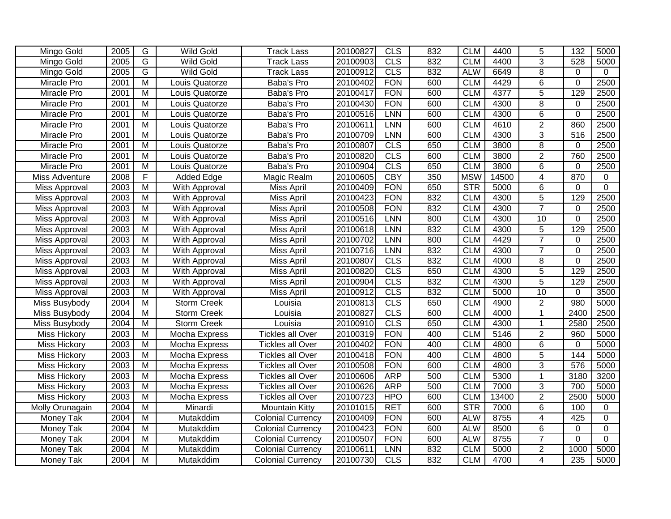| Mingo Gold          | 2005 | $\overline{G}$          | <b>Wild Gold</b>   | <b>Track Lass</b>        | 20100827 | CLS        | 832 | <b>CLM</b> | 4400  | $\overline{5}$ | $\overline{132}$ | 5000           |
|---------------------|------|-------------------------|--------------------|--------------------------|----------|------------|-----|------------|-------|----------------|------------------|----------------|
| Mingo Gold          | 2005 | $\overline{G}$          | <b>Wild Gold</b>   | <b>Track Lass</b>        | 20100903 | <b>CLS</b> | 832 | <b>CLM</b> | 4400  | $\overline{3}$ | 528              | 5000           |
| Mingo Gold          | 2005 | $\overline{G}$          | <b>Wild Gold</b>   | <b>Track Lass</b>        | 20100912 | CLS        | 832 | <b>ALW</b> | 6649  | $\overline{8}$ | $\Omega$         | $\Omega$       |
| Miracle Pro         | 2001 | $\overline{M}$          | Louis Quatorze     | Baba's Pro               | 20100402 | <b>FON</b> | 600 | <b>CLM</b> | 4429  | $\overline{6}$ | $\mathbf 0$      | 2500           |
| Miracle Pro         | 2001 | $\overline{M}$          | Louis Quatorze     | Baba's Pro               | 20100417 | <b>FON</b> | 600 | <b>CLM</b> | 4377  | $\overline{5}$ | 129              | 2500           |
| Miracle Pro         | 2001 | $\overline{M}$          | Louis Quatorze     | Baba's Pro               | 20100430 | <b>FON</b> | 600 | <b>CLM</b> | 4300  | $\overline{8}$ | $\mathbf 0$      | 2500           |
| Miracle Pro         | 2001 | $\overline{\mathsf{M}}$ | Louis Quatorze     | Baba's Pro               | 20100516 | <b>LNN</b> | 600 | <b>CLM</b> | 4300  | 6              | $\Omega$         | 2500           |
| Miracle Pro         | 2001 | $\overline{M}$          | Louis Quatorze     | Baba's Pro               | 20100611 | <b>LNN</b> | 600 | <b>CLM</b> | 4610  | $\overline{2}$ | 860              | 2500           |
| Miracle Pro         | 2001 | $\overline{M}$          | Louis Quatorze     | Baba's Pro               | 20100709 | <b>LNN</b> | 600 | <b>CLM</b> | 4300  | $\overline{3}$ | 516              | 2500           |
| Miracle Pro         | 2001 | $\overline{M}$          | Louis Quatorze     | Baba's Pro               | 20100807 | CLS        | 650 | <b>CLM</b> | 3800  | $\overline{8}$ | $\mathbf 0$      | 2500           |
| Miracle Pro         | 2001 | $\overline{M}$          | Louis Quatorze     | Baba's Pro               | 20100820 | CLS        | 600 | <b>CLM</b> | 3800  | $\overline{2}$ | 760              | 2500           |
| Miracle Pro         | 2001 | $\overline{M}$          | Louis Quatorze     | Baba's Pro               | 20100904 | CLS        | 650 | <b>CLM</b> | 3800  | $\overline{6}$ | $\Omega$         | 2500           |
| Miss Adventure      | 2008 | F                       | <b>Added Edge</b>  | Magic Realm              | 20100605 | <b>CBY</b> | 350 | <b>MSW</b> | 14500 | 4              | 870              | 0              |
| Miss Approval       | 2003 | M                       | With Approval      | Miss April               | 20100409 | <b>FON</b> | 650 | <b>STR</b> | 5000  | 6              | $\Omega$         | $\mathbf 0$    |
| Miss Approval       | 2003 | $\overline{M}$          | With Approval      | Miss April               | 20100423 | <b>FON</b> | 832 | <b>CLM</b> | 4300  | $\overline{5}$ | 129              | 2500           |
| Miss Approval       | 2003 | $\overline{M}$          | With Approval      | Miss April               | 20100508 | <b>FON</b> | 832 | <b>CLM</b> | 4300  | $\overline{7}$ | $\mathbf 0$      | 2500           |
| Miss Approval       | 2003 | M                       | With Approval      | Miss April               | 20100516 | <b>LNN</b> | 800 | <b>CLM</b> | 4300  | 10             | $\mathbf 0$      | 2500           |
| Miss Approval       | 2003 | $\overline{M}$          | With Approval      | Miss April               | 20100618 | <b>LNN</b> | 832 | <b>CLM</b> | 4300  | $\overline{5}$ | 129              | 2500           |
| Miss Approval       | 2003 | $\overline{M}$          | With Approval      | <b>Miss April</b>        | 20100702 | <b>LNN</b> | 800 | <b>CLM</b> | 4429  | $\overline{7}$ | $\mathbf 0$      | 2500           |
| Miss Approval       | 2003 | M                       | With Approval      | Miss April               | 20100716 | <b>LNN</b> | 832 | <b>CLM</b> | 4300  | $\overline{7}$ | $\mathbf 0$      | 2500           |
| Miss Approval       | 2003 | $\overline{M}$          | With Approval      | Miss April               | 20100807 | CLS        | 832 | <b>CLM</b> | 4000  | 8              | $\overline{0}$   | 2500           |
| Miss Approval       | 2003 | M                       | With Approval      | Miss April               | 20100820 | CLS        | 650 | <b>CLM</b> | 4300  | $\overline{5}$ | 129              | 2500           |
| Miss Approval       | 2003 | $\overline{M}$          | With Approval      | <b>Miss April</b>        | 20100904 | CLS        | 832 | <b>CLM</b> | 4300  | $\overline{5}$ | 129              | 2500           |
| Miss Approval       | 2003 | M                       | With Approval      | Miss April               | 20100912 | <b>CLS</b> | 832 | <b>CLM</b> | 5000  | 10             | 0                | 3500           |
| Miss Busybody       | 2004 | M                       | <b>Storm Creek</b> | Louisia                  | 20100813 | <b>CLS</b> | 650 | <b>CLM</b> | 4900  | $\overline{2}$ | 980              | 5000           |
| Miss Busybody       | 2004 | M                       | <b>Storm Creek</b> | Louisia                  | 20100827 | CLS        | 600 | <b>CLM</b> | 4000  | $\mathbf{1}$   | 2400             | 2500           |
| Miss Busybody       | 2004 | $\overline{M}$          | <b>Storm Creek</b> | Louisia                  | 20100910 | CLS        | 650 | <b>CLM</b> | 4300  | 1              | 2580             | 2500           |
| Miss Hickory        | 2003 | $\overline{M}$          | Mocha Express      | <b>Tickles all Over</b>  | 20100319 | <b>FON</b> | 400 | <b>CLM</b> | 5146  | $\overline{2}$ | 960              | 5000           |
| <b>Miss Hickory</b> | 2003 | $\overline{M}$          | Mocha Express      | <b>Tickles all Over</b>  | 20100402 | <b>FON</b> | 400 | <b>CLM</b> | 4800  | 6              | 0                | 5000           |
| <b>Miss Hickory</b> | 2003 | $\overline{M}$          | Mocha Express      | <b>Tickles all Over</b>  | 20100418 | <b>FON</b> | 400 | <b>CLM</b> | 4800  | $\overline{5}$ | 144              | 5000           |
| Miss Hickory        | 2003 | $\overline{M}$          | Mocha Express      | <b>Tickles all Over</b>  | 20100508 | <b>FON</b> | 600 | <b>CLM</b> | 4800  | $\overline{3}$ | 576              | 5000           |
| <b>Miss Hickory</b> | 2003 | $\overline{M}$          | Mocha Express      | <b>Tickles all Over</b>  | 20100606 | <b>ARP</b> | 500 | <b>CLM</b> | 5300  | $\overline{1}$ | 3180             | 3200           |
| Miss Hickory        | 2003 | $\overline{M}$          | Mocha Express      | <b>Tickles all Over</b>  | 20100626 | <b>ARP</b> | 500 | <b>CLM</b> | 7000  | 3              | 700              | 5000           |
| <b>Miss Hickory</b> | 2003 | $\overline{M}$          | Mocha Express      | <b>Tickles all Over</b>  | 20100723 | <b>HPO</b> | 600 | <b>CLM</b> | 13400 | $\overline{2}$ | 2500             | 5000           |
| Molly Orunagain     | 2004 | M                       | Minardi            | <b>Mountain Kitty</b>    | 20101015 | <b>RET</b> | 600 | <b>STR</b> | 7000  | 6              | 100              | 0              |
| Money Tak           | 2004 | $\overline{M}$          | Mutakddim          | Colonial Currency        | 20100409 | <b>FON</b> | 600 | <b>ALW</b> | 8755  | 4              | 425              | 0              |
| Money Tak           | 2004 | $\overline{M}$          | Mutakddim          | <b>Colonial Currency</b> | 20100423 | <b>FON</b> | 600 | <b>ALW</b> | 8500  | 6              | 0                | $\mathbf 0$    |
| <b>Money Tak</b>    | 2004 | $\overline{M}$          | Mutakddim          | Colonial Currency        | 20100507 | <b>FON</b> | 600 | <b>ALW</b> | 8755  | $\overline{7}$ | $\overline{0}$   | $\overline{0}$ |
| Money Tak           | 2004 | $\overline{M}$          | Mutakddim          | <b>Colonial Currency</b> | 20100611 | <b>LNN</b> | 832 | <b>CLM</b> | 5000  | $\overline{2}$ | 1000             | 5000           |
| Money Tak           | 2004 | $\overline{\mathsf{M}}$ | Mutakddim          | Colonial Currency        | 20100730 | <b>CLS</b> | 832 | <b>CLM</b> | 4700  | $\overline{4}$ | 235              | 5000           |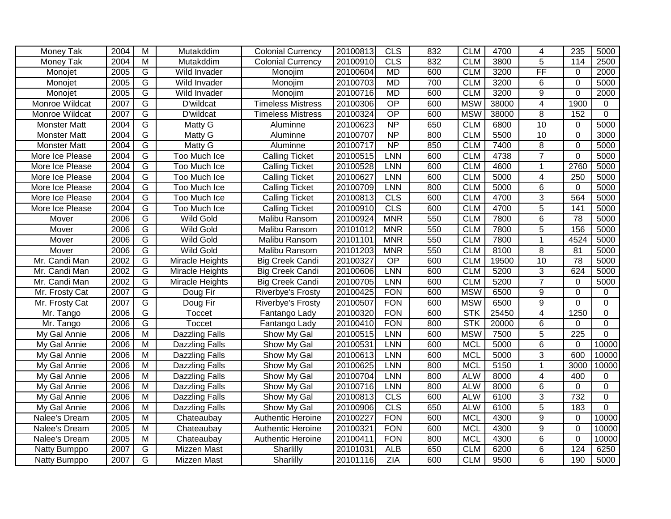| Money Tak           | 2004 | $\overline{M}$          | Mutakddim             | <b>Colonial Currency</b> | 20100813 | <b>CLS</b>      | 832 | <b>CLM</b> | 4700  | 4                      | 235              | 5000        |
|---------------------|------|-------------------------|-----------------------|--------------------------|----------|-----------------|-----|------------|-------|------------------------|------------------|-------------|
| Money Tak           | 2004 | M                       | Mutakddim             | <b>Colonial Currency</b> | 20100910 | <b>CLS</b>      | 832 | <b>CLM</b> | 3800  | 5                      | 114              | 2500        |
| Monojet             | 2005 | $\overline{G}$          | Wild Invader          | Monojim                  | 20100604 | <b>MD</b>       | 600 | <b>CLM</b> | 3200  | $\overline{\text{FF}}$ | 0                | 2000        |
| Monojet             | 2005 | $\overline{G}$          | Wild Invader          | Monojim                  | 20100703 | <b>MD</b>       | 700 | <b>CLM</b> | 3200  | 6                      | $\mathbf 0$      | 5000        |
| Monojet             | 2005 | $\overline{G}$          | Wild Invader          | Monojim                  | 20100716 | <b>MD</b>       | 600 | <b>CLM</b> | 3200  | $\overline{9}$         | $\Omega$         | 2000        |
| Monroe Wildcat      | 2007 | G                       | D'wildcat             | <b>Timeless Mistress</b> | 20100306 | $\overline{OP}$ | 600 | <b>MSW</b> | 38000 | $\overline{4}$         | 1900             | $\Omega$    |
| Monroe Wildcat      | 2007 | $\overline{G}$          | D'wildcat             | <b>Timeless Mistress</b> | 20100324 | OP              | 600 | <b>MSW</b> | 38000 | $\overline{8}$         | 152              | $\Omega$    |
| <b>Monster Matt</b> | 2004 | $\overline{\mathsf{G}}$ | Matty G               | Aluminne                 | 20100623 | NP              | 650 | <b>CLM</b> | 6800  | 10                     | 0                | 5000        |
| <b>Monster Matt</b> | 2004 | $\overline{G}$          | Matty G               | Aluminne                 | 20100707 | $\overline{NP}$ | 800 | <b>CLM</b> | 5500  | 10                     | $\mathbf 0$      | 3000        |
| <b>Monster Matt</b> | 2004 | $\overline{G}$          | Matty G               | Aluminne                 | 20100717 | $\overline{NP}$ | 850 | <b>CLM</b> | 7400  | 8                      | $\mathbf 0$      | 5000        |
| More Ice Please     | 2004 | G                       | Too Much Ice          | <b>Calling Ticket</b>    | 20100515 | <b>LNN</b>      | 600 | <b>CLM</b> | 4738  | $\overline{7}$         | $\overline{0}$   | 5000        |
| More Ice Please     | 2004 | $\overline{G}$          | Too Much Ice          | <b>Calling Ticket</b>    | 20100528 | <b>LNN</b>      | 600 | <b>CLM</b> | 4600  | 1                      | 2760             | 5000        |
| More Ice Please     | 2004 | G                       | Too Much Ice          | <b>Calling Ticket</b>    | 20100627 | <b>LNN</b>      | 600 | <b>CLM</b> | 5000  | 4                      | 250              | 5000        |
| More Ice Please     | 2004 | G                       | Too Much Ice          | <b>Calling Ticket</b>    | 20100709 | LNN             | 800 | <b>CLM</b> | 5000  | $\,6$                  | 0                | 5000        |
| More Ice Please     | 2004 | $\overline{G}$          | Too Much Ice          | <b>Calling Ticket</b>    | 20100813 | CLS             | 600 | <b>CLM</b> | 4700  | $\overline{3}$         | 564              | 5000        |
| More Ice Please     | 2004 | $\overline{G}$          | Too Much Ice          | <b>Calling Ticket</b>    | 20100910 | CLS             | 600 | <b>CLM</b> | 4700  | $\overline{5}$         | 141              | 5000        |
| Mover               | 2006 | $\overline{G}$          | <b>Wild Gold</b>      | Malibu Ransom            | 20100924 | <b>MNR</b>      | 550 | <b>CLM</b> | 7800  | $\overline{6}$         | $\overline{78}$  | 5000        |
| Mover               | 2006 | $\overline{G}$          | <b>Wild Gold</b>      | Malibu Ransom            | 20101012 | <b>MNR</b>      | 550 | <b>CLM</b> | 7800  | $\overline{5}$         | 156              | 5000        |
| Mover               | 2006 | $\overline{G}$          | <b>Wild Gold</b>      | Malibu Ransom            | 20101101 | <b>MNR</b>      | 550 | <b>CLM</b> | 7800  | 1                      | 4524             | 5000        |
| Mover               | 2006 | G                       | <b>Wild Gold</b>      | Malibu Ransom            | 20101203 | <b>MNR</b>      | 550 | <b>CLM</b> | 8100  | 8                      | 81               | 5000        |
| Mr. Candi Man       | 2002 | G                       | Miracle Heights       | <b>Big Creek Candi</b>   | 20100327 | $\overline{OP}$ | 600 | <b>CLM</b> | 19500 | 10                     | 78               | 5000        |
| Mr. Candi Man       | 2002 | G                       | Miracle Heights       | <b>Big Creek Candi</b>   | 20100606 | <b>LNN</b>      | 600 | <b>CLM</b> | 5200  | 3                      | 624              | 5000        |
| Mr. Candi Man       | 2002 | $\overline{G}$          | Miracle Heights       | <b>Big Creek Candi</b>   | 20100705 | <b>LNN</b>      | 600 | <b>CLM</b> | 5200  | $\overline{7}$         | $\mathbf 0$      | 5000        |
| Mr. Frosty Cat      | 2007 | $\overline{G}$          | Doug Fir              | Riverbye's Frosty        | 20100425 | <b>FON</b>      | 600 | <b>MSW</b> | 6500  | $\overline{9}$         | 0                | 0           |
| Mr. Frosty Cat      | 2007 | G                       | Doug Fir              | Riverbye's Frosty        | 20100507 | <b>FON</b>      | 600 | <b>MSW</b> | 6500  | 9                      | $\mathbf 0$      | $\Omega$    |
| Mr. Tango           | 2006 | $\overline{G}$          | <b>Toccet</b>         | Fantango Lady            | 20100320 | <b>FON</b>      | 600 | <b>STK</b> | 25450 | $\overline{4}$         | 1250             | $\mathbf 0$ |
| Mr. Tango           | 2006 | G                       | <b>Toccet</b>         | Fantango Lady            | 20100410 | <b>FON</b>      | 800 | <b>STK</b> | 20000 | 6                      | $\mathbf 0$      | 0           |
| My Gal Annie        | 2006 | $\overline{M}$          | Dazzling Falls        | Show My Gal              | 20100515 | LNN             | 600 | <b>MSW</b> | 7500  | $\overline{5}$         | $\overline{225}$ | 0           |
| My Gal Annie        | 2006 | $\overline{M}$          | Dazzling Falls        | Show My Gal              | 20100531 | LNN             | 600 | <b>MCL</b> | 5000  | 6                      | $\Omega$         | 10000       |
| My Gal Annie        | 2006 | $\overline{M}$          | <b>Dazzling Falls</b> | Show My Gal              | 20100613 | LNN             | 600 | <b>MCL</b> | 5000  | 3                      | 600              | 10000       |
| My Gal Annie        | 2006 | M                       | <b>Dazzling Falls</b> | Show My Gal              | 20100625 | LNN             | 800 | <b>MCL</b> | 5150  | $\mathbf{1}$           | 3000             | 10000       |
| My Gal Annie        | 2006 | M                       | <b>Dazzling Falls</b> | Show My Gal              | 20100704 | LNN             | 800 | <b>ALW</b> | 8000  | $\overline{4}$         | 400              | $\Omega$    |
| My Gal Annie        | 2006 | $\overline{M}$          | <b>Dazzling Falls</b> | Show My Gal              | 20100716 | <b>LNN</b>      | 800 | <b>ALW</b> | 8000  | 6                      | $\mathbf 0$      | $\mathbf 0$ |
| My Gal Annie        | 2006 | $\overline{M}$          | <b>Dazzling Falls</b> | Show My Gal              | 20100813 | CLS             | 600 | <b>ALW</b> | 6100  | $\overline{3}$         | 732              | $\mathbf 0$ |
| My Gal Annie        | 2006 | $\overline{M}$          | Dazzling Falls        | Show My Gal              | 20100906 | CLS             | 650 | <b>ALW</b> | 6100  | $\overline{5}$         | 183              | $\Omega$    |
| Nalee's Dream       | 2005 | $\overline{M}$          | Chateaubay            | <b>Authentic Heroine</b> | 20100227 | <b>FON</b>      | 600 | <b>MCL</b> | 4300  | 9                      | 0                | 10000       |
| Nalee's Dream       | 2005 | $\overline{M}$          | Chateaubay            | <b>Authentic Heroine</b> | 20100321 | <b>FON</b>      | 600 | <b>MCL</b> | 4300  | $\overline{9}$         | $\mathbf 0$      | 10000       |
| Nalee's Dream       | 2005 | $\overline{M}$          | Chateaubay            | Authentic Heroine        | 20100411 | <b>FON</b>      | 800 | <b>MCL</b> | 4300  | $\overline{6}$         | $\mathbf 0$      | 10000       |
| Natty Bumppo        | 2007 | $\overline{G}$          | <b>Mizzen Mast</b>    | Sharlilly                | 20101031 | <b>ALB</b>      | 650 | <b>CLM</b> | 6200  | $\overline{6}$         | 124              | 6250        |
| Natty Bumppo        | 2007 | G                       | Mizzen Mast           | Sharlilly                | 20101116 | <b>ZIA</b>      | 600 | <b>CLM</b> | 9500  | $\overline{6}$         | 190              | 5000        |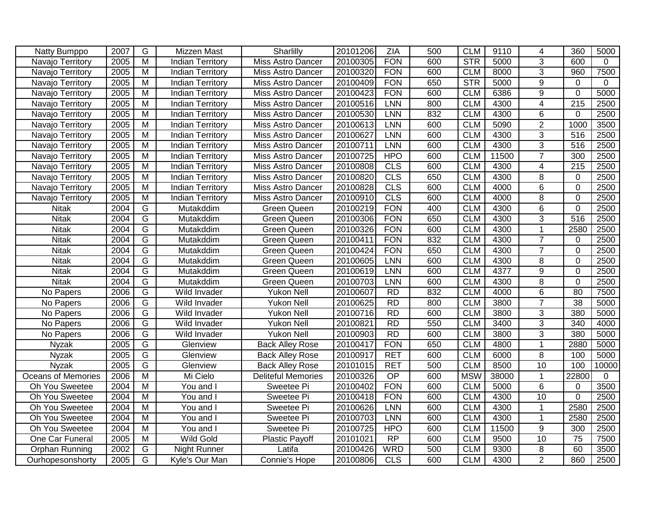| Natty Bumppo              | 2007 | G                       | Mizzen Mast             | Sharlilly                 | 20101206 | ZIA             | 500 | <b>CLM</b> | 9110  | 4               | 360             | 5000        |
|---------------------------|------|-------------------------|-------------------------|---------------------------|----------|-----------------|-----|------------|-------|-----------------|-----------------|-------------|
| Navajo Territory          | 2005 | M                       | <b>Indian Territory</b> | Miss Astro Dancer         | 20100305 | <b>FON</b>      | 600 | STR        | 5000  | $\overline{3}$  | 600             | $\mathbf 0$ |
| Navajo Territory          | 2005 | $\overline{M}$          | <b>Indian Territory</b> | Miss Astro Dancer         | 20100320 | <b>FON</b>      | 600 | <b>CLM</b> | 8000  | $\overline{3}$  | 960             | 7500        |
| Navajo Territory          | 2005 | $\overline{M}$          | <b>Indian Territory</b> | <b>Miss Astro Dancer</b>  | 20100409 | <b>FON</b>      | 650 | <b>STR</b> | 5000  | $\overline{9}$  | $\mathbf 0$     | $\mathbf 0$ |
| Navajo Territory          | 2005 | $\overline{\mathsf{M}}$ | <b>Indian Territory</b> | Miss Astro Dancer         | 20100423 | <b>FON</b>      | 600 | <b>CLM</b> | 6386  | $\overline{9}$  | $\Omega$        | 5000        |
| Navajo Territory          | 2005 | $\overline{M}$          | <b>Indian Territory</b> | Miss Astro Dancer         | 20100516 | <b>LNN</b>      | 800 | <b>CLM</b> | 4300  | 4               | 215             | 2500        |
| Navajo Territory          | 2005 | $\overline{M}$          | <b>Indian Territory</b> | Miss Astro Dancer         | 20100530 | <b>LNN</b>      | 832 | <b>CLM</b> | 4300  | $\overline{6}$  | $\Omega$        | 2500        |
| Navajo Territory          | 2005 | $\overline{\mathsf{M}}$ | <b>Indian Territory</b> | <b>Miss Astro Dancer</b>  | 20100613 | LNN             | 600 | <b>CLM</b> | 5090  | $\overline{2}$  | 1000            | 3500        |
| Navajo Territory          | 2005 | $\overline{M}$          | <b>Indian Territory</b> | Miss Astro Dancer         | 20100627 | <b>LNN</b>      | 600 | <b>CLM</b> | 4300  | $\overline{3}$  | 516             | 2500        |
| Navajo Territory          | 2005 | $\overline{M}$          | <b>Indian Territory</b> | Miss Astro Dancer         | 20100711 | LNN             | 600 | <b>CLM</b> | 4300  | $\overline{3}$  | 516             | 2500        |
| Navajo Territory          | 2005 | M                       | <b>Indian Territory</b> | <b>Miss Astro Dancer</b>  | 20100725 | <b>HPO</b>      | 600 | <b>CLM</b> | 11500 | $\overline{7}$  | 300             | 2500        |
| Navajo Territory          | 2005 | $\overline{M}$          | <b>Indian Territory</b> | <b>Miss Astro Dancer</b>  | 20100808 | CLS             | 600 | <b>CLM</b> | 4300  | $\overline{4}$  | 215             | 2500        |
| Navajo Territory          | 2005 | $\overline{M}$          | <b>Indian Territory</b> | Miss Astro Dancer         | 20100820 | CLS             | 650 | <b>CLM</b> | 4300  | 8               | $\mathbf 0$     | 2500        |
| Navajo Territory          | 2005 | $\overline{M}$          | <b>Indian Territory</b> | Miss Astro Dancer         | 20100828 | CLS             | 600 | <b>CLM</b> | 4000  | $\overline{6}$  | $\Omega$        | 2500        |
| Navajo Territory          | 2005 | M                       | <b>Indian Territory</b> | <b>Miss Astro Dancer</b>  | 20100910 | CLS             | 600 | <b>CLM</b> | 4000  | 8               | $\Omega$        | 2500        |
| <b>Nitak</b>              | 2004 | G                       | Mutakddim               | <b>Green Queen</b>        | 20100219 | <b>FON</b>      | 400 | <b>CLM</b> | 4300  | $\,6$           | $\mathbf 0$     | 2500        |
| <b>Nitak</b>              | 2004 | G                       | Mutakddim               | Green Queen               | 20100306 | <b>FON</b>      | 650 | <b>CLM</b> | 4300  | $\overline{3}$  | 516             | 2500        |
| <b>Nitak</b>              | 2004 | $\overline{G}$          | Mutakddim               | <b>Green Queen</b>        | 20100326 | <b>FON</b>      | 600 | <b>CLM</b> | 4300  | $\mathbf{1}$    | 2580            | 2500        |
| <b>Nitak</b>              | 2004 | $\overline{G}$          | Mutakddim               | <b>Green Queen</b>        | 20100411 | <b>FON</b>      | 832 | <b>CLM</b> | 4300  | $\overline{7}$  | $\mathbf 0$     | 2500        |
| <b>Nitak</b>              | 2004 | $\overline{G}$          | Mutakddim               | <b>Green Queen</b>        | 20100424 | <b>FON</b>      | 650 | <b>CLM</b> | 4300  | $\overline{7}$  | $\Omega$        | 2500        |
| <b>Nitak</b>              | 2004 | G                       | Mutakddim               | <b>Green Queen</b>        | 20100605 | LNN             | 600 | <b>CLM</b> | 4300  | 8               | $\mathbf 0$     | 2500        |
| <b>Nitak</b>              | 2004 | G                       | Mutakddim               | <b>Green Queen</b>        | 20100619 | <b>LNN</b>      | 600 | <b>CLM</b> | 4377  | 9               | $\Omega$        | 2500        |
| <b>Nitak</b>              | 2004 | G                       | Mutakddim               | <b>Green Queen</b>        | 20100703 | LNN             | 600 | <b>CLM</b> | 4300  | $\overline{8}$  | $\mathbf 0$     | 2500        |
| No Papers                 | 2006 | $\overline{G}$          | Wild Invader            | Yukon Nell                | 20100607 | <b>RD</b>       | 832 | <b>CLM</b> | 4000  | 6               | 80              | 7500        |
| No Papers                 | 2006 | G                       | Wild Invader            | <b>Yukon Nell</b>         | 20100625 | R <sub>D</sub>  | 800 | <b>CLM</b> | 3800  | $\overline{7}$  | $\overline{38}$ | 5000        |
| No Papers                 | 2006 | $\overline{G}$          | Wild Invader            | Yukon Nell                | 20100716 | <b>RD</b>       | 600 | <b>CLM</b> | 3800  | $\overline{3}$  | 380             | 5000        |
| No Papers                 | 2006 | $\overline{G}$          | Wild Invader            | Yukon Nell                | 20100821 | R <sub>D</sub>  | 550 | <b>CLM</b> | 3400  | $\overline{3}$  | 340             | 4000        |
| No Papers                 | 2006 | G                       | Wild Invader            | <b>Yukon Nell</b>         | 20100903 | <b>RD</b>       | 600 | <b>CLM</b> | 3800  | 3               | 380             | 5000        |
| <b>Nyzak</b>              | 2005 | G                       | Glenview                | <b>Back Alley Rose</b>    | 20100417 | <b>FON</b>      | 650 | <b>CLM</b> | 4800  | $\mathbf{1}$    | 2880            | 5000        |
| <b>Nyzak</b>              | 2005 | G                       | Glenview                | <b>Back Alley Rose</b>    | 20100917 | <b>RET</b>      | 600 | <b>CLM</b> | 6000  | 8               | 100             | 5000        |
| Nyzak                     | 2005 | $\overline{G}$          | Glenview                | <b>Back Alley Rose</b>    | 20101015 | <b>RET</b>      | 500 | <b>CLM</b> | 8500  | $\overline{10}$ | 100             | 10000       |
| <b>Oceans of Memories</b> | 2006 | $\overline{M}$          | Mi Cielo                | <b>Deliteful Memories</b> | 20100326 | $\overline{OP}$ | 600 | <b>MSW</b> | 38000 | $\mathbf{1}$    | 22800           | $\mathbf 0$ |
| Oh You Sweetee            | 2004 | $\overline{M}$          | You and I               | Sweetee Pi                | 20100402 | <b>FON</b>      | 600 | <b>CLM</b> | 5000  | $\overline{6}$  | 0               | 3500        |
| Oh You Sweetee            | 2004 | $\overline{M}$          | You and I               | Sweetee Pi                | 20100418 | <b>FON</b>      | 600 | <b>CLM</b> | 4300  | 10              | $\overline{0}$  | 2500        |
| Oh You Sweetee            | 2004 | $\overline{\mathsf{M}}$ | You and I               | Sweetee Pi                | 20100626 | <b>LNN</b>      | 600 | <b>CLM</b> | 4300  | 1               | 2580            | 2500        |
| Oh You Sweetee            | 2004 | $\overline{\mathsf{M}}$ | You and I               | Sweetee Pi                | 20100703 | <b>LNN</b>      | 600 | <b>CLM</b> | 4300  |                 | 2580            | 2500        |
| Oh You Sweetee            | 2004 | $\overline{M}$          | You and I               | Sweetee Pi                | 20100725 | <b>HPO</b>      | 600 | <b>CLM</b> | 11500 | 9               | 300             | 2500        |
| One Car Funeral           | 2005 | $\overline{M}$          | <b>Wild Gold</b>        | Plastic Payoff            | 20101021 | $\overline{RP}$ | 600 | <b>CLM</b> | 9500  | 10              | 75              | 7500        |
| <b>Orphan Running</b>     | 2002 | G                       | <b>Night Runner</b>     | Latifa                    | 20100426 | <b>WRD</b>      | 500 | <b>CLM</b> | 9300  | $\overline{8}$  | 60              | 3500        |
| Ourhopesonshorty          | 2005 | $\overline{G}$          | Kyle's Our Man          | Connie's Hope             | 20100806 | CLS             | 600 | <b>CLM</b> | 4300  | $\overline{2}$  | 860             | 2500        |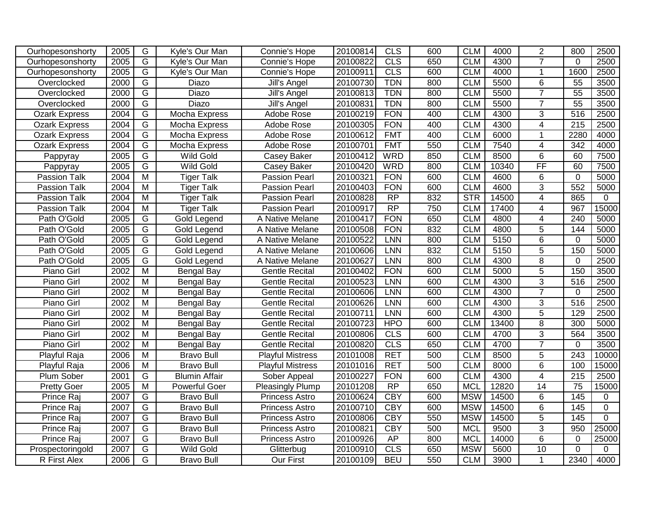| Ourhopesonshorty     | 2005 | G                       | Kyle's Our Man       | Connie's Hope           | 20100814 | <b>CLS</b>      | 600 | <b>CLM</b> | 4000  | $\overline{2}$  | 800              | 2500           |
|----------------------|------|-------------------------|----------------------|-------------------------|----------|-----------------|-----|------------|-------|-----------------|------------------|----------------|
| Ourhopesonshorty     | 2005 | $\overline{G}$          | Kyle's Our Man       | Connie's Hope           | 20100822 | CLS             | 650 | <b>CLM</b> | 4300  | $\overline{7}$  | $\Omega$         | 2500           |
| Ourhopesonshorty     | 2005 | $\overline{G}$          | Kyle's Our Man       | Connie's Hope           | 20100911 | CLS             | 600 | <b>CLM</b> | 4000  | $\mathbf{1}$    | 1600             | 2500           |
| Overclocked          | 2000 | G                       | Diazo                | Jill's Angel            | 20100730 | <b>TDN</b>      | 800 | <b>CLM</b> | 5500  | 6               | 55               | 3500           |
| Overclocked          | 2000 | G                       | Diazo                | Jill's Angel            | 20100813 | <b>TDN</b>      | 800 | <b>CLM</b> | 5500  | $\overline{7}$  | $\overline{55}$  | 3500           |
| Overclocked          | 2000 | G                       | <b>Diazo</b>         | Jill's Angel            | 20100831 | <b>TDN</b>      | 800 | <b>CLM</b> | 5500  | $\overline{7}$  | 55               | 3500           |
| <b>Ozark Express</b> | 2004 | $\overline{G}$          | Mocha Express        | Adobe Rose              | 20100219 | <b>FON</b>      | 400 | <b>CLM</b> | 4300  | $\overline{3}$  | 516              | 2500           |
| <b>Ozark Express</b> | 2004 | $\overline{G}$          | Mocha Express        | Adobe Rose              | 20100305 | <b>FON</b>      | 400 | <b>CLM</b> | 4300  | $\overline{4}$  | 215              | 2500           |
| <b>Ozark Express</b> | 2004 | $\overline{G}$          | Mocha Express        | Adobe Rose              | 20100612 | <b>FMT</b>      | 400 | <b>CLM</b> | 6000  |                 | 2280             | 4000           |
| <b>Ozark Express</b> | 2004 | $\overline{G}$          | Mocha Express        | Adobe Rose              | 20100701 | <b>FMT</b>      | 550 | <b>CLM</b> | 7540  | 4               | 342              | 4000           |
| Pappyray             | 2005 | G                       | <b>Wild Gold</b>     | Casey Baker             | 20100412 | <b>WRD</b>      | 850 | <b>CLM</b> | 8500  | 6               | 60               | 7500           |
| Pappyray             | 2005 | G                       | <b>Wild Gold</b>     | Casey Baker             | 20100420 | <b>WRD</b>      | 800 | <b>CLM</b> | 10340 | FF              | 60               | 7500           |
| Passion Talk         | 2004 | M                       | <b>Tiger Talk</b>    | <b>Passion Pearl</b>    | 20100321 | <b>FON</b>      | 600 | <b>CLM</b> | 4600  | 6               | $\mathbf 0$      | 5000           |
| Passion Talk         | 2004 | M                       | <b>Tiger Talk</b>    | <b>Passion Pearl</b>    | 20100403 | <b>FON</b>      | 600 | <b>CLM</b> | 4600  | 3               | 552              | 5000           |
| Passion Talk         | 2004 | M                       | <b>Tiger Talk</b>    | <b>Passion Pearl</b>    | 20100828 | $\overline{RP}$ | 832 | <b>STR</b> | 14500 | $\overline{4}$  | 865              | $\mathbf 0$    |
| Passion Talk         | 2004 | $\overline{\mathsf{M}}$ | <b>Tiger Talk</b>    | Passion Pearl           | 20100917 | RP              | 750 | <b>CLM</b> | 17400 | 4               | 967              | 15000          |
| Path O'Gold          | 2005 | G                       | Gold Legend          | A Native Melane         | 20100417 | <b>FON</b>      | 650 | <b>CLM</b> | 4800  | 4               | 240              | 5000           |
| Path O'Gold          | 2005 | $\overline{G}$          | Gold Legend          | A Native Melane         | 20100508 | <b>FON</b>      | 832 | <b>CLM</b> | 4800  | 5               | 144              | 5000           |
| Path O'Gold          | 2005 | $\overline{G}$          | Gold Legend          | A Native Melane         | 20100522 | <b>LNN</b>      | 800 | <b>CLM</b> | 5150  | 6               | $\mathbf 0$      | 5000           |
| Path O'Gold          | 2005 | G                       | Gold Legend          | A Native Melane         | 20100606 | <b>LNN</b>      | 832 | <b>CLM</b> | 5150  | 5               | 150              | 5000           |
| Path O'Gold          | 2005 | $\overline{G}$          | Gold Legend          | A Native Melane         | 20100627 | LNN             | 800 | <b>CLM</b> | 4300  | $\overline{8}$  | $\mathbf 0$      | 2500           |
| Piano Girl           | 2002 | M                       | <b>Bengal Bay</b>    | <b>Gentle Recital</b>   | 20100402 | <b>FON</b>      | 600 | <b>CLM</b> | 5000  | $\overline{5}$  | 150              | 3500           |
| Piano Girl           | 2002 | $\overline{M}$          | <b>Bengal Bay</b>    | <b>Gentle Recital</b>   | 20100523 | <b>LNN</b>      | 600 | <b>CLM</b> | 4300  | $\overline{3}$  | 516              | 2500           |
| Piano Girl           | 2002 | M                       | Bengal Bay           | <b>Gentle Recital</b>   | 20100606 | LNN             | 600 | <b>CLM</b> | 4300  | $\overline{7}$  | $\Omega$         | 2500           |
| Piano Girl           | 2002 | M                       | <b>Bengal Bay</b>    | <b>Gentle Recital</b>   | 20100626 | <b>LNN</b>      | 600 | <b>CLM</b> | 4300  | 3               | 516              | 2500           |
| Piano Girl           | 2002 | M                       | <b>Bengal Bay</b>    | Gentle Recital          | 20100711 | LNN             | 600 | <b>CLM</b> | 4300  | $\overline{5}$  | 129              | 2500           |
| Piano Girl           | 2002 | M                       | <b>Bengal Bay</b>    | <b>Gentle Recital</b>   | 20100723 | <b>HPO</b>      | 600 | <b>CLM</b> | 13400 | 8               | 300              | 5000           |
| Piano Girl           | 2002 | M                       | <b>Bengal Bay</b>    | <b>Gentle Recital</b>   | 20100806 | <b>CLS</b>      | 600 | <b>CLM</b> | 4700  | 3               | 564              | 3500           |
| Piano Girl           | 2002 | M                       | <b>Bengal Bay</b>    | <b>Gentle Recital</b>   | 20100820 | CLS             | 650 | <b>CLM</b> | 4700  | $\overline{7}$  | $\mathbf 0$      | 3500           |
| Playful Raja         | 2006 | M                       | <b>Bravo Bull</b>    | <b>Playful Mistress</b> | 20101008 | <b>RET</b>      | 500 | <b>CLM</b> | 8500  | 5               | $\overline{243}$ | 10000          |
| Playful Raja         | 2006 | $\overline{M}$          | <b>Bravo Bull</b>    | <b>Playful Mistress</b> | 20101016 | <b>RET</b>      | 500 | <b>CLM</b> | 8000  | $\overline{6}$  | 100              | 15000          |
| Plum Sober           | 2001 | G                       | <b>Blumin Affair</b> | Sober Appeal            | 20100227 | <b>FON</b>      | 600 | <b>CLM</b> | 4300  | $\overline{4}$  | $\overline{215}$ | 2500           |
| <b>Pretty Goer</b>   | 2005 | M                       | <b>Powerful Goer</b> | <b>Pleasingly Plump</b> | 20101208 | RP              | 650 | <b>MCL</b> | 12820 | $\overline{14}$ | 75               | 15000          |
| Prince Raj           | 2007 | G                       | <b>Bravo Bull</b>    | Princess Astro          | 20100624 | <b>CBY</b>      | 600 | <b>MSW</b> | 14500 | 6               | 145              | 0              |
| Prince Raj           | 2007 | G                       | <b>Bravo Bull</b>    | Princess Astro          | 20100710 | <b>CBY</b>      | 600 | <b>MSW</b> | 14500 | 6               | 145              | $\mathbf 0$    |
| Prince Raj           | 2007 | G                       | <b>Bravo Bull</b>    | Princess Astro          | 20100806 | <b>CBY</b>      | 550 | <b>MSW</b> | 14500 | $\overline{5}$  | 145              | $\overline{0}$ |
| Prince Raj           | 2007 | G                       | <b>Bravo Bull</b>    | <b>Princess Astro</b>   | 20100821 | <b>CBY</b>      | 500 | <b>MCL</b> | 9500  | $\overline{3}$  | 950              | 25000          |
| Prince Raj           | 2007 | $\overline{G}$          | <b>Bravo Bull</b>    | Princess Astro          | 20100926 | <b>AP</b>       | 800 | <b>MCL</b> | 14000 | $\overline{6}$  | $\mathbf{0}$     | 25000          |
| Prospectoringold     | 2007 | G                       | <b>Wild Gold</b>     | Glitterbug              | 20100910 | CLS             | 650 | <b>MSW</b> | 5600  | 10              | $\Omega$         | $\mathbf{0}$   |
| R First Alex         | 2006 | $\overline{G}$          | <b>Bravo Bull</b>    | Our First               | 20100109 | <b>BEU</b>      | 550 | <b>CLM</b> | 3900  | $\mathbf{1}$    | 2340             | 4000           |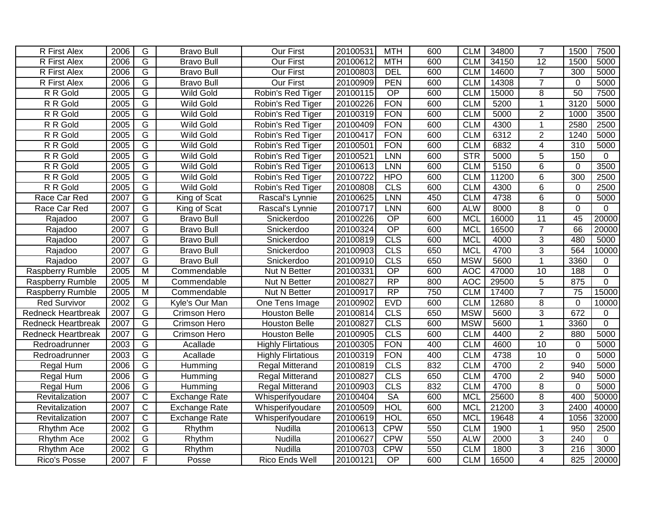| R First Alex              | 2006 | G              | <b>Bravo Bull</b>    | Our First                 | 20100531 | <b>MTH</b>      | 600 | <b>CLM</b> | 34800 | $\overline{7}$  | 1500             | 7500     |
|---------------------------|------|----------------|----------------------|---------------------------|----------|-----------------|-----|------------|-------|-----------------|------------------|----------|
| R First Alex              | 2006 | $\overline{G}$ | <b>Bravo Bull</b>    | Our First                 | 20100612 | <b>MTH</b>      | 600 | <b>CLM</b> | 34150 | $\overline{12}$ | 1500             | 5000     |
| <b>R</b> First Alex       | 2006 | G              | <b>Bravo Bull</b>    | <b>Our First</b>          | 20100803 | <b>DEL</b>      | 600 | <b>CLM</b> | 14600 | $\overline{7}$  | 300              | 5000     |
| <b>R</b> First Alex       | 2006 | G              | <b>Bravo Bull</b>    | <b>Our First</b>          | 20100909 | <b>PEN</b>      | 600 | <b>CLM</b> | 14308 | $\overline{7}$  | $\mathbf 0$      | 5000     |
| R R Gold                  | 2005 | G              | <b>Wild Gold</b>     | Robin's Red Tiger         | 20100115 | $\overline{OP}$ | 600 | <b>CLM</b> | 15000 | $\overline{8}$  | 50               | 7500     |
| R R Gold                  | 2005 | G              | <b>Wild Gold</b>     | Robin's Red Tiger         | 20100226 | <b>FON</b>      | 600 | <b>CLM</b> | 5200  | 1               | 3120             | 5000     |
| R R Gold                  | 2005 | $\overline{G}$ | <b>Wild Gold</b>     | Robin's Red Tiger         | 20100319 | <b>FON</b>      | 600 | <b>CLM</b> | 5000  | $\overline{2}$  | 1000             | 3500     |
| R R Gold                  | 2005 | $\overline{G}$ | <b>Wild Gold</b>     | Robin's Red Tiger         | 20100409 | <b>FON</b>      | 600 | <b>CLM</b> | 4300  | 1               | 2580             | 2500     |
| R R Gold                  | 2005 | G              | <b>Wild Gold</b>     | Robin's Red Tiger         | 20100417 | <b>FON</b>      | 600 | <b>CLM</b> | 6312  | $\overline{2}$  | 1240             | 5000     |
| R R Gold                  | 2005 | G              | <b>Wild Gold</b>     | Robin's Red Tiger         | 20100501 | <b>FON</b>      | 600 | <b>CLM</b> | 6832  | $\overline{4}$  | 310              | 5000     |
| R R Gold                  | 2005 | $\overline{G}$ | <b>Wild Gold</b>     | Robin's Red Tiger         | 20100521 | LNN             | 600 | STR        | 5000  | 5               | 150              | $\Omega$ |
| R R Gold                  | 2005 | $\overline{G}$ | <b>Wild Gold</b>     | Robin's Red Tiger         | 20100613 | <b>LNN</b>      | 600 | <b>CLM</b> | 5150  | 6               | $\mathbf 0$      | 3500     |
| R R Gold                  | 2005 | $\overline{G}$ | <b>Wild Gold</b>     | Robin's Red Tiger         | 20100722 | <b>HPO</b>      | 600 | <b>CLM</b> | 11200 | 6               | 300              | 2500     |
| R R Gold                  | 2005 | G              | <b>Wild Gold</b>     | Robin's Red Tiger         | 20100808 | CLS             | 600 | <b>CLM</b> | 4300  | 6               | 0                | 2500     |
| Race Car Red              | 2007 | $\overline{G}$ | King of Scat         | Rascal's Lynnie           | 20100625 | LNN             | 450 | <b>CLM</b> | 4738  | 6               | $\Omega$         | 5000     |
| Race Car Red              | 2007 | $\overline{G}$ | King of Scat         | Rascal's Lynnie           | 20100717 | LNN             | 600 | <b>ALW</b> | 8000  | 8               | $\mathbf 0$      | $\Omega$ |
| Rajadoo                   | 2007 | $\overline{G}$ | <b>Bravo Bull</b>    | Snickerdoo                | 20100226 | $\overline{OP}$ | 600 | <b>MCL</b> | 16000 | $\overline{11}$ | 45               | 20000    |
| Rajadoo                   | 2007 | $\overline{G}$ | <b>Bravo Bull</b>    | Snickerdoo                | 20100324 | $\overline{OP}$ | 600 | <b>MCL</b> | 16500 | $\overline{7}$  | 66               | 20000    |
| Rajadoo                   | 2007 | $\overline{G}$ | <b>Bravo Bull</b>    | Snickerdoo                | 20100819 | CLS             | 600 | <b>MCL</b> | 4000  | $\overline{3}$  | 480              | 5000     |
| Rajadoo                   | 2007 | $\overline{G}$ | <b>Bravo Bull</b>    | Snickerdoo                | 20100903 | CLS             | 650 | <b>MCL</b> | 4700  | $\overline{3}$  | 564              | 10000    |
| Rajadoo                   | 2007 | G              | <b>Bravo Bull</b>    | Snickerdoo                | 20100910 | <b>CLS</b>      | 650 | <b>MSW</b> | 5600  | 1               | 3360             | 0        |
| Raspberry Rumble          | 2005 | M              | Commendable          | Nut N Better              | 20100331 | $\overline{OP}$ | 600 | <b>AOC</b> | 47000 | 10              | 188              | 0        |
| <b>Raspberry Rumble</b>   | 2005 | $\overline{M}$ | Commendable          | Nut N Better              | 20100827 | $\overline{RP}$ | 800 | <b>AOC</b> | 29500 | 5               | 875              | 0        |
| Raspberry Rumble          | 2005 | M              | Commendable          | Nut N Better              | 20100917 | $\overline{RP}$ | 750 | <b>CLM</b> | 17400 | $\overline{7}$  | $\overline{75}$  | 15000    |
| <b>Red Survivor</b>       | 2002 | G              | Kyle's Our Man       | One Tens Image            | 20100902 | <b>EVD</b>      | 600 | <b>CLM</b> | 12680 | 8               | $\mathbf 0$      | 10000    |
| <b>Redneck Heartbreak</b> | 2007 | $\overline{G}$ | Crimson Hero         | <b>Houston Belle</b>      | 20100814 | CLS             | 650 | <b>MSW</b> | 5600  | 3               | 672              | 0        |
| <b>Redneck Heartbreak</b> | 2007 | $\overline{G}$ | Crimson Hero         | <b>Houston Belle</b>      | 20100827 | CLS             | 600 | <b>MSW</b> | 5600  | 1               | 3360             | $\Omega$ |
| <b>Redneck Heartbreak</b> | 2007 | G              | Crimson Hero         | <b>Houston Belle</b>      | 20100905 | <b>CLS</b>      | 600 | <b>CLM</b> | 4400  | $\overline{2}$  | 880              | 5000     |
| Redroadrunner             | 2003 | G              | Acallade             | <b>Highly Flirtatious</b> | 20100305 | <b>FON</b>      | 400 | <b>CLM</b> | 4600  | 10              | $\mathbf{0}$     | 5000     |
| Redroadrunner             | 2003 | G              | Acallade             | <b>Highly Flirtatious</b> | 20100319 | <b>FON</b>      | 400 | <b>CLM</b> | 4738  | 10              | $\mathbf 0$      | 5000     |
| Regal Hum                 | 2006 | $\overline{G}$ | Humming              | <b>Regal Mitterand</b>    | 20100819 | CLS             | 832 | <b>CLM</b> | 4700  | $\overline{2}$  | 940              | 5000     |
| Regal Hum                 | 2006 | $\overline{G}$ | Humming              | <b>Regal Mitterand</b>    | 20100827 | CLS             | 650 | <b>CLM</b> | 4700  | $\overline{2}$  | 940              | 5000     |
| Regal Hum                 | 2006 | $\overline{G}$ | Humming              | <b>Regal Mitterand</b>    | 20100903 | CLS             | 832 | <b>CLM</b> | 4700  | 8               | 0                | 5000     |
| Revitalization            | 2007 | $\overline{C}$ | Exchange Rate        | Whisperifyoudare          | 20100404 | SA              | 600 | <b>MCL</b> | 25600 | 8               | 400              | 50000    |
| Revitalization            | 2007 | $\overline{C}$ | <b>Exchange Rate</b> | Whisperifyoudare          | 20100509 | <b>HOL</b>      | 600 | <b>MCL</b> | 21200 | 3               | 2400             | 40000    |
| Revitalization            | 2007 | $\overline{C}$ | <b>Exchange Rate</b> | Whisperifyoudare          | 20100619 | <b>HOL</b>      | 650 | <b>MCL</b> | 19648 | $\overline{4}$  | 1056             | 32000    |
| Rhythm Ace                | 2002 | G              | Rhythm               | Nudilla                   | 20100613 | <b>CPW</b>      | 550 | <b>CLM</b> | 1900  | 1               | 950              | 2500     |
| Rhythm Ace                | 2002 | $\overline{G}$ | Rhythm               | Nudilla                   | 20100627 | <b>CPW</b>      | 550 | <b>ALW</b> | 2000  | 3               | 240              | $\Omega$ |
| Rhythm Ace                | 2002 | G              | Rhythm               | Nudilla                   | 20100703 | <b>CPW</b>      | 550 | <b>CLM</b> | 1800  | $\overline{3}$  | $\overline{216}$ | 3000     |
| Rico's Posse              | 2007 | F              | Posse                | Rico Ends Well            | 20100121 | $\overline{OP}$ | 600 | <b>CLM</b> | 16500 | 4               | 825              | 20000    |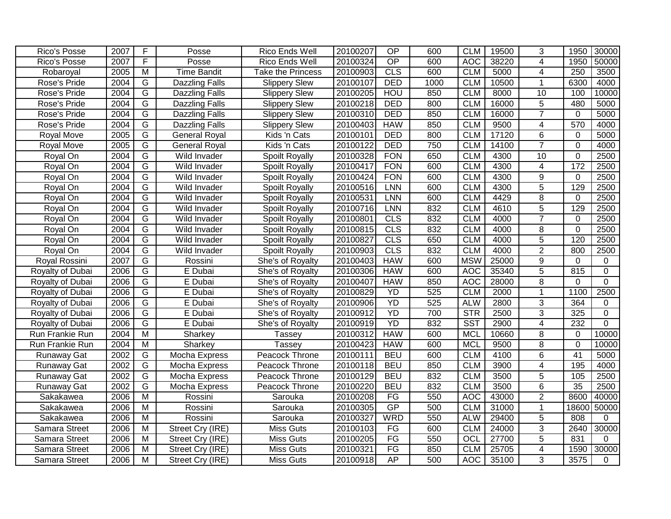| Rico's Posse         | 2007 | F                       | Posse                 | Rico Ends Well        | 20100207 | $\overline{OP}$ | 600  | <b>CLM</b>       | 19500 | 3              | 1950            | 30000       |
|----------------------|------|-------------------------|-----------------------|-----------------------|----------|-----------------|------|------------------|-------|----------------|-----------------|-------------|
| Rico's Posse         | 2007 | $\overline{F}$          | Posse                 | Rico Ends Well        | 20100324 | $\overline{OP}$ | 600  | <b>AOC</b>       | 38220 | 4              | 1950            | 50000       |
| Robaroyal            | 2005 | M                       | <b>Time Bandit</b>    | Take the Princess     | 20100903 | CLS             | 600  | <b>CLM</b>       | 5000  | 4              | 250             | 3500        |
| Rose's Pride         | 2004 | G                       | <b>Dazzling Falls</b> | <b>Slippery Slew</b>  | 20100107 | <b>DED</b>      | 1000 | <b>CLM</b>       | 10500 | $\mathbf{1}$   | 6300            | 4000        |
| Rose's Pride         | 2004 | G                       | <b>Dazzling Falls</b> | <b>Slippery Slew</b>  | 20100205 | <b>HOU</b>      | 850  | <b>CLM</b>       | 8000  | 10             | 100             | 10000       |
| Rose's Pride         | 2004 | G                       | <b>Dazzling Falls</b> | <b>Slippery Slew</b>  | 20100218 | <b>DED</b>      | 800  | <b>CLM</b>       | 16000 | $\overline{5}$ | 480             | 5000        |
| Rose's Pride         | 2004 | $\overline{G}$          | Dazzling Falls        | Slippery Slew         | 20100310 | <b>DED</b>      | 850  | <b>CLM</b>       | 16000 | $\overline{7}$ | $\mathbf 0$     | 5000        |
| Rose's Pride         | 2004 | $\overline{G}$          | <b>Dazzling Falls</b> | Slippery Slew         | 20100403 | <b>HAW</b>      | 850  | <b>CLM</b>       | 9500  | $\overline{4}$ | 570             | 4000        |
| Royal Move           | 2005 | $\overline{G}$          | <b>General Royal</b>  | Kids 'n Cats          | 20100101 | <b>DED</b>      | 800  | <b>CLM</b>       | 17120 | $\overline{6}$ | $\Omega$        | 5000        |
| Royal Move           | 2005 | $\overline{G}$          | <b>General Royal</b>  | Kids 'n Cats          | 20100122 | <b>DED</b>      | 750  | <b>CLM</b>       | 14100 | $\overline{7}$ | $\Omega$        | 4000        |
| Royal On             | 2004 | G                       | Wild Invader          | <b>Spoilt Royally</b> | 20100328 | <b>FON</b>      | 650  | <b>CLM</b>       | 4300  | 10             | $\mathbf 0$     | 2500        |
| Royal On             | 2004 | G                       | Wild Invader          | <b>Spoilt Royally</b> | 20100417 | <b>FON</b>      | 600  | <b>CLM</b>       | 4300  | $\overline{4}$ | 172             | 2500        |
| Royal On             | 2004 | G                       | Wild Invader          | Spoilt Royally        | 20100424 | <b>FON</b>      | 600  | <b>CLM</b>       | 4300  | 9              | $\Omega$        | 2500        |
| Royal On             | 2004 | $\overline{G}$          | Wild Invader          | <b>Spoilt Royally</b> | 20100516 | <b>LNN</b>      | 600  | <b>CLM</b>       | 4300  | 5              | 129             | 2500        |
| Royal On             | 2004 | $\overline{G}$          | Wild Invader          | <b>Spoilt Royally</b> | 20100531 | LNN             | 600  | <b>CLM</b>       | 4429  | 8              | $\mathbf 0$     | 2500        |
| Royal On             | 2004 | $\overline{G}$          | Wild Invader          | Spoilt Royally        | 20100716 | <b>LNN</b>      | 832  | <b>CLM</b>       | 4610  | $\overline{5}$ | 129             | 2500        |
| Royal On             | 2004 | $\overline{G}$          | Wild Invader          | <b>Spoilt Royally</b> | 20100801 | CLS             | 832  | <b>CLM</b>       | 4000  | $\overline{7}$ | 0               | 2500        |
| Royal On             | 2004 | $\overline{G}$          | Wild Invader          | <b>Spoilt Royally</b> | 20100815 | <b>CLS</b>      | 832  | <b>CLM</b>       | 4000  | 8              | $\mathbf 0$     | 2500        |
| Royal On             | 2004 | $\overline{G}$          | Wild Invader          | Spoilt Royally        | 20100827 | CLS             | 650  | <b>CLM</b>       | 4000  | $\overline{5}$ | 120             | 2500        |
| Royal On             | 2004 | G                       | Wild Invader          | Spoilt Royally        | 20100903 | CLS             | 832  | <b>CLM</b>       | 4000  | $\overline{2}$ | 800             | 2500        |
| Royal Rossini        | 2007 | $\overline{G}$          | Rossini               | She's of Royalty      | 20100403 | <b>HAW</b>      | 600  | <b>MSW</b>       | 25000 | 9              | $\mathbf 0$     | $\mathbf 0$ |
| Royalty of Dubai     | 2006 | $\overline{G}$          | E Dubai               | She's of Royalty      | 20100306 | <b>HAW</b>      | 600  | <b>AOC</b>       | 35340 | $\overline{5}$ | 815             | 0           |
| Royalty of Dubai     | 2006 | $\overline{G}$          | E Dubai               | She's of Royalty      | 20100407 | <b>HAW</b>      | 850  | <b>AOC</b>       | 28000 | $\overline{8}$ | $\mathbf 0$     | $\Omega$    |
| Royalty of Dubai     | 2006 | $\overline{G}$          | E Dubai               | She's of Royalty      | 20100829 | YD              | 525  | <b>CLM</b>       | 2000  | 1              | 1100            | 2500        |
| Royalty of Dubai     | 2006 | $\overline{G}$          | E Dubai               | She's of Royalty      | 20100906 | YD              | 525  | <b>ALW</b>       | 2800  | 3              | 364             | 0           |
| Royalty of Dubai     | 2006 | G                       | E Dubai               | She's of Royalty      | 20100912 | YD              | 700  | <b>STR</b>       | 2500  | $\overline{3}$ | 325             | $\mathbf 0$ |
| Royalty of Dubai     | 2006 | G                       | E Dubai               | She's of Royalty      | 20100919 | YD              | 832  | <b>SST</b>       | 2900  | $\overline{4}$ | 232             | $\mathbf 0$ |
| Run Frankie Run      | 2004 | M                       | Sharkey               | <b>Tassey</b>         | 20100312 | <b>HAW</b>      | 600  | <b>MCL</b>       | 10660 | 8              | $\Omega$        | 10000       |
| Run Frankie Run      | 2004 | M                       | Sharkey               | Tassey                | 20100423 | <b>HAW</b>      | 600  | <b>MCL</b>       | 9500  | 8              | $\mathbf 0$     | 10000       |
| Runaway Gat          | 2002 | G                       | Mocha Express         | Peacock Throne        | 20100111 | <b>BEU</b>      | 600  | <b>CLM</b>       | 4100  | $6\phantom{1}$ | $\overline{41}$ | 5000        |
| <b>Runaway Gat</b>   | 2002 | $\overline{G}$          | Mocha Express         | Peacock Throne        | 20100118 | <b>BEU</b>      | 850  | <b>CLM</b>       | 3900  | $\overline{4}$ | 195             | 4000        |
| <b>Runaway Gat</b>   | 2002 | $\overline{G}$          | Mocha Express         | Peacock Throne        | 20100129 | <b>BEU</b>      | 832  | <b>CLM</b>       | 3500  | $\overline{5}$ | 105             | 2500        |
| <b>Runaway Gat</b>   | 2002 | G                       | Mocha Express         | Peacock Throne        | 20100220 | <b>BEU</b>      | 832  | <b>CLM</b>       | 3500  | 6              | 35              | 2500        |
| Sakakawea            | 2006 | M                       | Rossini               | Sarouka               | 20100208 | FG              | 550  | <b>AOC</b>       | 43000 | $\overline{2}$ | 8600            | 40000       |
| Sakakawea            | 2006 | $\overline{\mathsf{M}}$ | Rossini               | Sarouka               | 20100305 | GP              | 500  | <b>CLM</b>       | 31000 | 1              | 18600           | 50000       |
| Sakakawea            | 2006 | $\overline{M}$          | Rossini               | Sarouka               | 20100327 | WRD             | 550  | <b>ALW</b>       | 29400 | $\overline{5}$ | 808             | $\Omega$    |
| Samara Street        | 2006 | $\overline{M}$          | Street Cry (IRE)      | <b>Miss Guts</b>      | 20100103 | FG              | 600  | <b>CLM</b>       | 24000 | $\overline{3}$ | 2640            | 30000       |
| Samara Street        | 2006 | $\overline{M}$          | Street Cry (IRE)      | Miss Guts             | 20100205 | FG              | 550  | $\overline{OCI}$ | 27700 | $\overline{5}$ | 831             | $\Omega$    |
| <b>Samara Street</b> | 2006 | $\overline{\mathsf{M}}$ | Street Cry (IRE)      | <b>Miss Guts</b>      | 20100321 | FG              | 850  | <b>CLM</b>       | 25705 | 4              | 1590            | 30000       |
| Samara Street        | 2006 | M                       | Street Cry (IRE)      | <b>Miss Guts</b>      | 20100918 | <b>AP</b>       | 500  | <b>AOC</b>       | 35100 | $\overline{3}$ | 3575            | $\Omega$    |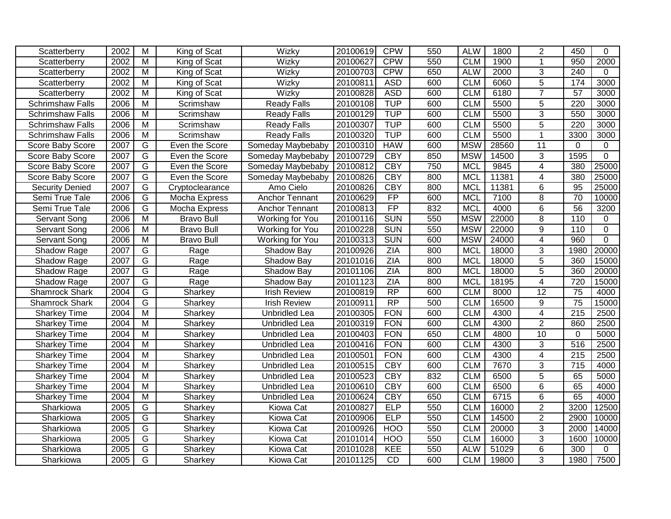| Scatterberry            | 2002 | M                       | King of Scat      | Wizky                | 20100619 | <b>CPW</b>      | 550 | <b>ALW</b> | 1800  | 2               | 450              | $\Omega$       |
|-------------------------|------|-------------------------|-------------------|----------------------|----------|-----------------|-----|------------|-------|-----------------|------------------|----------------|
| Scatterberry            | 2002 | $\overline{M}$          | King of Scat      | Wizky                | 20100627 | <b>CPW</b>      | 550 | <b>CLM</b> | 1900  | 1               | 950              | 2000           |
| Scatterberry            | 2002 | M                       | King of Scat      | Wizky                | 20100703 | <b>CPW</b>      | 650 | <b>ALW</b> | 2000  | $\overline{3}$  | 240              | $\Omega$       |
| Scatterberry            | 2002 | M                       | King of Scat      | Wizky                | 20100811 | <b>ASD</b>      | 600 | <b>CLM</b> | 6060  | $\overline{5}$  | 174              | 3000           |
| Scatterberry            | 2002 | $\overline{M}$          | King of Scat      | Wizky                | 20100828 | <b>ASD</b>      | 600 | <b>CLM</b> | 6180  | $\overline{7}$  | $\overline{57}$  | 3000           |
| <b>Schrimshaw Falls</b> | 2006 | $\overline{M}$          | Scrimshaw         | <b>Ready Falls</b>   | 20100108 | <b>TUP</b>      | 600 | <b>CLM</b> | 5500  | 5               | 220              | 3000           |
| <b>Schrimshaw Falls</b> | 2006 | $\overline{\mathsf{M}}$ | Scrimshaw         | <b>Ready Falls</b>   | 20100129 | <b>TUP</b>      | 600 | <b>CLM</b> | 5500  | 3               | 550              | 3000           |
| <b>Schrimshaw Falls</b> | 2006 | $\overline{\mathsf{M}}$ | Scrimshaw         | <b>Ready Falls</b>   | 20100307 | <b>TUP</b>      | 600 | <b>CLM</b> | 5500  | $\overline{5}$  | 220              | 3000           |
| Schrimshaw Falls        | 2006 | $\overline{\mathsf{M}}$ | Scrimshaw         | <b>Ready Falls</b>   | 20100320 | <b>TUP</b>      | 600 | <b>CLM</b> | 5500  | 1               | 3300             | 3000           |
| Score Baby Score        | 2007 | G                       | Even the Score    | Someday Maybebaby    | 20100310 | <b>HAW</b>      | 600 | <b>MSW</b> | 28560 | $\overline{11}$ | 0                | 0              |
| Score Baby Score        | 2007 | G                       | Even the Score    | Someday Maybebaby    | 20100729 | <b>CBY</b>      | 850 | <b>MSW</b> | 14500 | 3               | 1595             | $\overline{0}$ |
| Score Baby Score        | 2007 | G                       | Even the Score    | Someday Maybebaby    | 20100812 | <b>CBY</b>      | 750 | <b>MCL</b> | 9845  | $\overline{4}$  | 380              | 25000          |
| Score Baby Score        | 2007 | G                       | Even the Score    | Someday Maybebaby    | 20100826 | <b>CBY</b>      | 800 | <b>MCL</b> | 11381 | 4               | 380              | 25000          |
| <b>Security Denied</b>  | 2007 | G                       | Cryptoclearance   | Amo Cielo            | 20100826 | <b>CBY</b>      | 800 | <b>MCL</b> | 11381 | 6               | 95               | 25000          |
| Semi True Tale          | 2006 | G                       | Mocha Express     | Anchor Tennant       | 20100629 | FP              | 600 | <b>MCL</b> | 7100  | 8               | $\overline{70}$  | 10000          |
| Semi True Tale          | 2006 | $\overline{G}$          | Mocha Express     | Anchor Tennant       | 20100813 | FP              | 832 | <b>MCL</b> | 4000  | 6               | $\overline{56}$  | 3200           |
| Servant Song            | 2006 | $\overline{M}$          | <b>Bravo Bull</b> | Working for You      | 20100116 | <b>SUN</b>      | 550 | <b>MSW</b> | 22000 | $\overline{8}$  | 110              | 0              |
| Servant Song            | 2006 | M                       | <b>Bravo Bull</b> | Working for You      | 20100228 | <b>SUN</b>      | 550 | <b>MSW</b> | 22000 | 9               | 110              | $\mathbf 0$    |
| Servant Song            | 2006 | M                       | <b>Bravo Bull</b> | Working for You      | 20100313 | <b>SUN</b>      | 600 | <b>MSW</b> | 24000 | 4               | 960              | $\mathbf 0$    |
| Shadow Rage             | 2007 | G                       | Rage              | Shadow Bay           | 20100926 | <b>ZIA</b>      | 800 | <b>MCL</b> | 18000 | 3               | 1980             | 20000          |
| Shadow Rage             | 2007 | G                       | Rage              | Shadow Bay           | 20101016 | <b>ZIA</b>      | 800 | <b>MCL</b> | 18000 | $\overline{5}$  | 360              | 15000          |
| Shadow Rage             | 2007 | G                       | Rage              | Shadow Bay           | 20101106 | <b>ZIA</b>      | 800 | <b>MCL</b> | 18000 | 5               | 360              | 20000          |
| Shadow Rage             | 2007 | $\overline{G}$          | Rage              | Shadow Bay           | 20101123 | ZIA             | 800 | <b>MCL</b> | 18195 | $\overline{4}$  | 720              | 15000          |
| Shamrock Shark          | 2004 | G                       | Sharkey           | <b>Irish Review</b>  | 20100819 | RP              | 600 | <b>CLM</b> | 8000  | $\overline{12}$ | 75               | 4000           |
| Shamrock Shark          | 2004 | $\overline{G}$          | Sharkey           | <b>Irish Review</b>  | 20100911 | $\overline{RP}$ | 500 | <b>CLM</b> | 16500 | 9               | 75               | 15000          |
| <b>Sharkey Time</b>     | 2004 | $\overline{M}$          | Sharkey           | Unbridled Lea        | 20100305 | <b>FON</b>      | 600 | <b>CLM</b> | 4300  | $\overline{4}$  | $\overline{215}$ | 2500           |
| <b>Sharkey Time</b>     | 2004 | M                       | Sharkey           | Unbridled Lea        | 20100319 | <b>FON</b>      | 600 | <b>CLM</b> | 4300  | $\overline{2}$  | 860              | 2500           |
| <b>Sharkey Time</b>     | 2004 | M                       | Sharkey           | Unbridled Lea        | 20100403 | <b>FON</b>      | 650 | <b>CLM</b> | 4800  | 10              | $\Omega$         | 5000           |
| <b>Sharkey Time</b>     | 2004 | $\overline{M}$          | Sharkey           | <b>Unbridled Lea</b> | 20100416 | <b>FON</b>      | 600 | <b>CLM</b> | 4300  | 3               | 516              | 2500           |
| <b>Sharkey Time</b>     | 2004 | $\overline{M}$          | Sharkey           | <b>Unbridled Lea</b> | 20100501 | <b>FON</b>      | 600 | <b>CLM</b> | 4300  | $\overline{4}$  | $\overline{215}$ | 2500           |
| Sharkey Time            | 2004 | $\overline{M}$          | Sharkey           | <b>Unbridled Lea</b> | 20100515 | <b>CBY</b>      | 600 | <b>CLM</b> | 7670  | $\overline{3}$  | $\frac{1}{715}$  | 4000           |
| <b>Sharkey Time</b>     | 2004 | $\overline{M}$          | Sharkey           | Unbridled Lea        | 20100523 | <b>CBY</b>      | 832 | <b>CLM</b> | 6500  | $\overline{5}$  | 65               | 5000           |
| <b>Sharkey Time</b>     | 2004 | M                       | Sharkey           | Unbridled Lea        | 20100610 | <b>CBY</b>      | 600 | <b>CLM</b> | 6500  | 6               | 65               | 4000           |
| <b>Sharkey Time</b>     | 2004 | $\overline{M}$          | Sharkey           | Unbridled Lea        | 20100624 | <b>CBY</b>      | 650 | <b>CLM</b> | 6715  | 6               | 65               | 4000           |
| Sharkiowa               | 2005 | G                       | Sharkey           | Kiowa Cat            | 20100827 | <b>ELP</b>      | 550 | <b>CLM</b> | 16000 | $\overline{2}$  | 3200             | 12500          |
| Sharkiowa               | 2005 | G                       | Sharkey           | Kiowa Cat            | 20100906 | <b>ELP</b>      | 550 | <b>CLM</b> | 14500 | 2               | 2900             | 10000          |
| Sharkiowa               | 2005 | G                       | Sharkey           | <b>Kiowa Cat</b>     | 20100926 | <b>HOO</b>      | 550 | <b>CLM</b> | 20000 | 3               | 2000             | 14000          |
| Sharkiowa               | 2005 | $\overline{G}$          | Sharkey           | Kiowa Cat            | 20101014 | <b>HOO</b>      | 550 | <b>CLM</b> | 16000 | $\overline{3}$  | 1600             | 10000          |
| Sharkiowa               | 2005 | G                       | Sharkey           | <b>Kiowa Cat</b>     | 20101028 | KEE             | 550 | <b>ALW</b> | 51029 | $\overline{6}$  | 300              | $\Omega$       |
| Sharkiowa               | 2005 | $\overline{G}$          | Sharkey           | Kiowa Cat            | 20101125 | CD              | 600 | <b>CLM</b> | 19800 | $\overline{3}$  | 1980             | 7500           |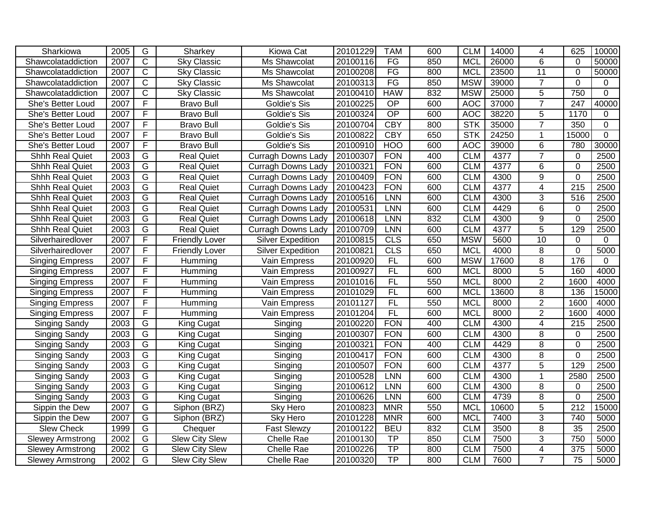| Sharkiowa               | 2005 | G                       | Sharkey               | <b>Kiowa Cat</b>          | 20101229 | <b>TAM</b>      | 600 | <b>CLM</b> | 14000 | 4               | 625              | 10000          |
|-------------------------|------|-------------------------|-----------------------|---------------------------|----------|-----------------|-----|------------|-------|-----------------|------------------|----------------|
| Shawcolataddiction      | 2007 | $\overline{C}$          | <b>Sky Classic</b>    | Ms Shawcolat              | 20100116 | FG              | 850 | <b>MCL</b> | 26000 | 6               | $\mathbf{0}$     | 50000          |
| Shawcolataddiction      | 2007 | $\overline{\text{c}}$   | <b>Sky Classic</b>    | Ms Shawcolat              | 20100208 | FG              | 800 | <b>MCL</b> | 23500 | 11              | $\mathbf 0$      | 50000          |
| Shawcolataddiction      | 2007 | $\overline{C}$          | <b>Sky Classic</b>    | Ms Shawcolat              | 20100313 | FG              | 850 | <b>MSW</b> | 39000 | $\overline{7}$  | $\mathbf 0$      | 0              |
| Shawcolataddiction      | 2007 | $\overline{\text{c}}$   | <b>Sky Classic</b>    | Ms Shawcolat              | 20100410 | <b>HAW</b>      | 832 | <b>MSW</b> | 25000 | $\overline{5}$  | 750              | $\Omega$       |
| She's Better Loud       | 2007 | F                       | <b>Bravo Bull</b>     | Goldie's Sis              | 20100225 | $\overline{OP}$ | 600 | <b>AOC</b> | 37000 | $\overline{7}$  | 247              | 40000          |
| She's Better Loud       | 2007 | F                       | <b>Bravo Bull</b>     | Goldie's Sis              | 20100324 | $\overline{OP}$ | 600 | <b>AOC</b> | 38220 | 5               | 1170             | 0              |
| She's Better Loud       | 2007 | F                       | <b>Bravo Bull</b>     | Goldie's Sis              | 20100704 | <b>CBY</b>      | 800 | <b>STK</b> | 35000 | $\overline{7}$  | 350              | $\overline{0}$ |
| She's Better Loud       | 2007 | F                       | <b>Bravo Bull</b>     | Goldie's Sis              | 20100822 | <b>CBY</b>      | 650 | <b>STK</b> | 24250 | $\mathbf{1}$    | 15000            | $\mathbf 0$    |
| She's Better Loud       | 2007 | F                       | <b>Bravo Bull</b>     | Goldie's Sis              | 20100910 | <b>HOO</b>      | 600 | <b>AOC</b> | 39000 | 6               | 780              | 30000          |
| Shhh Real Quiet         | 2003 | G                       | <b>Real Quiet</b>     | <b>Curragh Downs Lady</b> | 20100307 | <b>FON</b>      | 400 | <b>CLM</b> | 4377  | $\overline{7}$  | $\mathbf 0$      | 2500           |
| <b>Shhh Real Quiet</b>  | 2003 | G                       | <b>Real Quiet</b>     | <b>Curragh Downs Lady</b> | 20100321 | <b>FON</b>      | 600 | <b>CLM</b> | 4377  | 6               | $\Omega$         | 2500           |
| <b>Shhh Real Quiet</b>  | 2003 | G                       | <b>Real Quiet</b>     | <b>Curragh Downs Lady</b> | 20100409 | <b>FON</b>      | 600 | <b>CLM</b> | 4300  | 9               | $\mathbf 0$      | 2500           |
| <b>Shhh Real Quiet</b>  | 2003 | G                       | <b>Real Quiet</b>     | Curragh Downs Lady        | 20100423 | <b>FON</b>      | 600 | <b>CLM</b> | 4377  | 4               | 215              | 2500           |
| <b>Shhh Real Quiet</b>  | 2003 | G                       | <b>Real Quiet</b>     | <b>Curragh Downs Lady</b> | 20100516 | LNN             | 600 | <b>CLM</b> | 4300  | 3               | 516              | 2500           |
| Shhh Real Quiet         | 2003 | $\overline{G}$          | <b>Real Quiet</b>     | <b>Curragh Downs Lady</b> | 20100531 | LNN             | 600 | <b>CLM</b> | 4429  | $6\phantom{1}$  | $\mathbf 0$      | 2500           |
| Shhh Real Quiet         | 2003 | $\overline{G}$          | <b>Real Quiet</b>     | <b>Curragh Downs Lady</b> | 20100618 | <b>LNN</b>      | 832 | <b>CLM</b> | 4300  | $\overline{9}$  | $\Omega$         | 2500           |
| Shhh Real Quiet         | 2003 | $\overline{G}$          | <b>Real Quiet</b>     | <b>Curragh Downs Lady</b> | 20100709 | <b>LNN</b>      | 600 | <b>CLM</b> | 4377  | $\overline{5}$  | 129              | 2500           |
| Silverhairedlover       | 2007 | $\overline{F}$          | <b>Friendly Lover</b> | Silver Expedition         | 20100815 | CLS             | 650 | <b>MSW</b> | 5600  | $\overline{10}$ | $\mathbf 0$      | $\Omega$       |
| Silverhairedlover       | 2007 | F                       | <b>Friendly Lover</b> | <b>Silver Expedition</b>  | 20100821 | CLS             | 650 | <b>MCL</b> | 4000  | 8               | $\mathbf 0$      | 5000           |
| <b>Singing Empress</b>  | 2007 | F                       | Humming               | Vain Empress              | 20100920 | FL              | 600 | <b>MSW</b> | 17600 | $\overline{8}$  | 176              | $\Omega$       |
| <b>Singing Empress</b>  | 2007 | F                       | Humming               | Vain Empress              | 20100927 | $\overline{FL}$ | 600 | <b>MCL</b> | 8000  | 5               | 160              | 4000           |
| <b>Singing Empress</b>  | 2007 | F                       | Humming               | Vain Empress              | 20101016 | FL              | 550 | <b>MCL</b> | 8000  | $\overline{2}$  | 1600             | 4000           |
| <b>Singing Empress</b>  | 2007 | F                       | Humming               | Vain Empress              | 20101029 | FL              | 600 | <b>MCL</b> | 13600 | 8               | 136              | 15000          |
| <b>Singing Empress</b>  | 2007 | F                       | Humming               | Vain Empress              | 20101127 | $F$ L           | 550 | <b>MCL</b> | 8000  | $\overline{2}$  | 1600             | 4000           |
| <b>Singing Empress</b>  | 2007 | $\overline{F}$          | Humming               | Vain Empress              | 20101204 | FL              | 600 | <b>MCL</b> | 8000  | $\overline{2}$  | 1600             | 4000           |
| Singing Sandy           | 2003 | G                       | King Cugat            | Singing                   | 20100220 | <b>FON</b>      | 400 | <b>CLM</b> | 4300  | 4               | $\overline{215}$ | 2500           |
| <b>Singing Sandy</b>    | 2003 | G                       | <b>King Cugat</b>     | Singing                   | 20100307 | <b>FON</b>      | 600 | <b>CLM</b> | 4300  | 8               | $\mathbf 0$      | 2500           |
| Singing Sandy           | 2003 | $\overline{G}$          | King Cugat            | Singing                   | 20100321 | <b>FON</b>      | 400 | <b>CLM</b> | 4429  | 8               | $\Omega$         | 2500           |
| Singing Sandy           | 2003 | $\overline{G}$          | King Cugat            | Singing                   | 20100417 | <b>FON</b>      | 600 | <b>CLM</b> | 4300  | 8               | $\mathbf 0$      | 2500           |
| <b>Singing Sandy</b>    | 2003 | $\overline{G}$          | <b>King Cugat</b>     | Singing                   | 20100507 | <b>FON</b>      | 600 | <b>CLM</b> | 4377  | 5               | 129              | 2500           |
| <b>Singing Sandy</b>    | 2003 | G                       | King Cugat            | Singing                   | 20100528 | LNN             | 600 | <b>CLM</b> | 4300  | $\overline{1}$  | 2580             | 2500           |
| <b>Singing Sandy</b>    | 2003 | $\overline{G}$          | King Cugat            | Singing                   | 20100612 | <b>LNN</b>      | 600 | <b>CLM</b> | 4300  | 8               | $\mathbf 0$      | 2500           |
| Singing Sandy           | 2003 | G                       | King Cugat            | Singing                   | 20100626 | <b>LNN</b>      | 600 | <b>CLM</b> | 4739  | 8               | $\Omega$         | 2500           |
| Sippin the Dew          | 2007 | $\overline{G}$          | Siphon (BRZ)          | Sky Hero                  | 20100823 | <b>MNR</b>      | 550 | <b>MCL</b> | 10600 | 5               | 212              | 15000          |
| Sippin the Dew          | 2007 | $\overline{G}$          | Siphon (BRZ)          | Sky Hero                  | 20101228 | <b>MNR</b>      | 600 | <b>MCL</b> | 7400  | 3               | 740              | 5000           |
| <b>Slew Check</b>       | 1999 | $\overline{G}$          | Chequer               | Fast Slewzy               | 20100122 | <b>BEU</b>      | 832 | <b>CLM</b> | 3500  | $\overline{8}$  | 35               | 2500           |
| <b>Slewey Armstrong</b> | 2002 | $\overline{G}$          | <b>Slew City Slew</b> | <b>Chelle Rae</b>         | 20100130 | $\overline{TP}$ | 850 | <b>CLM</b> | 7500  | $\overline{3}$  | 750              | 5000           |
| <b>Slewey Armstrong</b> | 2002 | $\overline{G}$          | <b>Slew City Slew</b> | Chelle Rae                | 20100226 | <b>TP</b>       | 800 | <b>CLM</b> | 7500  | $\overline{4}$  | 375              | 5000           |
| <b>Slewey Armstrong</b> | 2002 | $\overline{\mathsf{G}}$ | <b>Slew City Slew</b> | <b>Chelle Rae</b>         | 20100320 | TP              | 800 | <b>CLM</b> | 7600  | $\overline{7}$  | 75               | 5000           |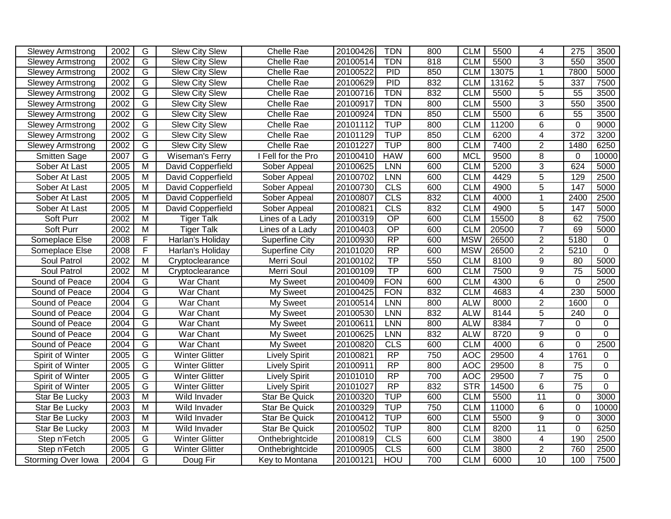| <b>Slewey Armstrong</b> | 2002              | G              | <b>Slew City Slew</b> | <b>Chelle Rae</b>     | 20100426 | <b>TDN</b>      | 800 | <b>CLM</b> | 5500  | 4               | 275             | 3500        |
|-------------------------|-------------------|----------------|-----------------------|-----------------------|----------|-----------------|-----|------------|-------|-----------------|-----------------|-------------|
| <b>Slewey Armstrong</b> | 2002              | $\overline{G}$ | Slew City Slew        | <b>Chelle Rae</b>     | 20100514 | <b>TDN</b>      | 818 | <b>CLM</b> | 5500  | $\overline{3}$  | 550             | 3500        |
| Slewey Armstrong        | 2002              | $\overline{G}$ | <b>Slew City Slew</b> | Chelle Rae            | 20100522 | PID             | 850 | <b>CLM</b> | 13075 | $\mathbf{1}$    | 7800            | 5000        |
| <b>Slewey Armstrong</b> | 2002              | G              | <b>Slew City Slew</b> | Chelle Rae            | 20100629 | PID             | 832 | <b>CLM</b> | 13162 | $\overline{5}$  | 337             | 7500        |
| <b>Slewey Armstrong</b> | 2002              | $\overline{G}$ | <b>Slew City Slew</b> | Chelle Rae            | 20100716 | <b>TDN</b>      | 832 | <b>CLM</b> | 5500  | 5               | 55              | 3500        |
| <b>Slewey Armstrong</b> | 2002              | G              | Slew City Slew        | Chelle Rae            | 20100917 | TDN             | 800 | <b>CLM</b> | 5500  | 3               | 550             | 3500        |
| <b>Slewey Armstrong</b> | 2002              | $\overline{G}$ | <b>Slew City Slew</b> | Chelle Rae            | 20100924 | TDN             | 850 | <b>CLM</b> | 5500  | $\overline{6}$  | 55              | 3500        |
| <b>Slewey Armstrong</b> | 2002              | $\overline{G}$ | <b>Slew City Slew</b> | <b>Chelle Rae</b>     | 20101112 | <b>TUP</b>      | 800 | <b>CLM</b> | 11200 | $\overline{6}$  | $\mathbf 0$     | 9000        |
| <b>Slewey Armstrong</b> | 2002              | $\overline{G}$ | <b>Slew City Slew</b> | <b>Chelle Rae</b>     | 20101129 | <b>TUP</b>      | 850 | <b>CLM</b> | 6200  | $\overline{4}$  | 372             | 3200        |
| <b>Slewey Armstrong</b> | 2002              | G              | <b>Slew City Slew</b> | Chelle Rae            | 20101227 | <b>TUP</b>      | 800 | <b>CLM</b> | 7400  | $\overline{2}$  | 1480            | 6250        |
| <b>Smitten Sage</b>     | 2007              | G              | Wiseman's Ferry       | Fell for the Pro      | 20100410 | <b>HAW</b>      | 600 | <b>MCL</b> | 9500  | 8               | $\mathbf{0}$    | 10000       |
| Sober At Last           | 2005              | M              | David Copperfield     | Sober Appeal          | 20100625 | LNN             | 600 | <b>CLM</b> | 5200  | 3               | 624             | 5000        |
| Sober At Last           | 2005              | M              | David Copperfield     | Sober Appeal          | 20100702 | <b>LNN</b>      | 600 | <b>CLM</b> | 4429  | 5               | 129             | 2500        |
| Sober At Last           | 2005              | M              | David Copperfield     | Sober Appeal          | 20100730 | CLS             | 600 | <b>CLM</b> | 4900  | 5               | 147             | 5000        |
| Sober At Last           | 2005              | M              | David Copperfield     | Sober Appeal          | 20100807 | CLS             | 832 | <b>CLM</b> | 4000  | $\mathbf{1}$    | 2400            | 2500        |
| Sober At Last           | 2005              | $\overline{M}$ | David Copperfield     | Sober Appeal          | 20100821 | CLS             | 832 | <b>CLM</b> | 4900  | $\overline{5}$  | 147             | 5000        |
| Soft Purr               | 2002              | $\overline{M}$ | <b>Tiger Talk</b>     | Lines of a Lady       | 20100319 | $\overline{OP}$ | 600 | <b>CLM</b> | 15500 | $\overline{8}$  | 62              | 7500        |
| Soft Purr               | 2002              | M              | <b>Tiger Talk</b>     | Lines of a Lady       | 20100403 | $\overline{OP}$ | 600 | <b>CLM</b> | 20500 | $\overline{7}$  | 69              | 5000        |
| Someplace Else          | 2008              | F              | Harlan's Holiday      | Superfine City        | 20100930 | $\overline{RP}$ | 600 | <b>MSW</b> | 26500 | $\overline{2}$  | 5180            | 0           |
| Someplace Else          | 2008              | F              | Harlan's Holiday      | <b>Superfine City</b> | 20101020 | $\overline{RP}$ | 600 | <b>MSW</b> | 26500 | $\overline{2}$  | 5210            | $\mathbf 0$ |
| Soul Patrol             | 2002              | $\overline{M}$ | Cryptoclearance       | Merri Soul            | 20100102 | TP              | 550 | <b>CLM</b> | 8100  | 9               | 80              | 5000        |
| Soul Patrol             | 2002              | M              | Cryptoclearance       | Merri Soul            | 20100109 | TP              | 600 | <b>CLM</b> | 7500  | 9               | $\overline{75}$ | 5000        |
| Sound of Peace          | 2004              | $\overline{G}$ | War Chant             | My Sweet              | 20100409 | <b>FON</b>      | 600 | <b>CLM</b> | 4300  | $\overline{6}$  | $\mathbf 0$     | 2500        |
| Sound of Peace          | 2004              | $\overline{G}$ | <b>War Chant</b>      | My Sweet              | 20100425 | <b>FON</b>      | 832 | <b>CLM</b> | 4683  | $\overline{4}$  | 230             | 5000        |
| Sound of Peace          | 2004              | G              | War Chant             | My Sweet              | 20100514 | <b>LNN</b>      | 800 | <b>ALW</b> | 8000  | $\overline{2}$  | 1600            | 0           |
| Sound of Peace          | 2004              | G              | War Chant             | My Sweet              | 20100530 | LNN             | 832 | <b>ALW</b> | 8144  | 5               | 240             | $\mathbf 0$ |
| Sound of Peace          | $200\overline{4}$ | G              | War Chant             | My Sweet              | 20100611 | LNN             | 800 | <b>ALW</b> | 8384  | $\overline{7}$  | 0               | $\mathbf 0$ |
| Sound of Peace          | 2004              | G              | War Chant             | My Sweet              | 20100625 | LNN             | 832 | <b>ALW</b> | 8720  | 9               | $\mathbf 0$     | $\mathbf 0$ |
| Sound of Peace          | 2004              | G              | War Chant             | My Sweet              | 20100820 | CLS             | 600 | <b>CLM</b> | 4000  | 6               | $\mathbf 0$     | 2500        |
| Spirit of Winter        | 2005              | $\overline{G}$ | <b>Winter Glitter</b> | Lively Spirit         | 20100821 | RP              | 750 | <b>AOC</b> | 29500 | $\overline{4}$  | 1761            | $\Omega$    |
| Spirit of Winter        | 2005              | $\overline{G}$ | <b>Winter Glitter</b> | <b>Lively Spirit</b>  | 20100911 | $\overline{RP}$ | 800 | <b>AOC</b> | 29500 | $\overline{8}$  | $\overline{75}$ | $\Omega$    |
| Spirit of Winter        | 2005              | $\overline{G}$ | <b>Winter Glitter</b> | <b>Lively Spirit</b>  | 20101010 | RP              | 700 | AOC        | 29500 | $\overline{7}$  | $\overline{75}$ | $\pmb{0}$   |
| Spirit of Winter        | 2005              | G              | <b>Winter Glitter</b> | <b>Lively Spirit</b>  | 20101027 | $\overline{RP}$ | 832 | <b>STR</b> | 14500 | $\,6$           | 75              | $\mathbf 0$ |
| Star Be Lucky           | 2003              | $\overline{M}$ | Wild Invader          | <b>Star Be Quick</b>  | 20100320 | <b>TUP</b>      | 600 | <b>CLM</b> | 5500  | $\overline{11}$ | $\mathbf 0$     | 3000        |
| Star Be Lucky           | 2003              | $\overline{M}$ | Wild Invader          | <b>Star Be Quick</b>  | 20100329 | <b>TUP</b>      | 750 | <b>CLM</b> | 11000 | 6               | $\mathbf 0$     | 10000       |
| Star Be Lucky           | 2003              | $\overline{M}$ | Wild Invader          | <b>Star Be Quick</b>  | 20100412 | <b>TUP</b>      | 600 | <b>CLM</b> | 5500  | $\overline{9}$  | $\mathbf 0$     | 3000        |
| Star Be Lucky           | 2003              | $\overline{M}$ | Wild Invader          | <b>Star Be Quick</b>  | 20100502 | <b>TUP</b>      | 800 | <b>CLM</b> | 8200  | $\overline{11}$ | $\mathbf 0$     | 6250        |
| Step n'Fetch            | 2005              | $\overline{G}$ | <b>Winter Glitter</b> | Onthebrightcide       | 20100819 | CLS             | 600 | <b>CLM</b> | 3800  | $\overline{4}$  | 190             | 2500        |
| Step n'Fetch            | 2005              | $\overline{G}$ | <b>Winter Glitter</b> | Onthebrightcide       | 20100905 | CLS             | 600 | <b>CLM</b> | 3800  | $\overline{2}$  | 760             | 2500        |
| Storming Over Iowa      | 2004              | $\overline{G}$ | Doug Fir              | Key to Montana        | 20100121 | <b>HOU</b>      | 700 | <b>CLM</b> | 6000  | 10              | 100             | 7500        |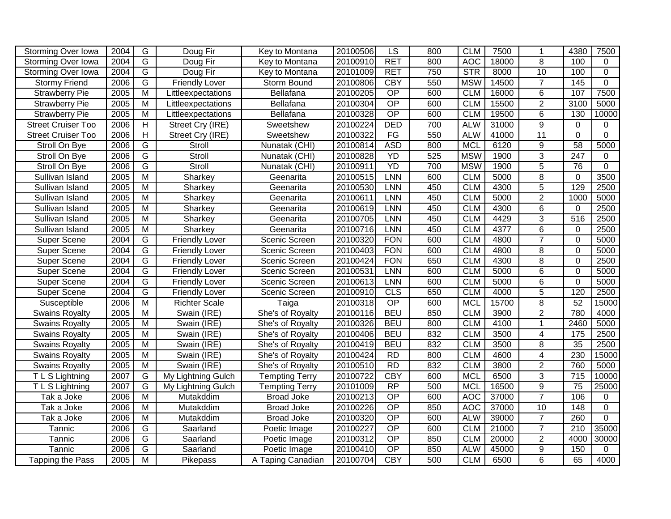| Storming Over Iowa                    | 2004 | G                       | Doug Fir              | Key to Montana        | 20100506 | LS              | 800 | <b>CLM</b> | 7500  | $\mathbf 1$             | 4380             | 7500           |
|---------------------------------------|------|-------------------------|-----------------------|-----------------------|----------|-----------------|-----|------------|-------|-------------------------|------------------|----------------|
| Storming Over Iowa                    | 2004 | $\overline{G}$          | Doug Fir              | Key to Montana        | 20100910 | <b>RET</b>      | 800 | <b>AOC</b> | 18000 | 8                       | 100              | 0              |
| Storming Over Iowa                    | 2004 | $\overline{\mathsf{G}}$ | Doug Fir              | Key to Montana        | 20101009 | <b>RET</b>      | 750 | <b>STR</b> | 8000  | $\overline{10}$         | 100              | $\overline{0}$ |
| <b>Stormy Friend</b>                  | 2006 | $\overline{G}$          | <b>Friendly Lover</b> | Storm Bound           | 20100806 | CBY             | 550 | <b>MSW</b> | 14500 | $\overline{7}$          | 145              | $\overline{0}$ |
| <b>Strawberry Pie</b>                 | 2005 | $\overline{\mathsf{M}}$ | Littleexpectations    | Bellafana             | 20100205 | $\overline{OP}$ | 600 | <b>CLM</b> | 16000 | $\overline{6}$          | 107              | 7500           |
| <b>Strawberry Pie</b>                 | 2005 | $\overline{M}$          | Littleexpectations    | Bellafana             | 20100304 | $\overline{OP}$ | 600 | <b>CLM</b> | 15500 | $\overline{2}$          | 3100             | 5000           |
| <b>Strawberry Pie</b>                 | 2005 | $\overline{M}$          | Littleexpectations    | Bellafana             | 20100328 | OP              | 600 | <b>CLM</b> | 19500 | 6                       | 130              | 10000          |
| <b>Street Cruiser Too</b>             | 2006 | H                       | Street Cry (IRE)      | Sweetshew             | 20100224 | <b>DED</b>      | 700 | <b>ALW</b> | 31000 | $\overline{9}$          | 0                | 0              |
| Street Cruiser Too                    | 2006 | H                       | Street Cry (IRE)      | Sweetshew             | 20100322 | FG              | 550 | <b>ALW</b> | 41000 | $\overline{11}$         | $\Omega$         | $\Omega$       |
| Stroll On Bye                         | 2006 | G                       | Stroll                | Nunatak (CHI)         | 20100814 | <b>ASD</b>      | 800 | <b>MCL</b> | 6120  | $\overline{9}$          | $\overline{58}$  | 5000           |
| Stroll On Bye                         | 2006 | $\overline{G}$          | Stroll                | Nunatak (CHI)         | 20100828 | YD              | 525 | <b>MSW</b> | 1900  | $\overline{3}$          | $\overline{247}$ | 0              |
| Stroll On Bye                         | 2006 | G                       | Stroll                | Nunatak (CHI)         | 20100911 | YD              | 700 | <b>MSW</b> | 1900  | $\overline{5}$          | 76               | $\overline{0}$ |
| Sullivan Island                       | 2005 | $\overline{M}$          | Sharkey               | Geenarita             | 20100515 | <b>LNN</b>      | 600 | <b>CLM</b> | 5000  | 8                       | $\mathbf 0$      | 3500           |
| Sullivan Island                       | 2005 | $\overline{M}$          | Sharkey               | Geenarita             | 20100530 | LNN             | 450 | <b>CLM</b> | 4300  | $\overline{5}$          | 129              | 2500           |
| Sullivan Island                       | 2005 | M                       | Sharkey               | Geenarita             | 20100611 | <b>LNN</b>      | 450 | <b>CLM</b> | 5000  | $\overline{2}$          | 1000             | 5000           |
| Sullivan Island                       | 2005 | M                       | Sharkey               | Geenarita             | 20100619 | LNN             | 450 | <b>CLM</b> | 4300  | 6                       | $\Omega$         | 2500           |
| Sullivan Island                       | 2005 | M                       | Sharkey               | Geenarita             | 20100705 | LNN             | 450 | <b>CLM</b> | 4429  | $\overline{3}$          | $\overline{516}$ | 2500           |
| Sullivan Island                       | 2005 | $\overline{M}$          | Sharkey               | Geenarita             | 20100716 | LNN             | 450 | <b>CLM</b> | 4377  | 6                       | $\mathbf 0$      | 2500           |
| Super Scene                           | 2004 | G                       | <b>Friendly Lover</b> | Scenic Screen         | 20100320 | <b>FON</b>      | 600 | <b>CLM</b> | 4800  | $\overline{7}$          | $\overline{0}$   | 5000           |
| <b>Super Scene</b>                    | 2004 | $\overline{G}$          | <b>Friendly Lover</b> | Scenic Screen         | 20100403 | <b>FON</b>      | 600 | <b>CLM</b> | 4800  | 8                       | $\Omega$         | 5000           |
| Super Scene                           | 2004 | G                       | <b>Friendly Lover</b> | Scenic Screen         | 20100424 | <b>FON</b>      | 650 | <b>CLM</b> | 4300  | 8                       | $\mathbf 0$      | 2500           |
| Super Scene                           | 2004 | G                       | <b>Friendly Lover</b> | Scenic Screen         | 20100531 | LNN             | 600 | <b>CLM</b> | 5000  | 6                       | $\Omega$         | 5000           |
| Super Scene                           | 2004 | G                       | <b>Friendly Lover</b> | Scenic Screen         | 20100613 | LNN             | 600 | <b>CLM</b> | 5000  | 6                       | $\mathbf 0$      | 5000           |
| Super Scene                           | 2004 | $\overline{G}$          | <b>Friendly Lover</b> | Scenic Screen         | 20100910 | CLS             | 650 | <b>CLM</b> | 4000  | $\overline{5}$          | 120              | 2500           |
| Susceptible                           | 2006 | $\overline{\mathsf{M}}$ | <b>Richter Scale</b>  | Taiga                 | 20100318 | $\overline{OP}$ | 600 | <b>MCL</b> | 15700 | $\overline{8}$          | 52               | 15000          |
| <b>Swains Royalty</b>                 | 2005 | M                       | Swain (IRE)           | She's of Royalty      | 20100116 | <b>BEU</b>      | 850 | <b>CLM</b> | 3900  | $\overline{2}$          | 780              | 4000           |
| <b>Swains Royalty</b>                 | 2005 | $\overline{M}$          | Swain (IRE)           | She's of Royalty      | 20100326 | <b>BEU</b>      | 800 | <b>CLM</b> | 4100  | $\mathbf{1}$            | 2460             | 5000           |
| <b>Swains Royalty</b>                 | 2005 | M                       | Swain (IRE)           | She's of Royalty      | 20100406 | <b>BEU</b>      | 832 | <b>CLM</b> | 3500  | 4                       | 175              | 2500           |
| <b>Swains Royalty</b>                 | 2005 | M                       | Swain (IRE)           | She's of Royalty      | 20100419 | <b>BEU</b>      | 832 | <b>CLM</b> | 3500  | 8                       | 35               | 2500           |
| <b>Swains Royalty</b>                 | 2005 | M                       | Swain (IRE)           | She's of Royalty      | 20100424 | RD              | 800 | <b>CLM</b> | 4600  | $\overline{\mathbf{4}}$ | 230              | 15000          |
| <b>Swains Royalty</b>                 | 2005 | $\overline{M}$          | Swain (IRE)           | She's of Royalty      | 20100510 | RD              | 832 | <b>CLM</b> | 3800  | $\overline{2}$          | 760              | 5000           |
| $\overline{\mathsf{T}}$ L S Lightning | 2007 | G                       | My Lightning Gulch    | <b>Tempting Terry</b> | 20100722 | <b>CBY</b>      | 600 | <b>MCL</b> | 6500  | $\overline{3}$          | 715              | 10000          |
| TLS Lightning                         | 2007 | $\overline{G}$          | My Lightning Gulch    | <b>Tempting Terry</b> | 20101009 | RP              | 500 | <b>MCL</b> | 16500 | $\overline{9}$          | $\overline{75}$  | 25000          |
| Tak a Joke                            | 2006 | M                       | Mutakddim             | <b>Broad Joke</b>     | 20100213 | $\overline{OP}$ | 600 | <b>AOC</b> | 37000 | $\overline{7}$          | 106              | 0              |
| Tak a Joke                            | 2006 | M                       | Mutakddim             | <b>Broad Joke</b>     | 20100226 | $\overline{OP}$ | 850 | <b>AOC</b> | 37000 | 10                      | $\overline{148}$ | $\mathbf 0$    |
| Tak a Joke                            | 2006 | $\overline{\mathsf{M}}$ | Mutakddim             | <b>Broad Joke</b>     | 20100320 | $\overline{OP}$ | 600 | <b>ALW</b> | 39000 | $\overline{7}$          | 260              | $\overline{0}$ |
| Tannic                                | 2006 | G                       | Saarland              | Poetic Image          | 20100227 | $\overline{OP}$ | 600 | <b>CLM</b> | 21000 | $\overline{7}$          | $\overline{210}$ | 35000          |
| Tannic                                | 2006 | $\overline{G}$          | Saarland              | Poetic Image          | 20100312 | $\overline{OP}$ | 850 | <b>CLM</b> | 20000 | $\overline{2}$          | 4000             | 30000          |
| Tannic                                | 2006 | $\overline{G}$          | Saarland              | Poetic Image          | 20100410 | OP              | 850 | <b>ALW</b> | 45000 | $\overline{9}$          | 150              | $\Omega$       |
| Tapping the Pass                      | 2005 | $\overline{M}$          | Pikepass              | A Taping Canadian     | 20100704 | <b>CBY</b>      | 500 | <b>CLM</b> | 6500  | 6                       | 65               | 4000           |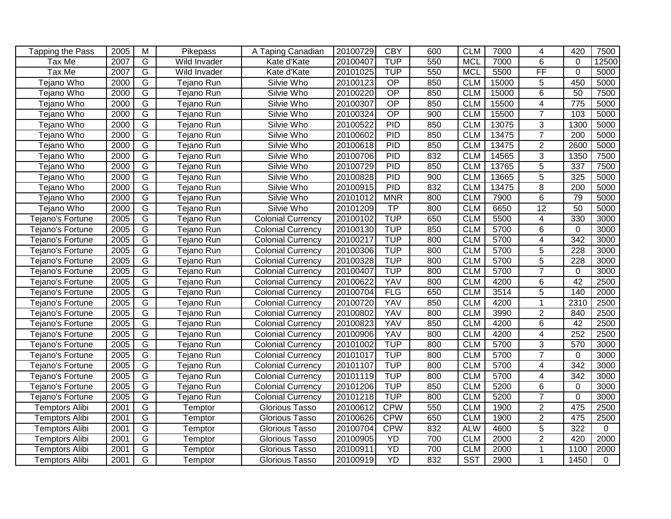| Tapping the Pass      | 2005             | M              | Pikepass     | A Taping Canadian        | 20100729 | <b>CBY</b>      | 600 | <b>CLM</b> | 7000  | 4                        | 420              | 7500     |
|-----------------------|------------------|----------------|--------------|--------------------------|----------|-----------------|-----|------------|-------|--------------------------|------------------|----------|
| Tax Me                | $\frac{1}{2007}$ | G              | Wild Invader | Kate d'Kate              | 20100407 | <b>TUP</b>      | 550 | <b>MCL</b> | 7000  | $\overline{6}$           | $\Omega$         | 12500    |
| Tax Me                | 2007             | $\overline{G}$ | Wild Invader | Kate d'Kate              | 20101025 | <b>TUP</b>      | 550 | <b>MCL</b> | 5500  | $\overline{FF}$          | $\overline{0}$   | 5000     |
| Tejano Who            | 2000             | G              | Tejano Run   | Silvie Who               | 20100123 | OP              | 850 | <b>CLM</b> | 15000 | 5                        | 450              | 5000     |
| Tejano Who            | 2000             | G              | Tejano Run   | Silvie Who               | 20100220 | $\overline{OP}$ | 850 | <b>CLM</b> | 15000 | 6                        | 50               | 7500     |
| Tejano Who            | 2000             | G              | Tejano Run   | Silvie Who               | 20100307 | $\overline{OP}$ | 850 | <b>CLM</b> | 15500 | 4                        | 775              | 5000     |
| Tejano Who            | 2000             | G              | Tejano Run   | Silvie Who               | 20100324 | $\overline{OP}$ | 900 | <b>CLM</b> | 15500 | $\overline{7}$           | 103              | 5000     |
| Tejano Who            | 2000             | $\overline{G}$ | Tejano Run   | Silvie Who               | 20100522 | PID             | 850 | <b>CLM</b> | 13075 | $\overline{3}$           | 1300             | 5000     |
| Tejano Who            | 2000             | G              | Tejano Run   | Silvie Who               | 20100602 | PID             | 850 | <b>CLM</b> | 13475 | $\overline{7}$           | $\overline{200}$ | 5000     |
| Tejano Who            | 2000             | $\overline{G}$ | Tejano Run   | Silvie Who               | 20100618 | PID             | 850 | <b>CLM</b> | 13475 | $\overline{2}$           | 2600             | 5000     |
| Tejano Who            | 2000             | $\overline{G}$ | Tejano Run   | Silvie Who               | 20100706 | PID             | 832 | <b>CLM</b> | 14565 | $\overline{3}$           | 1350             | 7500     |
| Tejano Who            | 2000             | $\overline{G}$ | Tejano Run   | Silvie Who               | 20100729 | PID             | 850 | <b>CLM</b> | 13765 | $\overline{5}$           | 337              | 7500     |
| Tejano Who            | 2000             | G              | Tejano Run   | Silvie Who               | 20100828 | <b>PID</b>      | 900 | <b>CLM</b> | 13665 | 5                        | 325              | 5000     |
| Tejano Who            | 2000             | $\overline{G}$ | Tejano Run   | Silvie Who               | 20100915 | <b>PID</b>      | 832 | <b>CLM</b> | 13475 | 8                        | 200              | 5000     |
| Tejano Who            | 2000             | $\overline{G}$ | Tejano Run   | Silvie Who               | 20101012 | <b>MNR</b>      | 800 | <b>CLM</b> | 7900  | $\,6$                    | 79               | 5000     |
| Tejano Who            | 2000             | $\overline{G}$ | Tejano Run   | Silvie Who               | 20101209 | <b>TP</b>       | 800 | <b>CLM</b> | 6650  | $\overline{12}$          | 50               | 5000     |
| Tejano's Fortune      | 2005             | $\overline{G}$ | Tejano Run   | <b>Colonial Currency</b> | 20100102 | <b>TUP</b>      | 650 | <b>CLM</b> | 5500  | 4                        | 330              | 3000     |
| Tejano's Fortune      | 2005             | $\overline{G}$ | Tejano Run   | <b>Colonial Currency</b> | 20100130 | <b>TUP</b>      | 850 | <b>CLM</b> | 5700  | 6                        | $\mathbf 0$      | 3000     |
| Tejano's Fortune      | 2005             | $\overline{G}$ | Tejano Run   | <b>Colonial Currency</b> | 20100217 | <b>TUP</b>      | 800 | <b>CLM</b> | 5700  | $\overline{4}$           | 342              | 3000     |
| Tejano's Fortune      | 2005             | G              | Tejano Run   | <b>Colonial Currency</b> | 20100306 | <b>TUP</b>      | 800 | <b>CLM</b> | 5700  | 5                        | $\overline{228}$ | 3000     |
| Tejano's Fortune      | 2005             | $\overline{G}$ | Tejano Run   | Colonial Currency        | 20100328 | <b>TUP</b>      | 800 | <b>CLM</b> | 5700  | $\overline{5}$           | 228              | 3000     |
| Tejano's Fortune      | 2005             | $\overline{G}$ | Tejano Run   | <b>Colonial Currency</b> | 20100407 | <b>TUP</b>      | 800 | <b>CLM</b> | 5700  | $\overline{7}$           | 0                | 3000     |
| Tejano's Fortune      | 2005             | $\overline{G}$ | Tejano Run   | <b>Colonial Currency</b> | 20100622 | <b>YAV</b>      | 800 | <b>CLM</b> | 4200  | 6                        | 42               | 2500     |
| Tejano's Fortune      | 2005             | G              | Tejano Run   | <b>Colonial Currency</b> | 20100704 | <b>FLG</b>      | 650 | <b>CLM</b> | 3514  | $\overline{5}$           | 140              | 2000     |
| Tejano's Fortune      | 2005             | G              | Tejano Run   | Colonial Currency        | 20100720 | YAV             | 850 | <b>CLM</b> | 4200  | $\mathbf{1}$             | 2310             | 2500     |
| Tejano's Fortune      | 2005             | G              | Tejano Run   | <b>Colonial Currency</b> | 20100802 | <b>YAV</b>      | 800 | <b>CLM</b> | 3990  | $\overline{2}$           | 840              | 2500     |
| Tejano's Fortune      | 2005             | G              | Tejano Run   | Colonial Currency        | 20100823 | YAV             | 850 | <b>CLM</b> | 4200  | 6                        | $\overline{42}$  | 2500     |
| Tejano's Fortune      | 2005             | G              | Tejano Run   | <b>Colonial Currency</b> | 20100906 | YAV             | 800 | <b>CLM</b> | 4200  | 4                        | $\overline{252}$ | 2500     |
| Tejano's Fortune      | 2005             | $\overline{G}$ | Tejano Run   | <b>Colonial Currency</b> | 20101002 | <b>TUP</b>      | 800 | <b>CLM</b> | 5700  | 3                        | 570              | 3000     |
| Tejano's Fortune      | 2005             | $\overline{G}$ | Tejano Run   | <b>Colonial Currency</b> | 20101017 | <b>TUP</b>      | 800 | <b>CLM</b> | 5700  | $\overline{7}$           | 0                | 3000     |
| Tejano's Fortune      | 2005             | $\overline{G}$ | Tejano Run   | <b>Colonial Currency</b> | 20101107 | <b>TUP</b>      | 800 | <b>CLM</b> | 5700  | $\overline{\mathcal{A}}$ | 342              | 3000     |
| Tejano's Fortune      | 2005             | $\overline{G}$ | Tejano Run   | <b>Colonial Currency</b> | 20101119 | <b>TUP</b>      | 800 | <b>CLM</b> | 5700  | 4                        | 342              | 3000     |
| Tejano's Fortune      | 2005             | G              | Tejano Run   | Colonial Currency        | 20101206 | <b>TUP</b>      | 850 | <b>CLM</b> | 5200  | 6                        | 0                | 3000     |
| Tejano's Fortune      | 2005             | $\overline{G}$ | Tejano Run   | <b>Colonial Currency</b> | 20101218 | <b>TUP</b>      | 800 | <b>CLM</b> | 5200  | $\overline{7}$           | $\overline{0}$   | 3000     |
| <b>Temptors Alibi</b> | 2001             | G              | Temptor      | Glorious Tasso           | 20100612 | <b>CPW</b>      | 550 | <b>CLM</b> | 1900  | $\overline{2}$           | 475              | 2500     |
| Temptors Alibi        | 2001             | G              | Temptor      | Glorious Tasso           | 20100626 | <b>CPW</b>      | 650 | <b>CLM</b> | 1900  | $\overline{2}$           | 475              | 2500     |
| <b>Temptors Alibi</b> | 2001             | G              | Temptor      | Glorious Tasso           | 20100704 | <b>CPW</b>      | 832 | <b>ALW</b> | 4600  | $\overline{5}$           | 322              | $\Omega$ |
| <b>Temptors Alibi</b> | 2001             | G              | Temptor      | Glorious Tasso           | 20100905 | YD              | 700 | <b>CLM</b> | 2000  | $\overline{2}$           | 420              | 2000     |
| <b>Temptors Alibi</b> | 2001             | G              | Temptor      | Glorious Tasso           | 20100911 | YD              | 700 | <b>CLM</b> | 2000  | 1                        | 1100             | 2000     |
| <b>Temptors Alibi</b> | 2001             | $\overline{G}$ | Temptor      | Glorious Tasso           | 20100919 | YD              | 832 | <b>SST</b> | 2900  | 1                        | 1450             | $\Omega$ |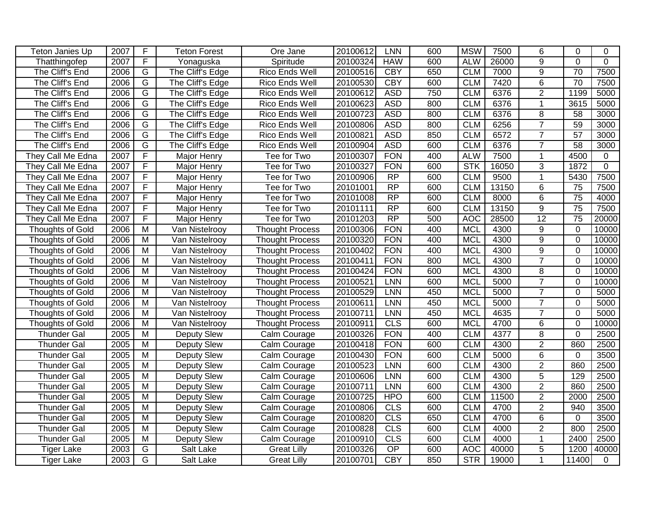| Teton Janies Up         | 2007 | $\overline{F}$          | <b>Teton Forest</b> | Ore Jane               | 20100612 | <b>LNN</b>      | 600 | <b>MSW</b> | 7500  | 6              | $\Omega$        | 0              |
|-------------------------|------|-------------------------|---------------------|------------------------|----------|-----------------|-----|------------|-------|----------------|-----------------|----------------|
| Thatthingofep           | 2007 | $\overline{F}$          | Yonaguska           | Spiritude              | 20100324 | <b>HAW</b>      | 600 | <b>ALW</b> | 26000 | $\overline{9}$ | $\Omega$        | $\mathbf 0$    |
| The Cliff's End         | 2006 | G                       | The Cliff's Edge    | Rico Ends Well         | 20100516 | <b>CBY</b>      | 650 | <b>CLM</b> | 7000  | $\overline{9}$ | $\overline{70}$ | 7500           |
| The Cliff's End         | 2006 | G                       | The Cliff's Edge    | Rico Ends Well         | 20100530 | <b>CBY</b>      | 600 | <b>CLM</b> | 7420  | 6              | 70              | 7500           |
| The Cliff's End         | 2006 | G                       | The Cliff's Edge    | Rico Ends Well         | 20100612 | <b>ASD</b>      | 750 | <b>CLM</b> | 6376  | $\overline{2}$ | 1199            | 5000           |
| The Cliff's End         | 2006 | G                       | The Cliff's Edge    | Rico Ends Well         | 20100623 | <b>ASD</b>      | 800 | <b>CLM</b> | 6376  | $\mathbf{1}$   | 3615            | 5000           |
| The Cliff's End         | 2006 | G                       | The Cliff's Edge    | <b>Rico Ends Well</b>  | 20100723 | <b>ASD</b>      | 800 | <b>CLM</b> | 6376  | 8              | $\overline{58}$ | 3000           |
| The Cliff's End         | 2006 | G                       | The Cliff's Edge    | <b>Rico Ends Well</b>  | 20100806 | <b>ASD</b>      | 800 | <b>CLM</b> | 6256  | $\overline{7}$ | 59              | 3000           |
| The Cliff's End         | 2006 | G                       | The Cliff's Edge    | <b>Rico Ends Well</b>  | 20100821 | <b>ASD</b>      | 850 | <b>CLM</b> | 6572  | $\overline{7}$ | 57              | 3000           |
| The Cliff's End         | 2006 | G                       | The Cliff's Edge    | Rico Ends Well         | 20100904 | <b>ASD</b>      | 600 | <b>CLM</b> | 6376  | $\overline{7}$ | 58              | 3000           |
| They Call Me Edna       | 2007 | $\overline{F}$          | <b>Major Henry</b>  | Tee for Two            | 20100307 | <b>FON</b>      | 400 | <b>ALW</b> | 7500  | $\mathbf{1}$   | 4500            | 0              |
| They Call Me Edna       | 2007 | F                       | Major Henry         | Tee for Two            | 20100327 | <b>FON</b>      | 600 | <b>STK</b> | 16050 | 3              | 1872            | $\overline{0}$ |
| They Call Me Edna       | 2007 | F                       | Major Henry         | Tee for Two            | 20100906 | $\overline{RP}$ | 600 | <b>CLM</b> | 9500  | $\mathbf{1}$   | 5430            | 7500           |
| They Call Me Edna       | 2007 | F                       | Major Henry         | Tee for Two            | 20101001 | RP              | 600 | <b>CLM</b> | 13150 | 6              | 75              | 7500           |
| They Call Me Edna       | 2007 | $\overline{F}$          | <b>Major Henry</b>  | Tee for Two            | 20101008 | RP              | 600 | <b>CLM</b> | 8000  | $6\phantom{1}$ | $\overline{75}$ | 4000           |
| They Call Me Edna       | 2007 | $\overline{F}$          | Major Henry         | Tee for Two            | 20101111 | $\overline{RP}$ | 600 | <b>CLM</b> | 13150 | $\overline{9}$ | $\overline{75}$ | 7500           |
| They Call Me Edna       | 2007 | F                       | Major Henry         | Tee for Two            | 20101203 | $\overline{RP}$ | 500 | <b>AOC</b> | 28500 | 12             | $\overline{75}$ | 20000          |
| Thoughts of Gold        | 2006 | M                       | Van Nistelrooy      | <b>Thought Process</b> | 20100306 | <b>FON</b>      | 400 | <b>MCL</b> | 4300  | 9              | $\Omega$        | 10000          |
| <b>Thoughts of Gold</b> | 2006 | M                       | Van Nistelrooy      | <b>Thought Process</b> | 20100320 | <b>FON</b>      | 400 | <b>MCL</b> | 4300  | 9              | $\overline{0}$  | 10000          |
| Thoughts of Gold        | 2006 | M                       | Van Nistelrooy      | <b>Thought Process</b> | 20100402 | <b>FON</b>      | 400 | <b>MCL</b> | 4300  | 9              | $\mathbf 0$     | 10000          |
| <b>Thoughts of Gold</b> | 2006 | M                       | Van Nistelrooy      | <b>Thought Process</b> | 20100411 | <b>FON</b>      | 800 | <b>MCL</b> | 4300  | $\overline{7}$ | $\overline{0}$  | 10000          |
| <b>Thoughts of Gold</b> | 2006 | M                       | Van Nistelrooy      | Thought Process        | 20100424 | <b>FON</b>      | 600 | <b>MCL</b> | 4300  | 8              | $\mathbf 0$     | 10000          |
| <b>Thoughts of Gold</b> | 2006 | $\overline{M}$          | Van Nistelrooy      | <b>Thought Process</b> | 20100521 | LNN             | 600 | <b>MCL</b> | 5000  | $\overline{7}$ | $\mathbf 0$     | 10000          |
| Thoughts of Gold        | 2006 | M                       | Van Nistelrooy      | <b>Thought Process</b> | 20100529 | LNN             | 450 | <b>MCL</b> | 5000  | $\overline{7}$ | $\Omega$        | 5000           |
| <b>Thoughts of Gold</b> | 2006 | M                       | Van Nistelrooy      | <b>Thought Process</b> | 20100611 | <b>LNN</b>      | 450 | <b>MCL</b> | 5000  | $\overline{7}$ | $\mathbf 0$     | 5000           |
| <b>Thoughts of Gold</b> | 2006 | M                       | Van Nistelrooy      | Thought Process        | 20100711 | LNN             | 450 | <b>MCL</b> | 4635  | $\overline{7}$ | $\mathbf 0$     | 5000           |
| Thoughts of Gold        | 2006 | M                       | Van Nistelrooy      | <b>Thought Process</b> | 20100911 | <b>CLS</b>      | 600 | <b>MCL</b> | 4700  | 6              | $\mathbf 0$     | 10000          |
| <b>Thunder Gal</b>      | 2005 | M                       | Deputy Slew         | Calm Courage           | 20100326 | <b>FON</b>      | 400 | <b>CLM</b> | 4377  | 8              | $\mathbf 0$     | 2500           |
| <b>Thunder Gal</b>      | 2005 | M                       | Deputy Slew         | Calm Courage           | 20100418 | <b>FON</b>      | 600 | <b>CLM</b> | 4300  | $\overline{2}$ | 860             | 2500           |
| <b>Thunder Gal</b>      | 2005 | M                       | Deputy Slew         | Calm Courage           | 20100430 | <b>FON</b>      | 600 | <b>CLM</b> | 5000  | $6\phantom{1}$ | $\Omega$        | 3500           |
| <b>Thunder Gal</b>      | 2005 | $\overline{M}$          | Deputy Slew         | Calm Courage           | 20100523 | <b>LNN</b>      | 600 | <b>CLM</b> | 4300  | $\overline{2}$ | 860             | 2500           |
| <b>Thunder Gal</b>      | 2005 | $\overline{M}$          | <b>Deputy Slew</b>  | Calm Courage           | 20100606 | <b>LNN</b>      | 600 | <b>CLM</b> | 4300  | $\overline{5}$ | 129             | 2500           |
| <b>Thunder Gal</b>      | 2005 | M                       | Deputy Slew         | Calm Courage           | 20100711 | <b>LNN</b>      | 600 | <b>CLM</b> | 4300  | $\overline{2}$ | 860             | 2500           |
| Thunder Gal             | 2005 | M                       | Deputy Slew         | Calm Courage           | 20100725 | <b>HPO</b>      | 600 | <b>CLM</b> | 11500 | $\overline{2}$ | 2000            | 2500           |
| <b>Thunder Gal</b>      | 2005 | M                       | Deputy Slew         | Calm Courage           | 20100806 | CLS             | 600 | <b>CLM</b> | 4700  | $\overline{2}$ | 940             | 3500           |
| <b>Thunder Gal</b>      | 2005 | $\overline{\mathsf{M}}$ | Deputy Slew         | Calm Courage           | 20100820 | CLS             | 650 | <b>CLM</b> | 4700  | 6              | $\mathbf 0$     | 3500           |
| <b>Thunder Gal</b>      | 2005 | $\overline{M}$          | <b>Deputy Slew</b>  | Calm Courage           | 20100828 | CLS             | 600 | <b>CLM</b> | 4000  | $\overline{2}$ | 800             | 2500           |
| <b>Thunder Gal</b>      | 2005 | $\overline{\mathsf{M}}$ | Deputy Slew         | Calm Courage           | 20100910 | CLS             | 600 | <b>CLM</b> | 4000  | 1              | 2400            | 2500           |
| <b>Tiger Lake</b>       | 2003 | G                       | <b>Salt Lake</b>    | <b>Great Lilly</b>     | 20100326 | $\overline{OP}$ | 600 | <b>AOC</b> | 40000 | 5              | 1200            | 40000          |
| <b>Tiger Lake</b>       | 2003 | $\overline{G}$          | Salt Lake           | Great Lilly            | 20100701 | <b>CBY</b>      | 850 | <b>STR</b> | 19000 | 1              | 11400           | $\Omega$       |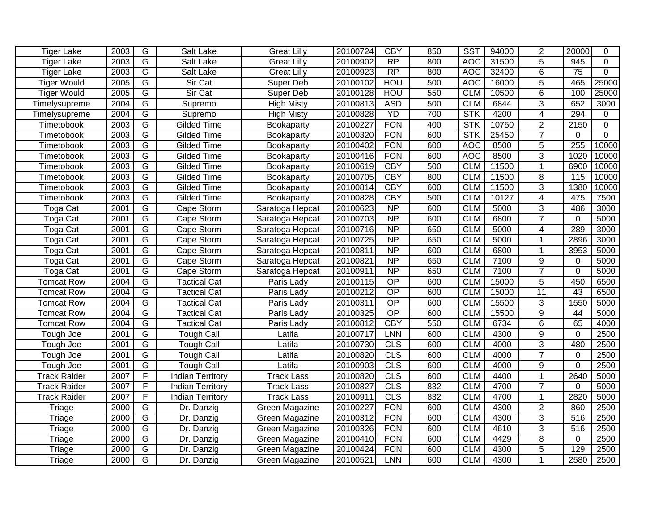| <b>Tiger Lake</b>   | 2003            | G              | Salt Lake               | <b>Great Lilly</b> | 20100724 | <b>CBY</b>      | 850 | <b>SST</b> | 94000 | $\overline{2}$ | 20000           | 0              |
|---------------------|-----------------|----------------|-------------------------|--------------------|----------|-----------------|-----|------------|-------|----------------|-----------------|----------------|
| <b>Tiger Lake</b>   | 2003            | $\overline{G}$ | Salt Lake               | <b>Great Lilly</b> | 20100902 | $\overline{RP}$ | 800 | <b>AOC</b> | 31500 | $\overline{5}$ | 945             | $\mathbf 0$    |
| <b>Tiger Lake</b>   | 2003            | $\overline{G}$ | Salt Lake               | <b>Great Lilly</b> | 20100923 | RP              | 800 | <b>AOC</b> | 32400 | $\overline{6}$ | $\overline{75}$ | $\mathbf 0$    |
| <b>Tiger Would</b>  | 2005            | G              | <b>Sir Cat</b>          | <b>Super Deb</b>   | 20100102 | <b>HOU</b>      | 500 | <b>AOC</b> | 16000 | $\overline{5}$ | 465             | 25000          |
| <b>Tiger Would</b>  | 2005            | G              | Sir Cat                 | Super Deb          | 20100128 | <b>HOU</b>      | 550 | <b>CLM</b> | 10500 | $\overline{6}$ | 100             | 25000          |
| Timelysupreme       | 2004            | G              | Supremo                 | <b>High Misty</b>  | 20100813 | <b>ASD</b>      | 500 | <b>CLM</b> | 6844  | 3              | 652             | 3000           |
| Timelysupreme       | 2004            | G              | Supremo                 | <b>High Misty</b>  | 20100828 | <b>YD</b>       | 700 | <b>STK</b> | 4200  | 4              | 294             | $\Omega$       |
| Timetobook          | 2003            | $\overline{G}$ | Gilded Time             | Bookaparty         | 20100227 | <b>FON</b>      | 400 | <b>STK</b> | 10750 | $\overline{2}$ | 2150            | $\overline{0}$ |
| Timetobook          | $\frac{200}{3}$ | G              | <b>Gilded Time</b>      | Bookaparty         | 20100320 | <b>FON</b>      | 600 | STK        | 25450 | $\overline{7}$ | 0               | $\mathbf 0$    |
| Timetobook          | 2003            | G              | <b>Gilded Time</b>      | Bookaparty         | 20100402 | <b>FON</b>      | 600 | <b>AOC</b> | 8500  | 5              | 255             | 10000          |
| Timetobook          | 2003            | G              | Gilded Time             | Bookaparty         | 20100416 | <b>FON</b>      | 600 | <b>AOC</b> | 8500  | $\overline{3}$ | 1020            | 10000          |
| Timetobook          | 2003            | G              | Gilded Time             | Bookaparty         | 20100619 | <b>CBY</b>      | 500 | <b>CLM</b> | 11500 | $\mathbf{1}$   | 6900            | 10000          |
| Timetobook          | 2003            | G              | <b>Gilded Time</b>      | Bookaparty         | 20100705 | <b>CBY</b>      | 800 | <b>CLM</b> | 11500 | 8              | 115             | 10000          |
| Timetobook          | 2003            | $\overline{G}$ | Gilded Time             | Bookaparty         | 20100814 | <b>CBY</b>      | 600 | <b>CLM</b> | 11500 | $\overline{3}$ | 1380            | 10000          |
| Timetobook          | 2003            | $\overline{G}$ | Gilded Time             | Bookaparty         | 20100828 | <b>CBY</b>      | 500 | <b>CLM</b> | 10127 | $\overline{4}$ | 475             | 7500           |
| Toga Cat            | 2001            | $\overline{G}$ | Cape Storm              | Saratoga Hepcat    | 20100623 | $\overline{NP}$ | 600 | <b>CLM</b> | 5000  | $\overline{3}$ | 486             | 3000           |
| Toga Cat            | 2001            | $\overline{G}$ | Cape Storm              | Saratoga Hepcat    | 20100703 | $\overline{NP}$ | 600 | <b>CLM</b> | 6800  | $\overline{7}$ | $\mathbf 0$     | 5000           |
| Toga Cat            | 2001            | $\overline{G}$ | Cape Storm              | Saratoga Hepcat    | 20100716 | $\overline{NP}$ | 650 | <b>CLM</b> | 5000  | 4              | 289             | 3000           |
| Toga Cat            | 2001            | $\overline{G}$ | Cape Storm              | Saratoga Hepcat    | 20100725 | $\overline{NP}$ | 650 | <b>CLM</b> | 5000  | $\mathbf 1$    | 2896            | 3000           |
| Toga Cat            | 2001            | $\overline{G}$ | Cape Storm              | Saratoga Hepcat    | 20100811 | $\overline{NP}$ | 600 | <b>CLM</b> | 6800  | 1              | 3953            | 5000           |
| Toga Cat            | 2001            | G              | Cape Storm              | Saratoga Hepcat    | 20100821 | $\overline{NP}$ | 650 | <b>CLM</b> | 7100  | 9              | 0               | 5000           |
| Toga Cat            | 2001            | $\overline{G}$ | Cape Storm              | Saratoga Hepcat    | 20100911 | $\overline{NP}$ | 650 | <b>CLM</b> | 7100  | $\overline{7}$ | $\mathbf 0$     | 5000           |
| <b>Tomcat Row</b>   | 2004            | $\overline{G}$ | <b>Tactical Cat</b>     | Paris Lady         | 20100115 | $\overline{OP}$ | 600 | <b>CLM</b> | 15000 | 5              | 450             | 6500           |
| <b>Tomcat Row</b>   | 2004            | $\overline{G}$ | <b>Tactical Cat</b>     | Paris Lady         | 20100212 | $\overline{OP}$ | 600 | <b>CLM</b> | 15000 | 11             | 43              | 6500           |
| <b>Tomcat Row</b>   | 2004            | $\overline{G}$ | <b>Tactical Cat</b>     | Paris Lady         | 20100311 | $\overline{OP}$ | 600 | <b>CLM</b> | 15500 | $\overline{3}$ | 1550            | 5000           |
| <b>Tomcat Row</b>   | 2004            | $\overline{G}$ | <b>Tactical Cat</b>     | Paris Lady         | 20100325 | $\overline{OP}$ | 600 | <b>CLM</b> | 15500 | $\overline{9}$ | 44              | 5000           |
| <b>Tomcat Row</b>   | 2004            | $\overline{G}$ | <b>Tactical Cat</b>     | Paris Lady         | 20100812 | <b>CBY</b>      | 550 | <b>CLM</b> | 6734  | 6              | 65              | 4000           |
| Tough Joe           | 2001            | $\overline{G}$ | <b>Tough Call</b>       | Latifa             | 20100717 | LNN             | 600 | <b>CLM</b> | 4300  | 9              | $\mathbf 0$     | 2500           |
| Tough Joe           | 2001            | G              | <b>Tough Call</b>       | Latifa             | 20100730 | CLS             | 600 | <b>CLM</b> | 4000  | 3              | 480             | 2500           |
| Tough Joe           | 2001            | $\overline{G}$ | <b>Tough Call</b>       | Latifa             | 20100820 | CLS             | 600 | <b>CLM</b> | 4000  | $\overline{7}$ | $\mathbf 0$     | 2500           |
| Tough Joe           | 2001            | $\overline{G}$ | <b>Tough Call</b>       | Latifa             | 20100903 | CLS             | 600 | <b>CLM</b> | 4000  | 9              | $\mathbf 0$     | 2500           |
| <b>Track Raider</b> | 2007            | F              | <b>Indian Territory</b> | <b>Track Lass</b>  | 20100820 | CLS             | 600 | <b>CLM</b> | 4400  | $\overline{1}$ | 2640            | 5000           |
| <b>Track Raider</b> | 2007            | $\overline{F}$ | <b>Indian Territory</b> | <b>Track Lass</b>  | 20100827 | CLS             | 832 | <b>CLM</b> | 4700  | $\overline{7}$ | $\mathbf{0}$    | 5000           |
| <b>Track Raider</b> | 2007            | $\overline{F}$ | <b>Indian Territory</b> | <b>Track Lass</b>  | 20100911 | CLS             | 832 | <b>CLM</b> | 4700  | $\mathbf 1$    | 2820            | 5000           |
| Triage              | 2000            | G              | Dr. Danzig              | Green Magazine     | 20100227 | <b>FON</b>      | 600 | <b>CLM</b> | 4300  | $\overline{2}$ | 860             | 2500           |
| Triage              | 2000            | G              | Dr. Danzig              | Green Magazine     | 20100312 | <b>FON</b>      | 600 | <b>CLM</b> | 4300  | 3              | 516             | 2500           |
| Triage              | 2000            | $\overline{G}$ | Dr. Danzig              | Green Magazine     | 20100326 | <b>FON</b>      | 600 | <b>CLM</b> | 4610  | $\overline{3}$ | 516             | 2500           |
| Triage              | 2000            | $\overline{G}$ | Dr. Danzig              | Green Magazine     | 20100410 | <b>FON</b>      | 600 | <b>CLM</b> | 4429  | $\overline{8}$ | $\mathbf 0$     | 2500           |
| Triage              | 2000            | $\overline{G}$ | Dr. Danzig              | Green Magazine     | 20100424 | <b>FON</b>      | 600 | <b>CLM</b> | 4300  | $\overline{5}$ | 129             | 2500           |
| <b>Triage</b>       | 2000            | $\overline{G}$ | Dr. Danzig              | Green Magazine     | 20100521 | <b>LNN</b>      | 600 | <b>CLM</b> | 4300  | 1              | 2580            | 2500           |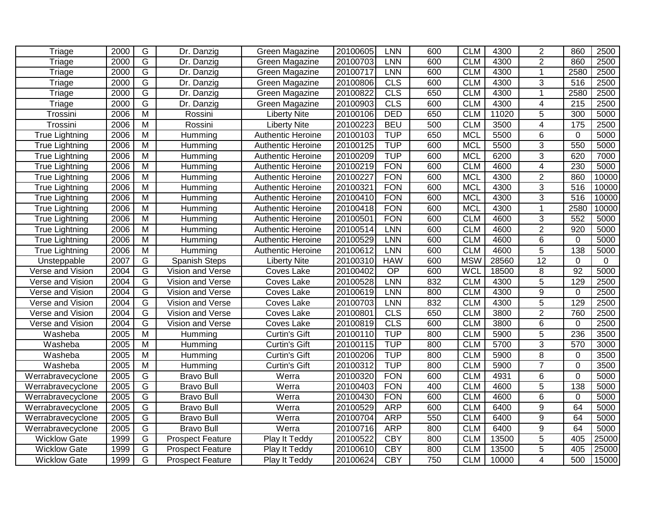| Triage                | 2000 | $\overline{G}$ | Dr. Danzig              | Green Magazine           | 20100605 | <b>LNN</b>      | 600 | <b>CLM</b> | 4300  | $\overline{2}$ | 860             | 2500     |
|-----------------------|------|----------------|-------------------------|--------------------------|----------|-----------------|-----|------------|-------|----------------|-----------------|----------|
| Triage                | 2000 | $\overline{G}$ | Dr. Danzig              | Green Magazine           | 20100703 | <b>LNN</b>      | 600 | <b>CLM</b> | 4300  | $\overline{2}$ | 860             | 2500     |
| Triage                | 2000 | $\overline{G}$ | Dr. Danzig              | Green Magazine           | 20100717 | <b>LNN</b>      | 600 | <b>CLM</b> | 4300  | $\overline{1}$ | 2580            | 2500     |
| Triage                | 2000 | $\overline{G}$ | Dr. Danzig              | Green Magazine           | 20100806 | CLS             | 600 | <b>CLM</b> | 4300  | 3              | 516             | 2500     |
| Triage                | 2000 | $\overline{G}$ | Dr. Danzig              | Green Magazine           | 20100822 | CLS             | 650 | <b>CLM</b> | 4300  | $\mathbf{1}$   | 2580            | 2500     |
| Triage                | 2000 | $\overline{G}$ | Dr. Danzig              | Green Magazine           | 20100903 | CLS             | 600 | <b>CLM</b> | 4300  | $\overline{4}$ | 215             | 2500     |
| Trossini              | 2006 | $\overline{M}$ | Rossini                 | <b>Liberty Nite</b>      | 20100106 | <b>DED</b>      | 650 | <b>CLM</b> | 11020 | 5              | 300             | 5000     |
| Trossini              | 2006 | $\overline{M}$ | Rossini                 | <b>Liberty Nite</b>      | 20100223 | <b>BEU</b>      | 500 | <b>CLM</b> | 3500  | $\overline{4}$ | 175             | 2500     |
| <b>True Lightning</b> | 2006 | $\overline{M}$ | Humming                 | Authentic Heroine        | 20100103 | <b>TUP</b>      | 650 | <b>MCL</b> | 5500  | 6              | $\Omega$        | 5000     |
| <b>True Lightning</b> | 2006 | $\overline{M}$ | Humming                 | <b>Authentic Heroine</b> | 20100125 | <b>TUP</b>      | 600 | <b>MCL</b> | 5500  | $\overline{3}$ | 550             | 5000     |
| <b>True Lightning</b> | 2006 | $\overline{M}$ | Humming                 | <b>Authentic Heroine</b> | 20100209 | <b>TUP</b>      | 600 | <b>MCL</b> | 6200  | 3              | 620             | 7000     |
| <b>True Lightning</b> | 2006 | $\overline{M}$ | Humming                 | <b>Authentic Heroine</b> | 20100219 | <b>FON</b>      | 600 | <b>CLM</b> | 4600  | $\overline{4}$ | 230             | 5000     |
| <b>True Lightning</b> | 2006 | M              | Humming                 | <b>Authentic Heroine</b> | 20100227 | <b>FON</b>      | 600 | <b>MCL</b> | 4300  | $\overline{2}$ | 860             | 10000    |
| <b>True Lightning</b> | 2006 | M              | Humming                 | Authentic Heroine        | 20100321 | <b>FON</b>      | 600 | <b>MCL</b> | 4300  | 3              | 516             | 10000    |
| <b>True Lightning</b> | 2006 | $\overline{M}$ | Humming                 | <b>Authentic Heroine</b> | 20100410 | <b>FON</b>      | 600 | <b>MCL</b> | 4300  | 3              | 516             | 10000    |
| <b>True Lightning</b> | 2006 | $\overline{M}$ | Humming                 | <b>Authentic Heroine</b> | 20100418 | <b>FON</b>      | 600 | <b>MCL</b> | 4300  | $\mathbf{1}$   | 2580            | 10000    |
| <b>True Lightning</b> | 2006 | $\overline{M}$ | Humming                 | Authentic Heroine        | 20100501 | <b>FON</b>      | 600 | <b>CLM</b> | 4600  | 3              | 552             | 5000     |
| True Lightning        | 2006 | $\overline{M}$ | Humming                 | Authentic Heroine        | 20100514 | <b>LNN</b>      | 600 | <b>CLM</b> | 4600  | $\overline{2}$ | 920             | 5000     |
| <b>True Lightning</b> | 2006 | $\overline{M}$ | Humming                 | <b>Authentic Heroine</b> | 20100529 | <b>LNN</b>      | 600 | <b>CLM</b> | 4600  | $6\phantom{1}$ | $\mathbf 0$     | 5000     |
| <b>True Lightning</b> | 2006 | M              | Humming                 | <b>Authentic Heroine</b> | 20100612 | LNN             | 600 | <b>CLM</b> | 4600  | 5              | 138             | 5000     |
| Unsteppable           | 2007 | G              | Spanish Steps           | <b>Liberty Nite</b>      | 20100310 | <b>HAW</b>      | 600 | <b>MSW</b> | 28560 | 12             | $\mathbf 0$     | $\Omega$ |
| Verse and Vision      | 2004 | G              | Vision and Verse        | Coves Lake               | 20100402 | $\overline{OP}$ | 600 | <b>WCL</b> | 18500 | 8              | $\overline{92}$ | 5000     |
| Verse and Vision      | 2004 | $\overline{G}$ | Vision and Verse        | Coves Lake               | 20100528 | <b>LNN</b>      | 832 | <b>CLM</b> | 4300  | $\overline{5}$ | 129             | 2500     |
| Verse and Vision      | 2004 | $\overline{G}$ | Vision and Verse        | Coves Lake               | 20100619 | <b>LNN</b>      | 800 | <b>CLM</b> | 4300  | 9              | $\Omega$        | 2500     |
| Verse and Vision      | 2004 | G              | Vision and Verse        | Coves Lake               | 20100703 | <b>LNN</b>      | 832 | <b>CLM</b> | 4300  | $\overline{5}$ | 129             | 2500     |
| Verse and Vision      | 2004 | G              | Vision and Verse        | Coves Lake               | 20100801 | CLS             | 650 | <b>CLM</b> | 3800  | $\overline{2}$ | 760             | 2500     |
| Verse and Vision      | 2004 | $\overline{G}$ | Vision and Verse        | Coves Lake               | 20100819 | CLS             | 600 | <b>CLM</b> | 3800  | 6              | $\mathbf 0$     | 2500     |
| Washeba               | 2005 | $\overline{M}$ | Humming                 | Curtin's Gift            | 20100110 | <b>TUP</b>      | 800 | <b>CLM</b> | 5900  | $\overline{5}$ | 236             | 3500     |
| Washeba               | 2005 | $\overline{M}$ | Humming                 | Curtin's Gift            | 20100115 | <b>TUP</b>      | 800 | <b>CLM</b> | 5700  | 3              | 570             | 3000     |
| Washeba               | 2005 | $\overline{M}$ | Humming                 | Curtin's Gift            | 20100206 | <b>TUP</b>      | 800 | <b>CLM</b> | 5900  | 8              | 0               | 3500     |
| Washeba               | 2005 | $\overline{M}$ | Humming                 | Curtin's Gift            | 20100312 | <b>TUP</b>      | 800 | <b>CLM</b> | 5900  | $\overline{7}$ | $\mathbf 0$     | 3500     |
| Werrabravecyclone     | 2005 | $\overline{G}$ | <b>Bravo Bull</b>       | Werra                    | 20100320 | <b>FON</b>      | 600 | <b>CLM</b> | 4931  | $\overline{6}$ | $\mathbf 0$     | 5000     |
| Werrabravecyclone     | 2005 | $\overline{G}$ | <b>Bravo Bull</b>       | Werra                    | 20100403 | <b>FON</b>      | 400 | <b>CLM</b> | 4600  | $\overline{5}$ | 138             | 5000     |
| Werrabravecyclone     | 2005 | $\overline{G}$ | <b>Bravo Bull</b>       | Werra                    | 20100430 | <b>FON</b>      | 600 | <b>CLM</b> | 4600  | 6              | $\mathbf{0}$    | 5000     |
| Werrabravecyclone     | 2005 | G              | <b>Bravo Bull</b>       | Werra                    | 20100529 | <b>ARP</b>      | 600 | <b>CLM</b> | 6400  | 9              | 64              | 5000     |
| Werrabravecyclone     | 2005 | $\overline{G}$ | <b>Bravo Bull</b>       | Werra                    | 20100704 | <b>ARP</b>      | 550 | <b>CLM</b> | 6400  | 9              | 64              | 5000     |
| Werrabravecyclone     | 2005 | $\overline{G}$ | <b>Bravo Bull</b>       | Werra                    | 20100716 | <b>ARP</b>      | 800 | <b>CLM</b> | 6400  | $\overline{9}$ | 64              | 5000     |
| <b>Wicklow Gate</b>   | 1999 | $\overline{G}$ | <b>Prospect Feature</b> | Play It Teddy            | 20100522 | <b>CBY</b>      | 800 | <b>CLM</b> | 13500 | $\overline{5}$ | 405             | 25000    |
| <b>Wicklow Gate</b>   | 1999 | $\overline{G}$ | <b>Prospect Feature</b> | Play It Teddy            | 20100610 | <b>CBY</b>      | 800 | <b>CLM</b> | 13500 | $\overline{5}$ | 405             | 25000    |
| <b>Wicklow Gate</b>   | 1999 | G              | <b>Prospect Feature</b> | Play It Teddy            | 20100624 | <b>CBY</b>      | 750 | <b>CLM</b> | 10000 | 4              | 500             | 15000    |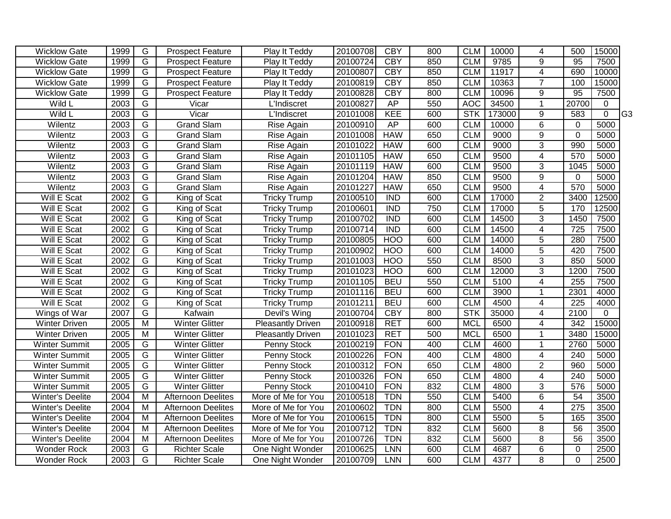| <b>Wicklow Gate</b>     | 1999              | G                       | <b>Prospect Feature</b>   | Play It Teddy            | 20100708 | <b>CBY</b>       | 800 | <b>CLM</b> | 10000  | 4                       | 500              | 15000          |     |
|-------------------------|-------------------|-------------------------|---------------------------|--------------------------|----------|------------------|-----|------------|--------|-------------------------|------------------|----------------|-----|
| <b>Wicklow Gate</b>     | 1999              | G                       | <b>Prospect Feature</b>   | Play It Teddy            | 20100724 | <b>CBY</b>       | 850 | <b>CLM</b> | 9785   | 9                       | 95               | 7500           |     |
| <b>Wicklow Gate</b>     | 1999              | $\overline{G}$          | <b>Prospect Feature</b>   | Play It Teddy            | 20100807 | <b>CBY</b>       | 850 | <b>CLM</b> | 11917  | $\overline{4}$          | 690              | 10000          |     |
| <b>Wicklow Gate</b>     | 1999              | $\overline{G}$          | <b>Prospect Feature</b>   | Play It Teddy            | 20100819 | CBY              | 850 | <b>CLM</b> | 10363  | $\overline{7}$          | 100              | 15000          |     |
| <b>Wicklow Gate</b>     | 1999              | G                       | <b>Prospect Feature</b>   | Play It Teddy            | 20100828 | <b>CBY</b>       | 800 | <b>CLM</b> | 10096  | $\overline{9}$          | 95               | 7500           |     |
| Wild L                  | 2003              | G                       | Vicar                     | <b>L'Indiscret</b>       | 20100827 | AP               | 550 | <b>AOC</b> | 34500  | $\mathbf{1}$            | 20700            | $\mathbf 0$    |     |
| Wild L                  | 2003              | $\overline{G}$          | Vicar                     | <b>L'Indiscret</b>       | 20101008 | <b>KEE</b>       | 600 | <b>STK</b> | 173000 | $\overline{9}$          | 583              | $\overline{0}$ | lG3 |
| Wilentz                 | 2003              | $\overline{G}$          | <b>Grand Slam</b>         | Rise Again               | 20100910 | AP               | 600 | <b>CLM</b> | 10000  | $\overline{6}$          | $\mathbf 0$      | 5000           |     |
| Wilentz                 | 2003              | $\overline{G}$          | <b>Grand Slam</b>         | Rise Again               | 20101008 | <b>HAW</b>       | 650 | <b>CLM</b> | 9000   | $\overline{9}$          | $\overline{0}$   | 5000           |     |
| Wilentz                 | 2003              | $\overline{G}$          | <b>Grand Slam</b>         | Rise Again               | 20101022 | <b>HAW</b>       | 600 | <b>CLM</b> | 9000   | 3                       | 990              | 5000           |     |
| Wilentz                 | 2003              | $\overline{G}$          | <b>Grand Slam</b>         | Rise Again               | 20101105 | <b>HAW</b>       | 650 | <b>CLM</b> | 9500   | $\overline{4}$          | 570              | 5000           |     |
| Wilentz                 | 2003              | G                       | <b>Grand Slam</b>         | Rise Again               | 20101119 | <b>HAW</b>       | 600 | <b>CLM</b> | 9500   | 3                       | 1045             | 5000           |     |
| Wilentz                 | 2003              | G                       | <b>Grand Slam</b>         | Rise Again               | 20101204 | <b>HAW</b>       | 850 | <b>CLM</b> | 9500   | 9                       | 0                | 5000           |     |
| Wilentz                 | 2003              | G                       | <b>Grand Slam</b>         | Rise Again               | 20101227 | <b>HAW</b>       | 650 | <b>CLM</b> | 9500   | $\overline{\mathbf{4}}$ | 570              | 5000           |     |
| Will E Scat             | 2002              | G                       | King of Scat              | <b>Tricky Trump</b>      | 20100510 | <b>IND</b>       | 600 | <b>CLM</b> | 17000  | $\overline{2}$          | 3400             | 12500          |     |
| Will E Scat             | 2002              | G                       | King of Scat              | <b>Tricky Trump</b>      | 20100601 | <b>IND</b>       | 750 | <b>CLM</b> | 17000  | 5                       | 170              | 12500          |     |
| Will E Scat             | $200\overline{2}$ | G                       | King of Scat              | <b>Tricky Trump</b>      | 20100702 | <b>IND</b>       | 600 | <b>CLM</b> | 14500  | 3                       | 1450             | 7500           |     |
| Will E Scat             | 2002              | G                       | King of Scat              | <b>Tricky Trump</b>      | 20100714 | $\overline{IND}$ | 600 | <b>CLM</b> | 14500  | $\overline{\mathbf{4}}$ | $\overline{725}$ | 7500           |     |
| Will E Scat             | 2002              | G                       | King of Scat              | <b>Tricky Trump</b>      | 20100805 | <b>HOO</b>       | 600 | <b>CLM</b> | 14000  | 5                       | 280              | 7500           |     |
| Will E Scat             | 2002              | G                       | King of Scat              | <b>Tricky Trump</b>      | 20100902 | <b>HOO</b>       | 600 | <b>CLM</b> | 14000  | 5                       | 420              | 7500           |     |
| Will E Scat             | 2002              | G                       | King of Scat              | <b>Tricky Trump</b>      | 20101003 | <b>HOO</b>       | 550 | <b>CLM</b> | 8500   | 3                       | 850              | 5000           |     |
| Will E Scat             | 2002              | G                       | King of Scat              | <b>Tricky Trump</b>      | 20101023 | <b>HOO</b>       | 600 | <b>CLM</b> | 12000  | $\overline{3}$          | 1200             | 7500           |     |
| Will E Scat             | 2002              | $\overline{G}$          | King of Scat              | <b>Tricky Trump</b>      | 20101105 | <b>BEU</b>       | 550 | <b>CLM</b> | 5100   | $\overline{\mathbf{4}}$ | 255              | 7500           |     |
| Will E Scat             | 2002              | G                       | King of Scat              | <b>Tricky Trump</b>      | 20101116 | <b>BEU</b>       | 600 | <b>CLM</b> | 3900   | $\mathbf{1}$            | 2301             | 4000           |     |
| Will E Scat             | 2002              | G                       | King of Scat              | <b>Tricky Trump</b>      | 20101211 | <b>BEU</b>       | 600 | <b>CLM</b> | 4500   | 4                       | 225              | 4000           |     |
| Wings of War            | 2007              | G                       | Kafwain                   | Devil's Wing             | 20100704 | CBY              | 800 | <b>STK</b> | 35000  | $\overline{4}$          | 2100             | $\mathbf 0$    |     |
| <b>Winter Driven</b>    | 2005              | M                       | Winter Glitter            | Pleasantly Driven        | 20100918 | <b>RET</b>       | 600 | <b>MCL</b> | 6500   | $\overline{\mathbf{4}}$ | $\overline{342}$ | 15000          |     |
| <b>Winter Driven</b>    | 2005              | M                       | <b>Winter Glitter</b>     | <b>Pleasantly Driven</b> | 20101023 | <b>RET</b>       | 500 | <b>MCL</b> | 6500   | 1                       | 3480             | 15000          |     |
| <b>Winter Summit</b>    | 2005              | G                       | <b>Winter Glitter</b>     | Penny Stock              | 20100219 | <b>FON</b>       | 400 | <b>CLM</b> | 4600   | $\mathbf{1}$            | 2760             | 5000           |     |
| <b>Winter Summit</b>    | 2005              | G                       | <b>Winter Glitter</b>     | Penny Stock              | 20100226 | <b>FON</b>       | 400 | <b>CLM</b> | 4800   | $\overline{\mathbf{4}}$ | 240              | 5000           |     |
| <b>Winter Summit</b>    | 2005              | $\overline{G}$          | <b>Winter Glitter</b>     | <b>Penny Stock</b>       | 20100312 | <b>FON</b>       | 650 | <b>CLM</b> | 4800   | $\overline{2}$          | 960              | 5000           |     |
| <b>Winter Summit</b>    | 2005              | G                       | <b>Winter Glitter</b>     | <b>Penny Stock</b>       | 20100326 | <b>FON</b>       | 650 | <b>CLM</b> | 4800   | $\overline{4}$          | 240              | 5000           |     |
| <b>Winter Summit</b>    | 2005              | $\overline{G}$          | <b>Winter Glitter</b>     | Penny Stock              | 20100410 | <b>FON</b>       | 832 | <b>CLM</b> | 4800   | $\overline{3}$          | 576              | 5000           |     |
| <b>Winter's Deelite</b> | 2004              | $\overline{\mathsf{M}}$ | <b>Afternoon Deelites</b> | More of Me for You       | 20100518 | <b>TDN</b>       | 550 | <b>CLM</b> | 5400   | 6                       | 54               | 3500           |     |
| <b>Winter's Deelite</b> | 2004              | M                       | <b>Afternoon Deelites</b> | More of Me for You       | 20100602 | <b>TDN</b>       | 800 | <b>CLM</b> | 5500   | 4                       | 275              | 3500           |     |
| <b>Winter's Deelite</b> | 2004              | M                       | <b>Afternoon Deelites</b> | More of Me for You       | 20100615 | <b>TDN</b>       | 800 | <b>CLM</b> | 5500   | $\overline{5}$          | 165              | 3500           |     |
| Winter's Deelite        | 2004              | M                       | <b>Afternoon Deelites</b> | More of Me for You       | 20100712 | <b>TDN</b>       | 832 | <b>CLM</b> | 5600   | $\overline{8}$          | 56               | 3500           |     |
| Winter's Deelite        | 2004              | M                       | <b>Afternoon Deelites</b> | More of Me for You       | 20100726 | <b>TDN</b>       | 832 | <b>CLM</b> | 5600   | $\overline{8}$          | 56               | 3500           |     |
| <b>Wonder Rock</b>      | 2003              | G                       | <b>Richter Scale</b>      | One Night Wonder         | 20100625 | <b>LNN</b>       | 600 | <b>CLM</b> | 4687   | 6                       | $\mathbf 0$      | 2500           |     |
| <b>Wonder Rock</b>      | 2003              | $\overline{G}$          | <b>Richter Scale</b>      | One Night Wonder         | 20100709 | <b>LNN</b>       | 600 | <b>CLM</b> | 4377   | $\overline{8}$          | $\overline{0}$   | 2500           |     |